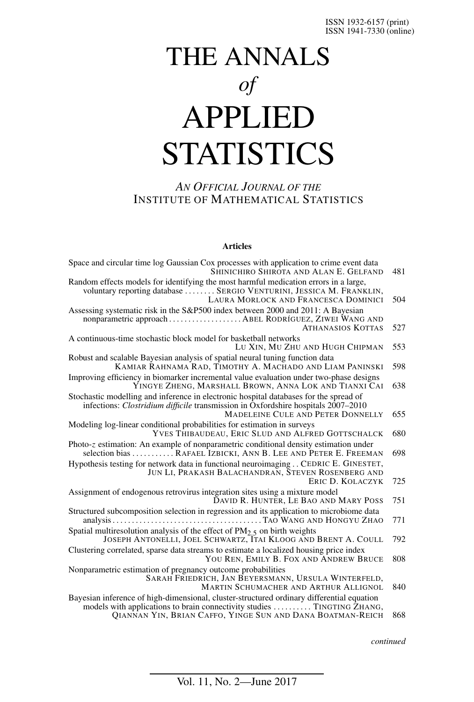# THE ANNALS *of* APPLIED **STATISTICS**

*AN OFFICIAL JOURNAL OF THE* INSTITUTE OF MATHEMATICAL STATISTICS

#### **Articles**

| Space and circular time log Gaussian Cox processes with application to crime event data<br>SHINICHIRO SHIROTA AND ALAN E. GELFAND                                                                                                  | 481 |
|------------------------------------------------------------------------------------------------------------------------------------------------------------------------------------------------------------------------------------|-----|
| Random effects models for identifying the most harmful medication errors in a large,<br>voluntary reporting database  SERGIO VENTURINI, JESSICA M. FRANKLIN,<br>LAURA MORLOCK AND FRANCESCA DOMINICI                               | 504 |
| Assessing systematic risk in the S&P500 index between 2000 and 2011: A Bayesian<br>nonparametric approach  ABEL RODRÍGUEZ, ZIWEI WANG AND<br><b>ATHANASIOS KOTTAS</b>                                                              | 527 |
| A continuous-time stochastic block model for basketball networks<br>LU XIN, MU ZHU AND HUGH CHIPMAN                                                                                                                                | 553 |
| Robust and scalable Bayesian analysis of spatial neural tuning function data<br>KAMIAR RAHNAMA RAD. TIMOTHY A. MACHADO AND LIAM PANINSKI                                                                                           | 598 |
| Improving efficiency in biomarker incremental value evaluation under two-phase designs<br>YINGYE ZHENG, MARSHALL BROWN, ANNA LOK AND TIANXI CAI                                                                                    | 638 |
| Stochastic modelling and inference in electronic hospital databases for the spread of<br>infections: <i>Clostridium difficile</i> transmission in Oxfordshire hospitals 2007-2010<br><b>MADELEINE CULE AND PETER DONNELLY</b>      | 655 |
| Modeling log-linear conditional probabilities for estimation in surveys<br>YVES THIBAUDEAU, ERIC SLUD AND ALFRED GOTTSCHALCK                                                                                                       | 680 |
| Photo-z estimation: An example of nonparametric conditional density estimation under<br>selection bias  RAFAEL IZBICKI, ANN B. LEE AND PETER E. FREEMAN                                                                            | 698 |
| Hypothesis testing for network data in functional neuroimaging CEDRIC E. GINESTET,<br>JUN LI, PRAKASH BALACHANDRAN, STEVEN ROSENBERG AND<br>ERIC D. KOLACZYK                                                                       | 725 |
| Assignment of endogenous retrovirus integration sites using a mixture model<br>DAVID R. HUNTER, LE BAO AND MARY POSS                                                                                                               | 751 |
| Structured subcomposition selection in regression and its application to microbiome data                                                                                                                                           | 771 |
| Spatial multiresolution analysis of the effect of $PM_{2.5}$ on birth weights<br>JOSEPH ANTONELLI, JOEL SCHWARTZ, ITAI KLOOG AND BRENT A. COULL                                                                                    | 792 |
| Clustering correlated, sparse data streams to estimate a localized housing price index<br>YOU REN, EMILY B. FOX AND ANDREW BRUCE                                                                                                   | 808 |
| Nonparametric estimation of pregnancy outcome probabilities<br>SARAH FRIEDRICH, JAN BEYERSMANN, URSULA WINTERFELD,<br><b>MARTIN SCHUMACHER AND ARTHUR ALLIGNOL</b>                                                                 | 840 |
| Bayesian inference of high-dimensional, cluster-structured ordinary differential equation<br>models with applications to brain connectivity studies  TINGTING ZHANG,<br>QIANNAN YIN, BRIAN CAFFO, YINGE SUN AND DANA BOATMAN-REICH | 868 |
|                                                                                                                                                                                                                                    |     |

*continued*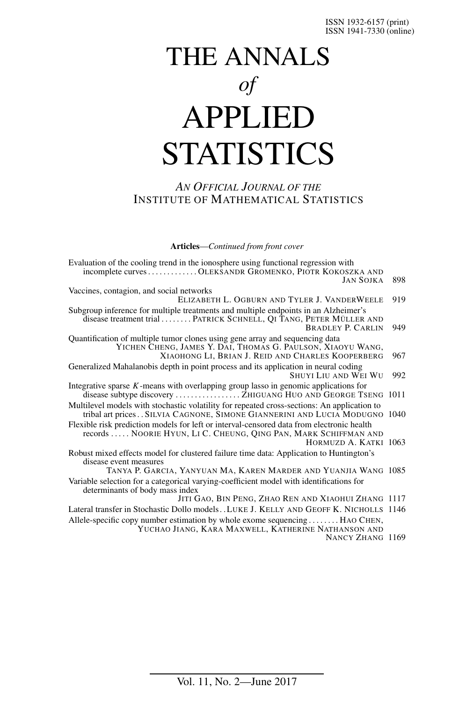# THE ANNALS *of* APPLIED **STATISTICS**

## *AN OFFICIAL JOURNAL OF THE* INSTITUTE OF MATHEMATICAL STATISTICS

#### **Articles**—*Continued from front cover*

| Evaluation of the cooling trend in the ionosphere using functional regression with<br>incomplete curves OLEKSANDR GROMENKO, PIOTR KOKOSZKA AND                                                   |     |
|--------------------------------------------------------------------------------------------------------------------------------------------------------------------------------------------------|-----|
| <b>JAN SOIKA</b>                                                                                                                                                                                 | 898 |
| Vaccines, contagion, and social networks                                                                                                                                                         |     |
| ELIZABETH L. OGBURN AND TYLER J. VANDERWEELE                                                                                                                                                     | 919 |
| Subgroup inference for multiple treatments and multiple endpoints in an Alzheimer's<br>disease treatment trial  PATRICK SCHNELL, QI TANG, PETER MÜLLER AND<br><b>BRADLEY P. CARLIN</b>           | 949 |
| Quantification of multiple tumor clones using gene array and sequencing data<br>YICHEN CHENG, JAMES Y. DAI, THOMAS G. PAULSON, XIAOYU WANG,<br>XIAOHONG LI, BRIAN J. REID AND CHARLES KOOPERBERG | 967 |
| Generalized Mahalanobis depth in point process and its application in neural coding<br><b>SHUYI LIU AND WEI WU</b>                                                                               | 992 |
| Integrative sparse $K$ -means with overlapping group lasso in genomic applications for                                                                                                           |     |
| Multilevel models with stochastic volatility for repeated cross-sections: An application to<br>tribal art prices SILVIA CAGNONE, SIMONE GIANNERINI AND LUCIA MODUGNO 1040                        |     |
| Flexible risk prediction models for left or interval-censored data from electronic health<br>records  NOORIE HYUN, LI C. CHEUNG, QING PAN, MARK SCHIFFMAN AND<br>HORMUZD A. KATKI 1063           |     |
| Robust mixed effects model for clustered failure time data: Application to Huntington's<br>disease event measures                                                                                |     |
| TANYA P. GARCIA, YANYUAN MA, KAREN MARDER AND YUANJIA WANG 1085                                                                                                                                  |     |
| Variable selection for a categorical varying-coefficient model with identifications for<br>determinants of body mass index                                                                       |     |
| JITI GAO, BIN PENG, ZHAO REN AND XIAOHUI ZHANG 1117                                                                                                                                              |     |
| Lateral transfer in Stochastic Dollo models. LUKE J. KELLY AND GEOFF K. NICHOLLS 1146                                                                                                            |     |
| Allele-specific copy number estimation by whole exome sequencing  HAO CHEN,<br>YUCHAO JIANG, KARA MAXWELL, KATHERINE NATHANSON AND                                                               |     |
| NANCY ZHANG 1169                                                                                                                                                                                 |     |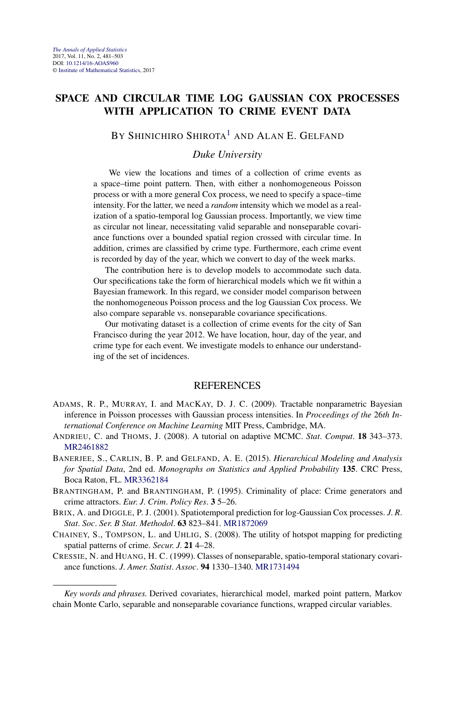## **SPACE AND CIRCULAR TIME LOG GAUSSIAN COX PROCESSES WITH APPLICATION TO CRIME EVENT DATA**

## BY SHINICHIRO SHIROTA<sup>[1](#page-27-0)</sup> AND ALAN E. GELFAND

*Duke University*

We view the locations and times of a collection of crime events as a space–time point pattern. Then, with either a nonhomogeneous Poisson process or with a more general Cox process, we need to specify a space–time intensity. For the latter, we need a *random* intensity which we model as a realization of a spatio-temporal log Gaussian process. Importantly, we view time as circular not linear, necessitating valid separable and nonseparable covariance functions over a bounded spatial region crossed with circular time. In addition, crimes are classified by crime type. Furthermore, each crime event is recorded by day of the year, which we convert to day of the week marks.

The contribution here is to develop models to accommodate such data. Our specifications take the form of hierarchical models which we fit within a Bayesian framework. In this regard, we consider model comparison between the nonhomogeneous Poisson process and the log Gaussian Cox process. We also compare separable vs. nonseparable covariance specifications.

Our motivating dataset is a collection of crime events for the city of San Francisco during the year 2012. We have location, hour, day of the year, and crime type for each event. We investigate models to enhance our understanding of the set of incidences.

- ADAMS, R. P., MURRAY, I. and MACKAY, D. J. C. (2009). Tractable nonparametric Bayesian inference in Poisson processes with Gaussian process intensities. In *Proceedings of the* 26*th International Conference on Machine Learning* MIT Press, Cambridge, MA.
- ANDRIEU, C. and THOMS, J. (2008). A tutorial on adaptive MCMC. *Stat*. *Comput*. **18** 343–373. [MR2461882](http://www.ams.org/mathscinet-getitem?mr=2461882)
- BANERJEE, S., CARLIN, B. P. and GELFAND, A. E. (2015). *Hierarchical Modeling and Analysis for Spatial Data*, 2nd ed. *Monographs on Statistics and Applied Probability* **135**. CRC Press, Boca Raton, FL. [MR3362184](http://www.ams.org/mathscinet-getitem?mr=3362184)
- BRANTINGHAM, P. and BRANTINGHAM, P. (1995). Criminality of place: Crime generators and crime attractors. *Eur*. *J*. *Crim*. *Policy Res*. **3** 5–26.
- BRIX, A. and DIGGLE, P. J. (2001). Spatiotemporal prediction for log-Gaussian Cox processes. *J*. *R*. *Stat*. *Soc*. *Ser*. *B Stat*. *Methodol*. **63** 823–841. [MR1872069](http://www.ams.org/mathscinet-getitem?mr=1872069)
- CHAINEY, S., TOMPSON, L. and UHLIG, S. (2008). The utility of hotspot mapping for predicting spatial patterns of crime. *Secur*. *J*. **21** 4–28.
- CRESSIE, N. and HUANG, H. C. (1999). Classes of nonseparable, spatio-temporal stationary covariance functions. *J*. *Amer*. *Statist*. *Assoc*. **94** 1330–1340. [MR1731494](http://www.ams.org/mathscinet-getitem?mr=1731494)

*Key words and phrases.* Derived covariates, hierarchical model, marked point pattern, Markov chain Monte Carlo, separable and nonseparable covariance functions, wrapped circular variables.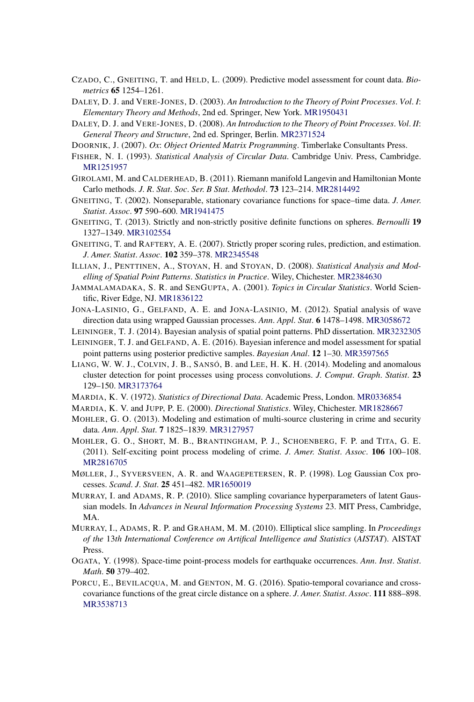- CZADO, C., GNEITING, T. and HELD, L. (2009). Predictive model assessment for count data. *Biometrics* **65** 1254–1261.
- DALEY, D. J. and VERE-JONES, D. (2003). *An Introduction to the Theory of Point Processes*. *Vol*. *I*: *Elementary Theory and Methods*, 2nd ed. Springer, New York. [MR1950431](http://www.ams.org/mathscinet-getitem?mr=1950431)
- DALEY, D. J. and VERE-JONES, D. (2008). *An Introduction to the Theory of Point Processes*. *Vol*. *II*: *General Theory and Structure*, 2nd ed. Springer, Berlin. [MR2371524](http://www.ams.org/mathscinet-getitem?mr=2371524)
- DOORNIK, J. (2007). *Ox*: *Object Oriented Matrix Programming*. Timberlake Consultants Press.
- FISHER, N. I. (1993). *Statistical Analysis of Circular Data*. Cambridge Univ. Press, Cambridge. [MR1251957](http://www.ams.org/mathscinet-getitem?mr=1251957)
- GIROLAMI, M. and CALDERHEAD, B. (2011). Riemann manifold Langevin and Hamiltonian Monte Carlo methods. *J*. *R*. *Stat*. *Soc*. *Ser*. *B Stat*. *Methodol*. **73** 123–214. [MR2814492](http://www.ams.org/mathscinet-getitem?mr=2814492)
- GNEITING, T. (2002). Nonseparable, stationary covariance functions for space–time data. *J*. *Amer*. *Statist*. *Assoc*. **97** 590–600. [MR1941475](http://www.ams.org/mathscinet-getitem?mr=1941475)
- GNEITING, T. (2013). Strictly and non-strictly positive definite functions on spheres. *Bernoulli* **19** 1327–1349. [MR3102554](http://www.ams.org/mathscinet-getitem?mr=3102554)
- GNEITING, T. and RAFTERY, A. E. (2007). Strictly proper scoring rules, prediction, and estimation. *J*. *Amer*. *Statist*. *Assoc*. **102** 359–378. [MR2345548](http://www.ams.org/mathscinet-getitem?mr=2345548)
- ILLIAN, J., PENTTINEN, A., STOYAN, H. and STOYAN, D. (2008). *Statistical Analysis and Modelling of Spatial Point Patterns*. *Statistics in Practice*. Wiley, Chichester. [MR2384630](http://www.ams.org/mathscinet-getitem?mr=2384630)
- JAMMALAMADAKA, S. R. and SENGUPTA, A. (2001). *Topics in Circular Statistics*. World Scientific, River Edge, NJ. [MR1836122](http://www.ams.org/mathscinet-getitem?mr=1836122)
- JONA-LASINIO, G., GELFAND, A. E. and JONA-LASINIO, M. (2012). Spatial analysis of wave direction data using wrapped Gaussian processes. *Ann*. *Appl*. *Stat*. **6** 1478–1498. [MR3058672](http://www.ams.org/mathscinet-getitem?mr=3058672)
- LEININGER, T. J. (2014). Bayesian analysis of spatial point patterns. PhD dissertation. [MR3232305](http://www.ams.org/mathscinet-getitem?mr=3232305)
- LEININGER, T. J. and GELFAND, A. E. (2016). Bayesian inference and model assessment for spatial point patterns using posterior predictive samples. *Bayesian Anal*. **12** 1–30. [MR3597565](http://www.ams.org/mathscinet-getitem?mr=3597565)
- LIANG, W. W. J., COLVIN, J. B., SANSÓ, B. and LEE, H. K. H. (2014). Modeling and anomalous cluster detection for point processes using process convolutions. *J*. *Comput*. *Graph*. *Statist*. **23** 129–150. [MR3173764](http://www.ams.org/mathscinet-getitem?mr=3173764)
- MARDIA, K. V. (1972). *Statistics of Directional Data*. Academic Press, London. [MR0336854](http://www.ams.org/mathscinet-getitem?mr=0336854)
- MARDIA, K. V. and JUPP, P. E. (2000). *Directional Statistics*. Wiley, Chichester. [MR1828667](http://www.ams.org/mathscinet-getitem?mr=1828667)
- MOHLER, G. O. (2013). Modeling and estimation of multi-source clustering in crime and security data. *Ann*. *Appl*. *Stat*. **7** 1825–1839. [MR3127957](http://www.ams.org/mathscinet-getitem?mr=3127957)
- MOHLER, G. O., SHORT, M. B., BRANTINGHAM, P. J., SCHOENBERG, F. P. and TITA, G. E. (2011). Self-exciting point process modeling of crime. *J*. *Amer*. *Statist*. *Assoc*. **106** 100–108. [MR2816705](http://www.ams.org/mathscinet-getitem?mr=2816705)
- MØLLER, J., SYVERSVEEN, A. R. and WAAGEPETERSEN, R. P. (1998). Log Gaussian Cox processes. *Scand*. *J*. *Stat*. **25** 451–482. [MR1650019](http://www.ams.org/mathscinet-getitem?mr=1650019)
- MURRAY, I. and ADAMS, R. P. (2010). Slice sampling covariance hyperparameters of latent Gaussian models. In *Advances in Neural Information Processing Systems* 23. MIT Press, Cambridge, MA.
- MURRAY, I., ADAMS, R. P. and GRAHAM, M. M. (2010). Elliptical slice sampling. In *Proceedings of the* 13*th International Conference on Artifical Intelligence and Statistics* (*AISTAT*). AISTAT Press.
- OGATA, Y. (1998). Space-time point-process models for earthquake occurrences. *Ann*. *Inst*. *Statist*. *Math*. **50** 379–402.
- PORCU, E., BEVILACQUA, M. and GENTON, M. G. (2016). Spatio-temporal covariance and crosscovariance functions of the great circle distance on a sphere. *J*. *Amer*. *Statist*. *Assoc*. **111** 888–898. [MR3538713](http://www.ams.org/mathscinet-getitem?mr=3538713)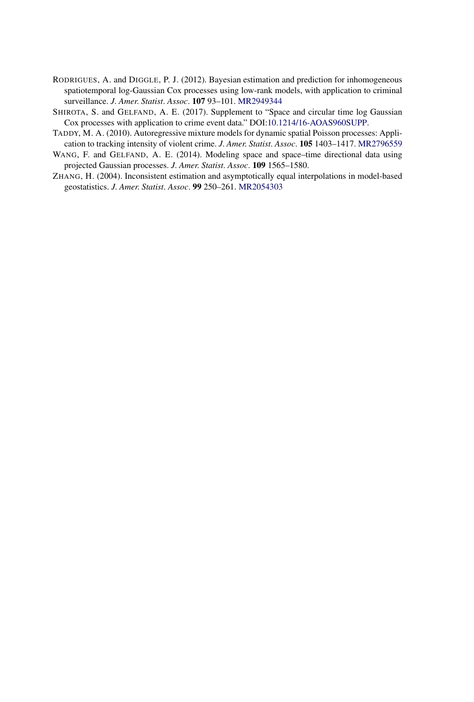- RODRIGUES, A. and DIGGLE, P. J. (2012). Bayesian estimation and prediction for inhomogeneous spatiotemporal log-Gaussian Cox processes using low-rank models, with application to criminal surveillance. *J*. *Amer*. *Statist*. *Assoc*. **107** 93–101. [MR2949344](http://www.ams.org/mathscinet-getitem?mr=2949344)
- SHIROTA, S. and GELFAND, A. E. (2017). Supplement to "Space and circular time log Gaussian Cox processes with application to crime event data." DOI[:10.1214/16-AOAS960SUPP](http://dx.doi.org/10.1214/16-AOAS960SUPP).
- TADDY, M. A. (2010). Autoregressive mixture models for dynamic spatial Poisson processes: Application to tracking intensity of violent crime. *J*. *Amer*. *Statist*. *Assoc*. **105** 1403–1417. [MR2796559](http://www.ams.org/mathscinet-getitem?mr=2796559)
- WANG, F. and GELFAND, A. E. (2014). Modeling space and space–time directional data using projected Gaussian processes. *J*. *Amer*. *Statist*. *Assoc*. **109** 1565–1580.
- ZHANG, H. (2004). Inconsistent estimation and asymptotically equal interpolations in model-based geostatistics. *J*. *Amer*. *Statist*. *Assoc*. **99** 250–261. [MR2054303](http://www.ams.org/mathscinet-getitem?mr=2054303)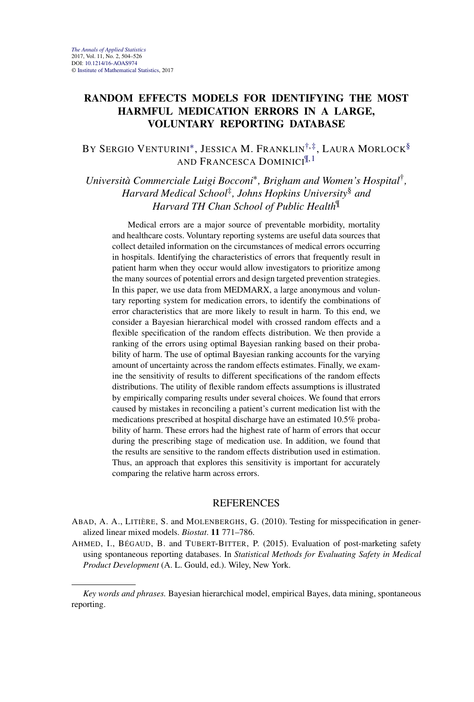## <span id="page-5-0"></span>**RANDOM EFFECTS MODELS FOR IDENTIFYING THE MOST HARMFUL MEDICATION ERRORS IN A LARGE, VOLUNTARY REPORTING DATABASE**

## BY SERGIO VENTURINI<sup>\*</sup>, JESSICA M. FRANKLIN<sup>†,‡</sup>, LAURA MORLOCK<sup>§</sup> AND FRANCESCA DOMINICI<sup>II, 1</sup>

*Università Commerciale Luigi Bocconi*∗*, Brigham and Women's Hospital*†*, Harvard Medical School*‡*, Johns Hopkins University*§ *and Harvard TH Chan School of Public Health*¶

Medical errors are a major source of preventable morbidity, mortality and healthcare costs. Voluntary reporting systems are useful data sources that collect detailed information on the circumstances of medical errors occurring in hospitals. Identifying the characteristics of errors that frequently result in patient harm when they occur would allow investigators to prioritize among the many sources of potential errors and design targeted prevention strategies. In this paper, we use data from MEDMARX, a large anonymous and voluntary reporting system for medication errors, to identify the combinations of error characteristics that are more likely to result in harm. To this end, we consider a Bayesian hierarchical model with crossed random effects and a flexible specification of the random effects distribution. We then provide a ranking of the errors using optimal Bayesian ranking based on their probability of harm. The use of optimal Bayesian ranking accounts for the varying amount of uncertainty across the random effects estimates. Finally, we examine the sensitivity of results to different specifications of the random effects distributions. The utility of flexible random effects assumptions is illustrated by empirically comparing results under several choices. We found that errors caused by mistakes in reconciling a patient's current medication list with the medications prescribed at hospital discharge have an estimated 10.5% probability of harm. These errors had the highest rate of harm of errors that occur during the prescribing stage of medication use. In addition, we found that the results are sensitive to the random effects distribution used in estimation. Thus, an approach that explores this sensitivity is important for accurately comparing the relative harm across errors.

- ABAD, A. A., LITIÈRE, S. and MOLENBERGHS, G. (2010). Testing for misspecification in generalized linear mixed models. *Biostat*. **11** 771–786.
- AHMED, I., BÉGAUD, B. and TUBERT-BITTER, P. (2015). Evaluation of post-marketing safety using spontaneous reporting databases. In *Statistical Methods for Evaluating Safety in Medical Product Development* (A. L. Gould, ed.). Wiley, New York.

*Key words and phrases.* Bayesian hierarchical model, empirical Bayes, data mining, spontaneous reporting.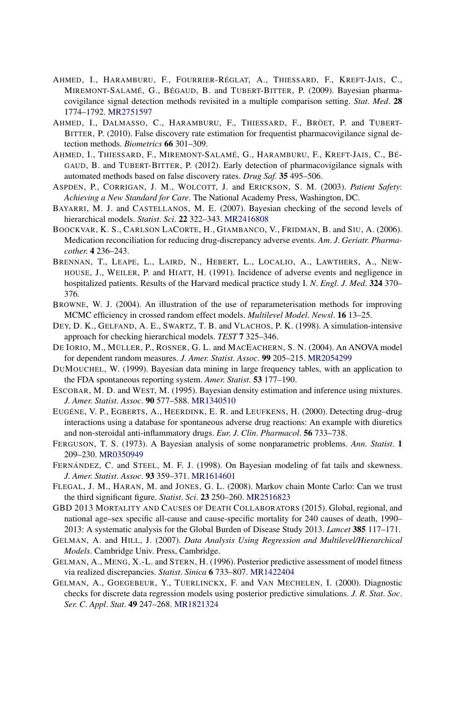- AHMED, I., HARAMBURU, F., FOURRIER-RÉGLAT, A., THIESSARD, F., KREFT-JAIS, C., MIREMONT-SALAMÉ, G., BÉGAUD, B. and TUBERT-BITTER, P. (2009). Bayesian pharmacovigilance signal detection methods revisited in a multiple comparison setting. *Stat*. *Med*. **28** 1774–1792. [MR2751597](http://www.ams.org/mathscinet-getitem?mr=2751597)
- AHMED, I., DALMASSO, C., HARAMBURU, F., THIESSARD, F., BRÖET, P. and TUBERT-BITTER, P. (2010). False discovery rate estimation for frequentist pharmacovigilance signal detection methods. *Biometrics* **66** 301–309.
- AHMED, I., THIESSARD, F., MIREMONT-SALAMÉ, G., HARAMBURU, F., KREFT-JAIS, C., BÉ-GAUD, B. and TUBERT-BITTER, P. (2012). Early detection of pharmacovigilance signals with automated methods based on false discovery rates. *Drug Saf*. **35** 495–506.
- ASPDEN, P., CORRIGAN, J. M., WOLCOTT, J. and ERICKSON, S. M. (2003). *Patient Safety*: *Achieving a New Standard for Care*. The National Academy Press, Washington, DC.
- BAYARRI, M. J. and CASTELLANOS, M. E. (2007). Bayesian checking of the second levels of hierarchical models. *Statist*. *Sci*. **22** 322–343. [MR2416808](http://www.ams.org/mathscinet-getitem?mr=2416808)
- BOOCKVAR, K. S., CARLSON LACORTE, H., GIAMBANCO, V., FRIDMAN, B. and SIU, A. (2006). Medication reconciliation for reducing drug-discrepancy adverse events. *Am*. *J*. *Geriatr*. *Pharmacother*. **4** 236–243.
- BRENNAN, T., LEAPE, L., LAIRD, N., HEBERT, L., LOCALIO, A., LAWTHERS, A., NEW-HOUSE, J., WEILER, P. and HIATT, H. (1991). Incidence of adverse events and negligence in hospitalized patients. Results of the Harvard medical practice study I. *N*. *Engl*. *J*. *Med*. **324** 370– 376.
- BROWNE, W. J. (2004). An illustration of the use of reparameterisation methods for improving MCMC efficiency in crossed random effect models. *Multilevel Model*. *Newsl*. **16** 13–25.
- DEY, D. K., GELFAND, A. E., SWARTZ, T. B. and VLACHOS, P. K. (1998). A simulation-intensive approach for checking hierarchical models. *TEST* **7** 325–346.
- DE IORIO, M., MÜLLER, P., ROSNER, G. L. and MACEACHERN, S. N. (2004). An ANOVA model for dependent random measures. *J*. *Amer*. *Statist*. *Assoc*. **99** 205–215. [MR2054299](http://www.ams.org/mathscinet-getitem?mr=2054299)
- DUMOUCHEL, W. (1999). Bayesian data mining in large frequency tables, with an application to the FDA spontaneous reporting system. *Amer*. *Statist*. **53** 177–190.
- ESCOBAR, M. D. and WEST, M. (1995). Bayesian density estimation and inference using mixtures. *J*. *Amer*. *Statist*. *Assoc*. **90** 577–588. [MR1340510](http://www.ams.org/mathscinet-getitem?mr=1340510)
- EUGÉNE, V. P., EGBERTS, A., HEERDINK, E. R. and LEUFKENS, H. (2000). Detecting drug–drug interactions using a database for spontaneous adverse drug reactions: An example with diuretics and non-steroidal anti-inflammatory drugs. *Eur*. *J*. *Clin*. *Pharmacol*. **56** 733–738.
- FERGUSON, T. S. (1973). A Bayesian analysis of some nonparametric problems. *Ann*. *Statist*. **1** 209–230. [MR0350949](http://www.ams.org/mathscinet-getitem?mr=0350949)
- FERNÁNDEZ, C. and STEEL, M. F. J. (1998). On Bayesian modeling of fat tails and skewness. *J*. *Amer*. *Statist*. *Assoc*. **93** 359–371. [MR1614601](http://www.ams.org/mathscinet-getitem?mr=1614601)
- FLEGAL, J. M., HARAN, M. and JONES, G. L. (2008). Markov chain Monte Carlo: Can we trust the third significant figure. *Statist*. *Sci*. **23** 250–260. [MR2516823](http://www.ams.org/mathscinet-getitem?mr=2516823)
- GBD 2013 MORTALITY AND CAUSES OF DEATH COLLABORATORS (2015). Global, regional, and national age–sex specific all-cause and cause-specific mortality for 240 causes of death, 1990– 2013: A systematic analysis for the Global Burden of Disease Study 2013. *Lancet* **385** 117–171.
- GELMAN, A. and HILL, J. (2007). *Data Analysis Using Regression and Multilevel/Hierarchical Models*. Cambridge Univ. Press, Cambridge.
- GELMAN, A., MENG, X.-L. and STERN, H. (1996). Posterior predictive assessment of model fitness via realized discrepancies. *Statist*. *Sinica* **6** 733–807. [MR1422404](http://www.ams.org/mathscinet-getitem?mr=1422404)
- GELMAN, A., GOEGEBEUR, Y., TUERLINCKX, F. and VAN MECHELEN, I. (2000). Diagnostic checks for discrete data regression models using posterior predictive simulations. *J*. *R*. *Stat*. *Soc*. *Ser*. *C*. *Appl*. *Stat*. **49** 247–268. [MR1821324](http://www.ams.org/mathscinet-getitem?mr=1821324)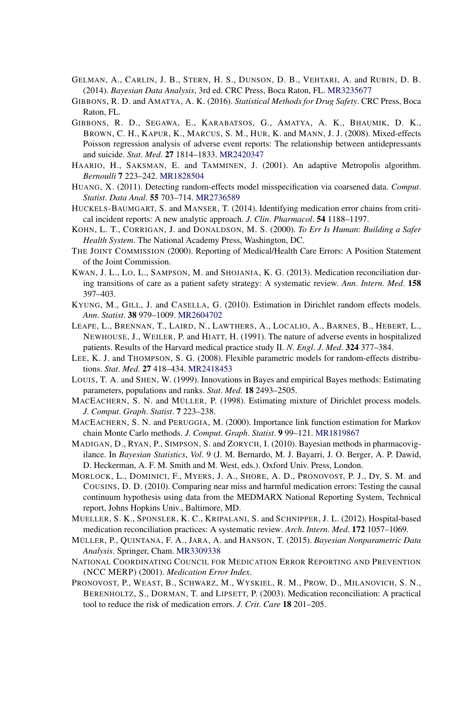- GELMAN, A., CARLIN, J. B., STERN, H. S., DUNSON, D. B., VEHTARI, A. and RUBIN, D. B. (2014). *Bayesian Data Analysis*, 3rd ed. CRC Press, Boca Raton, FL. [MR3235677](http://www.ams.org/mathscinet-getitem?mr=3235677)
- GIBBONS, R. D. and AMATYA, A. K. (2016). *Statistical Methods for Drug Safety*. CRC Press, Boca Raton, FL.
- GIBBONS, R. D., SEGAWA, E., KARABATSOS, G., AMATYA, A. K., BHAUMIK, D. K., BROWN, C. H., KAPUR, K., MARCUS, S. M., HUR, K. and MANN, J. J. (2008). Mixed-effects Poisson regression analysis of adverse event reports: The relationship between antidepressants and suicide. *Stat*. *Med*. **27** 1814–1833. [MR2420347](http://www.ams.org/mathscinet-getitem?mr=2420347)
- HAARIO, H., SAKSMAN, E. and TAMMINEN, J. (2001). An adaptive Metropolis algorithm. *Bernoulli* **7** 223–242. [MR1828504](http://www.ams.org/mathscinet-getitem?mr=1828504)
- HUANG, X. (2011). Detecting random-effects model misspecification via coarsened data. *Comput*. *Statist*. *Data Anal*. **55** 703–714. [MR2736589](http://www.ams.org/mathscinet-getitem?mr=2736589)
- HUCKELS-BAUMGART, S. and MANSER, T. (2014). Identifying medication error chains from critical incident reports: A new analytic approach. *J*. *Clin*. *Pharmacol*. **54** 1188–1197.
- KOHN, L. T., CORRIGAN, J. and DONALDSON, M. S. (2000). *To Err Is Human*: *Building a Safer Health System*. The National Academy Press, Washington, DC.
- THE JOINT COMMISSION (2000). Reporting of Medical/Health Care Errors: A Position Statement of the Joint Commission.
- KWAN, J. L., LO, L., SAMPSON, M. and SHOJANIA, K. G. (2013). Medication reconciliation during transitions of care as a patient safety strategy: A systematic review. *Ann*. *Intern*. *Med*. **158** 397–403.
- KYUNG, M., GILL, J. and CASELLA, G. (2010). Estimation in Dirichlet random effects models. *Ann*. *Statist*. **38** 979–1009. [MR2604702](http://www.ams.org/mathscinet-getitem?mr=2604702)
- LEAPE, L., BRENNAN, T., LAIRD, N., LAWTHERS, A., LOCALIO, A., BARNES, B., HEBERT, L., NEWHOUSE, J., WEILER, P. and HIATT, H. (1991). The nature of adverse events in hospitalized patients. Results of the Harvard medical practice study II. *N*. *Engl*. *J*. *Med*. **324** 377–384.
- LEE, K. J. and THOMPSON, S. G. (2008). Flexible parametric models for random-effects distributions. *Stat*. *Med*. **27** 418–434. [MR2418453](http://www.ams.org/mathscinet-getitem?mr=2418453)
- LOUIS, T. A. and SHEN, W. (1999). Innovations in Bayes and empirical Bayes methods: Estimating parameters, populations and ranks. *Stat*. *Med*. **18** 2493–2505.
- MACEACHERN, S. N. and MÜLLER, P. (1998). Estimating mixture of Dirichlet process models. *J*. *Comput*. *Graph*. *Statist*. **7** 223–238.
- MACEACHERN, S. N. and PERUGGIA, M. (2000). Importance link function estimation for Markov chain Monte Carlo methods. *J*. *Comput*. *Graph*. *Statist*. **9** 99–121. [MR1819867](http://www.ams.org/mathscinet-getitem?mr=1819867)
- MADIGAN, D., RYAN, P., SIMPSON, S. and ZORYCH, I. (2010). Bayesian methods in pharmacovigilance. In *Bayesian Statistics*, *Vol*. 9 (J. M. Bernardo, M. J. Bayarri, J. O. Berger, A. P. Dawid, D. Heckerman, A. F. M. Smith and M. West, eds.). Oxford Univ. Press, London.
- MORLOCK, L., DOMINICI, F., MYERS, J. A., SHORE, A. D., PRONOVOST, P. J., DY, S. M. and COUSINS, D. D. (2010). Comparing near miss and harmful medication errors: Testing the causal continuum hypothesis using data from the MEDMARX National Reporting System, Technical report, Johns Hopkins Univ., Baltimore, MD.
- MUELLER, S. K., SPONSLER, K. C., KRIPALANI, S. and SCHNIPPER, J. L. (2012). Hospital-based medication reconciliation practices: A systematic review. *Arch*. *Intern*. *Med*. **172** 1057–1069.
- MÜLLER, P., QUINTANA, F. A., JARA, A. and HANSON, T. (2015). *Bayesian Nonparametric Data Analysis*. Springer, Cham. [MR3309338](http://www.ams.org/mathscinet-getitem?mr=3309338)
- NATIONAL COORDINATING COUNCIL FOR MEDICATION ERROR REPORTING AND PREVENTION (NCC MERP) (2001). *Medication Error Index*.
- PRONOVOST, P., WEAST, B., SCHWARZ, M., WYSKIEL, R. M., PROW, D., MILANOVICH, S. N., BERENHOLTZ, S., DORMAN, T. and LIPSETT, P. (2003). Medication reconciliation: A practical tool to reduce the risk of medication errors. *J*. *Crit*. *Care* **18** 201–205.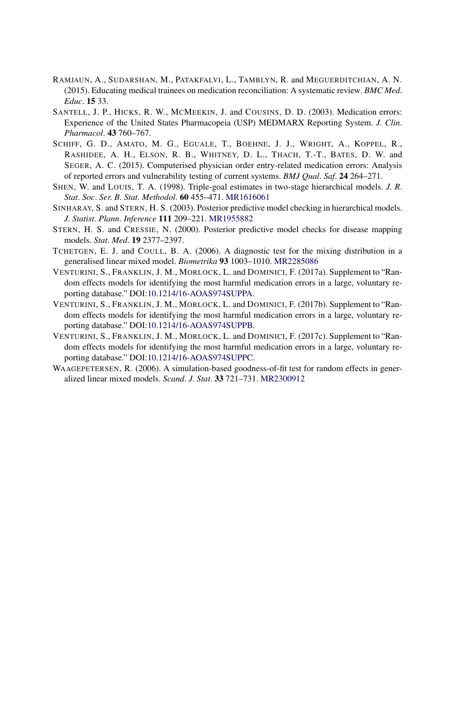- RAMJAUN, A., SUDARSHAN, M., PATAKFALVI, L., TAMBLYN, R. and MEGUERDITCHIAN, A. N. (2015). Educating medical trainees on medication reconciliation: A systematic review. *BMC Med*. *Educ*. **15** 33.
- SANTELL, J. P., HICKS, R. W., MCMEEKIN, J. and COUSINS, D. D. (2003). Medication errors: Experience of the United States Pharmacopeia (USP) MEDMARX Reporting System. *J*. *Clin*. *Pharmacol*. **43** 760–767.
- SCHIFF, G. D., AMATO, M. G., EGUALE, T., BOEHNE, J. J., WRIGHT, A., KOPPEL, R., RASHIDEE, A. H., ELSON, R. B., WHITNEY, D. L., THACH, T.-T., BATES, D. W. and SEGER, A. C. (2015). Computerised physician order entry-related medication errors: Analysis of reported errors and vulnerability testing of current systems. *BMJ Qual*. *Saf*. **24** 264–271.
- SHEN, W. and LOUIS, T. A. (1998). Triple-goal estimates in two-stage hierarchical models. *J*. *R*. *Stat*. *Soc*. *Ser*. *B*. *Stat*. *Methodol*. **60** 455–471. [MR1616061](http://www.ams.org/mathscinet-getitem?mr=1616061)
- SINHARAY, S. and STERN, H. S. (2003). Posterior predictive model checking in hierarchical models. *J*. *Statist*. *Plann*. *Inference* **111** 209–221. [MR1955882](http://www.ams.org/mathscinet-getitem?mr=1955882)
- STERN, H. S. and CRESSIE, N. (2000). Posterior predictive model checks for disease mapping models. *Stat*. *Med*. **19** 2377–2397.
- TCHETGEN, E. J. and COULL, B. A. (2006). A diagnostic test for the mixing distribution in a generalised linear mixed model. *Biometrika* **93** 1003–1010. [MR2285086](http://www.ams.org/mathscinet-getitem?mr=2285086)
- VENTURINI, S., FRANKLIN, J. M., MORLOCK, L. and DOMINICI, F. (2017a). Supplement to "Random effects models for identifying the most harmful medication errors in a large, voluntary reporting database." DOI[:10.1214/16-AOAS974SUPPA.](http://dx.doi.org/10.1214/16-AOAS974SUPPA)
- VENTURINI, S., FRANKLIN, J. M., MORLOCK, L. and DOMINICI, F. (2017b). Supplement to "Random effects models for identifying the most harmful medication errors in a large, voluntary reporting database." DOI[:10.1214/16-AOAS974SUPPB](http://dx.doi.org/10.1214/16-AOAS974SUPPB).
- VENTURINI, S., FRANKLIN, J. M., MORLOCK, L. and DOMINICI, F. (2017c). Supplement to "Random effects models for identifying the most harmful medication errors in a large, voluntary reporting database." DOI[:10.1214/16-AOAS974SUPPC](http://dx.doi.org/10.1214/16-AOAS974SUPPC).
- WAAGEPETERSEN, R. (2006). A simulation-based goodness-of-fit test for random effects in generalized linear mixed models. *Scand*. *J*. *Stat*. **33** 721–731. [MR2300912](http://www.ams.org/mathscinet-getitem?mr=2300912)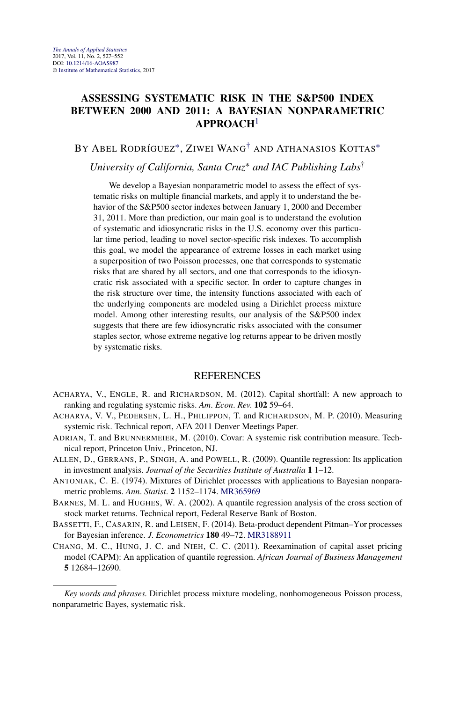## <span id="page-9-0"></span>**ASSESSING SYSTEMATIC RISK IN THE S&P500 INDEX BETWEEN 2000 AND 2011: A BAYESIAN NONPARAMETRIC APPROACH**[1](#page-27-0)

## BY ABEL RODRÍGUEZ<sup>\*</sup>, ZIWEI WANG<sup>†</sup> AND ATHANASIOS KOTTAS<sup>\*</sup>

#### *University of California, Santa Cruz*<sup>∗</sup> *and IAC Publishing Labs*†

We develop a Bayesian nonparametric model to assess the effect of systematic risks on multiple financial markets, and apply it to understand the behavior of the S&P500 sector indexes between January 1, 2000 and December 31, 2011. More than prediction, our main goal is to understand the evolution of systematic and idiosyncratic risks in the U.S. economy over this particular time period, leading to novel sector-specific risk indexes. To accomplish this goal, we model the appearance of extreme losses in each market using a superposition of two Poisson processes, one that corresponds to systematic risks that are shared by all sectors, and one that corresponds to the idiosyncratic risk associated with a specific sector. In order to capture changes in the risk structure over time, the intensity functions associated with each of the underlying components are modeled using a Dirichlet process mixture model. Among other interesting results, our analysis of the S&P500 index suggests that there are few idiosyncratic risks associated with the consumer staples sector, whose extreme negative log returns appear to be driven mostly by systematic risks.

#### REFERENCES

- ACHARYA, V., ENGLE, R. and RICHARDSON, M. (2012). Capital shortfall: A new approach to ranking and regulating systemic risks. *Am*. *Econ*. *Rev*. **102** 59–64.
- ACHARYA, V. V., PEDERSEN, L. H., PHILIPPON, T. and RICHARDSON, M. P. (2010). Measuring systemic risk. Technical report, AFA 2011 Denver Meetings Paper.
- ADRIAN, T. and BRUNNERMEIER, M. (2010). Covar: A systemic risk contribution measure. Technical report, Princeton Univ., Princeton, NJ.
- ALLEN, D., GERRANS, P., SINGH, A. and POWELL, R. (2009). Quantile regression: Its application in investment analysis. *Journal of the Securities Institute of Australia* **1** 1–12.
- ANTONIAK, C. E. (1974). Mixtures of Dirichlet processes with applications to Bayesian nonparametric problems. *Ann*. *Statist*. **2** 1152–1174. [MR365969](http://www.ams.org/mathscinet-getitem?mr=365969)
- BARNES, M. L. and HUGHES, W. A. (2002). A quantile regression analysis of the cross section of stock market returns. Technical report, Federal Reserve Bank of Boston.
- BASSETTI, F., CASARIN, R. and LEISEN, F. (2014). Beta-product dependent Pitman–Yor processes for Bayesian inference. *J*. *Econometrics* **180** 49–72. [MR3188911](http://www.ams.org/mathscinet-getitem?mr=3188911)
- CHANG, M. C., HUNG, J. C. and NIEH, C. C. (2011). Reexamination of capital asset pricing model (CAPM): An application of quantile regression. *African Journal of Business Management* **5** 12684–12690.

*Key words and phrases.* Dirichlet process mixture modeling, nonhomogeneous Poisson process, nonparametric Bayes, systematic risk.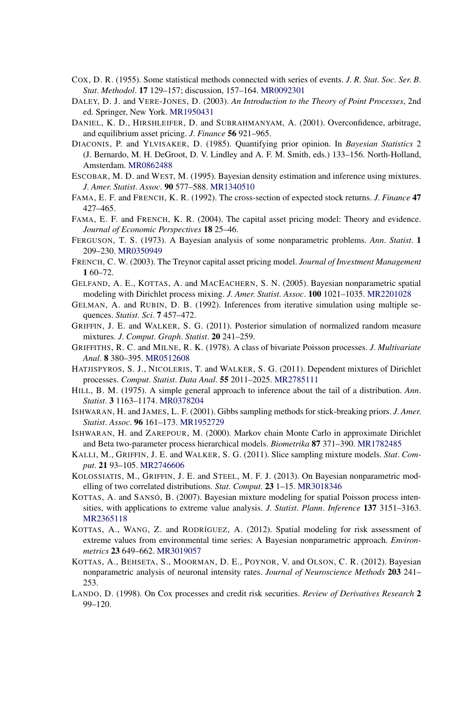- COX, D. R. (1955). Some statistical methods connected with series of events. *J*. *R*. *Stat*. *Soc*. *Ser*. *B*. *Stat*. *Methodol*. **17** 129–157; discussion, 157–164. [MR0092301](http://www.ams.org/mathscinet-getitem?mr=0092301)
- DALEY, D. J. and VERE-JONES, D. (2003). *An Introduction to the Theory of Point Processes*, 2nd ed. Springer, New York. [MR1950431](http://www.ams.org/mathscinet-getitem?mr=1950431)
- DANIEL, K. D., HIRSHLEIFER, D. and SUBRAHMANYAM, A. (2001). Overconfidence, arbitrage, and equilibrium asset pricing. *J*. *Finance* **56** 921–965.
- DIACONIS, P. and YLVISAKER, D. (1985). Quantifying prior opinion. In *Bayesian Statistics* 2 (J. Bernardo, M. H. DeGroot, D. V. Lindley and A. F. M. Smith, eds.) 133–156. North-Holland, Amsterdam. [MR0862488](http://www.ams.org/mathscinet-getitem?mr=0862488)
- ESCOBAR, M. D. and WEST, M. (1995). Bayesian density estimation and inference using mixtures. *J*. *Amer*. *Statist*. *Assoc*. **90** 577–588. [MR1340510](http://www.ams.org/mathscinet-getitem?mr=1340510)
- FAMA, E. F. and FRENCH, K. R. (1992). The cross-section of expected stock returns. *J*. *Finance* **47** 427–465.
- FAMA, E. F. and FRENCH, K. R. (2004). The capital asset pricing model: Theory and evidence. *Journal of Economic Perspectives* **18** 25–46.
- FERGUSON, T. S. (1973). A Bayesian analysis of some nonparametric problems. *Ann*. *Statist*. **1** 209–230. [MR0350949](http://www.ams.org/mathscinet-getitem?mr=0350949)
- FRENCH, C. W. (2003). The Treynor capital asset pricing model. *Journal of Investment Management* **1** 60–72.
- GELFAND, A. E., KOTTAS, A. and MACEACHERN, S. N. (2005). Bayesian nonparametric spatial modeling with Dirichlet process mixing. *J*. *Amer*. *Statist*. *Assoc*. **100** 1021–1035. [MR2201028](http://www.ams.org/mathscinet-getitem?mr=2201028)
- GELMAN, A. and RUBIN, D. B. (1992). Inferences from iterative simulation using multiple sequences. *Statist*. *Sci*. **7** 457–472.
- GRIFFIN, J. E. and WALKER, S. G. (2011). Posterior simulation of normalized random measure mixtures. *J*. *Comput*. *Graph*. *Statist*. **20** 241–259.
- GRIFFITHS, R. C. and MILNE, R. K. (1978). A class of bivariate Poisson processes. *J*. *Multivariate Anal*. **8** 380–395. [MR0512608](http://www.ams.org/mathscinet-getitem?mr=0512608)
- HATJISPYROS, S. J., NICOLERIS, T. and WALKER, S. G. (2011). Dependent mixtures of Dirichlet processes. *Comput*. *Statist*. *Data Anal*. **55** 2011–2025. [MR2785111](http://www.ams.org/mathscinet-getitem?mr=2785111)
- HILL, B. M. (1975). A simple general approach to inference about the tail of a distribution. *Ann*. *Statist*. **3** 1163–1174. [MR0378204](http://www.ams.org/mathscinet-getitem?mr=0378204)
- ISHWARAN, H. and JAMES, L. F. (2001). Gibbs sampling methods for stick-breaking priors. *J*. *Amer*. *Statist*. *Assoc*. **96** 161–173. [MR1952729](http://www.ams.org/mathscinet-getitem?mr=1952729)
- ISHWARAN, H. and ZAREPOUR, M. (2000). Markov chain Monte Carlo in approximate Dirichlet and Beta two-parameter process hierarchical models. *Biometrika* **87** 371–390. [MR1782485](http://www.ams.org/mathscinet-getitem?mr=1782485)
- KALLI, M., GRIFFIN, J. E. and WALKER, S. G. (2011). Slice sampling mixture models. *Stat*. *Comput*. **21** 93–105. [MR2746606](http://www.ams.org/mathscinet-getitem?mr=2746606)
- KOLOSSIATIS, M., GRIFFIN, J. E. and STEEL, M. F. J. (2013). On Bayesian nonparametric modelling of two correlated distributions. *Stat*. *Comput*. **23** 1–15. [MR3018346](http://www.ams.org/mathscinet-getitem?mr=3018346)
- KOTTAS, A. and SANSÓ, B. (2007). Bayesian mixture modeling for spatial Poisson process intensities, with applications to extreme value analysis. *J*. *Statist*. *Plann*. *Inference* **137** 3151–3163. [MR2365118](http://www.ams.org/mathscinet-getitem?mr=2365118)
- KOTTAS, A., WANG, Z. and RODRÍGUEZ, A. (2012). Spatial modeling for risk assessment of extreme values from environmental time series: A Bayesian nonparametric approach. *Environmetrics* **23** 649–662. [MR3019057](http://www.ams.org/mathscinet-getitem?mr=3019057)
- KOTTAS, A., BEHSETA, S., MOORMAN, D. E., POYNOR, V. and OLSON, C. R. (2012). Bayesian nonparametric analysis of neuronal intensity rates. *Journal of Neuroscience Methods* **203** 241– 253.
- LANDO, D. (1998). On Cox processes and credit risk securities. *Review of Derivatives Research* **2** 99–120.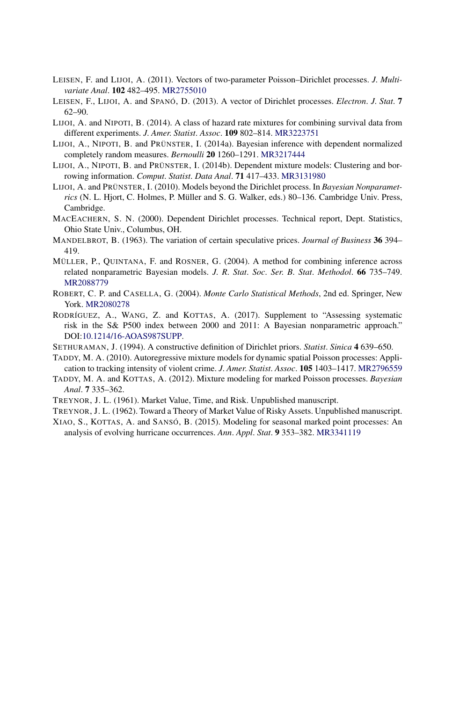- LEISEN, F. and LIJOI, A. (2011). Vectors of two-parameter Poisson–Dirichlet processes. *J*. *Multivariate Anal*. **102** 482–495. [MR2755010](http://www.ams.org/mathscinet-getitem?mr=2755010)
- LEISEN, F., LIJOI, A. and SPANÓ, D. (2013). A vector of Dirichlet processes. *Electron*. *J*. *Stat*. **7** 62–90.
- LIJOI, A. and NIPOTI, B. (2014). A class of hazard rate mixtures for combining survival data from different experiments. *J*. *Amer*. *Statist*. *Assoc*. **109** 802–814. [MR3223751](http://www.ams.org/mathscinet-getitem?mr=3223751)
- LIJOI, A., NIPOTI, B. and PRÜNSTER, I. (2014a). Bayesian inference with dependent normalized completely random measures. *Bernoulli* **20** 1260–1291. [MR3217444](http://www.ams.org/mathscinet-getitem?mr=3217444)
- LIJOI, A., NIPOTI, B. and PRÜNSTER, I. (2014b). Dependent mixture models: Clustering and borrowing information. *Comput*. *Statist*. *Data Anal*. **71** 417–433. [MR3131980](http://www.ams.org/mathscinet-getitem?mr=3131980)
- LIJOI, A. and PRÜNSTER, I. (2010). Models beyond the Dirichlet process. In *Bayesian Nonparametrics* (N. L. Hjort, C. Holmes, P. Müller and S. G. Walker, eds.) 80–136. Cambridge Univ. Press, Cambridge.
- MACEACHERN, S. N. (2000). Dependent Dirichlet processes. Technical report, Dept. Statistics, Ohio State Univ., Columbus, OH.
- MANDELBROT, B. (1963). The variation of certain speculative prices. *Journal of Business* **36** 394– 419.
- MÜLLER, P., QUINTANA, F. and ROSNER, G. (2004). A method for combining inference across related nonparametric Bayesian models. *J*. *R*. *Stat*. *Soc*. *Ser*. *B*. *Stat*. *Methodol*. **66** 735–749. [MR2088779](http://www.ams.org/mathscinet-getitem?mr=2088779)
- ROBERT, C. P. and CASELLA, G. (2004). *Monte Carlo Statistical Methods*, 2nd ed. Springer, New York. [MR2080278](http://www.ams.org/mathscinet-getitem?mr=2080278)
- RODRÍGUEZ, A., WANG, Z. and KOTTAS, A. (2017). Supplement to "Assessing systematic risk in the S& P500 index between 2000 and 2011: A Bayesian nonparametric approach." DOI[:10.1214/16-AOAS987SUPP](http://dx.doi.org/10.1214/16-AOAS987SUPP).
- SETHURAMAN, J. (1994). A constructive definition of Dirichlet priors. *Statist*. *Sinica* **4** 639–650.
- TADDY, M. A. (2010). Autoregressive mixture models for dynamic spatial Poisson processes: Application to tracking intensity of violent crime. *J*. *Amer*. *Statist*. *Assoc*. **105** 1403–1417. [MR2796559](http://www.ams.org/mathscinet-getitem?mr=2796559)
- TADDY, M. A. and KOTTAS, A. (2012). Mixture modeling for marked Poisson processes. *Bayesian Anal*. **7** 335–362.
- TREYNOR, J. L. (1961). Market Value, Time, and Risk. Unpublished manuscript.
- TREYNOR, J. L. (1962). Toward a Theory of Market Value of Risky Assets. Unpublished manuscript.
- XIAO, S., KOTTAS, A. and SANSÓ, B. (2015). Modeling for seasonal marked point processes: An analysis of evolving hurricane occurrences. *Ann*. *Appl*. *Stat*. **9** 353–382. [MR3341119](http://www.ams.org/mathscinet-getitem?mr=3341119)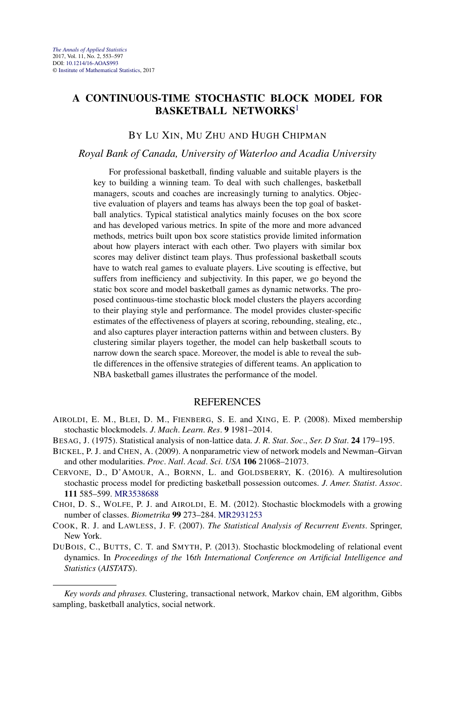## **A CONTINUOUS-TIME STOCHASTIC BLOCK MODEL FOR BASKETBALL NETWORKS**<sup>1</sup>

### BY LU XIN, MU ZHU AND HUGH CHIPMAN

#### *Royal Bank of Canada, University of Waterloo and Acadia University*

For professional basketball, finding valuable and suitable players is the key to building a winning team. To deal with such challenges, basketball managers, scouts and coaches are increasingly turning to analytics. Objective evaluation of players and teams has always been the top goal of basketball analytics. Typical statistical analytics mainly focuses on the box score and has developed various metrics. In spite of the more and more advanced methods, metrics built upon box score statistics provide limited information about how players interact with each other. Two players with similar box scores may deliver distinct team plays. Thus professional basketball scouts have to watch real games to evaluate players. Live scouting is effective, but suffers from inefficiency and subjectivity. In this paper, we go beyond the static box score and model basketball games as dynamic networks. The proposed continuous-time stochastic block model clusters the players according to their playing style and performance. The model provides cluster-specific estimates of the effectiveness of players at scoring, rebounding, stealing, etc., and also captures player interaction patterns within and between clusters. By clustering similar players together, the model can help basketball scouts to narrow down the search space. Moreover, the model is able to reveal the subtle differences in the offensive strategies of different teams. An application to NBA basketball games illustrates the performance of the model.

- AIROLDI, E. M., BLEI, D. M., FIENBERG, S. E. and XING, E. P. (2008). Mixed membership stochastic blockmodels. *J*. *Mach*. *Learn*. *Res*. **9** 1981–2014.
- BESAG, J. (1975). Statistical analysis of non-lattice data. *J*. *R*. *Stat*. *Soc*., *Ser*. *D Stat*. **24** 179–195.
- BICKEL, P. J. and CHEN, A. (2009). A nonparametric view of network models and Newman–Girvan and other modularities. *Proc*. *Natl*. *Acad*. *Sci*. *USA* **106** 21068–21073.
- CERVONE, D., D'AMOUR, A., BORNN, L. and GOLDSBERRY, K. (2016). A multiresolution stochastic process model for predicting basketball possession outcomes. *J*. *Amer*. *Statist*. *Assoc*. **111** 585–599. [MR3538688](http://www.ams.org/mathscinet-getitem?mr=3538688)
- CHOI, D. S., WOLFE, P. J. and AIROLDI, E. M. (2012). Stochastic blockmodels with a growing number of classes. *Biometrika* **99** 273–284. [MR2931253](http://www.ams.org/mathscinet-getitem?mr=2931253)
- COOK, R. J. and LAWLESS, J. F. (2007). *The Statistical Analysis of Recurrent Events*. Springer, New York.
- DUBOIS, C., BUTTS, C. T. and SMYTH, P. (2013). Stochastic blockmodeling of relational event dynamics. In *Proceedings of the* 16*th International Conference on Artificial Intelligence and Statistics* (*AISTATS*).

*Key words and phrases.* Clustering, transactional network, Markov chain, EM algorithm, Gibbs sampling, basketball analytics, social network.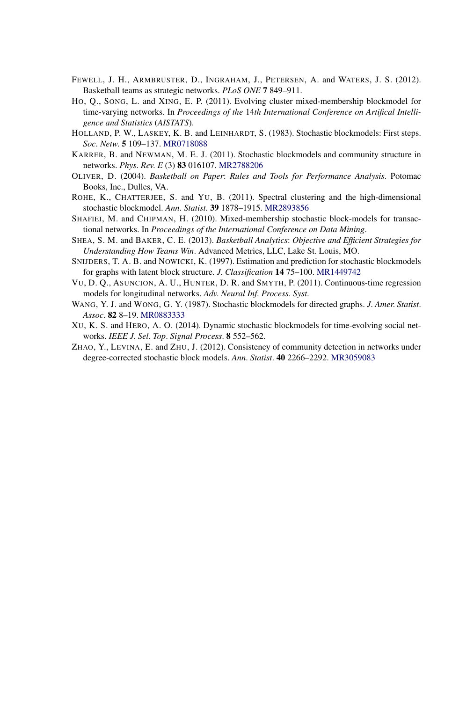- FEWELL, J. H., ARMBRUSTER, D., INGRAHAM, J., PETERSEN, A. and WATERS, J. S. (2012). Basketball teams as strategic networks. *PLoS ONE* **7** 849–911.
- HO, Q., SONG, L. and XING, E. P. (2011). Evolving cluster mixed-membership blockmodel for time-varying networks. In *Proceedings of the* 14*th International Conference on Artifical Intelligence and Statistics* (*AISTATS*).
- HOLLAND, P. W., LASKEY, K. B. and LEINHARDT, S. (1983). Stochastic blockmodels: First steps. *Soc*. *Netw*. **5** 109–137. [MR0718088](http://www.ams.org/mathscinet-getitem?mr=0718088)
- KARRER, B. and NEWMAN, M. E. J. (2011). Stochastic blockmodels and community structure in networks. *Phys*. *Rev*. *E* (3) **83** 016107. [MR2788206](http://www.ams.org/mathscinet-getitem?mr=2788206)
- OLIVER, D. (2004). *Basketball on Paper*: *Rules and Tools for Performance Analysis*. Potomac Books, Inc., Dulles, VA.
- ROHE, K., CHATTERJEE, S. and YU, B. (2011). Spectral clustering and the high-dimensional stochastic blockmodel. *Ann*. *Statist*. **39** 1878–1915. [MR2893856](http://www.ams.org/mathscinet-getitem?mr=2893856)
- SHAFIEI, M. and CHIPMAN, H. (2010). Mixed-membership stochastic block-models for transactional networks. In *Proceedings of the International Conference on Data Mining*.
- SHEA, S. M. and BAKER, C. E. (2013). *Basketball Analytics*: *Objective and Efficient Strategies for Understanding How Teams Win*. Advanced Metrics, LLC, Lake St. Louis, MO.
- SNIJDERS, T. A. B. and NOWICKI, K. (1997). Estimation and prediction for stochastic blockmodels for graphs with latent block structure. *J*. *Classification* **14** 75–100. [MR1449742](http://www.ams.org/mathscinet-getitem?mr=1449742)
- VU, D. Q., ASUNCION, A. U., HUNTER, D. R. and SMYTH, P. (2011). Continuous-time regression models for longitudinal networks. *Adv*. *Neural Inf*. *Process*. *Syst*.
- WANG, Y. J. and WONG, G. Y. (1987). Stochastic blockmodels for directed graphs. *J*. *Amer*. *Statist*. *Assoc*. **82** 8–19. [MR0883333](http://www.ams.org/mathscinet-getitem?mr=0883333)
- XU, K. S. and HERO, A. O. (2014). Dynamic stochastic blockmodels for time-evolving social networks. *IEEE J*. *Sel*. *Top*. *Signal Process*. **8** 552–562.
- ZHAO, Y., LEVINA, E. and ZHU, J. (2012). Consistency of community detection in networks under degree-corrected stochastic block models. *Ann*. *Statist*. **40** 2266–2292. [MR3059083](http://www.ams.org/mathscinet-getitem?mr=3059083)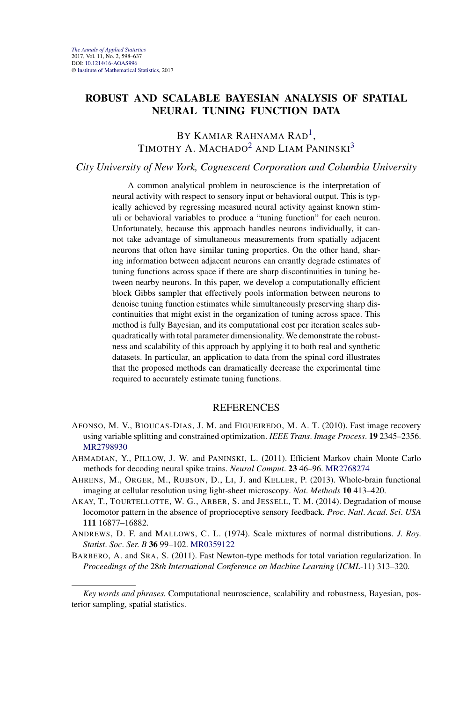## **ROBUST AND SCALABLE BAYESIAN ANALYSIS OF SPATIAL NEURAL TUNING FUNCTION DATA**

BY KAMIAR RAHNAMA RAD<sup>[1](#page-27-0)</sup>, TIMOTHY A. MACHADO<sup>[2](#page-27-0)</sup> AND LIAM PANINSKI<sup>[3](#page-63-0)</sup>

*City University of New York, Cognescent Corporation and Columbia University*

A common analytical problem in neuroscience is the interpretation of neural activity with respect to sensory input or behavioral output. This is typically achieved by regressing measured neural activity against known stimuli or behavioral variables to produce a "tuning function" for each neuron. Unfortunately, because this approach handles neurons individually, it cannot take advantage of simultaneous measurements from spatially adjacent neurons that often have similar tuning properties. On the other hand, sharing information between adjacent neurons can errantly degrade estimates of tuning functions across space if there are sharp discontinuities in tuning between nearby neurons. In this paper, we develop a computationally efficient block Gibbs sampler that effectively pools information between neurons to denoise tuning function estimates while simultaneously preserving sharp discontinuities that might exist in the organization of tuning across space. This method is fully Bayesian, and its computational cost per iteration scales subquadratically with total parameter dimensionality. We demonstrate the robustness and scalability of this approach by applying it to both real and synthetic datasets. In particular, an application to data from the spinal cord illustrates that the proposed methods can dramatically decrease the experimental time required to accurately estimate tuning functions.

- AFONSO, M. V., BIOUCAS-DIAS, J. M. and FIGUEIREDO, M. A. T. (2010). Fast image recovery using variable splitting and constrained optimization. *IEEE Trans*. *Image Process*. **19** 2345–2356. [MR2798930](http://www.ams.org/mathscinet-getitem?mr=2798930)
- AHMADIAN, Y., PILLOW, J. W. and PANINSKI, L. (2011). Efficient Markov chain Monte Carlo methods for decoding neural spike trains. *Neural Comput*. **23** 46–96. [MR2768274](http://www.ams.org/mathscinet-getitem?mr=2768274)
- AHRENS, M., ORGER, M., ROBSON, D., LI, J. and KELLER, P. (2013). Whole-brain functional imaging at cellular resolution using light-sheet microscopy. *Nat*. *Methods* **10** 413–420.
- AKAY, T., TOURTELLOTTE, W. G., ARBER, S. and JESSELL, T. M. (2014). Degradation of mouse locomotor pattern in the absence of proprioceptive sensory feedback. *Proc*. *Natl*. *Acad*. *Sci*. *USA* **111** 16877–16882.
- ANDREWS, D. F. and MALLOWS, C. L. (1974). Scale mixtures of normal distributions. *J*. *Roy*. *Statist*. *Soc*. *Ser*. *B* **36** 99–102. [MR0359122](http://www.ams.org/mathscinet-getitem?mr=0359122)
- BARBERO, A. and SRA, S. (2011). Fast Newton-type methods for total variation regularization. In *Proceedings of the* 28*th International Conference on Machine Learning* (*ICML-*11) 313–320.

*Key words and phrases.* Computational neuroscience, scalability and robustness, Bayesian, posterior sampling, spatial statistics.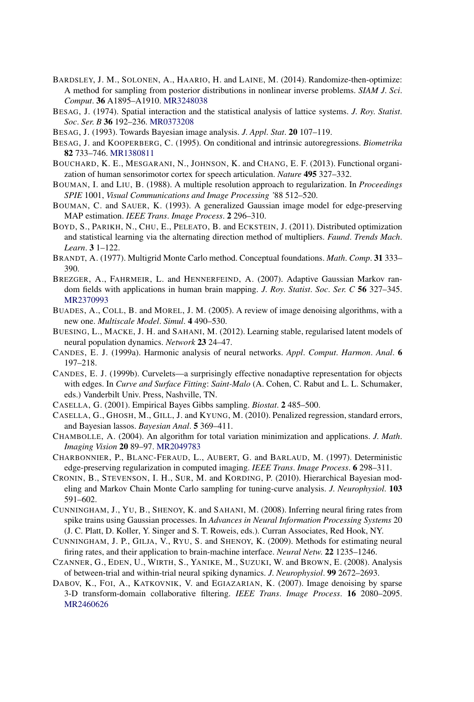- BARDSLEY, J. M., SOLONEN, A., HAARIO, H. and LAINE, M. (2014). Randomize-then-optimize: A method for sampling from posterior distributions in nonlinear inverse problems. *SIAM J*. *Sci*. *Comput*. **36** A1895–A1910. [MR3248038](http://www.ams.org/mathscinet-getitem?mr=3248038)
- BESAG, J. (1974). Spatial interaction and the statistical analysis of lattice systems. *J*. *Roy*. *Statist*. *Soc*. *Ser*. *B* **36** 192–236. [MR0373208](http://www.ams.org/mathscinet-getitem?mr=0373208)
- BESAG, J. (1993). Towards Bayesian image analysis. *J*. *Appl*. *Stat*. **20** 107–119.
- BESAG, J. and KOOPERBERG, C. (1995). On conditional and intrinsic autoregressions. *Biometrika* **82** 733–746. [MR1380811](http://www.ams.org/mathscinet-getitem?mr=1380811)
- BOUCHARD, K. E., MESGARANI, N., JOHNSON, K. and CHANG, E. F. (2013). Functional organization of human sensorimotor cortex for speech articulation. *Nature* **495** 327–332.
- BOUMAN, I. and LIU, B. (1988). A multiple resolution approach to regularization. In *Proceedings SPIE* 1001, *Visual Communications and Image Processing '*88 512–520.
- BOUMAN, C. and SAUER, K. (1993). A generalized Gaussian image model for edge-preserving MAP estimation. *IEEE Trans*. *Image Process*. **2** 296–310.
- BOYD, S., PARIKH, N., CHU, E., PELEATO, B. and ECKSTEIN, J. (2011). Distributed optimization and statistical learning via the alternating direction method of multipliers. *Faund*. *Trends Mach*. *Learn*. **3** 1–122.
- BRANDT, A. (1977). Multigrid Monte Carlo method. Conceptual foundations. *Math*. *Comp*. **31** 333– 390.
- BREZGER, A., FAHRMEIR, L. and HENNERFEIND, A. (2007). Adaptive Gaussian Markov random fields with applications in human brain mapping. *J*. *Roy*. *Statist*. *Soc*. *Ser*. *C* **56** 327–345. [MR2370993](http://www.ams.org/mathscinet-getitem?mr=2370993)
- BUADES, A., COLL, B. and MOREL, J. M. (2005). A review of image denoising algorithms, with a new one. *Multiscale Model*. *Simul*. **4** 490–530.
- BUESING, L., MACKE, J. H. and SAHANI, M. (2012). Learning stable, regularised latent models of neural population dynamics. *Network* **23** 24–47.
- CANDES, E. J. (1999a). Harmonic analysis of neural networks. *Appl*. *Comput*. *Harmon*. *Anal*. **6** 197–218.
- CANDES, E. J. (1999b). Curvelets—a surprisingly effective nonadaptive representation for objects with edges. In *Curve and Surface Fitting*: *Saint-Malo* (A. Cohen, C. Rabut and L. L. Schumaker, eds.) Vanderbilt Univ. Press, Nashville, TN.
- CASELLA, G. (2001). Empirical Bayes Gibbs sampling. *Biostat*. **2** 485–500.
- CASELLA, G., GHOSH, M., GILL, J. and KYUNG, M. (2010). Penalized regression, standard errors, and Bayesian lassos. *Bayesian Anal*. **5** 369–411.
- CHAMBOLLE, A. (2004). An algorithm for total variation minimization and applications. *J*. *Math*. *Imaging Vision* **20** 89–97. [MR2049783](http://www.ams.org/mathscinet-getitem?mr=2049783)
- CHARBONNIER, P., BLANC-FERAUD, L., AUBERT, G. and BARLAUD, M. (1997). Deterministic edge-preserving regularization in computed imaging. *IEEE Trans*. *Image Process*. **6** 298–311.
- CRONIN, B., STEVENSON, I. H., SUR, M. and KORDING, P. (2010). Hierarchical Bayesian modeling and Markov Chain Monte Carlo sampling for tuning-curve analysis. *J*. *Neurophysiol*. **103** 591–602.
- CUNNINGHAM, J., YU, B., SHENOY, K. and SAHANI, M. (2008). Inferring neural firing rates from spike trains using Gaussian processes. In *Advances in Neural Information Processing Systems* 20 (J. C. Platt, D. Koller, Y. Singer and S. T. Roweis, eds.). Curran Associates, Red Hook, NY.
- CUNNINGHAM, J. P., GILJA, V., RYU, S. and SHENOY, K. (2009). Methods for estimating neural firing rates, and their application to brain-machine interface. *Neural Netw*. **22** 1235–1246.
- CZANNER, G., EDEN, U., WIRTH, S., YANIKE, M., SUZUKI, W. and BROWN, E. (2008). Analysis of between-trial and within-trial neural spiking dynamics. *J*. *Neurophysiol*. **99** 2672–2693.
- DABOV, K., FOI, A., KATKOVNIK, V. and EGIAZARIAN, K. (2007). Image denoising by sparse 3-D transform-domain collaborative filtering. *IEEE Trans*. *Image Process*. **16** 2080–2095. [MR2460626](http://www.ams.org/mathscinet-getitem?mr=2460626)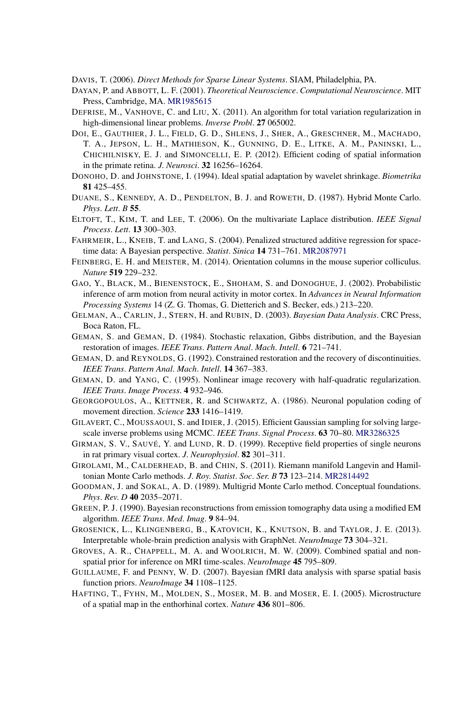DAVIS, T. (2006). *Direct Methods for Sparse Linear Systems*. SIAM, Philadelphia, PA.

- DAYAN, P. and ABBOTT, L. F. (2001). *Theoretical Neuroscience*. *Computational Neuroscience*. MIT Press, Cambridge, MA. [MR1985615](http://www.ams.org/mathscinet-getitem?mr=1985615)
- DEFRISE, M., VANHOVE, C. and LIU, X. (2011). An algorithm for total variation regularization in high-dimensional linear problems. *Inverse Probl*. **27** 065002.
- DOI, E., GAUTHIER, J. L., FIELD, G. D., SHLENS, J., SHER, A., GRESCHNER, M., MACHADO, T. A., JEPSON, L. H., MATHIESON, K., GUNNING, D. E., LITKE, A. M., PANINSKI, L., CHICHILNISKY, E. J. and SIMONCELLI, E. P. (2012). Efficient coding of spatial information in the primate retina. *J*. *Neurosci*. **32** 16256–16264.
- DONOHO, D. and JOHNSTONE, I. (1994). Ideal spatial adaptation by wavelet shrinkage. *Biometrika* **81** 425–455.
- DUANE, S., KENNEDY, A. D., PENDELTON, B. J. and ROWETH, D. (1987). Hybrid Monte Carlo. *Phys*. *Lett*. *B* **55**.
- ELTOFT, T., KIM, T. and LEE, T. (2006). On the multivariate Laplace distribution. *IEEE Signal Process*. *Lett*. **13** 300–303.
- FAHRMEIR, L., KNEIB, T. and LANG, S. (2004). Penalized structured additive regression for spacetime data: A Bayesian perspective. *Statist*. *Sinica* **14** 731–761. [MR2087971](http://www.ams.org/mathscinet-getitem?mr=2087971)
- FEINBERG, E. H. and MEISTER, M. (2014). Orientation columns in the mouse superior colliculus. *Nature* **519** 229–232.
- GAO, Y., BLACK, M., BIENENSTOCK, E., SHOHAM, S. and DONOGHUE, J. (2002). Probabilistic inference of arm motion from neural activity in motor cortex. In *Advances in Neural Information Processing Systems* 14 (Z. G. Thomas, G. Dietterich and S. Becker, eds.) 213–220.
- GELMAN, A., CARLIN, J., STERN, H. and RUBIN, D. (2003). *Bayesian Data Analysis*. CRC Press, Boca Raton, FL.
- GEMAN, S. and GEMAN, D. (1984). Stochastic relaxation, Gibbs distribution, and the Bayesian restoration of images. *IEEE Trans*. *Pattern Anal*. *Mach*. *Intell*. **6** 721–741.
- GEMAN, D. and REYNOLDS, G. (1992). Constrained restoration and the recovery of discontinuities. *IEEE Trans*. *Pattern Anal*. *Mach*. *Intell*. **14** 367–383.
- GEMAN, D. and YANG, C. (1995). Nonlinear image recovery with half-quadratic regularization. *IEEE Trans*. *Image Process*. **4** 932–946.
- GEORGOPOULOS, A., KETTNER, R. and SCHWARTZ, A. (1986). Neuronal population coding of movement direction. *Science* **233** 1416–1419.
- GILAVERT, C., MOUSSAOUI, S. and IDIER, J. (2015). Efficient Gaussian sampling for solving largescale inverse problems using MCMC. *IEEE Trans*. *Signal Process*. **63** 70–80. [MR3286325](http://www.ams.org/mathscinet-getitem?mr=3286325)
- GIRMAN, S. V., SAUVÉ, Y. and LUND, R. D. (1999). Receptive field properties of single neurons in rat primary visual cortex. *J*. *Neurophysiol*. **82** 301–311.
- GIROLAMI, M., CALDERHEAD, B. and CHIN, S. (2011). Riemann manifold Langevin and Hamiltonian Monte Carlo methods. *J*. *Roy*. *Statist*. *Soc*. *Ser*. *B* **73** 123–214. [MR2814492](http://www.ams.org/mathscinet-getitem?mr=2814492)
- GOODMAN, J. and SOKAL, A. D. (1989). Multigrid Monte Carlo method. Conceptual foundations. *Phys*. *Rev*. *D* **40** 2035–2071.
- GREEN, P. J. (1990). Bayesian reconstructions from emission tomography data using a modified EM algorithm. *IEEE Trans*. *Med*. *Imag*. **9** 84–94.
- GROSENICK, L., KLINGENBERG, B., KATOVICH, K., KNUTSON, B. and TAYLOR, J. E. (2013). Interpretable whole-brain prediction analysis with GraphNet. *NeuroImage* **73** 304–321.
- GROVES, A. R., CHAPPELL, M. A. and WOOLRICH, M. W. (2009). Combined spatial and nonspatial prior for inference on MRI time-scales. *NeuroImage* **45** 795–809.
- GUILLAUME, F. and PENNY, W. D. (2007). Bayesian fMRI data analysis with sparse spatial basis function priors. *NeuroImage* **34** 1108–1125.
- HAFTING, T., FYHN, M., MOLDEN, S., MOSER, M. B. and MOSER, E. I. (2005). Microstructure of a spatial map in the enthorhinal cortex. *Nature* **436** 801–806.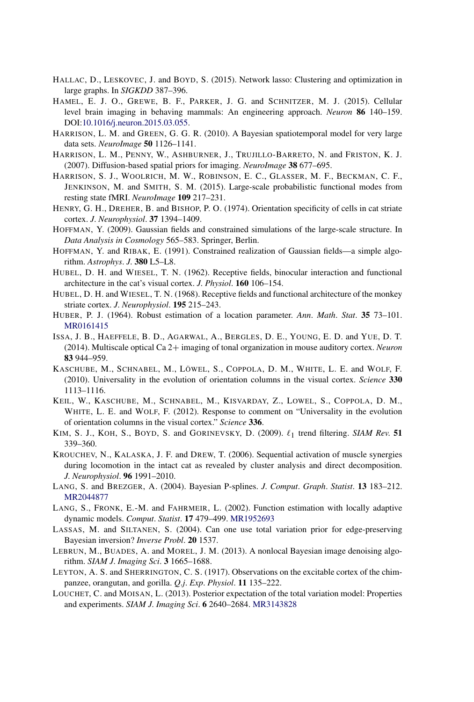- HALLAC, D., LESKOVEC, J. and BOYD, S. (2015). Network lasso: Clustering and optimization in large graphs. In *SIGKDD* 387–396.
- HAMEL, E. J. O., GREWE, B. F., PARKER, J. G. and SCHNITZER, M. J. (2015). Cellular level brain imaging in behaving mammals: An engineering approach. *Neuron* **86** 140–159. DOI[:10.1016/j.neuron.2015.03.055.](http://dx.doi.org/10.1016/j.neuron.2015.03.055)
- HARRISON, L. M. and GREEN, G. G. R. (2010). A Bayesian spatiotemporal model for very large data sets. *NeuroImage* **50** 1126–1141.
- HARRISON, L. M., PENNY, W., ASHBURNER, J., TRUJILLO-BARRETO, N. and FRISTON, K. J. (2007). Diffusion-based spatial priors for imaging. *NeuroImage* **38** 677–695.
- HARRISON, S. J., WOOLRICH, M. W., ROBINSON, E. C., GLASSER, M. F., BECKMAN, C. F., JENKINSON, M. and SMITH, S. M. (2015). Large-scale probabilistic functional modes from resting state fMRI. *NeuroImage* **109** 217–231.
- HENRY, G. H., DREHER, B. and BISHOP, P. O. (1974). Orientation specificity of cells in cat striate cortex. *J*. *Neurophysiol*. **37** 1394–1409.
- HOFFMAN, Y. (2009). Gaussian fields and constrained simulations of the large-scale structure. In *Data Analysis in Cosmology* 565–583. Springer, Berlin.
- HOFFMAN, Y. and RIBAK, E. (1991). Constrained realization of Gaussian fields—a simple algorithm. *Astrophys*. *J*. **380** L5–L8.
- HUBEL, D. H. and WIESEL, T. N. (1962). Receptive fields, binocular interaction and functional architecture in the cat's visual cortex. *J*. *Physiol*. **160** 106–154.
- HUBEL, D. H. and WIESEL, T. N. (1968). Receptive fields and functional architecture of the monkey striate cortex. *J*. *Neurophysiol*. **195** 215–243.
- HUBER, P. J. (1964). Robust estimation of a location parameter. *Ann*. *Math*. *Stat*. **35** 73–101. [MR0161415](http://www.ams.org/mathscinet-getitem?mr=0161415)
- ISSA, J. B., HAEFFELE, B. D., AGARWAL, A., BERGLES, D. E., YOUNG, E. D. and YUE, D. T. (2014). Multiscale optical Ca 2+ imaging of tonal organization in mouse auditory cortex. *Neuron* **83** 944–959.
- KASCHUBE, M., SCHNABEL, M., LÖWEL, S., COPPOLA, D. M., WHITE, L. E. and WOLF, F. (2010). Universality in the evolution of orientation columns in the visual cortex. *Science* **330** 1113–1116.
- KEIL, W., KASCHUBE, M., SCHNABEL, M., KISVARDAY, Z., LOWEL, S., COPPOLA, D. M., WHITE, L. E. and WOLF, F. (2012). Response to comment on "Universality in the evolution of orientation columns in the visual cortex." *Science* **336**.
- KIM, S. J., KOH, S., BOYD, S. and GORINEVSKY, D. (2009).  $\ell_1$  trend filtering. *SIAM Rev.* 51 339–360.
- KROUCHEV, N., KALASKA, J. F. and DREW, T. (2006). Sequential activation of muscle synergies during locomotion in the intact cat as revealed by cluster analysis and direct decomposition. *J*. *Neurophysiol*. **96** 1991–2010.
- LANG, S. and BREZGER, A. (2004). Bayesian P-splines. *J*. *Comput*. *Graph*. *Statist*. **13** 183–212. [MR2044877](http://www.ams.org/mathscinet-getitem?mr=2044877)
- LANG, S., FRONK, E.-M. and FAHRMEIR, L. (2002). Function estimation with locally adaptive dynamic models. *Comput*. *Statist*. **17** 479–499. [MR1952693](http://www.ams.org/mathscinet-getitem?mr=1952693)
- LASSAS, M. and SILTANEN, S. (2004). Can one use total variation prior for edge-preserving Bayesian inversion? *Inverse Probl*. **20** 1537.
- LEBRUN, M., BUADES, A. and MOREL, J. M. (2013). A nonlocal Bayesian image denoising algorithm. *SIAM J*. *Imaging Sci*. **3** 1665–1688.
- LEYTON, A. S. and SHERRINGTON, C. S. (1917). Observations on the excitable cortex of the chimpanzee, orangutan, and gorilla. *Q*.*j*. *Exp*. *Physiol*. **11** 135–222.
- LOUCHET, C. and MOISAN, L. (2013). Posterior expectation of the total variation model: Properties and experiments. *SIAM J*. *Imaging Sci*. **6** 2640–2684. [MR3143828](http://www.ams.org/mathscinet-getitem?mr=3143828)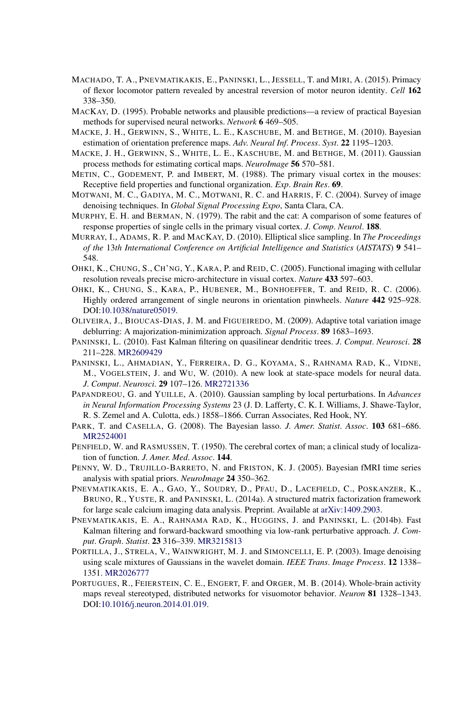- MACHADO, T. A., PNEVMATIKAKIS, E., PANINSKI, L., JESSELL, T. and MIRI, A. (2015). Primacy of flexor locomotor pattern revealed by ancestral reversion of motor neuron identity. *Cell* **162** 338–350.
- MACKAY, D. (1995). Probable networks and plausible predictions—a review of practical Bayesian methods for supervised neural networks. *Network* **6** 469–505.
- MACKE, J. H., GERWINN, S., WHITE, L. E., KASCHUBE, M. and BETHGE, M. (2010). Bayesian estimation of orientation preference maps. *Adv*. *Neural Inf*. *Process*. *Syst*. **22** 1195–1203.
- MACKE, J. H., GERWINN, S., WHITE, L. E., KASCHUBE, M. and BETHGE, M. (2011). Gaussian process methods for estimating cortical maps. *NeuroImage* **56** 570–581.
- METIN, C., GODEMENT, P. and IMBERT, M. (1988). The primary visual cortex in the mouses: Receptive field properties and functional organization. *Exp*. *Brain Res*. **69**.
- MOTWANI, M. C., GADIYA, M. C., MOTWANI, R. C. and HARRIS, F. C. (2004). Survey of image denoising techniques. In *Global Signal Processing Expo*, Santa Clara, CA.
- MURPHY, E. H. and BERMAN, N. (1979). The rabit and the cat: A comparison of some features of response properties of single cells in the primary visual cortex. *J*. *Comp*. *Neurol*. **188**.
- MURRAY, I., ADAMS, R. P. and MACKAY, D. (2010). Elliptical slice sampling. In *The Proceedings of the* 13*th International Conference on Artificial Intelligence and Statistics* (*AISTATS*) **9** 541– 548.
- OHKI, K., CHUNG, S., CH'NG, Y., KARA, P. and REID, C. (2005). Functional imaging with cellular resolution reveals precise micro-architecture in visual cortex. *Nature* **433** 597–603.
- OHKI, K., CHUNG, S., KARA, P., HUBENER, M., BONHOEFFER, T. and REID, R. C. (2006). Highly ordered arrangement of single neurons in orientation pinwheels. *Nature* **442** 925–928. DOI[:10.1038/nature05019](http://dx.doi.org/10.1038/nature05019).
- OLIVEIRA, J., BIOUCAS-DIAS, J. M. and FIGUEIREDO, M. (2009). Adaptive total variation image deblurring: A majorization-minimization approach. *Signal Process*. **89** 1683–1693.
- PANINSKI, L. (2010). Fast Kalman filtering on quasilinear dendritic trees. *J*. *Comput*. *Neurosci*. **28** 211–228. [MR2609429](http://www.ams.org/mathscinet-getitem?mr=2609429)
- PANINSKI, L., AHMADIAN, Y., FERREIRA, D. G., KOYAMA, S., RAHNAMA RAD, K., VIDNE, M., VOGELSTEIN, J. and WU, W. (2010). A new look at state-space models for neural data. *J*. *Comput*. *Neurosci*. **29** 107–126. [MR2721336](http://www.ams.org/mathscinet-getitem?mr=2721336)
- PAPANDREOU, G. and YUILLE, A. (2010). Gaussian sampling by local perturbations. In *Advances in Neural Information Processing Systems* 23 (J. D. Lafferty, C. K. I. Williams, J. Shawe-Taylor, R. S. Zemel and A. Culotta, eds.) 1858–1866. Curran Associates, Red Hook, NY.
- PARK, T. and CASELLA, G. (2008). The Bayesian lasso. *J*. *Amer*. *Statist*. *Assoc*. **103** 681–686. [MR2524001](http://www.ams.org/mathscinet-getitem?mr=2524001)
- PENFIELD, W. and RASMUSSEN, T. (1950). The cerebral cortex of man; a clinical study of localization of function. *J*. *Amer*. *Med*. *Assoc*. **144**.
- PENNY, W. D., TRUJILLO-BARRETO, N. and FRISTON, K. J. (2005). Bayesian fMRI time series analysis with spatial priors. *NeuroImage* **24** 350–362.
- PNEVMATIKAKIS, E. A., GAO, Y., SOUDRY, D., PFAU, D., LACEFIELD, C., POSKANZER, K., BRUNO, R., YUSTE, R. and PANINSKI, L. (2014a). A structured matrix factorization framework for large scale calcium imaging data analysis. Preprint. Available at [arXiv:1409.2903](http://arxiv.org/abs/arXiv:1409.2903).
- PNEVMATIKAKIS, E. A., RAHNAMA RAD, K., HUGGINS, J. and PANINSKI, L. (2014b). Fast Kalman filtering and forward-backward smoothing via low-rank perturbative approach. *J*. *Comput*. *Graph*. *Statist*. **23** 316–339. [MR3215813](http://www.ams.org/mathscinet-getitem?mr=3215813)
- PORTILLA, J., STRELA, V., WAINWRIGHT, M. J. and SIMONCELLI, E. P. (2003). Image denoising using scale mixtures of Gaussians in the wavelet domain. *IEEE Trans*. *Image Process*. **12** 1338– 1351. [MR2026777](http://www.ams.org/mathscinet-getitem?mr=2026777)
- PORTUGUES, R., FEIERSTEIN, C. E., ENGERT, F. and ORGER, M. B. (2014). Whole-brain activity maps reveal stereotyped, distributed networks for visuomotor behavior. *Neuron* **81** 1328–1343. DOI[:10.1016/j.neuron.2014.01.019](http://dx.doi.org/10.1016/j.neuron.2014.01.019).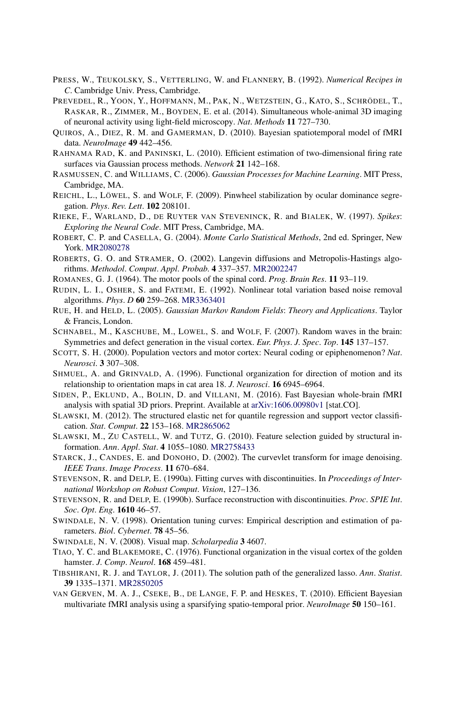- PRESS, W., TEUKOLSKY, S., VETTERLING, W. and FLANNERY, B. (1992). *Numerical Recipes in C*. Cambridge Univ. Press, Cambridge.
- PREVEDEL, R., YOON, Y., HOFFMANN, M., PAK, N., WETZSTEIN, G., KATO, S., SCHRÖDEL, T., RASKAR, R., ZIMMER, M., BOYDEN, E. et al. (2014). Simultaneous whole-animal 3D imaging of neuronal activity using light-field microscopy. *Nat*. *Methods* **11** 727–730.
- QUIROS, A., DIEZ, R. M. and GAMERMAN, D. (2010). Bayesian spatiotemporal model of fMRI data. *NeuroImage* **49** 442–456.
- RAHNAMA RAD, K. and PANINSKI, L. (2010). Efficient estimation of two-dimensional firing rate surfaces via Gaussian process methods. *Network* **21** 142–168.
- RASMUSSEN, C. and WILLIAMS, C. (2006). *Gaussian Processes for Machine Learning*. MIT Press, Cambridge, MA.
- REICHL, L., LÖWEL, S. and WOLF, F. (2009). Pinwheel stabilization by ocular dominance segregation. *Phys*. *Rev*. *Lett*. **102** 208101.
- RIEKE, F., WARLAND, D., DE RUYTER VAN STEVENINCK, R. and BIALEK, W. (1997). *Spikes*: *Exploring the Neural Code*. MIT Press, Cambridge, MA.
- ROBERT, C. P. and CASELLA, G. (2004). *Monte Carlo Statistical Methods*, 2nd ed. Springer, New York. [MR2080278](http://www.ams.org/mathscinet-getitem?mr=2080278)
- ROBERTS, G. O. and STRAMER, O. (2002). Langevin diffusions and Metropolis-Hastings algorithms. *Methodol*. *Comput*. *Appl*. *Probab*. **4** 337–357. [MR2002247](http://www.ams.org/mathscinet-getitem?mr=2002247)
- ROMANES, G. J. (1964). The motor pools of the spinal cord. *Prog*. *Brain Res*. **11** 93–119.
- RUDIN, L. I., OSHER, S. and FATEMI, E. (1992). Nonlinear total variation based noise removal algorithms. *Phys*. *D* **60** 259–268. [MR3363401](http://www.ams.org/mathscinet-getitem?mr=3363401)
- RUE, H. and HELD, L. (2005). *Gaussian Markov Random Fields*: *Theory and Applications*. Taylor & Francis, London.
- SCHNABEL, M., KASCHUBE, M., LOWEL, S. and WOLF, F. (2007). Random waves in the brain: Symmetries and defect generation in the visual cortex. *Eur*. *Phys*. *J*. *Spec*. *Top*. **145** 137–157.
- SCOTT, S. H. (2000). Population vectors and motor cortex: Neural coding or epiphenomenon? *Nat*. *Neurosci*. **3** 307–308.
- SHMUEL, A. and GRINVALD, A. (1996). Functional organization for direction of motion and its relationship to orientation maps in cat area 18. *J*. *Neurosci*. **16** 6945–6964.
- SIDEN, P., EKLUND, A., BOLIN, D. and VILLANI, M. (2016). Fast Bayesian whole-brain fMRI analysis with spatial 3D priors. Preprint. Available at [arXiv:1606.00980v1](http://arxiv.org/abs/arXiv:1606.00980v1) [stat.CO].
- SLAWSKI, M. (2012). The structured elastic net for quantile regression and support vector classification. *Stat*. *Comput*. **22** 153–168. [MR2865062](http://www.ams.org/mathscinet-getitem?mr=2865062)
- SLAWSKI, M., ZU CASTELL, W. and TUTZ, G. (2010). Feature selection guided by structural information. *Ann*. *Appl*. *Stat*. **4** 1055–1080. [MR2758433](http://www.ams.org/mathscinet-getitem?mr=2758433)
- STARCK, J., CANDES, E. and DONOHO, D. (2002). The curvevlet transform for image denoising. *IEEE Trans*. *Image Process*. **11** 670–684.
- STEVENSON, R. and DELP, E. (1990a). Fitting curves with discontinuities. In *Proceedings of International Workshop on Robust Comput*. *Vision*, 127–136.
- STEVENSON, R. and DELP, E. (1990b). Surface reconstruction with discontinuities. *Proc*. *SPIE Int*. *Soc*. *Opt*. *Eng*. **1610** 46–57.
- SWINDALE, N. V. (1998). Orientation tuning curves: Empirical description and estimation of parameters. *Biol*. *Cybernet*. **78** 45–56.
- SWINDALE, N. V. (2008). Visual map. *Scholarpedia* **3** 4607.
- TIAO, Y. C. and BLAKEMORE, C. (1976). Functional organization in the visual cortex of the golden hamster. *J*. *Comp*. *Neurol*. **168** 459–481.
- TIBSHIRANI, R. J. and TAYLOR, J. (2011). The solution path of the generalized lasso. *Ann*. *Statist*. **39** 1335–1371. [MR2850205](http://www.ams.org/mathscinet-getitem?mr=2850205)
- VAN GERVEN, M. A. J., CSEKE, B., DE LANGE, F. P. and HESKES, T. (2010). Efficient Bayesian multivariate fMRI analysis using a sparsifying spatio-temporal prior. *NeuroImage* **50** 150–161.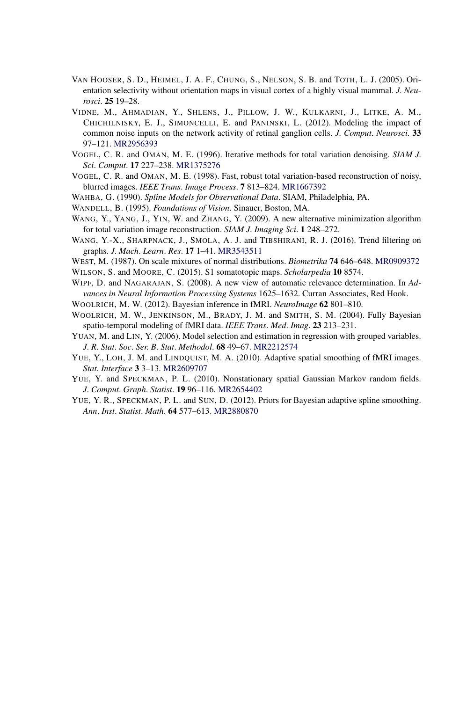- VAN HOOSER, S. D., HEIMEL, J. A. F., CHUNG, S., NELSON, S. B. and TOTH, L. J. (2005). Orientation selectivity without orientation maps in visual cortex of a highly visual mammal. *J*. *Neurosci*. **25** 19–28.
- VIDNE, M., AHMADIAN, Y., SHLENS, J., PILLOW, J. W., KULKARNI, J., LITKE, A. M., CHICHILNISKY, E. J., SIMONCELLI, E. and PANINSKI, L. (2012). Modeling the impact of common noise inputs on the network activity of retinal ganglion cells. *J*. *Comput*. *Neurosci*. **33** 97–121. [MR2956393](http://www.ams.org/mathscinet-getitem?mr=2956393)
- VOGEL, C. R. and OMAN, M. E. (1996). Iterative methods for total variation denoising. *SIAM J*. *Sci*. *Comput*. **17** 227–238. [MR1375276](http://www.ams.org/mathscinet-getitem?mr=1375276)
- VOGEL, C. R. and OMAN, M. E. (1998). Fast, robust total variation-based reconstruction of noisy, blurred images. *IEEE Trans*. *Image Process*. **7** 813–824. [MR1667392](http://www.ams.org/mathscinet-getitem?mr=1667392)
- WAHBA, G. (1990). *Spline Models for Observational Data*. SIAM, Philadelphia, PA.
- WANDELL, B. (1995). *Foundations of Vision*. Sinauer, Boston, MA.
- WANG, Y., YANG, J., YIN, W. and ZHANG, Y. (2009). A new alternative minimization algorithm for total variation image reconstruction. *SIAM J*. *Imaging Sci*. **1** 248–272.
- WANG, Y.-X., SHARPNACK, J., SMOLA, A. J. and TIBSHIRANI, R. J. (2016). Trend filtering on graphs. *J*. *Mach*. *Learn*. *Res*. **17** 1–41. [MR3543511](http://www.ams.org/mathscinet-getitem?mr=3543511)
- WEST, M. (1987). On scale mixtures of normal distributions. *Biometrika* **74** 646–648. [MR0909372](http://www.ams.org/mathscinet-getitem?mr=0909372)
- WILSON, S. and MOORE, C. (2015). S1 somatotopic maps. *Scholarpedia* **10** 8574.
- WIPF, D. and NAGARAJAN, S. (2008). A new view of automatic relevance determination. In *Advances in Neural Information Processing Systems* 1625–1632. Curran Associates, Red Hook.
- WOOLRICH, M. W. (2012). Bayesian inference in fMRI. *NeuroImage* **62** 801–810.
- WOOLRICH, M. W., JENKINSON, M., BRADY, J. M. and SMITH, S. M. (2004). Fully Bayesian spatio-temporal modeling of fMRI data. *IEEE Trans*. *Med*. *Imag*. **23** 213–231.
- YUAN, M. and LIN, Y. (2006). Model selection and estimation in regression with grouped variables. *J*. *R*. *Stat*. *Soc*. *Ser*. *B*. *Stat*. *Methodol*. **68** 49–67. [MR2212574](http://www.ams.org/mathscinet-getitem?mr=2212574)
- YUE, Y., LOH, J. M. and LINDQUIST, M. A. (2010). Adaptive spatial smoothing of fMRI images. *Stat*. *Interface* **3** 3–13. [MR2609707](http://www.ams.org/mathscinet-getitem?mr=2609707)
- YUE, Y. and SPECKMAN, P. L. (2010). Nonstationary spatial Gaussian Markov random fields. *J*. *Comput*. *Graph*. *Statist*. **19** 96–116. [MR2654402](http://www.ams.org/mathscinet-getitem?mr=2654402)
- YUE, Y. R., SPECKMAN, P. L. and SUN, D. (2012). Priors for Bayesian adaptive spline smoothing. *Ann*. *Inst*. *Statist*. *Math*. **64** 577–613. [MR2880870](http://www.ams.org/mathscinet-getitem?mr=2880870)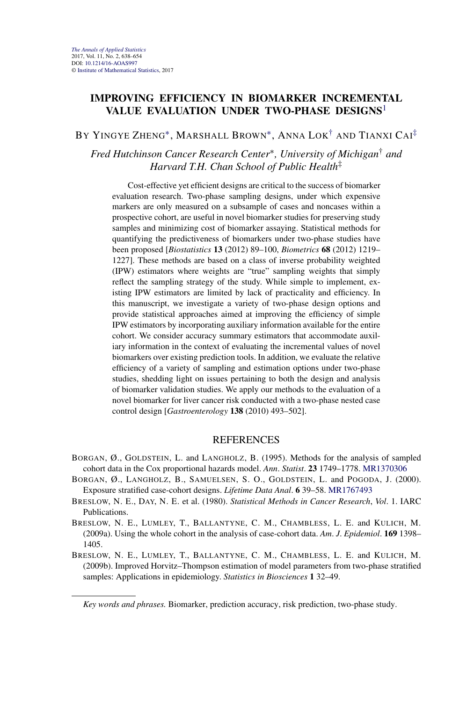## **IMPROVING EFFICIENCY IN BIOMARKER INCREMENTAL VALUE EVALUATION UNDER TWO-PHASE DESIGNS**[1](#page-27-0)

BY YINGYE ZHENG<sup>\*</sup>, MARSHALL BROWN<sup>\*</sup>, ANNA LOK<sup>†</sup> AND TIANXI CAI<sup>‡</sup>

*Fred Hutchinson Cancer Research Center*∗*, University of Michigan*† *and Harvard T.H. Chan School of Public Health*‡

Cost-effective yet efficient designs are critical to the success of biomarker evaluation research. Two-phase sampling designs, under which expensive markers are only measured on a subsample of cases and noncases within a prospective cohort, are useful in novel biomarker studies for preserving study samples and minimizing cost of biomarker assaying. Statistical methods for quantifying the predictiveness of biomarkers under two-phase studies have been proposed [*Biostatistics* **13** (2012) 89–100, *Biometrics* **68** (2012) 1219– 1227]. These methods are based on a class of inverse probability weighted (IPW) estimators where weights are "true" sampling weights that simply reflect the sampling strategy of the study. While simple to implement, existing IPW estimators are limited by lack of practicality and efficiency. In this manuscript, we investigate a variety of two-phase design options and provide statistical approaches aimed at improving the efficiency of simple IPW estimators by incorporating auxiliary information available for the entire cohort. We consider accuracy summary estimators that accommodate auxiliary information in the context of evaluating the incremental values of novel biomarkers over existing prediction tools. In addition, we evaluate the relative efficiency of a variety of sampling and estimation options under two-phase studies, shedding light on issues pertaining to both the design and analysis of biomarker validation studies. We apply our methods to the evaluation of a novel biomarker for liver cancer risk conducted with a two-phase nested case control design [*Gastroenterology* **138** (2010) 493–502].

- BORGAN, Ø., GOLDSTEIN, L. and LANGHOLZ, B. (1995). Methods for the analysis of sampled cohort data in the Cox proportional hazards model. *Ann*. *Statist*. **23** 1749–1778. [MR1370306](http://www.ams.org/mathscinet-getitem?mr=1370306)
- BORGAN, Ø., LANGHOLZ, B., SAMUELSEN, S. O., GOLDSTEIN, L. and POGODA, J. (2000). Exposure stratified case-cohort designs. *Lifetime Data Anal*. **6** 39–58. [MR1767493](http://www.ams.org/mathscinet-getitem?mr=1767493)
- BRESLOW, N. E., DAY, N. E. et al. (1980). *Statistical Methods in Cancer Research*, *Vol*. 1. IARC Publications.
- BRESLOW, N. E., LUMLEY, T., BALLANTYNE, C. M., CHAMBLESS, L. E. and KULICH, M. (2009a). Using the whole cohort in the analysis of case-cohort data. *Am*. *J*. *Epidemiol*. **169** 1398– 1405.
- BRESLOW, N. E., LUMLEY, T., BALLANTYNE, C. M., CHAMBLESS, L. E. and KULICH, M. (2009b). Improved Horvitz–Thompson estimation of model parameters from two-phase stratified samples: Applications in epidemiology. *Statistics in Biosciences* **1** 32–49.

*Key words and phrases.* Biomarker, prediction accuracy, risk prediction, two-phase study.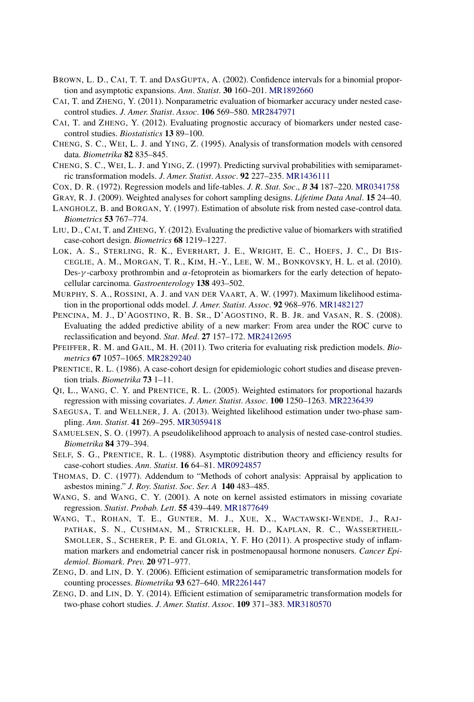- BROWN, L. D., CAI, T. T. and DASGUPTA, A. (2002). Confidence intervals for a binomial proportion and asymptotic expansions. *Ann*. *Statist*. **30** 160–201. [MR1892660](http://www.ams.org/mathscinet-getitem?mr=1892660)
- CAI, T. and ZHENG, Y. (2011). Nonparametric evaluation of biomarker accuracy under nested casecontrol studies. *J*. *Amer*. *Statist*. *Assoc*. **106** 569–580. [MR2847971](http://www.ams.org/mathscinet-getitem?mr=2847971)
- CAI, T. and ZHENG, Y. (2012). Evaluating prognostic accuracy of biomarkers under nested casecontrol studies. *Biostatistics* **13** 89–100.
- CHENG, S. C., WEI, L. J. and YING, Z. (1995). Analysis of transformation models with censored data. *Biometrika* **82** 835–845.
- CHENG, S. C., WEI, L. J. and YING, Z. (1997). Predicting survival probabilities with semiparametric transformation models. *J*. *Amer*. *Statist*. *Assoc*. **92** 227–235. [MR1436111](http://www.ams.org/mathscinet-getitem?mr=1436111)
- COX, D. R. (1972). Regression models and life-tables. *J*. *R*. *Stat*. *Soc*., *B* **34** 187–220. [MR0341758](http://www.ams.org/mathscinet-getitem?mr=0341758)
- GRAY, R. J. (2009). Weighted analyses for cohort sampling designs. *Lifetime Data Anal*. **15** 24–40.
- LANGHOLZ, B. and BORGAN, Y. (1997). Estimation of absolute risk from nested case-control data. *Biometrics* **53** 767–774.
- LIU, D., CAI, T. and ZHENG, Y. (2012). Evaluating the predictive value of biomarkers with stratified case-cohort design. *Biometrics* **68** 1219–1227.
- LOK, A. S., STERLING, R. K., EVERHART, J. E., WRIGHT, E. C., HOEFS, J. C., DI BIS-CEGLIE, A. M., MORGAN, T. R., KIM, H.-Y., LEE, W. M., BONKOVSKY, H. L. et al. (2010). Des-*γ* -carboxy prothrombin and *α*-fetoprotein as biomarkers for the early detection of hepatocellular carcinoma. *Gastroenterology* **138** 493–502.
- MURPHY, S. A., ROSSINI, A. J. and VAN DER VAART, A. W. (1997). Maximum likelihood estimation in the proportional odds model. *J*. *Amer*. *Statist*. *Assoc*. **92** 968–976. [MR1482127](http://www.ams.org/mathscinet-getitem?mr=1482127)
- PENCINA, M. J., D'AGOSTINO, R. B. SR., D'AGOSTINO, R. B. JR. and VASAN, R. S. (2008). Evaluating the added predictive ability of a new marker: From area under the ROC curve to reclassification and beyond. *Stat*. *Med*. **27** 157–172. [MR2412695](http://www.ams.org/mathscinet-getitem?mr=2412695)
- PFEIFFER, R. M. and GAIL, M. H. (2011). Two criteria for evaluating risk prediction models. *Biometrics* **67** 1057–1065. [MR2829240](http://www.ams.org/mathscinet-getitem?mr=2829240)
- PRENTICE, R. L. (1986). A case-cohort design for epidemiologic cohort studies and disease prevention trials. *Biometrika* **73** 1–11.
- QI, L., WANG, C. Y. and PRENTICE, R. L. (2005). Weighted estimators for proportional hazards regression with missing covariates. *J*. *Amer*. *Statist*. *Assoc*. **100** 1250–1263. [MR2236439](http://www.ams.org/mathscinet-getitem?mr=2236439)
- SAEGUSA, T. and WELLNER, J. A. (2013). Weighted likelihood estimation under two-phase sampling. *Ann*. *Statist*. **41** 269–295. [MR3059418](http://www.ams.org/mathscinet-getitem?mr=3059418)
- SAMUELSEN, S. O. (1997). A pseudolikelihood approach to analysis of nested case-control studies. *Biometrika* **84** 379–394.
- SELF, S. G., PRENTICE, R. L. (1988). Asymptotic distribution theory and efficiency results for case-cohort studies. *Ann*. *Statist*. **16** 64–81. [MR0924857](http://www.ams.org/mathscinet-getitem?mr=0924857)
- THOMAS, D. C. (1977). Addendum to "Methods of cohort analysis: Appraisal by application to asbestos mining." *J*. *Roy*. *Statist*. *Soc*. *Ser*. *A* **140** 483–485.
- WANG, S. and WANG, C. Y. (2001). A note on kernel assisted estimators in missing covariate regression. *Statist*. *Probab*. *Lett*. **55** 439–449. [MR1877649](http://www.ams.org/mathscinet-getitem?mr=1877649)
- WANG, T., ROHAN, T. E., GUNTER, M. J., XUE, X., WACTAWSKI-WENDE, J., RAJ-PATHAK, S. N., CUSHMAN, M., STRICKLER, H. D., KAPLAN, R. C., WASSERTHEIL-SMOLLER, S., SCHERER, P. E. and GLORIA, Y. F. HO (2011). A prospective study of inflammation markers and endometrial cancer risk in postmenopausal hormone nonusers. *Cancer Epidemiol*. *Biomark*. *Prev*. **20** 971–977.
- ZENG, D. and LIN, D. Y. (2006). Efficient estimation of semiparametric transformation models for counting processes. *Biometrika* **93** 627–640. [MR2261447](http://www.ams.org/mathscinet-getitem?mr=2261447)
- ZENG, D. and LIN, D. Y. (2014). Efficient estimation of semiparametric transformation models for two-phase cohort studies. *J*. *Amer*. *Statist*. *Assoc*. **109** 371–383. [MR3180570](http://www.ams.org/mathscinet-getitem?mr=3180570)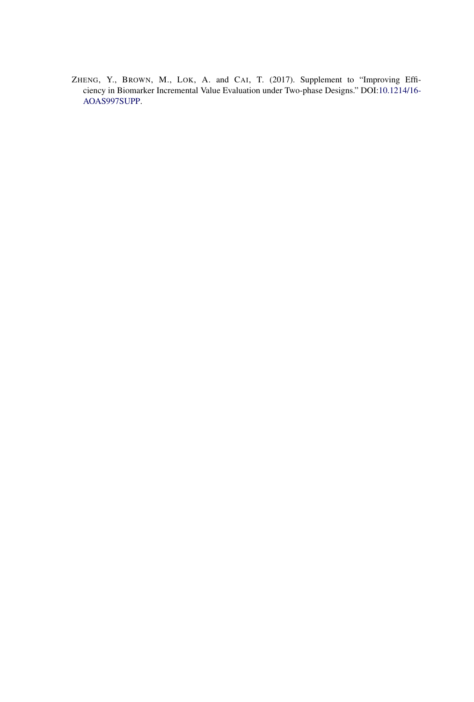ZHENG, Y., BROWN, M., LOK, A. and CAI, T. (2017). Supplement to "Improving Efficiency in Biomarker Incremental Value Evaluation under Two-phase Designs." DOI[:10.1214/16-](http://dx.doi.org/10.1214/16-AOAS997SUPP) [AOAS997SUPP.](http://dx.doi.org/10.1214/16-AOAS997SUPP)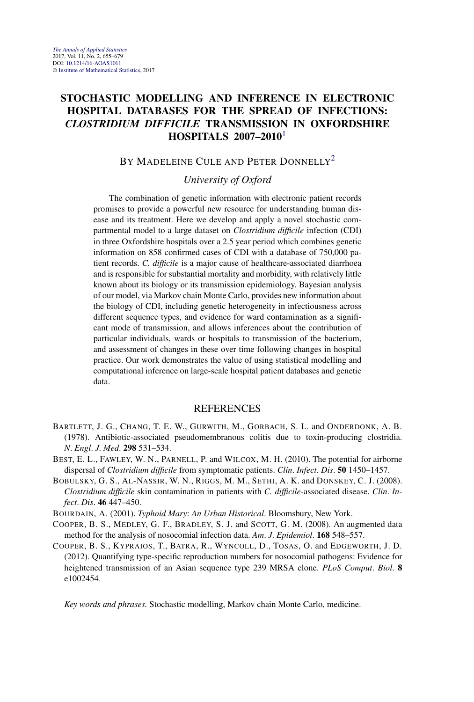## **STOCHASTIC MODELLING AND INFERENCE IN ELECTRONIC HOSPITAL DATABASES FOR THE SPREAD OF INFECTIONS:** *CLOSTRIDIUM DIFFICILE* **TRANSMISSION IN OXFORDSHIRE HOSPITALS 2007–2010**[1](#page-27-0)

## BY MADELEINE CULE AND PETER DONNELLY<sup>[2](#page-27-0)</sup>

#### *University of Oxford*

The combination of genetic information with electronic patient records promises to provide a powerful new resource for understanding human disease and its treatment. Here we develop and apply a novel stochastic compartmental model to a large dataset on *Clostridium difficile* infection (CDI) in three Oxfordshire hospitals over a 2.5 year period which combines genetic information on 858 confirmed cases of CDI with a database of 750,000 patient records. *C. difficile* is a major cause of healthcare-associated diarrhoea and is responsible for substantial mortality and morbidity, with relatively little known about its biology or its transmission epidemiology. Bayesian analysis of our model, via Markov chain Monte Carlo, provides new information about the biology of CDI, including genetic heterogeneity in infectiousness across different sequence types, and evidence for ward contamination as a significant mode of transmission, and allows inferences about the contribution of particular individuals, wards or hospitals to transmission of the bacterium, and assessment of changes in these over time following changes in hospital practice. Our work demonstrates the value of using statistical modelling and computational inference on large-scale hospital patient databases and genetic data.

- BARTLETT, J. G., CHANG, T. E. W., GURWITH, M., GORBACH, S. L. and ONDERDONK, A. B. (1978). Antibiotic-associated pseudomembranous colitis due to toxin-producing clostridia. *N*. *Engl*. *J*. *Med*. **298** 531–534.
- BEST, E. L., FAWLEY, W. N., PARNELL, P. and WILCOX, M. H. (2010). The potential for airborne dispersal of *Clostridium difficile* from symptomatic patients. *Clin*. *Infect*. *Dis*. **50** 1450–1457.
- BOBULSKY, G. S., AL-NASSIR, W. N., RIGGS, M. M., SETHI, A. K. and DONSKEY, C. J. (2008). *Clostridium difficile* skin contamination in patients with *C. difficile*-associated disease. *Clin*. *Infect*. *Dis*. **46** 447–450.
- BOURDAIN, A. (2001). *Typhoid Mary*: *An Urban Historical*. Bloomsbury, New York.
- COOPER, B. S., MEDLEY, G. F., BRADLEY, S. J. and SCOTT, G. M. (2008). An augmented data method for the analysis of nosocomial infection data. *Am*. *J*. *Epidemiol*. **168** 548–557.
- COOPER, B. S., KYPRAIOS, T., BATRA, R., WYNCOLL, D., TOSAS, O. and EDGEWORTH, J. D. (2012). Quantifying type-specific reproduction numbers for nosocomial pathogens: Evidence for heightened transmission of an Asian sequence type 239 MRSA clone. *PLoS Comput*. *Biol*. **8** e1002454.

*Key words and phrases.* Stochastic modelling, Markov chain Monte Carlo, medicine.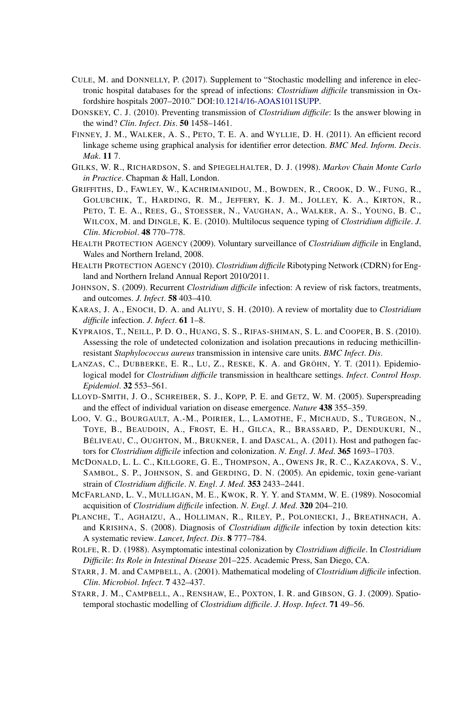- CULE, M. and DONNELLY, P. (2017). Supplement to "Stochastic modelling and inference in electronic hospital databases for the spread of infections: *Clostridium difficile* transmission in Oxfordshire hospitals 2007–2010." DOI[:10.1214/16-AOAS1011SUPP](http://dx.doi.org/10.1214/16-AOAS1011SUPP).
- DONSKEY, C. J. (2010). Preventing transmission of *Clostridium difficile*: Is the answer blowing in the wind? *Clin*. *Infect*. *Dis*. **50** 1458–1461.
- FINNEY, J. M., WALKER, A. S., PETO, T. E. A. and WYLLIE, D. H. (2011). An efficient record linkage scheme using graphical analysis for identifier error detection. *BMC Med*. *Inform*. *Decis*. *Mak*. **11** 7.
- GILKS, W. R., RICHARDSON, S. and SPIEGELHALTER, D. J. (1998). *Markov Chain Monte Carlo in Practice*. Chapman & Hall, London.
- GRIFFITHS, D., FAWLEY, W., KACHRIMANIDOU, M., BOWDEN, R., CROOK, D. W., FUNG, R., GOLUBCHIK, T., HARDING, R. M., JEFFERY, K. J. M., JOLLEY, K. A., KIRTON, R., PETO, T. E. A., REES, G., STOESSER, N., VAUGHAN, A., WALKER, A. S., YOUNG, B. C., WILCOX, M. and DINGLE, K. E. (2010). Multilocus sequence typing of *Clostridium difficile*. *J*. *Clin*. *Microbiol*. **48** 770–778.
- HEALTH PROTECTION AGENCY (2009). Voluntary surveillance of *Clostridium difficile* in England, Wales and Northern Ireland, 2008.
- HEALTH PROTECTION AGENCY (2010). *Clostridium difficile* Ribotyping Network (CDRN) for England and Northern Ireland Annual Report 2010/2011.
- JOHNSON, S. (2009). Recurrent *Clostridium difficile* infection: A review of risk factors, treatments, and outcomes. *J*. *Infect*. **58** 403–410.
- KARAS, J. A., ENOCH, D. A. and ALIYU, S. H. (2010). A review of mortality due to *Clostridium difficile* infection. *J*. *Infect*. **61** 1–8.
- KYPRAIOS, T., NEILL, P. D. O., HUANG, S. S., RIFAS-SHIMAN, S. L. and COOPER, B. S. (2010). Assessing the role of undetected colonization and isolation precautions in reducing methicillinresistant *Staphylococcus aureus* transmission in intensive care units. *BMC Infect*. *Dis*.
- LANZAS, C., DUBBERKE, E. R., LU, Z., RESKE, K. A. and GRÖHN, Y. T. (2011). Epidemiological model for *Clostridium difficile* transmission in healthcare settings. *Infect*. *Control Hosp*. *Epidemiol*. **32** 553–561.
- LLOYD-SMITH, J. O., SCHREIBER, S. J., KOPP, P. E. and GETZ, W. M. (2005). Superspreading and the effect of individual variation on disease emergence. *Nature* **438** 355–359.
- LOO, V. G., BOURGAULT, A.-M., POIRIER, L., LAMOTHE, F., MICHAUD, S., TURGEON, N., TOYE, B., BEAUDOIN, A., FROST, E. H., GILCA, R., BRASSARD, P., DENDUKURI, N., BÉLIVEAU, C., OUGHTON, M., BRUKNER, I. and DASCAL, A. (2011). Host and pathogen factors for *Clostridium difficile* infection and colonization. *N*. *Engl*. *J*. *Med*. **365** 1693–1703.
- MCDONALD, L. L. C., KILLGORE, G. E., THOMPSON, A., OWENS JR, R. C., KAZAKOVA, S. V., SAMBOL, S. P., JOHNSON, S. and GERDING, D. N. (2005). An epidemic, toxin gene-variant strain of *Clostridium difficile*. *N*. *Engl*. *J*. *Med*. **353** 2433–2441.
- MCFARLAND, L. V., MULLIGAN, M. E., KWOK, R. Y. Y. and STAMM, W. E. (1989). Nosocomial acquisition of *Clostridium difficile* infection. *N*. *Engl*. *J*. *Med*. **320** 204–210.
- PLANCHE, T., AGHAIZU, A., HOLLIMAN, R., RILEY, P., POLONIECKI, J., BREATHNACH, A. and KRISHNA, S. (2008). Diagnosis of *Clostridium difficile* infection by toxin detection kits: A systematic review. *Lancet*, *Infect*. *Dis*. **8** 777–784.
- ROLFE, R. D. (1988). Asymptomatic intestinal colonization by *Clostridium difficile*. In *Clostridium Difficile*: *Its Role in Intestinal Disease* 201–225. Academic Press, San Diego, CA.
- STARR, J. M. and CAMPBELL, A. (2001). Mathematical modeling of *Clostridium difficile* infection. *Clin*. *Microbiol*. *Infect*. **7** 432–437.
- STARR, J. M., CAMPBELL, A., RENSHAW, E., POXTON, I. R. and GIBSON, G. J. (2009). Spatiotemporal stochastic modelling of *Clostridium difficile*. *J*. *Hosp*. *Infect*. **71** 49–56.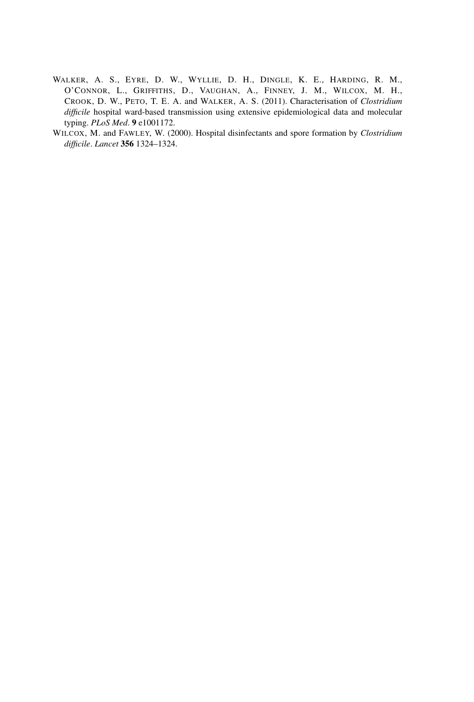- WALKER, A. S., EYRE, D. W., WYLLIE, D. H., DINGLE, K. E., HARDING, R. M., O'CONNOR, L., GRIFFITHS, D., VAUGHAN, A., FINNEY, J. M., WILCOX, M. H., CROOK, D. W., PETO, T. E. A. and WALKER, A. S. (2011). Characterisation of *Clostridium difficile* hospital ward-based transmission using extensive epidemiological data and molecular typing. *PLoS Med*. **9** e1001172.
- WILCOX, M. and FAWLEY, W. (2000). Hospital disinfectants and spore formation by *Clostridium difficile*. *Lancet* **356** 1324–1324.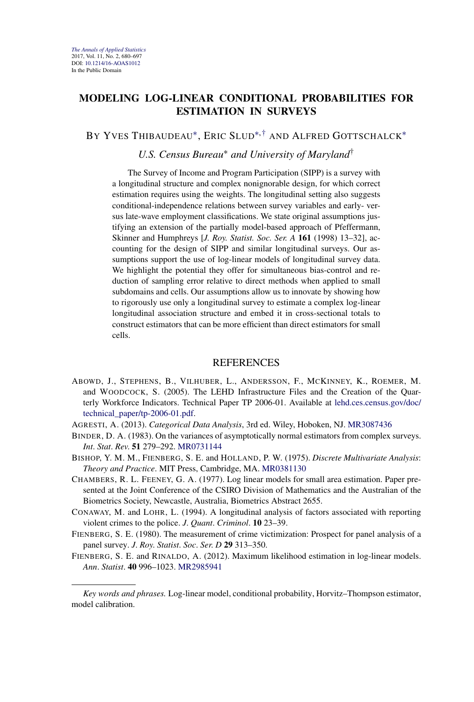## <span id="page-27-0"></span>**MODELING LOG-LINEAR CONDITIONAL PROBABILITIES FOR ESTIMATION IN SURVEYS**

## BY YVES THIBAUDEAU<sup>\*</sup>, ERIC SLUD<sup>\*,†</sup> AND ALFRED GOTTSCHALCK<sup>\*</sup>

*U.S. Census Bureau*<sup>∗</sup> *and University of Maryland*†

The Survey of Income and Program Participation (SIPP) is a survey with a longitudinal structure and complex nonignorable design, for which correct estimation requires using the weights. The longitudinal setting also suggests conditional-independence relations between survey variables and early- versus late-wave employment classifications. We state original assumptions justifying an extension of the partially model-based approach of Pfeffermann, Skinner and Humphreys [*J. Roy. Statist. Soc. Ser. A* **161** (1998) 13–32], accounting for the design of SIPP and similar longitudinal surveys. Our assumptions support the use of log-linear models of longitudinal survey data. We highlight the potential they offer for simultaneous bias-control and reduction of sampling error relative to direct methods when applied to small subdomains and cells. Our assumptions allow us to innovate by showing how to rigorously use only a longitudinal survey to estimate a complex log-linear longitudinal association structure and embed it in cross-sectional totals to construct estimators that can be more efficient than direct estimators for small cells.

- ABOWD, J., STEPHENS, B., VILHUBER, L., ANDERSSON, F., MCKINNEY, K., ROEMER, M. and WOODCOCK, S. (2005). The LEHD Infrastructure Files and the Creation of the Quarterly Workforce Indicators. Technical Paper TP 2006-01. Available at [lehd.ces.census.gov/doc/](http://lehd.ces.census.gov/doc/technical_paper/tp-2006-01.pdf) [technical\\_paper/tp-2006-01.pdf.](http://lehd.ces.census.gov/doc/technical_paper/tp-2006-01.pdf)
- AGRESTI, A. (2013). *Categorical Data Analysis*, 3rd ed. Wiley, Hoboken, NJ. [MR3087436](http://www.ams.org/mathscinet-getitem?mr=3087436)
- BINDER, D. A. (1983). On the variances of asymptotically normal estimators from complex surveys. *Int*. *Stat*. *Rev*. **51** 279–292. [MR0731144](http://www.ams.org/mathscinet-getitem?mr=0731144)
- BISHOP, Y. M. M., FIENBERG, S. E. and HOLLAND, P. W. (1975). *Discrete Multivariate Analysis*: *Theory and Practice*. MIT Press, Cambridge, MA. [MR0381130](http://www.ams.org/mathscinet-getitem?mr=0381130)
- CHAMBERS, R. L. FEENEY, G. A. (1977). Log linear models for small area estimation. Paper presented at the Joint Conference of the CSIRO Division of Mathematics and the Australian of the Biometrics Society, Newcastle, Australia, Biometrics Abstract 2655.
- CONAWAY, M. and LOHR, L. (1994). A longitudinal analysis of factors associated with reporting violent crimes to the police. *J*. *Quant*. *Criminol*. **10** 23–39.
- FIENBERG, S. E. (1980). The measurement of crime victimization: Prospect for panel analysis of a panel survey. *J*. *Roy*. *Statist*. *Soc*. *Ser*. *D* **29** 313–350.
- FIENBERG, S. E. and RINALDO, A. (2012). Maximum likelihood estimation in log-linear models. *Ann*. *Statist*. **40** 996–1023. [MR2985941](http://www.ams.org/mathscinet-getitem?mr=2985941)

*Key words and phrases.* Log-linear model, conditional probability, Horvitz–Thompson estimator, model calibration.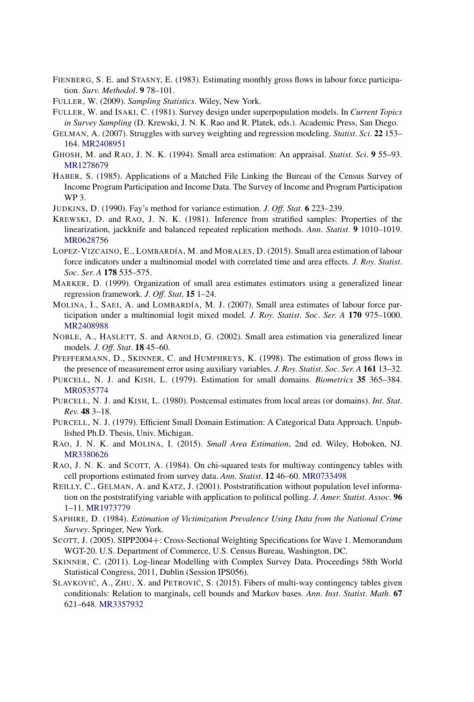- FIENBERG, S. E. and STASNY, E. (1983). Estimating monthly gross flows in labour force participation. *Surv*. *Methodol*. **9** 78–101.
- FULLER, W. (2009). *Sampling Statistics*. Wiley, New York.
- FULLER, W. and ISAKI, C. (1981). Survey design under superpopulation models. In *Current Topics in Survey Sampling* (D. Krewski, J. N. K. Rao and R. Platek, eds.). Academic Press, San Diego.
- GELMAN, A. (2007). Struggles with survey weighting and regression modeling. *Statist*. *Sci*. **22** 153– 164. [MR2408951](http://www.ams.org/mathscinet-getitem?mr=2408951)
- GHOSH, M. and RAO, J. N. K. (1994). Small area estimation: An appraisal. *Statist*. *Sci*. **9** 55–93. [MR1278679](http://www.ams.org/mathscinet-getitem?mr=1278679)
- HABER, S. (1985). Applications of a Matched File Linking the Bureau of the Census Survey of Income Program Participation and Income Data. The Survey of Income and Program Participation WP 3.
- JUDKINS, D. (1990). Fay's method for variance estimation. *J*. *Off*. *Stat*. **6** 223–239.
- KREWSKI, D. and RAO, J. N. K. (1981). Inference from stratified samples: Properties of the linearization, jackknife and balanced repeated replication methods. *Ann*. *Statist*. **9** 1010–1019. [MR0628756](http://www.ams.org/mathscinet-getitem?mr=0628756)
- LOPEZ-VIZCAINO, E., LOMBARDÍA, M. and MORALES, D. (2015). Small area estimation of labour force indicators under a multinomial model with correlated time and area effects. *J*. *Roy*. *Statist*. *Soc*. *Ser*. *A* **178** 535–575.
- MARKER, D. (1999). Organization of small area estimates estimators using a generalized linear regression framework. *J*. *Off*. *Stat*. **15** 1–24.
- MOLINA, I., SAEI, A. and LOMBARDÍA, M. J. (2007). Small area estimates of labour force participation under a multinomial logit mixed model. *J*. *Roy*. *Statist*. *Soc*. *Ser*. *A* **170** 975–1000. [MR2408988](http://www.ams.org/mathscinet-getitem?mr=2408988)
- NOBLE, A., HASLETT, S. and ARNOLD, G. (2002). Small area estimation via generalized linear models. *J*. *Off*. *Stat*. **18** 45–60.
- PFEFFERMANN, D., SKINNER, C. and HUMPHREYS, K. (1998). The estimation of gross flows in the presence of measurement error using auxiliary variables. *J*. *Roy*. *Statist*. *Soc*. *Ser*. *A* **161** 13–32.
- PURCELL, N. J. and KISH, L. (1979). Estimation for small domains. *Biometrics* **35** 365–384. [MR0535774](http://www.ams.org/mathscinet-getitem?mr=0535774)
- PURCELL, N. J. and KISH, L. (1980). Postcensal estimates from local areas (or domains). *Int*. *Stat*. *Rev*. **48** 3–18.
- PURCELL, N. J. (1979). Efficient Small Domain Estimation: A Categorical Data Approach. Unpublished Ph.D. Thesis, Univ. Michigan.
- RAO, J. N. K. and MOLINA, I. (2015). *Small Area Estimation*, 2nd ed. Wiley, Hoboken, NJ. [MR3380626](http://www.ams.org/mathscinet-getitem?mr=3380626)
- RAO, J. N. K. and SCOTT, A. (1984). On chi-squared tests for multiway contingency tables with cell proportions estimated from survey data. *Ann*. *Statist*. **12** 46–60. [MR0733498](http://www.ams.org/mathscinet-getitem?mr=0733498)
- REILLY, C., GELMAN, A. and KATZ, J. (2001). Poststratification without population level information on the poststratifying variable with application to political polling. *J*. *Amer*. *Statist*. *Assoc*. **96** 1–11. [MR1973779](http://www.ams.org/mathscinet-getitem?mr=1973779)
- SAPHIRE, D. (1984). *Estimation of Victimization Prevalence Using Data from the National Crime Survey*. Springer, New York.
- SCOTT, J. (2005). SIPP2004+: Cross-Sectional Weighting Specifications for Wave 1. Memorandum WGT-20. U.S. Department of Commerce, U.S. Census Bureau, Washington, DC.
- SKINNER, C. (2011). Log-linear Modelling with Complex Survey Data. Proceedings 58th World Statistical Congress, 2011, Dublin (Session IPS056).
- SLAVKOVIĆ, A., ZHU, X. and PETROVIĆ, S. (2015). Fibers of multi-way contingency tables given conditionals: Relation to marginals, cell bounds and Markov bases. *Ann*. *Inst*. *Statist*. *Math*. **67** 621–648. [MR3357932](http://www.ams.org/mathscinet-getitem?mr=3357932)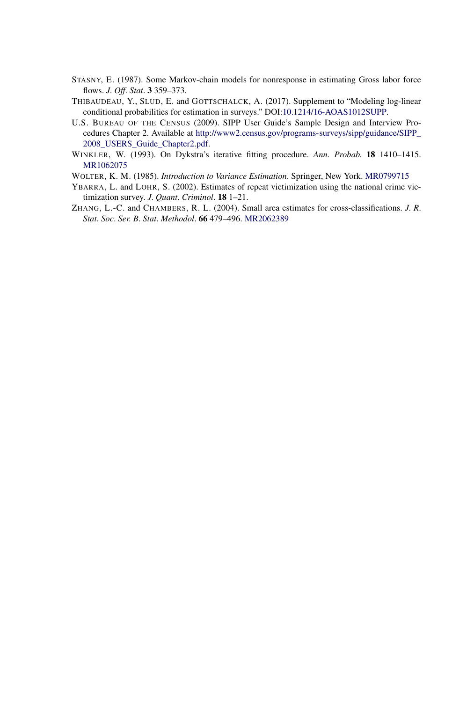- STASNY, E. (1987). Some Markov-chain models for nonresponse in estimating Gross labor force flows. *J*. *Off*. *Stat*. **3** 359–373.
- THIBAUDEAU, Y., SLUD, E. and GOTTSCHALCK, A. (2017). Supplement to "Modeling log-linear conditional probabilities for estimation in surveys." DOI[:10.1214/16-AOAS1012SUPP](http://dx.doi.org/10.1214/16-AOAS1012SUPP).
- U.S. BUREAU OF THE CENSUS (2009). SIPP User Guide's Sample Design and Interview Procedures Chapter 2. Available at [http://www2.census.gov/programs-surveys/sipp/guidance/SIPP\\_](http://www2.census.gov/programs-surveys/sipp/guidance/SIPP_2008_USERS_Guide_Chapter2.pdf) [2008\\_USERS\\_Guide\\_Chapter2.pdf.](http://www2.census.gov/programs-surveys/sipp/guidance/SIPP_2008_USERS_Guide_Chapter2.pdf)
- WINKLER, W. (1993). On Dykstra's iterative fitting procedure. *Ann*. *Probab*. **18** 1410–1415. [MR1062075](http://www.ams.org/mathscinet-getitem?mr=1062075)
- WOLTER, K. M. (1985). *Introduction to Variance Estimation*. Springer, New York. [MR0799715](http://www.ams.org/mathscinet-getitem?mr=0799715)
- YBARRA, L. and LOHR, S. (2002). Estimates of repeat victimization using the national crime victimization survey. *J*. *Quant*. *Criminol*. **18** 1–21.
- ZHANG, L.-C. and CHAMBERS, R. L. (2004). Small area estimates for cross-classifications. *J*. *R*. *Stat*. *Soc*. *Ser*. *B*. *Stat*. *Methodol*. **66** 479–496. [MR2062389](http://www.ams.org/mathscinet-getitem?mr=2062389)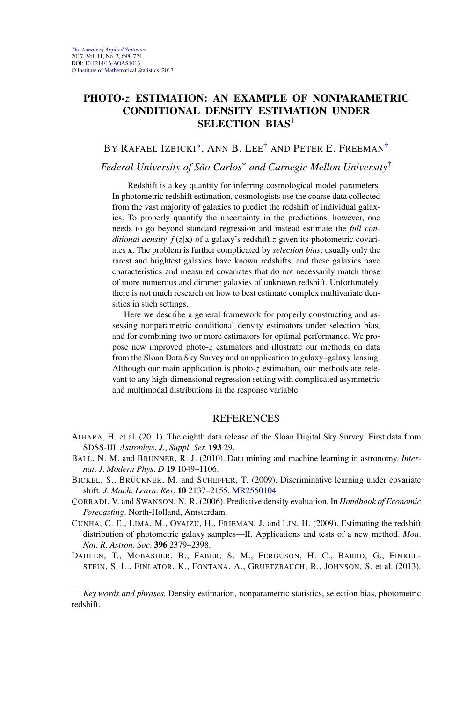## **PHOTO-***z* **ESTIMATION: AN EXAMPLE OF NONPARAMETRIC CONDITIONAL DENSITY ESTIMATION UNDER SELECTION BIAS**[1](#page-27-0)

## BY RAFAEL IZBICKI[∗](#page-5-0), ANN B. LEE[†](#page-9-0) AND PETER E. FREEMAN[†](#page-9-0)

#### *Federal University of São Carlos*<sup>∗</sup> *and Carnegie Mellon University*†

Redshift is a key quantity for inferring cosmological model parameters. In photometric redshift estimation, cosmologists use the coarse data collected from the vast majority of galaxies to predict the redshift of individual galaxies. To properly quantify the uncertainty in the predictions, however, one needs to go beyond standard regression and instead estimate the *full conditional density*  $f(z|\mathbf{x})$  of a galaxy's redshift *z* given its photometric covariates **x**. The problem is further complicated by *selection bias*: usually only the rarest and brightest galaxies have known redshifts, and these galaxies have characteristics and measured covariates that do not necessarily match those of more numerous and dimmer galaxies of unknown redshift. Unfortunately, there is not much research on how to best estimate complex multivariate densities in such settings.

Here we describe a general framework for properly constructing and assessing nonparametric conditional density estimators under selection bias, and for combining two or more estimators for optimal performance. We propose new improved photo-*z* estimators and illustrate our methods on data from the Sloan Data Sky Survey and an application to galaxy–galaxy lensing. Although our main application is photo-*z* estimation, our methods are relevant to any high-dimensional regression setting with complicated asymmetric and multimodal distributions in the response variable.

- AIHARA, H. et al. (2011). The eighth data release of the Sloan Digital Sky Survey: First data from SDSS-III. *Astrophys*. *J*., *Suppl*. *Ser*. **193** 29.
- BALL, N. M. and BRUNNER, R. J. (2010). Data mining and machine learning in astronomy. *Internat*. *J*. *Modern Phys*. *D* **19** 1049–1106.
- BICKEL, S., BRÜCKNER, M. and SCHEFFER, T. (2009). Discriminative learning under covariate shift. *J*. *Mach*. *Learn*. *Res*. **10** 2137–2155. [MR2550104](http://www.ams.org/mathscinet-getitem?mr=2550104)
- CORRADI, V. and SWANSON, N. R. (2006). Predictive density evaluation. In *Handbook of Economic Forecasting*. North-Holland, Amsterdam.
- CUNHA, C. E., LIMA, M., OYAIZU, H., FRIEMAN, J. and LIN, H. (2009). Estimating the redshift distribution of photometric galaxy samples—II. Applications and tests of a new method. *Mon*. *Not*. *R*. *Astron*. *Soc*. **396** 2379–2398.
- DAHLEN, T., MOBASHER, B., FABER, S. M., FERGUSON, H. C., BARRO, G., FINKEL-STEIN, S. L., FINLATOR, K., FONTANA, A., GRUETZBAUCH, R., JOHNSON, S. et al. (2013).

*Key words and phrases.* Density estimation, nonparametric statistics, selection bias, photometric redshift.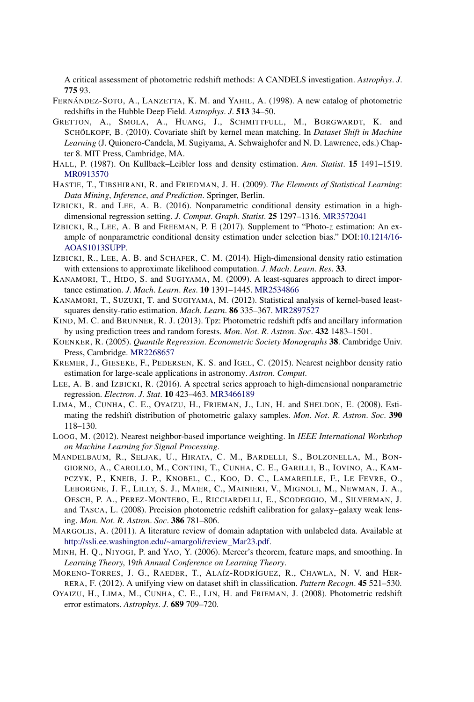A critical assessment of photometric redshift methods: A CANDELS investigation. *Astrophys*. *J*. **775** 93.

- FERNÁNDEZ-SOTO, A., LANZETTA, K. M. and YAHIL, A. (1998). A new catalog of photometric redshifts in the Hubble Deep Field. *Astrophys*. *J*. **513** 34–50.
- GRETTON, A., SMOLA, A., HUANG, J., SCHMITTFULL, M., BORGWARDT, K. and SCHÖLKOPF, B. (2010). Covariate shift by kernel mean matching. In *Dataset Shift in Machine Learning* (J. Quionero-Candela, M. Sugiyama, A. Schwaighofer and N. D. Lawrence, eds.) Chapter 8. MIT Press, Cambridge, MA.
- HALL, P. (1987). On Kullback–Leibler loss and density estimation. *Ann*. *Statist*. **15** 1491–1519. [MR0913570](http://www.ams.org/mathscinet-getitem?mr=0913570)
- HASTIE, T., TIBSHIRANI, R. and FRIEDMAN, J. H. (2009). *The Elements of Statistical Learning*: *Data Mining*, *Inference*, *and Prediction*. Springer, Berlin.
- IZBICKI, R. and LEE, A. B. (2016). Nonparametric conditional density estimation in a highdimensional regression setting. *J*. *Comput*. *Graph*. *Statist*. **25** 1297–1316. [MR3572041](http://www.ams.org/mathscinet-getitem?mr=3572041)
- IZBICKI, R., LEE, A. B and FREEMAN, P. E (2017). Supplement to "Photo-*z* estimation: An example of nonparametric conditional density estimation under selection bias." DOI[:10.1214/16-](http://dx.doi.org/10.1214/16-AOAS1013SUPP) [AOAS1013SUPP.](http://dx.doi.org/10.1214/16-AOAS1013SUPP)
- IZBICKI, R., LEE, A. B. and SCHAFER, C. M. (2014). High-dimensional density ratio estimation with extensions to approximate likelihood computation. *J*. *Mach*. *Learn*. *Res*. **33**.
- KANAMORI, T., HIDO, S. and SUGIYAMA, M. (2009). A least-squares approach to direct importance estimation. *J*. *Mach*. *Learn*. *Res*. **10** 1391–1445. [MR2534866](http://www.ams.org/mathscinet-getitem?mr=2534866)
- KANAMORI, T., SUZUKI, T. and SUGIYAMA, M. (2012). Statistical analysis of kernel-based leastsquares density-ratio estimation. *Mach*. *Learn*. **86** 335–367. [MR2897527](http://www.ams.org/mathscinet-getitem?mr=2897527)
- KIND, M. C. and BRUNNER, R. J. (2013). Tpz: Photometric redshift pdfs and ancillary information by using prediction trees and random forests. *Mon*. *Not*. *R*. *Astron*. *Soc*. **432** 1483–1501.
- KOENKER, R. (2005). *Quantile Regression*. *Econometric Society Monographs* **38**. Cambridge Univ. Press, Cambridge. [MR2268657](http://www.ams.org/mathscinet-getitem?mr=2268657)
- KREMER, J., GIESEKE, F., PEDERSEN, K. S. and IGEL, C. (2015). Nearest neighbor density ratio estimation for large-scale applications in astronomy. *Astron*. *Comput*.
- LEE, A. B. and IZBICKI, R. (2016). A spectral series approach to high-dimensional nonparametric regression. *Electron*. *J*. *Stat*. **10** 423–463. [MR3466189](http://www.ams.org/mathscinet-getitem?mr=3466189)
- LIMA, M., CUNHA, C. E., OYAIZU, H., FRIEMAN, J., LIN, H. and SHELDON, E. (2008). Estimating the redshift distribution of photometric galaxy samples. *Mon*. *Not*. *R*. *Astron*. *Soc*. **390** 118–130.
- LOOG, M. (2012). Nearest neighbor-based importance weighting. In *IEEE International Workshop on Machine Learning for Signal Processing*.
- MANDELBAUM, R., SELJAK, U., HIRATA, C. M., BARDELLI, S., BOLZONELLA, M., BON-GIORNO, A., CAROLLO, M., CONTINI, T., CUNHA, C. E., GARILLI, B., IOVINO, A., KAM-PCZYK, P., KNEIB, J. P., KNOBEL, C., KOO, D. C., LAMAREILLE, F., LE FEVRE, O., LEBORGNE, J. F., LILLY, S. J., MAIER, C., MAINIERI, V., MIGNOLI, M., NEWMAN, J. A., OESCH, P. A., PEREZ-MONTERO, E., RICCIARDELLI, E., SCODEGGIO, M., SILVERMAN, J. and TASCA, L. (2008). Precision photometric redshift calibration for galaxy–galaxy weak lensing. *Mon*. *Not*. *R*. *Astron*. *Soc*. **386** 781–806.
- MARGOLIS, A. (2011). A literature review of domain adaptation with unlabeled data. Available at [http://ssli.ee.washington.edu/~amargoli/review\\_Mar23.pdf](http://ssli.ee.washington.edu/~amargoli/review_Mar23.pdf).
- MINH, H. Q., NIYOGI, P. and YAO, Y. (2006). Mercer's theorem, feature maps, and smoothing. In *Learning Theory*, 19*th Annual Conference on Learning Theory*.
- MORENO-TORRES, J. G., RAEDER, T., ALAÍZ-RODRÍGUEZ, R., CHAWLA, N. V. and HER-RERA, F. (2012). A unifying view on dataset shift in classification. *Pattern Recogn*. **45** 521–530.
- OYAIZU, H., LIMA, M., CUNHA, C. E., LIN, H. and FRIEMAN, J. (2008). Photometric redshift error estimators. *Astrophys*. *J*. **689** 709–720.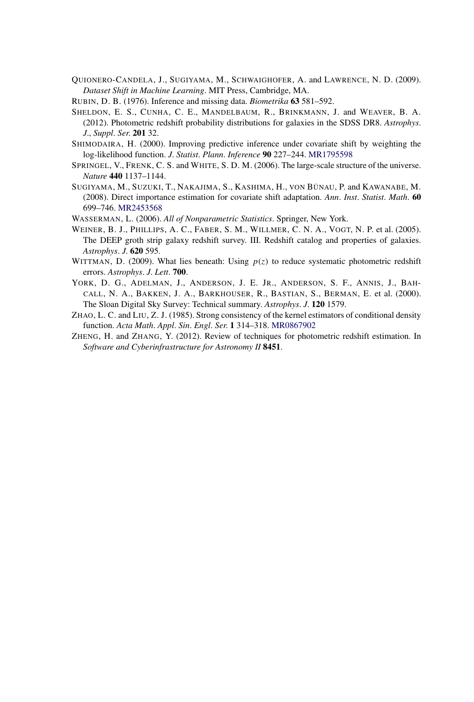- QUIONERO-CANDELA, J., SUGIYAMA, M., SCHWAIGHOFER, A. and LAWRENCE, N. D. (2009). *Dataset Shift in Machine Learning*. MIT Press, Cambridge, MA.
- RUBIN, D. B. (1976). Inference and missing data. *Biometrika* **63** 581–592.
- SHELDON, E. S., CUNHA, C. E., MANDELBAUM, R., BRINKMANN, J. and WEAVER, B. A. (2012). Photometric redshift probability distributions for galaxies in the SDSS DR8. *Astrophys*. *J*., *Suppl*. *Ser*. **201** 32.
- SHIMODAIRA, H. (2000). Improving predictive inference under covariate shift by weighting the log-likelihood function. *J*. *Statist*. *Plann*. *Inference* **90** 227–244. [MR1795598](http://www.ams.org/mathscinet-getitem?mr=1795598)
- SPRINGEL, V., FRENK, C. S. and WHITE, S. D. M. (2006). The large-scale structure of the universe. *Nature* **440** 1137–1144.
- SUGIYAMA, M., SUZUKI, T., NAKAJIMA, S., KASHIMA, H., VON BÜNAU, P. and KAWANABE, M. (2008). Direct importance estimation for covariate shift adaptation. *Ann*. *Inst*. *Statist*. *Math*. **60** 699–746. [MR2453568](http://www.ams.org/mathscinet-getitem?mr=2453568)
- WASSERMAN, L. (2006). *All of Nonparametric Statistics*. Springer, New York.
- WEINER, B. J., PHILLIPS, A. C., FABER, S. M., WILLMER, C. N. A., VOGT, N. P. et al. (2005). The DEEP groth strip galaxy redshift survey. III. Redshift catalog and properties of galaxies. *Astrophys*. *J*. **620** 595.
- WITTMAN, D. (2009). What lies beneath: Using  $p(z)$  to reduce systematic photometric redshift errors. *Astrophys*. *J*. *Lett*. **700**.
- YORK, D. G., ADELMAN, J., ANDERSON, J. E. JR., ANDERSON, S. F., ANNIS, J., BAH-CALL, N. A., BAKKEN, J. A., BARKHOUSER, R., BASTIAN, S., BERMAN, E. et al. (2000). The Sloan Digital Sky Survey: Technical summary. *Astrophys*. *J*. **120** 1579.
- ZHAO, L. C. and LIU, Z. J. (1985). Strong consistency of the kernel estimators of conditional density function. *Acta Math*. *Appl*. *Sin*. *Engl*. *Ser*. **1** 314–318. [MR0867902](http://www.ams.org/mathscinet-getitem?mr=0867902)
- ZHENG, H. and ZHANG, Y. (2012). Review of techniques for photometric redshift estimation. In *Software and Cyberinfrastructure for Astronomy II* **8451**.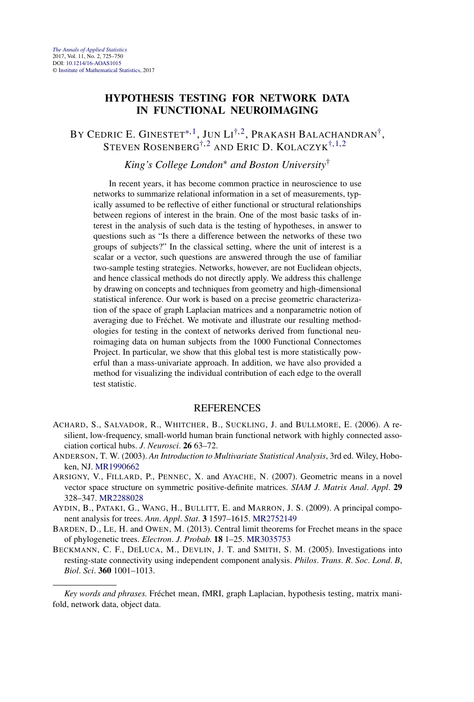## **HYPOTHESIS TESTING FOR NETWORK DATA IN FUNCTIONAL NEUROIMAGING**

BY CEDRIC E. GINESTET\*<sup>, 1</sup>, JUN LI<sup>[†,](#page-9-0) 2</sup>, Prakash Balachandran<sup>†</sup>, STEVEN ROSENBERG<sup>[†,](#page-9-0) 2</sup> AND ERIC D. KOLACZYK<sup>†, 1, 2</sup>

*King's College London*<sup>∗</sup> *and Boston University*†

In recent years, it has become common practice in neuroscience to use networks to summarize relational information in a set of measurements, typically assumed to be reflective of either functional or structural relationships between regions of interest in the brain. One of the most basic tasks of interest in the analysis of such data is the testing of hypotheses, in answer to questions such as "Is there a difference between the networks of these two groups of subjects?" In the classical setting, where the unit of interest is a scalar or a vector, such questions are answered through the use of familiar two-sample testing strategies. Networks, however, are not Euclidean objects, and hence classical methods do not directly apply. We address this challenge by drawing on concepts and techniques from geometry and high-dimensional statistical inference. Our work is based on a precise geometric characterization of the space of graph Laplacian matrices and a nonparametric notion of averaging due to Fréchet. We motivate and illustrate our resulting methodologies for testing in the context of networks derived from functional neuroimaging data on human subjects from the 1000 Functional Connectomes Project. In particular, we show that this global test is more statistically powerful than a mass-univariate approach. In addition, we have also provided a method for visualizing the individual contribution of each edge to the overall test statistic.

- ACHARD, S., SALVADOR, R., WHITCHER, B., SUCKLING, J. and BULLMORE, E. (2006). A resilient, low-frequency, small-world human brain functional network with highly connected association cortical hubs. *J*. *Neurosci*. **26** 63–72.
- ANDERSON, T. W. (2003). *An Introduction to Multivariate Statistical Analysis*, 3rd ed. Wiley, Hoboken, NJ. [MR1990662](http://www.ams.org/mathscinet-getitem?mr=1990662)
- ARSIGNY, V., FILLARD, P., PENNEC, X. and AYACHE, N. (2007). Geometric means in a novel vector space structure on symmetric positive-definite matrices. *SIAM J*. *Matrix Anal*. *Appl*. **29** 328–347. [MR2288028](http://www.ams.org/mathscinet-getitem?mr=2288028)
- AYDIN, B., PATAKI, G., WANG, H., BULLITT, E. and MARRON, J. S. (2009). A principal component analysis for trees. *Ann*. *Appl*. *Stat*. **3** 1597–1615. [MR2752149](http://www.ams.org/mathscinet-getitem?mr=2752149)
- BARDEN, D., LE, H. and OWEN, M. (2013). Central limit theorems for Frechet means in the space of phylogenetic trees. *Electron*. *J*. *Probab*. **18** 1–25. [MR3035753](http://www.ams.org/mathscinet-getitem?mr=3035753)
- BECKMANN, C. F., DELUCA, M., DEVLIN, J. T. and SMITH, S. M. (2005). Investigations into resting-state connectivity using independent component analysis. *Philos*. *Trans*. *R*. *Soc*. *Lond*. *B*, *Biol*. *Sci*. **360** 1001–1013.

*Key words and phrases.* Fréchet mean, fMRI, graph Laplacian, hypothesis testing, matrix manifold, network data, object data.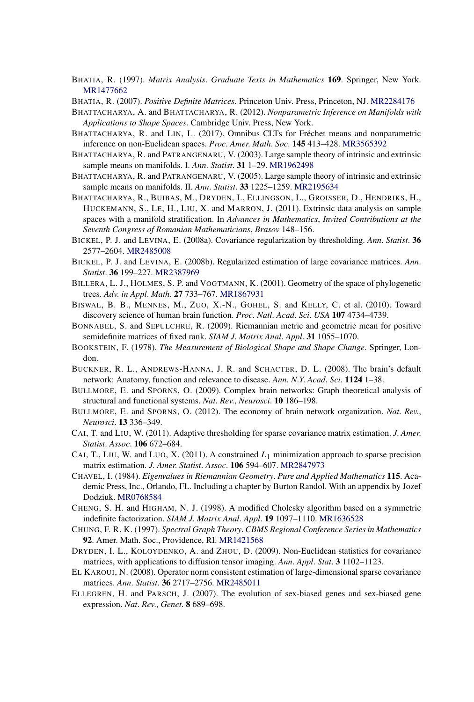BHATIA, R. (1997). *Matrix Analysis*. *Graduate Texts in Mathematics* **169**. Springer, New York. [MR1477662](http://www.ams.org/mathscinet-getitem?mr=1477662)

BHATIA, R. (2007). *Positive Definite Matrices*. Princeton Univ. Press, Princeton, NJ. [MR2284176](http://www.ams.org/mathscinet-getitem?mr=2284176)

- BHATTACHARYA, A. and BHATTACHARYA, R. (2012). *Nonparametric Inference on Manifolds with Applications to Shape Spaces*. Cambridge Univ. Press, New York.
- BHATTACHARYA, R. and LIN, L. (2017). Omnibus CLTs for Fréchet means and nonparametric inference on non-Euclidean spaces. *Proc*. *Amer*. *Math*. *Soc*. **145** 413–428. [MR3565392](http://www.ams.org/mathscinet-getitem?mr=3565392)
- BHATTACHARYA, R. and PATRANGENARU, V. (2003). Large sample theory of intrinsic and extrinsic sample means on manifolds. I. *Ann*. *Statist*. **31** 1–29. [MR1962498](http://www.ams.org/mathscinet-getitem?mr=1962498)
- BHATTACHARYA, R. and PATRANGENARU, V. (2005). Large sample theory of intrinsic and extrinsic sample means on manifolds. II. *Ann*. *Statist*. **33** 1225–1259. [MR2195634](http://www.ams.org/mathscinet-getitem?mr=2195634)
- BHATTACHARYA, R., BUIBAS, M., DRYDEN, I., ELLINGSON, L., GROISSER, D., HENDRIKS, H., HUCKEMANN, S., LE, H., LIU, X. and MARRON, J. (2011). Extrinsic data analysis on sample spaces with a manifold stratification. In *Advances in Mathematics*, *Invited Contributions at the Seventh Congress of Romanian Mathematicians*, *Brasov* 148–156.
- BICKEL, P. J. and LEVINA, E. (2008a). Covariance regularization by thresholding. *Ann*. *Statist*. **36** 2577–2604. [MR2485008](http://www.ams.org/mathscinet-getitem?mr=2485008)
- BICKEL, P. J. and LEVINA, E. (2008b). Regularized estimation of large covariance matrices. *Ann*. *Statist*. **36** 199–227. [MR2387969](http://www.ams.org/mathscinet-getitem?mr=2387969)
- BILLERA, L. J., HOLMES, S. P. and VOGTMANN, K. (2001). Geometry of the space of phylogenetic trees. *Adv*. *in Appl*. *Math*. **27** 733–767. [MR1867931](http://www.ams.org/mathscinet-getitem?mr=1867931)
- BISWAL, B. B., MENNES, M., ZUO, X.-N., GOHEL, S. and KELLY, C. et al. (2010). Toward discovery science of human brain function. *Proc*. *Natl*. *Acad*. *Sci*. *USA* **107** 4734–4739.
- BONNABEL, S. and SEPULCHRE, R. (2009). Riemannian metric and geometric mean for positive semidefinite matrices of fixed rank. *SIAM J*. *Matrix Anal*. *Appl*. **31** 1055–1070.
- BOOKSTEIN, F. (1978). *The Measurement of Biological Shape and Shape Change*. Springer, London.
- BUCKNER, R. L., ANDREWS-HANNA, J. R. and SCHACTER, D. L. (2008). The brain's default network: Anatomy, function and relevance to disease. *Ann*. *N*.*Y*. *Acad*. *Sci*. **1124** 1–38.
- BULLMORE, E. and SPORNS, O. (2009). Complex brain networks: Graph theoretical analysis of structural and functional systems. *Nat*. *Rev*., *Neurosci*. **10** 186–198.
- BULLMORE, E. and SPORNS, O. (2012). The economy of brain network organization. *Nat*. *Rev*., *Neurosci*. **13** 336–349.
- CAI, T. and LIU, W. (2011). Adaptive thresholding for sparse covariance matrix estimation. *J*. *Amer*. *Statist*. *Assoc*. **106** 672–684.
- CAI, T., LIU, W. and LUO, X. (2011). A constrained *L*1 minimization approach to sparse precision matrix estimation. *J*. *Amer*. *Statist*. *Assoc*. **106** 594–607. [MR2847973](http://www.ams.org/mathscinet-getitem?mr=2847973)
- CHAVEL, I. (1984). *Eigenvalues in Riemannian Geometry*. *Pure and Applied Mathematics* **115**. Academic Press, Inc., Orlando, FL. Including a chapter by Burton Randol. With an appendix by Jozef Dodziuk. [MR0768584](http://www.ams.org/mathscinet-getitem?mr=0768584)
- CHENG, S. H. and HIGHAM, N. J. (1998). A modified Cholesky algorithm based on a symmetric indefinite factorization. *SIAM J*. *Matrix Anal*. *Appl*. **19** 1097–1110. [MR1636528](http://www.ams.org/mathscinet-getitem?mr=1636528)
- CHUNG, F. R. K. (1997). *Spectral Graph Theory*. *CBMS Regional Conference Series in Mathematics* **92**. Amer. Math. Soc., Providence, RI. [MR1421568](http://www.ams.org/mathscinet-getitem?mr=1421568)
- DRYDEN, I. L., KOLOYDENKO, A. and ZHOU, D. (2009). Non-Euclidean statistics for covariance matrices, with applications to diffusion tensor imaging. *Ann*. *Appl*. *Stat*. **3** 1102–1123.
- EL KAROUI, N. (2008). Operator norm consistent estimation of large-dimensional sparse covariance matrices. *Ann*. *Statist*. **36** 2717–2756. [MR2485011](http://www.ams.org/mathscinet-getitem?mr=2485011)
- ELLEGREN, H. and PARSCH, J. (2007). The evolution of sex-biased genes and sex-biased gene expression. *Nat*. *Rev*., *Genet*. **8** 689–698.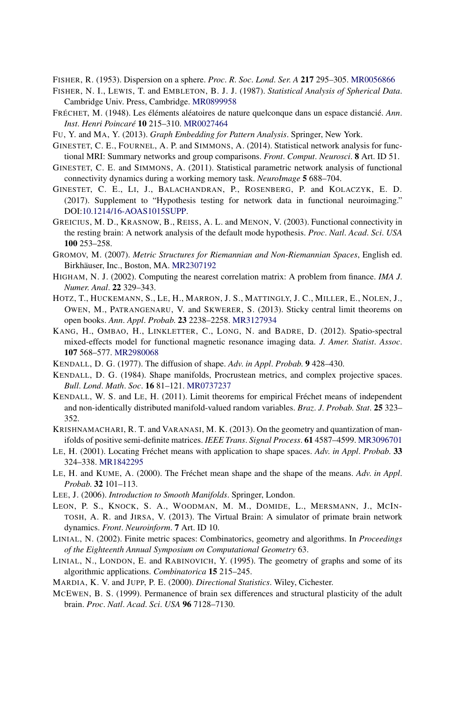FISHER, R. (1953). Dispersion on a sphere. *Proc*. *R*. *Soc*. *Lond*. *Ser*. *A* **217** 295–305. [MR0056866](http://www.ams.org/mathscinet-getitem?mr=0056866)

- FISHER, N. I., LEWIS, T. and EMBLETON, B. J. J. (1987). *Statistical Analysis of Spherical Data*. Cambridge Univ. Press, Cambridge. [MR0899958](http://www.ams.org/mathscinet-getitem?mr=0899958)
- FRÉCHET, M. (1948). Les éléments aléatoires de nature quelconque dans un espace distancié. *Ann*. *Inst*. *Henri Poincaré* **10** 215–310. [MR0027464](http://www.ams.org/mathscinet-getitem?mr=0027464)
- FU, Y. and MA, Y. (2013). *Graph Embedding for Pattern Analysis*. Springer, New York.
- GINESTET, C. E., FOURNEL, A. P. and SIMMONS, A. (2014). Statistical network analysis for functional MRI: Summary networks and group comparisons. *Front*. *Comput*. *Neurosci*. **8** Art. ID 51.
- GINESTET, C. E. and SIMMONS, A. (2011). Statistical parametric network analysis of functional connectivity dynamics during a working memory task. *NeuroImage* **5** 688–704.
- GINESTET, C. E., LI, J., BALACHANDRAN, P., ROSENBERG, P. and KOLACZYK, E. D. (2017). Supplement to "Hypothesis testing for network data in functional neuroimaging." DOI[:10.1214/16-AOAS1015SUPP.](http://dx.doi.org/10.1214/16-AOAS1015SUPP)
- GREICIUS, M. D., KRASNOW, B., REISS, A. L. and MENON, V. (2003). Functional connectivity in the resting brain: A network analysis of the default mode hypothesis. *Proc*. *Natl*. *Acad*. *Sci*. *USA* **100** 253–258.
- GROMOV, M. (2007). *Metric Structures for Riemannian and Non-Riemannian Spaces*, English ed. Birkhäuser, Inc., Boston, MA. [MR2307192](http://www.ams.org/mathscinet-getitem?mr=2307192)
- HIGHAM, N. J. (2002). Computing the nearest correlation matrix: A problem from finance. *IMA J*. *Numer*. *Anal*. **22** 329–343.
- HOTZ, T., HUCKEMANN, S., LE, H., MARRON, J. S., MATTINGLY, J. C., MILLER, E., NOLEN, J., OWEN, M., PATRANGENARU, V. and SKWERER, S. (2013). Sticky central limit theorems on open books. *Ann*. *Appl*. *Probab*. **23** 2238–2258. [MR3127934](http://www.ams.org/mathscinet-getitem?mr=3127934)
- KANG, H., OMBAO, H., LINKLETTER, C., LONG, N. and BADRE, D. (2012). Spatio-spectral mixed-effects model for functional magnetic resonance imaging data. *J*. *Amer*. *Statist*. *Assoc*. **107** 568–577. [MR2980068](http://www.ams.org/mathscinet-getitem?mr=2980068)
- KENDALL, D. G. (1977). The diffusion of shape. *Adv*. *in Appl*. *Probab*. **9** 428–430.
- KENDALL, D. G. (1984). Shape manifolds, Procrustean metrics, and complex projective spaces. *Bull*. *Lond*. *Math*. *Soc*. **16** 81–121. [MR0737237](http://www.ams.org/mathscinet-getitem?mr=0737237)
- KENDALL, W. S. and LE, H. (2011). Limit theorems for empirical Fréchet means of independent and non-identically distributed manifold-valued random variables. *Braz*. *J*. *Probab*. *Stat*. **25** 323– 352.
- KRISHNAMACHARI, R. T. and VARANASI, M. K. (2013). On the geometry and quantization of manifolds of positive semi-definite matrices. *IEEE Trans*. *Signal Process*. **61** 4587–4599. [MR3096701](http://www.ams.org/mathscinet-getitem?mr=3096701)
- LE, H. (2001). Locating Fréchet means with application to shape spaces. *Adv*. *in Appl*. *Probab*. **33** 324–338. [MR1842295](http://www.ams.org/mathscinet-getitem?mr=1842295)
- LE, H. and KUME, A. (2000). The Fréchet mean shape and the shape of the means. *Adv*. *in Appl*. *Probab*. **32** 101–113.
- LEE, J. (2006). *Introduction to Smooth Manifolds*. Springer, London.
- LEON, P. S., KNOCK, S. A., WOODMAN, M. M., DOMIDE, L., MERSMANN, J., MCIN-TOSH, A. R. and JIRSA, V. (2013). The Virtual Brain: A simulator of primate brain network dynamics. *Front*. *Neuroinform*. **7** Art. ID 10.
- LINIAL, N. (2002). Finite metric spaces: Combinatorics, geometry and algorithms. In *Proceedings of the Eighteenth Annual Symposium on Computational Geometry* 63.
- LINIAL, N., LONDON, E. and RABINOVICH, Y. (1995). The geometry of graphs and some of its algorithmic applications. *Combinatorica* **15** 215–245.
- MARDIA, K. V. and JUPP, P. E. (2000). *Directional Statistics*. Wiley, Cichester.
- MCEWEN, B. S. (1999). Permanence of brain sex differences and structural plasticity of the adult brain. *Proc*. *Natl*. *Acad*. *Sci*. *USA* **96** 7128–7130.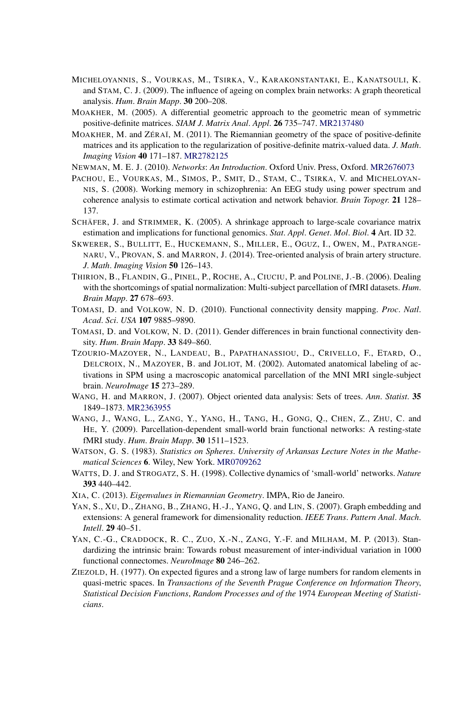- MICHELOYANNIS, S., VOURKAS, M., TSIRKA, V., KARAKONSTANTAKI, E., KANATSOULI, K. and STAM, C. J. (2009). The influence of ageing on complex brain networks: A graph theoretical analysis. *Hum*. *Brain Mapp*. **30** 200–208.
- MOAKHER, M. (2005). A differential geometric approach to the geometric mean of symmetric positive-definite matrices. *SIAM J*. *Matrix Anal*. *Appl*. **26** 735–747. [MR2137480](http://www.ams.org/mathscinet-getitem?mr=2137480)
- MOAKHER, M. and ZÉRAÏ, M. (2011). The Riemannian geometry of the space of positive-definite matrices and its application to the regularization of positive-definite matrix-valued data. *J*. *Math*. *Imaging Vision* **40** 171–187. [MR2782125](http://www.ams.org/mathscinet-getitem?mr=2782125)

NEWMAN, M. E. J. (2010). *Networks*: *An Introduction*. Oxford Univ. Press, Oxford. [MR2676073](http://www.ams.org/mathscinet-getitem?mr=2676073)

- PACHOU, E., VOURKAS, M., SIMOS, P., SMIT, D., STAM, C., TSIRKA, V. and MICHELOYAN-NIS, S. (2008). Working memory in schizophrenia: An EEG study using power spectrum and coherence analysis to estimate cortical activation and network behavior. *Brain Topogr*. **21** 128– 137.
- SCHÄFER, J. and STRIMMER, K. (2005). A shrinkage approach to large-scale covariance matrix estimation and implications for functional genomics. *Stat*. *Appl*. *Genet*. *Mol*. *Biol*. **4** Art. ID 32.
- SKWERER, S., BULLITT, E., HUCKEMANN, S., MILLER, E., OGUZ, I., OWEN, M., PATRANGE-NARU, V., PROVAN, S. and MARRON, J. (2014). Tree-oriented analysis of brain artery structure. *J*. *Math*. *Imaging Vision* **50** 126–143.
- THIRION, B., FLANDIN, G., PINEL, P., ROCHE, A., CIUCIU, P. and POLINE, J.-B. (2006). Dealing with the shortcomings of spatial normalization: Multi-subject parcellation of fMRI datasets. *Hum*. *Brain Mapp*. **27** 678–693.
- TOMASI, D. and VOLKOW, N. D. (2010). Functional connectivity density mapping. *Proc*. *Natl*. *Acad*. *Sci*. *USA* **107** 9885–9890.
- TOMASI, D. and VOLKOW, N. D. (2011). Gender differences in brain functional connectivity density. *Hum*. *Brain Mapp*. **33** 849–860.
- TZOURIO-MAZOYER, N., LANDEAU, B., PAPATHANASSIOU, D., CRIVELLO, F., ETARD, O., DELCROIX, N., MAZOYER, B. and JOLIOT, M. (2002). Automated anatomical labeling of activations in SPM using a macroscopic anatomical parcellation of the MNI MRI single-subject brain. *NeuroImage* **15** 273–289.
- WANG, H. and MARRON, J. (2007). Object oriented data analysis: Sets of trees. *Ann*. *Statist*. **35** 1849–1873. [MR2363955](http://www.ams.org/mathscinet-getitem?mr=2363955)
- WANG, J., WANG, L., ZANG, Y., YANG, H., TANG, H., GONG, Q., CHEN, Z., ZHU, C. and HE, Y. (2009). Parcellation-dependent small-world brain functional networks: A resting-state fMRI study. *Hum*. *Brain Mapp*. **30** 1511–1523.
- WATSON, G. S. (1983). *Statistics on Spheres*. *University of Arkansas Lecture Notes in the Mathematical Sciences* **6**. Wiley, New York. [MR0709262](http://www.ams.org/mathscinet-getitem?mr=0709262)
- WATTS, D. J. and STROGATZ, S. H. (1998). Collective dynamics of 'small-world' networks. *Nature* **393** 440–442.
- XIA, C. (2013). *Eigenvalues in Riemannian Geometry*. IMPA, Rio de Janeiro.
- YAN, S., XU, D., ZHANG, B., ZHANG, H.-J., YANG, Q. and LIN, S. (2007). Graph embedding and extensions: A general framework for dimensionality reduction. *IEEE Trans*. *Pattern Anal*. *Mach*. *Intell*. **29** 40–51.
- YAN, C.-G., CRADDOCK, R. C., ZUO, X.-N., ZANG, Y.-F. and MILHAM, M. P. (2013). Standardizing the intrinsic brain: Towards robust measurement of inter-individual variation in 1000 functional connectomes. *NeuroImage* **80** 246–262.
- ZIEZOLD, H. (1977). On expected figures and a strong law of large numbers for random elements in quasi-metric spaces. In *Transactions of the Seventh Prague Conference on Information Theory*, *Statistical Decision Functions*, *Random Processes and of the* 1974 *European Meeting of Statisticians*.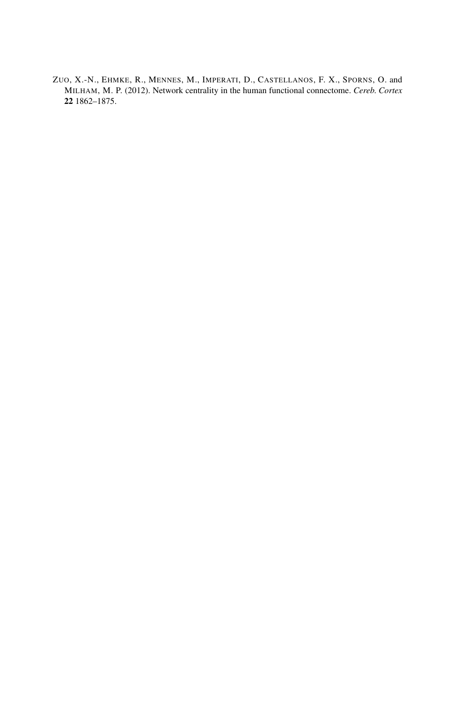ZUO, X.-N., EHMKE, R., MENNES, M., IMPERATI, D., CASTELLANOS, F. X., SPORNS, O. and MILHAM, M. P. (2012). Network centrality in the human functional connectome. *Cereb*. *Cortex* **22** 1862–1875.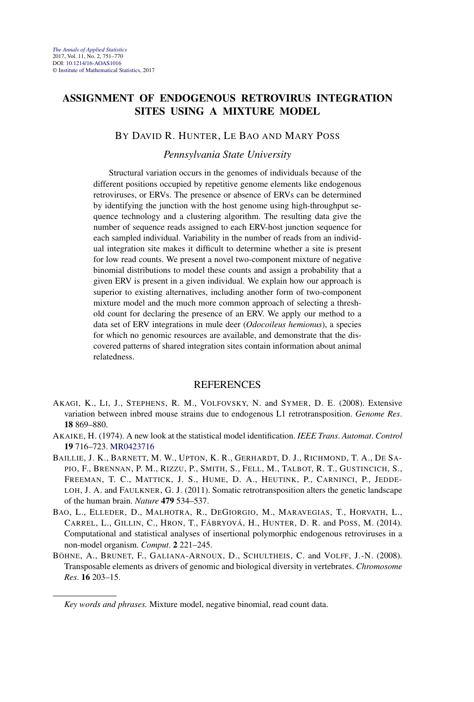# **ASSIGNMENT OF ENDOGENOUS RETROVIRUS INTEGRATION SITES USING A MIXTURE MODEL**

### BY DAVID R. HUNTER, LE BAO AND MARY POSS

### *Pennsylvania State University*

Structural variation occurs in the genomes of individuals because of the different positions occupied by repetitive genome elements like endogenous retroviruses, or ERVs. The presence or absence of ERVs can be determined by identifying the junction with the host genome using high-throughput sequence technology and a clustering algorithm. The resulting data give the number of sequence reads assigned to each ERV-host junction sequence for each sampled individual. Variability in the number of reads from an individual integration site makes it difficult to determine whether a site is present for low read counts. We present a novel two-component mixture of negative binomial distributions to model these counts and assign a probability that a given ERV is present in a given individual. We explain how our approach is superior to existing alternatives, including another form of two-component mixture model and the much more common approach of selecting a threshold count for declaring the presence of an ERV. We apply our method to a data set of ERV integrations in mule deer (*Odocoileus hemionus*), a species for which no genomic resources are available, and demonstrate that the discovered patterns of shared integration sites contain information about animal relatedness.

- AKAGI, K., LI, J., STEPHENS, R. M., VOLFOVSKY, N. and SYMER, D. E. (2008). Extensive variation between inbred mouse strains due to endogenous L1 retrotransposition. *Genome Res*. **18** 869–880.
- AKAIKE, H. (1974). A new look at the statistical model identification. *IEEE Trans*. *Automat*. *Control* **19** 716–723. [MR0423716](http://www.ams.org/mathscinet-getitem?mr=0423716)
- BAILLIE, J. K., BARNETT, M. W., UPTON, K. R., GERHARDT, D. J., RICHMOND, T. A., DE SA-PIO, F., BRENNAN, P. M., RIZZU, P., SMITH, S., FELL, M., TALBOT, R. T., GUSTINCICH, S., FREEMAN, T. C., MATTICK, J. S., HUME, D. A., HEUTINK, P., CARNINCI, P., JEDDE-LOH, J. A. and FAULKNER, G. J. (2011). Somatic retrotransposition alters the genetic landscape of the human brain. *Nature* **479** 534–537.
- BAO, L., ELLEDER, D., MALHOTRA, R., DEGIORGIO, M., MARAVEGIAS, T., HORVATH, L., CARREL, L., GILLIN, C., HRON, T., FÁBRYOVÁ, H., HUNTER, D. R. and POSS, M. (2014). Computational and statistical analyses of insertional polymorphic endogenous retroviruses in a non-model organism. *Comput*. **2** 221–245.
- BÖHNE, A., BRUNET, F., GALIANA-ARNOUX, D., SCHULTHEIS, C. and VOLFF, J.-N. (2008). Transposable elements as drivers of genomic and biological diversity in vertebrates. *Chromosome Res*. **16** 203–15.

*Key words and phrases.* Mixture model, negative binomial, read count data.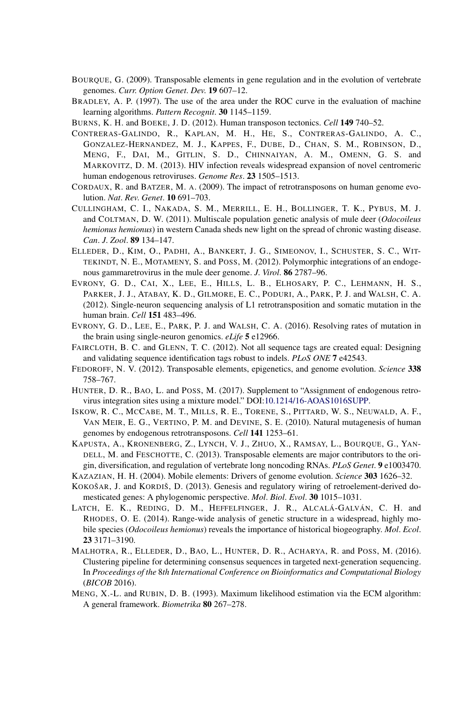- BOURQUE, G. (2009). Transposable elements in gene regulation and in the evolution of vertebrate genomes. *Curr*. *Option Genet*. *Dev*. **19** 607–12.
- BRADLEY, A. P. (1997). The use of the area under the ROC curve in the evaluation of machine learning algorithms. *Pattern Recognit*. **30** 1145–1159.
- BURNS, K. H. and BOEKE, J. D. (2012). Human transposon tectonics. *Cell* **149** 740–52.
- CONTRERAS-GALINDO, R., KAPLAN, M. H., HE, S., CONTRERAS-GALINDO, A. C., GONZALEZ-HERNANDEZ, M. J., KAPPES, F., DUBE, D., CHAN, S. M., ROBINSON, D., MENG, F., DAI, M., GITLIN, S. D., CHINNAIYAN, A. M., OMENN, G. S. and MARKOVITZ, D. M. (2013). HIV infection reveals widespread expansion of novel centromeric human endogenous retroviruses. *Genome Res*. **23** 1505–1513.
- CORDAUX, R. and BATZER, M. A. (2009). The impact of retrotransposons on human genome evolution. *Nat*. *Rev*. *Genet*. **10** 691–703.
- CULLINGHAM, C. I., NAKADA, S. M., MERRILL, E. H., BOLLINGER, T. K., PYBUS, M. J. and COLTMAN, D. W. (2011). Multiscale population genetic analysis of mule deer (*Odocoileus hemionus hemionus*) in western Canada sheds new light on the spread of chronic wasting disease. *Can*. *J*. *Zool*. **89** 134–147.
- ELLEDER, D., KIM, O., PADHI, A., BANKERT, J. G., SIMEONOV, I., SCHUSTER, S. C., WIT-TEKINDT, N. E., MOTAMENY, S. and POSS, M. (2012). Polymorphic integrations of an endogenous gammaretrovirus in the mule deer genome. *J*. *Virol*. **86** 2787–96.
- EVRONY, G. D., CAI, X., LEE, E., HILLS, L. B., ELHOSARY, P. C., LEHMANN, H. S., PARKER, J. J., ATABAY, K. D., GILMORE, E. C., PODURI, A., PARK, P. J. and WALSH, C. A. (2012). Single-neuron sequencing analysis of L1 retrotransposition and somatic mutation in the human brain. *Cell* **151** 483–496.
- EVRONY, G. D., LEE, E., PARK, P. J. and WALSH, C. A. (2016). Resolving rates of mutation in the brain using single-neuron genomics. *eLife* **5** e12966.
- FAIRCLOTH, B. C. and GLENN, T. C. (2012). Not all sequence tags are created equal: Designing and validating sequence identification tags robust to indels. *PLoS ONE* **7** e42543.
- FEDOROFF, N. V. (2012). Transposable elements, epigenetics, and genome evolution. *Science* **338** 758–767.
- HUNTER, D. R., BAO, L. and POSS, M. (2017). Supplement to "Assignment of endogenous retrovirus integration sites using a mixture model." DOI[:10.1214/16-AOAS1016SUPP.](http://dx.doi.org/10.1214/16-AOAS1016SUPP)
- ISKOW, R. C., MCCABE, M. T., MILLS, R. E., TORENE, S., PITTARD, W. S., NEUWALD, A. F., VAN MEIR, E. G., VERTINO, P. M. and DEVINE, S. E. (2010). Natural mutagenesis of human genomes by endogenous retrotransposons. *Cell* **141** 1253–61.
- KAPUSTA, A., KRONENBERG, Z., LYNCH, V. J., ZHUO, X., RAMSAY, L., BOURQUE, G., YAN-DELL, M. and FESCHOTTE, C. (2013). Transposable elements are major contributors to the origin, diversification, and regulation of vertebrate long noncoding RNAs. *PLoS Genet*. **9** e1003470.
- KAZAZIAN, H. H. (2004). Mobile elements: Drivers of genome evolution. *Science* **303** 1626–32.
- KOKOŠAR, J. and KORDIŠ, D. (2013). Genesis and regulatory wiring of retroelement-derived domesticated genes: A phylogenomic perspective. *Mol*. *Biol*. *Evol*. **30** 1015–1031.
- LATCH, E. K., REDING, D. M., HEFFELFINGER, J. R., ALCALÁ-GALVÁN, C. H. and RHODES, O. E. (2014). Range-wide analysis of genetic structure in a widespread, highly mobile species (*Odocoileus hemionus*) reveals the importance of historical biogeography. *Mol*. *Ecol*. **23** 3171–3190.
- MALHOTRA, R., ELLEDER, D., BAO, L., HUNTER, D. R., ACHARYA, R. and POSS, M. (2016). Clustering pipeline for determining consensus sequences in targeted next-generation sequencing. In *Proceedings of the* 8*th International Conference on Bioinformatics and Computational Biology* (*BICOB* 2016).
- MENG, X.-L. and RUBIN, D. B. (1993). Maximum likelihood estimation via the ECM algorithm: A general framework. *Biometrika* **80** 267–278.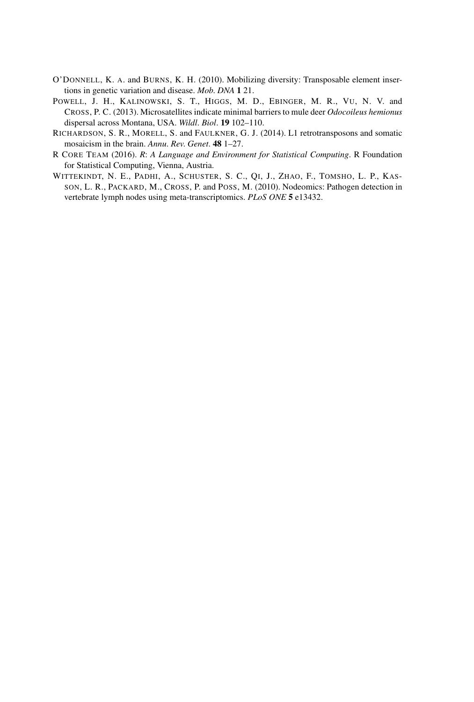- O'DONNELL, K. A. and BURNS, K. H. (2010). Mobilizing diversity: Transposable element insertions in genetic variation and disease. *Mob*. *DNA* **1** 21.
- POWELL, J. H., KALINOWSKI, S. T., HIGGS, M. D., EBINGER, M. R., VU, N. V. and CROSS, P. C. (2013). Microsatellites indicate minimal barriers to mule deer *Odocoileus hemionus* dispersal across Montana, USA. *Wildl*. *Biol*. **19** 102–110.
- RICHARDSON, S. R., MORELL, S. and FAULKNER, G. J. (2014). L1 retrotransposons and somatic mosaicism in the brain. *Annu*. *Rev*. *Genet*. **48** 1–27.
- R CORE TEAM (2016). *R*: *A Language and Environment for Statistical Computing*. R Foundation for Statistical Computing, Vienna, Austria.
- WITTEKINDT, N. E., PADHI, A., SCHUSTER, S. C., QI, J., ZHAO, F., TOMSHO, L. P., KAS-SON, L. R., PACKARD, M., CROSS, P. and POSS, M. (2010). Nodeomics: Pathogen detection in vertebrate lymph nodes using meta-transcriptomics. *PLoS ONE* **5** e13432.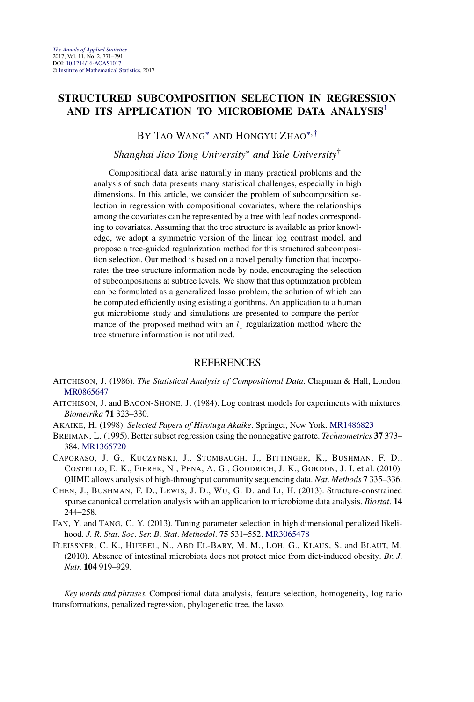## **STRUCTURED SUBCOMPOSITION SELECTION IN REGRESSION AND ITS APPLICATION TO MICROBIOME DATA ANALYSIS**[1](#page-27-0)

BY TAO WANG<sup>\*</sup> AND HONGYU ZHAO<sup>\*,[†](#page-9-0)</sup>

### *Shanghai Jiao Tong University*<sup>∗</sup> *and Yale University*†

Compositional data arise naturally in many practical problems and the analysis of such data presents many statistical challenges, especially in high dimensions. In this article, we consider the problem of subcomposition selection in regression with compositional covariates, where the relationships among the covariates can be represented by a tree with leaf nodes corresponding to covariates. Assuming that the tree structure is available as prior knowledge, we adopt a symmetric version of the linear log contrast model, and propose a tree-guided regularization method for this structured subcomposition selection. Our method is based on a novel penalty function that incorporates the tree structure information node-by-node, encouraging the selection of subcompositions at subtree levels. We show that this optimization problem can be formulated as a generalized lasso problem, the solution of which can be computed efficiently using existing algorithms. An application to a human gut microbiome study and simulations are presented to compare the performance of the proposed method with an  $l_1$  regularization method where the tree structure information is not utilized.

- AITCHISON, J. (1986). *The Statistical Analysis of Compositional Data*. Chapman & Hall, London. [MR0865647](http://www.ams.org/mathscinet-getitem?mr=0865647)
- AITCHISON, J. and BACON-SHONE, J. (1984). Log contrast models for experiments with mixtures. *Biometrika* **71** 323–330.
- AKAIKE, H. (1998). *Selected Papers of Hirotugu Akaike*. Springer, New York. [MR1486823](http://www.ams.org/mathscinet-getitem?mr=1486823)
- BREIMAN, L. (1995). Better subset regression using the nonnegative garrote. *Technometrics* **37** 373– 384. [MR1365720](http://www.ams.org/mathscinet-getitem?mr=1365720)
- CAPORASO, J. G., KUCZYNSKI, J., STOMBAUGH, J., BITTINGER, K., BUSHMAN, F. D., COSTELLO, E. K., FIERER, N., PENA, A. G., GOODRICH, J. K., GORDON, J. I. et al. (2010). QIIME allows analysis of high-throughput community sequencing data. *Nat*. *Methods* **7** 335–336.
- CHEN, J., BUSHMAN, F. D., LEWIS, J. D., WU, G. D. and LI, H. (2013). Structure-constrained sparse canonical correlation analysis with an application to microbiome data analysis. *Biostat*. **14** 244–258.
- FAN, Y. and TANG, C. Y. (2013). Tuning parameter selection in high dimensional penalized likelihood. *J*. *R*. *Stat*. *Soc*. *Ser*. *B*. *Stat*. *Methodol*. **75** 531–552. [MR3065478](http://www.ams.org/mathscinet-getitem?mr=3065478)
- FLEISSNER, C. K., HUEBEL, N., ABD EL-BARY, M. M., LOH, G., KLAUS, S. and BLAUT, M. (2010). Absence of intestinal microbiota does not protect mice from diet-induced obesity. *Br*. *J*. *Nutr*. **104** 919–929.

*Key words and phrases.* Compositional data analysis, feature selection, homogeneity, log ratio transformations, penalized regression, phylogenetic tree, the lasso.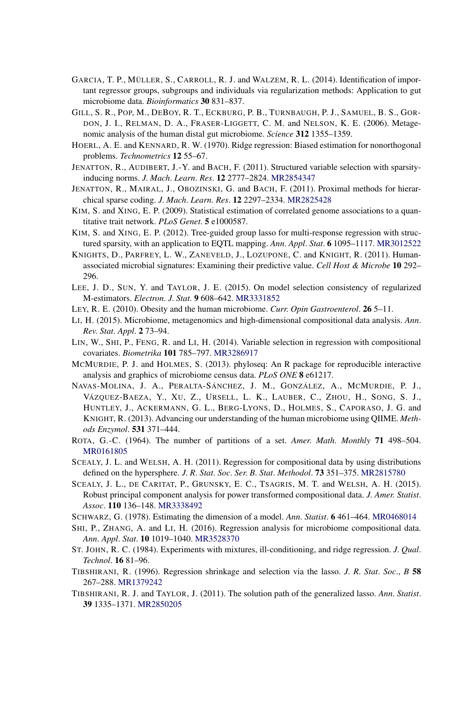- GARCIA, T. P., MÜLLER, S., CARROLL, R. J. and WALZEM, R. L. (2014). Identification of important regressor groups, subgroups and individuals via regularization methods: Application to gut microbiome data. *Bioinformatics* **30** 831–837.
- GILL, S. R., POP, M., DEBOY, R. T., ECKBURG, P. B., TURNBAUGH, P. J., SAMUEL, B. S., GOR-DON, J. I., RELMAN, D. A., FRASER-LIGGETT, C. M. and NELSON, K. E. (2006). Metagenomic analysis of the human distal gut microbiome. *Science* **312** 1355–1359.
- HOERL, A. E. and KENNARD, R. W. (1970). Ridge regression: Biased estimation for nonorthogonal problems. *Technometrics* **12** 55–67.
- JENATTON, R., AUDIBERT, J.-Y. and BACH, F. (2011). Structured variable selection with sparsityinducing norms. *J*. *Mach*. *Learn*. *Res*. **12** 2777–2824. [MR2854347](http://www.ams.org/mathscinet-getitem?mr=2854347)
- JENATTON, R., MAIRAL, J., OBOZINSKI, G. and BACH, F. (2011). Proximal methods for hierarchical sparse coding. *J*. *Mach*. *Learn*. *Res*. **12** 2297–2334. [MR2825428](http://www.ams.org/mathscinet-getitem?mr=2825428)
- KIM, S. and XING, E. P. (2009). Statistical estimation of correlated genome associations to a quantitative trait network. *PLoS Genet*. **5** e1000587.
- KIM, S. and XING, E. P. (2012). Tree-guided group lasso for multi-response regression with structured sparsity, with an application to EQTL mapping. *Ann*. *Appl*. *Stat*. **6** 1095–1117. [MR3012522](http://www.ams.org/mathscinet-getitem?mr=3012522)
- KNIGHTS, D., PARFREY, L. W., ZANEVELD, J., LOZUPONE, C. and KNIGHT, R. (2011). Humanassociated microbial signatures: Examining their predictive value. *Cell Host & Microbe* **10** 292– 296.
- LEE, J. D., SUN, Y. and TAYLOR, J. E. (2015). On model selection consistency of regularized M-estimators. *Electron*. *J*. *Stat*. **9** 608–642. [MR3331852](http://www.ams.org/mathscinet-getitem?mr=3331852)
- LEY, R. E. (2010). Obesity and the human microbiome. *Curr*. *Opin Gastroenterol*. **26** 5–11.
- LI, H. (2015). Microbiome, metagenomics and high-dimensional compositional data analysis. *Ann*. *Rev*. *Stat*. *Appl*. **2** 73–94.
- LIN, W., SHI, P., FENG, R. and LI, H. (2014). Variable selection in regression with compositional covariates. *Biometrika* **101** 785–797. [MR3286917](http://www.ams.org/mathscinet-getitem?mr=3286917)
- MCMURDIE, P. J. and HOLMES, S. (2013). phyloseq: An R package for reproducible interactive analysis and graphics of microbiome census data. *PLoS ONE* **8** e61217.
- NAVAS-MOLINA, J. A., PERALTA-SÁNCHEZ, J. M., GONZÁLEZ, A., MCMURDIE, P. J., VÁZQUEZ-BAEZA, Y., XU, Z., URSELL, L. K., LAUBER, C., ZHOU, H., SONG, S. J., HUNTLEY, J., ACKERMANN, G. L., BERG-LYONS, D., HOLMES, S., CAPORASO, J. G. and KNIGHT, R. (2013). Advancing our understanding of the human microbiome using QIIME. *Methods Enzymol*. **531** 371–444.
- ROTA, G.-C. (1964). The number of partitions of a set. *Amer*. *Math*. *Monthly* **71** 498–504. [MR0161805](http://www.ams.org/mathscinet-getitem?mr=0161805)
- SCEALY, J. L. and WELSH, A. H. (2011). Regression for compositional data by using distributions defined on the hypersphere. *J*. *R*. *Stat*. *Soc*. *Ser*. *B*. *Stat*. *Methodol*. **73** 351–375. [MR2815780](http://www.ams.org/mathscinet-getitem?mr=2815780)
- SCEALY, J. L., DE CARITAT, P., GRUNSKY, E. C., TSAGRIS, M. T. and WELSH, A. H. (2015). Robust principal component analysis for power transformed compositional data. *J*. *Amer*. *Statist*. *Assoc*. **110** 136–148. [MR3338492](http://www.ams.org/mathscinet-getitem?mr=3338492)
- SCHWARZ, G. (1978). Estimating the dimension of a model. *Ann*. *Statist*. **6** 461–464. [MR0468014](http://www.ams.org/mathscinet-getitem?mr=0468014)
- SHI, P., ZHANG, A. and LI, H. (2016). Regression analysis for microbiome compositional data. *Ann*. *Appl*. *Stat*. **10** 1019–1040. [MR3528370](http://www.ams.org/mathscinet-getitem?mr=3528370)
- ST. JOHN, R. C. (1984). Experiments with mixtures, ill-conditioning, and ridge regression. *J*. *Qual*. *Technol*. **16** 81–96.
- TIBSHIRANI, R. (1996). Regression shrinkage and selection via the lasso. *J*. *R*. *Stat*. *Soc*., *B* **58** 267–288. [MR1379242](http://www.ams.org/mathscinet-getitem?mr=1379242)
- TIBSHIRANI, R. J. and TAYLOR, J. (2011). The solution path of the generalized lasso. *Ann*. *Statist*. **39** 1335–1371. [MR2850205](http://www.ams.org/mathscinet-getitem?mr=2850205)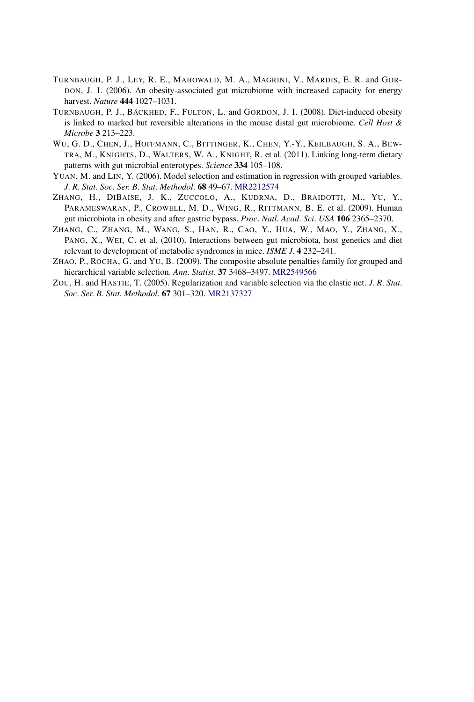- TURNBAUGH, P. J., LEY, R. E., MAHOWALD, M. A., MAGRINI, V., MARDIS, E. R. and GOR-DON, J. I. (2006). An obesity-associated gut microbiome with increased capacity for energy harvest. *Nature* **444** 1027–1031.
- TURNBAUGH, P. J., BÄCKHED, F., FULTON, L. and GORDON, J. I. (2008). Diet-induced obesity is linked to marked but reversible alterations in the mouse distal gut microbiome. *Cell Host & Microbe* **3** 213–223.
- WU, G. D., CHEN, J., HOFFMANN, C., BITTINGER, K., CHEN, Y.-Y., KEILBAUGH, S. A., BEW-TRA, M., KNIGHTS, D., WALTERS, W. A., KNIGHT, R. et al. (2011). Linking long-term dietary patterns with gut microbial enterotypes. *Science* **334** 105–108.
- YUAN, M. and LIN, Y. (2006). Model selection and estimation in regression with grouped variables. *J*. *R*. *Stat*. *Soc*. *Ser*. *B*. *Stat*. *Methodol*. **68** 49–67. [MR2212574](http://www.ams.org/mathscinet-getitem?mr=2212574)
- ZHANG, H., DIBAISE, J. K., ZUCCOLO, A., KUDRNA, D., BRAIDOTTI, M., YU, Y., PARAMESWARAN, P., CROWELL, M. D., WING, R., RITTMANN, B. E. et al. (2009). Human gut microbiota in obesity and after gastric bypass. *Proc*. *Natl*. *Acad*. *Sci*. *USA* **106** 2365–2370.
- ZHANG, C., ZHANG, M., WANG, S., HAN, R., CAO, Y., HUA, W., MAO, Y., ZHANG, X., PANG, X., WEI, C. et al. (2010). Interactions between gut microbiota, host genetics and diet relevant to development of metabolic syndromes in mice. *ISME J*. **4** 232–241.
- ZHAO, P., ROCHA, G. and YU, B. (2009). The composite absolute penalties family for grouped and hierarchical variable selection. *Ann*. *Statist*. **37** 3468–3497. [MR2549566](http://www.ams.org/mathscinet-getitem?mr=2549566)
- ZOU, H. and HASTIE, T. (2005). Regularization and variable selection via the elastic net. *J*. *R*. *Stat*. *Soc*. *Ser*. *B*. *Stat*. *Methodol*. **67** 301–320. [MR2137327](http://www.ams.org/mathscinet-getitem?mr=2137327)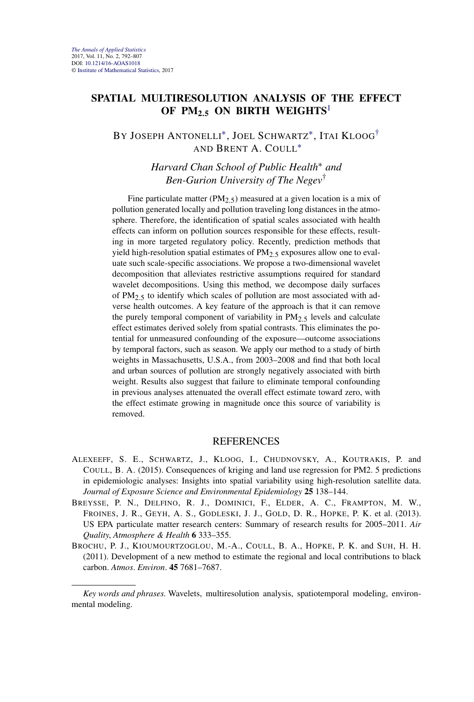## **SPATIAL MULTIRESOLUTION ANALYSIS OF THE EFFECT OF PM2***.***<sup>5</sup> ON BIRTH WEIGHTS**[1](#page-27-0)

BY JOSEPH ANTONELLI[∗](#page-5-0), JOEL SCHWARTZ[∗](#page-5-0), ITAI KLOOG[†](#page-9-0) AND BRENT A. COULL[∗](#page-5-0)

> *Harvard Chan School of Public Health*∗ *and Ben-Gurion University of The Negev*†

Fine particulate matter (PM<sub>2</sub>,  $\epsilon$ ) measured at a given location is a mix of pollution generated locally and pollution traveling long distances in the atmosphere. Therefore, the identification of spatial scales associated with health effects can inform on pollution sources responsible for these effects, resulting in more targeted regulatory policy. Recently, prediction methods that yield high-resolution spatial estimates of PM2*.*5 exposures allow one to evaluate such scale-specific associations. We propose a two-dimensional wavelet decomposition that alleviates restrictive assumptions required for standard wavelet decompositions. Using this method, we decompose daily surfaces of PM2*.*5 to identify which scales of pollution are most associated with adverse health outcomes. A key feature of the approach is that it can remove the purely temporal component of variability in PM2*.*5 levels and calculate effect estimates derived solely from spatial contrasts. This eliminates the potential for unmeasured confounding of the exposure—outcome associations by temporal factors, such as season. We apply our method to a study of birth weights in Massachusetts, U.S.A., from 2003–2008 and find that both local and urban sources of pollution are strongly negatively associated with birth weight. Results also suggest that failure to eliminate temporal confounding in previous analyses attenuated the overall effect estimate toward zero, with the effect estimate growing in magnitude once this source of variability is removed.

- ALEXEEFF, S. E., SCHWARTZ, J., KLOOG, I., CHUDNOVSKY, A., KOUTRAKIS, P. and COULL, B. A. (2015). Consequences of kriging and land use regression for PM2. 5 predictions in epidemiologic analyses: Insights into spatial variability using high-resolution satellite data. *Journal of Exposure Science and Environmental Epidemiology* **25** 138–144.
- BREYSSE, P. N., DELFINO, R. J., DOMINICI, F., ELDER, A. C., FRAMPTON, M. W., FROINES, J. R., GEYH, A. S., GODLESKI, J. J., GOLD, D. R., HOPKE, P. K. et al. (2013). US EPA particulate matter research centers: Summary of research results for 2005–2011. *Air Quality*, *Atmosphere & Health* **6** 333–355.
- BROCHU, P. J., KIOUMOURTZOGLOU, M.-A., COULL, B. A., HOPKE, P. K. and SUH, H. H. (2011). Development of a new method to estimate the regional and local contributions to black carbon. *Atmos*. *Environ*. **45** 7681–7687.

*Key words and phrases.* Wavelets, multiresolution analysis, spatiotemporal modeling, environmental modeling.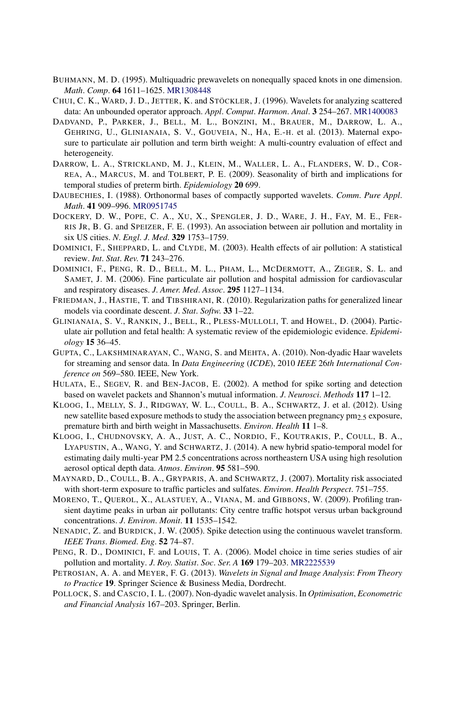- BUHMANN, M. D. (1995). Multiquadric prewavelets on nonequally spaced knots in one dimension. *Math*. *Comp*. **64** 1611–1625. [MR1308448](http://www.ams.org/mathscinet-getitem?mr=1308448)
- CHUI, C. K., WARD, J. D., JETTER, K. and STÖCKLER, J. (1996). Wavelets for analyzing scattered data: An unbounded operator approach. *Appl*. *Comput*. *Harmon*. *Anal*. **3** 254–267. [MR1400083](http://www.ams.org/mathscinet-getitem?mr=1400083)
- DADVAND, P., PARKER, J., BELL, M. L., BONZINI, M., BRAUER, M., DARROW, L. A., GEHRING, U., GLINIANAIA, S. V., GOUVEIA, N., HA, E.-H. et al. (2013). Maternal exposure to particulate air pollution and term birth weight: A multi-country evaluation of effect and heterogeneity.
- DARROW, L. A., STRICKLAND, M. J., KLEIN, M., WALLER, L. A., FLANDERS, W. D., COR-REA, A., MARCUS, M. and TOLBERT, P. E. (2009). Seasonality of birth and implications for temporal studies of preterm birth. *Epidemiology* **20** 699.
- DAUBECHIES, I. (1988). Orthonormal bases of compactly supported wavelets. *Comm*. *Pure Appl*. *Math*. **41** 909–996. [MR0951745](http://www.ams.org/mathscinet-getitem?mr=0951745)
- DOCKERY, D. W., POPE, C. A., XU, X., SPENGLER, J. D., WARE, J. H., FAY, M. E., FER-RIS JR, B. G. and SPEIZER, F. E. (1993). An association between air pollution and mortality in six US cities. *N*. *Engl*. *J*. *Med*. **329** 1753–1759.
- DOMINICI, F., SHEPPARD, L. and CLYDE, M. (2003). Health effects of air pollution: A statistical review. *Int*. *Stat*. *Rev*. **71** 243–276.
- DOMINICI, F., PENG, R. D., BELL, M. L., PHAM, L., MCDERMOTT, A., ZEGER, S. L. and SAMET, J. M. (2006). Fine particulate air pollution and hospital admission for cardiovascular and respiratory diseases. *J*. *Amer*. *Med*. *Assoc*. **295** 1127–1134.
- FRIEDMAN, J., HASTIE, T. and TIBSHIRANI, R. (2010). Regularization paths for generalized linear models via coordinate descent. *J*. *Stat*. *Softw*. **33** 1–22.
- GLINIANAIA, S. V., RANKIN, J., BELL, R., PLESS-MULLOLI, T. and HOWEL, D. (2004). Particulate air pollution and fetal health: A systematic review of the epidemiologic evidence. *Epidemiology* **15** 36–45.
- GUPTA, C., LAKSHMINARAYAN, C., WANG, S. and MEHTA, A. (2010). Non-dyadic Haar wavelets for streaming and sensor data. In *Data Engineering* (*ICDE*), 2010 *IEEE* 26*th International Conference on* 569–580. IEEE, New York.
- HULATA, E., SEGEV, R. and BEN-JACOB, E. (2002). A method for spike sorting and detection based on wavelet packets and Shannon's mutual information. *J*. *Neurosci*. *Methods* **117** 1–12.
- KLOOG, I., MELLY, S. J., RIDGWAY, W. L., COULL, B. A., SCHWARTZ, J. et al. (2012). Using new satellite based exposure methods to study the association between pregnancy pm<sub>2.5</sub> exposure, premature birth and birth weight in Massachusetts. *Environ*. *Health* **11** 1–8.
- KLOOG, I., CHUDNOVSKY, A. A., JUST, A. C., NORDIO, F., KOUTRAKIS, P., COULL, B. A., LYAPUSTIN, A., WANG, Y. and SCHWARTZ, J. (2014). A new hybrid spatio-temporal model for estimating daily multi-year PM 2.5 concentrations across northeastern USA using high resolution aerosol optical depth data. *Atmos*. *Environ*. **95** 581–590.
- MAYNARD, D., COULL, B. A., GRYPARIS, A. and SCHWARTZ, J. (2007). Mortality risk associated with short-term exposure to traffic particles and sulfates. *Environ*. *Health Perspect*. 751–755.
- MORENO, T., QUEROL, X., ALASTUEY, A., VIANA, M. and GIBBONS, W. (2009). Profiling transient daytime peaks in urban air pollutants: City centre traffic hotspot versus urban background concentrations. *J*. *Environ*. *Monit*. **11** 1535–1542.
- NENADIC, Z. and BURDICK, J. W. (2005). Spike detection using the continuous wavelet transform. *IEEE Trans*. *Biomed*. *Eng*. **52** 74–87.
- PENG, R. D., DOMINICI, F. and LOUIS, T. A. (2006). Model choice in time series studies of air pollution and mortality. *J*. *Roy*. *Statist*. *Soc*. *Ser*. *A* **169** 179–203. [MR2225539](http://www.ams.org/mathscinet-getitem?mr=2225539)
- PETROSIAN, A. A. and MEYER, F. G. (2013). *Wavelets in Signal and Image Analysis*: *From Theory to Practice* **19**. Springer Science & Business Media, Dordrecht.
- POLLOCK, S. and CASCIO, I. L. (2007). Non-dyadic wavelet analysis. In *Optimisation*, *Econometric and Financial Analysis* 167–203. Springer, Berlin.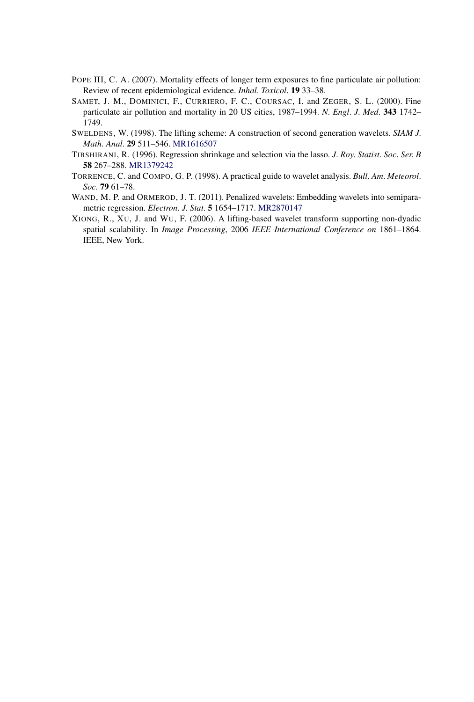- POPE III, C. A. (2007). Mortality effects of longer term exposures to fine particulate air pollution: Review of recent epidemiological evidence. *Inhal*. *Toxicol*. **19** 33–38.
- SAMET, J. M., DOMINICI, F., CURRIERO, F. C., COURSAC, I. and ZEGER, S. L. (2000). Fine particulate air pollution and mortality in 20 US cities, 1987–1994. *N*. *Engl*. *J*. *Med*. **343** 1742– 1749.
- SWELDENS, W. (1998). The lifting scheme: A construction of second generation wavelets. *SIAM J*. *Math*. *Anal*. **29** 511–546. [MR1616507](http://www.ams.org/mathscinet-getitem?mr=1616507)
- TIBSHIRANI, R. (1996). Regression shrinkage and selection via the lasso. *J*. *Roy*. *Statist*. *Soc*. *Ser*. *B* **58** 267–288. [MR1379242](http://www.ams.org/mathscinet-getitem?mr=1379242)
- TORRENCE, C. and COMPO, G. P. (1998). A practical guide to wavelet analysis. *Bull*. *Am*. *Meteorol*. *Soc*. **79** 61–78.
- WAND, M. P. and ORMEROD, J. T. (2011). Penalized wavelets: Embedding wavelets into semiparametric regression. *Electron*. *J*. *Stat*. **5** 1654–1717. [MR2870147](http://www.ams.org/mathscinet-getitem?mr=2870147)
- XIONG, R., XU, J. and WU, F. (2006). A lifting-based wavelet transform supporting non-dyadic spatial scalability. In *Image Processing*, 2006 *IEEE International Conference on* 1861–1864. IEEE, New York.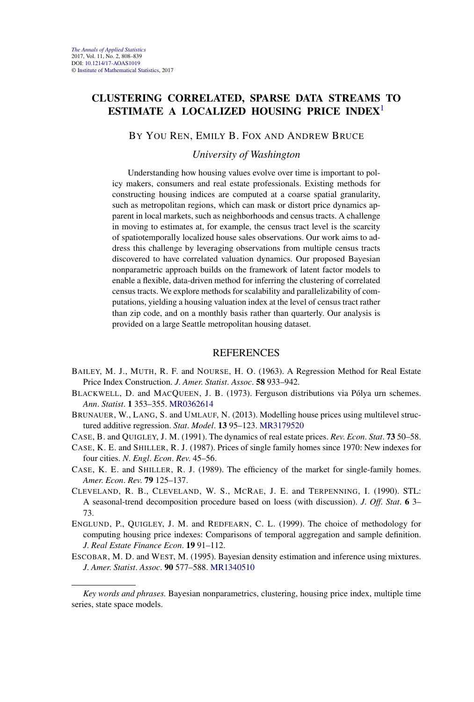## **CLUSTERING CORRELATED, SPARSE DATA STREAMS TO ESTIMATE A LOCALIZED HOUSING PRICE INDEX**<sup>1</sup>

### BY YOU REN, EMILY B. FOX AND ANDREW BRUCE

### *University of Washington*

Understanding how housing values evolve over time is important to policy makers, consumers and real estate professionals. Existing methods for constructing housing indices are computed at a coarse spatial granularity, such as metropolitan regions, which can mask or distort price dynamics apparent in local markets, such as neighborhoods and census tracts. A challenge in moving to estimates at, for example, the census tract level is the scarcity of spatiotemporally localized house sales observations. Our work aims to address this challenge by leveraging observations from multiple census tracts discovered to have correlated valuation dynamics. Our proposed Bayesian nonparametric approach builds on the framework of latent factor models to enable a flexible, data-driven method for inferring the clustering of correlated census tracts. We explore methods for scalability and parallelizability of computations, yielding a housing valuation index at the level of census tract rather than zip code, and on a monthly basis rather than quarterly. Our analysis is provided on a large Seattle metropolitan housing dataset.

- BAILEY, M. J., MUTH, R. F. and NOURSE, H. O. (1963). A Regression Method for Real Estate Price Index Construction. *J*. *Amer*. *Statist*. *Assoc*. **58** 933–942.
- BLACKWELL, D. and MACQUEEN, J. B. (1973). Ferguson distributions via Pólya urn schemes. *Ann*. *Statist*. **1** 353–355. [MR0362614](http://www.ams.org/mathscinet-getitem?mr=0362614)
- BRUNAUER, W., LANG, S. and UMLAUF, N. (2013). Modelling house prices using multilevel structured additive regression. *Stat*. *Model*. **13** 95–123. [MR3179520](http://www.ams.org/mathscinet-getitem?mr=3179520)
- CASE, B. and QUIGLEY, J. M. (1991). The dynamics of real estate prices. *Rev*. *Econ*. *Stat*. **73** 50–58.
- CASE, K. E. and SHILLER, R. J. (1987). Prices of single family homes since 1970: New indexes for four cities. *N*. *Engl*. *Econ*. *Rev*. 45–56.
- CASE, K. E. and SHILLER, R. J. (1989). The efficiency of the market for single-family homes. *Amer*. *Econ*. *Rev*. **79** 125–137.
- CLEVELAND, R. B., CLEVELAND, W. S., MCRAE, J. E. and TERPENNING, I. (1990). STL: A seasonal-trend decomposition procedure based on loess (with discussion). *J*. *Off*. *Stat*. **6** 3– 73.
- ENGLUND, P., QUIGLEY, J. M. and REDFEARN, C. L. (1999). The choice of methodology for computing housing price indexes: Comparisons of temporal aggregation and sample definition. *J*. *Real Estate Finance Econ*. **19** 91–112.
- ESCOBAR, M. D. and WEST, M. (1995). Bayesian density estimation and inference using mixtures. *J*. *Amer*. *Statist*. *Assoc*. **90** 577–588. [MR1340510](http://www.ams.org/mathscinet-getitem?mr=1340510)

*Key words and phrases.* Bayesian nonparametrics, clustering, housing price index, multiple time series, state space models.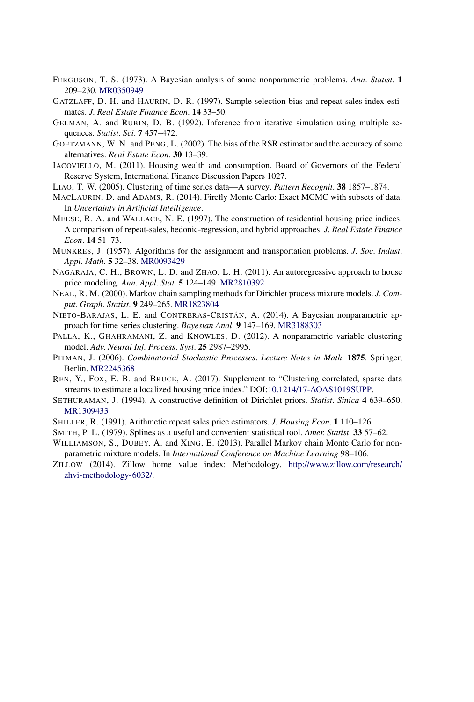- FERGUSON, T. S. (1973). A Bayesian analysis of some nonparametric problems. *Ann*. *Statist*. **1** 209–230. [MR0350949](http://www.ams.org/mathscinet-getitem?mr=0350949)
- GATZLAFF, D. H. and HAURIN, D. R. (1997). Sample selection bias and repeat-sales index estimates. *J*. *Real Estate Finance Econ*. **14** 33–50.
- GELMAN, A. and RUBIN, D. B. (1992). Inference from iterative simulation using multiple sequences. *Statist*. *Sci*. **7** 457–472.
- GOETZMANN, W. N. and PENG, L. (2002). The bias of the RSR estimator and the accuracy of some alternatives. *Real Estate Econ*. **30** 13–39.
- IACOVIELLO, M. (2011). Housing wealth and consumption. Board of Governors of the Federal Reserve System, International Finance Discussion Papers 1027.
- LIAO, T. W. (2005). Clustering of time series data—A survey. *Pattern Recognit*. **38** 1857–1874.
- MACLAURIN, D. and ADAMS, R. (2014). Firefly Monte Carlo: Exact MCMC with subsets of data. In *Uncertainty in Artificial Intelligence*.
- MEESE, R. A. and WALLACE, N. E. (1997). The construction of residential housing price indices: A comparison of repeat-sales, hedonic-regression, and hybrid approaches. *J*. *Real Estate Finance Econ*. **14** 51–73.
- MUNKRES, J. (1957). Algorithms for the assignment and transportation problems. *J*. *Soc*. *Indust*. *Appl*. *Math*. **5** 32–38. [MR0093429](http://www.ams.org/mathscinet-getitem?mr=0093429)
- NAGARAJA, C. H., BROWN, L. D. and ZHAO, L. H. (2011). An autoregressive approach to house price modeling. *Ann*. *Appl*. *Stat*. **5** 124–149. [MR2810392](http://www.ams.org/mathscinet-getitem?mr=2810392)
- NEAL, R. M. (2000). Markov chain sampling methods for Dirichlet process mixture models. *J*. *Comput*. *Graph*. *Statist*. **9** 249–265. [MR1823804](http://www.ams.org/mathscinet-getitem?mr=1823804)
- NIETO-BARAJAS, L. E. and CONTRERAS-CRISTÁN, A. (2014). A Bayesian nonparametric approach for time series clustering. *Bayesian Anal*. **9** 147–169. [MR3188303](http://www.ams.org/mathscinet-getitem?mr=3188303)
- PALLA, K., GHAHRAMANI, Z. and KNOWLES, D. (2012). A nonparametric variable clustering model. *Adv*. *Neural Inf*. *Process*. *Syst*. **25** 2987–2995.
- PITMAN, J. (2006). *Combinatorial Stochastic Processes*. *Lecture Notes in Math*. **1875**. Springer, Berlin. [MR2245368](http://www.ams.org/mathscinet-getitem?mr=2245368)
- REN, Y., FOX, E. B. and BRUCE, A. (2017). Supplement to "Clustering correlated, sparse data streams to estimate a localized housing price index." DOI[:10.1214/17-AOAS1019SUPP](http://dx.doi.org/10.1214/17-AOAS1019SUPP).
- SETHURAMAN, J. (1994). A constructive definition of Dirichlet priors. *Statist*. *Sinica* **4** 639–650. [MR1309433](http://www.ams.org/mathscinet-getitem?mr=1309433)
- SHILLER, R. (1991). Arithmetic repeat sales price estimators. *J*. *Housing Econ*. **1** 110–126.
- SMITH, P. L. (1979). Splines as a useful and convenient statistical tool. *Amer*. *Statist*. **33** 57–62.
- WILLIAMSON, S., DUBEY, A. and XING, E. (2013). Parallel Markov chain Monte Carlo for nonparametric mixture models. In *International Conference on Machine Learning* 98–106.
- ZILLOW (2014). Zillow home value index: Methodology. [http://www.zillow.com/research/](http://www.zillow.com/research/zhvi-methodology-6032/) [zhvi-methodology-6032/](http://www.zillow.com/research/zhvi-methodology-6032/).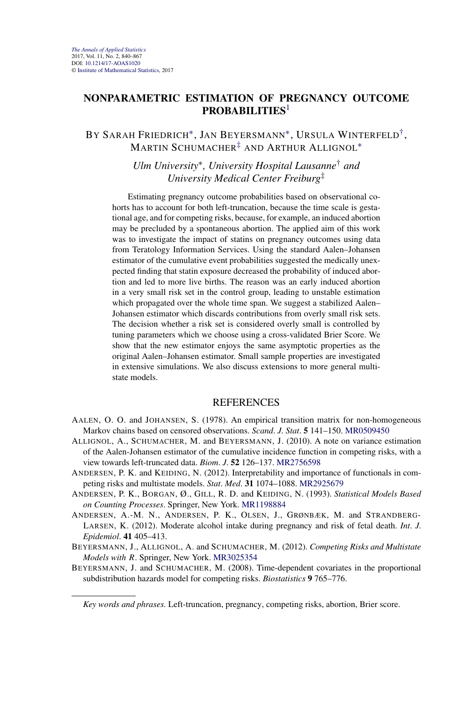## **NONPARAMETRIC ESTIMATION OF PREGNANCY OUTCOME PROBABILITIES**[1](#page-27-0)

### BY SARAH FRIEDRICH<sup>\*</sup>, JAN BEYERSMANN<sup>\*</sup>, URSULA WINTERFELD<sup>†</sup>, MARTIN SCHUMACHER<sup>[‡](#page-5-0)</sup> AND ARTHUR ALLIGNOL<sup>\*</sup>

*Ulm University*∗*, University Hospital Lausanne*† *and University Medical Center Freiburg*‡

Estimating pregnancy outcome probabilities based on observational cohorts has to account for both left-truncation, because the time scale is gestational age, and for competing risks, because, for example, an induced abortion may be precluded by a spontaneous abortion. The applied aim of this work was to investigate the impact of statins on pregnancy outcomes using data from Teratology Information Services. Using the standard Aalen–Johansen estimator of the cumulative event probabilities suggested the medically unexpected finding that statin exposure decreased the probability of induced abortion and led to more live births. The reason was an early induced abortion in a very small risk set in the control group, leading to unstable estimation which propagated over the whole time span. We suggest a stabilized Aalen– Johansen estimator which discards contributions from overly small risk sets. The decision whether a risk set is considered overly small is controlled by tuning parameters which we choose using a cross-validated Brier Score. We show that the new estimator enjoys the same asymptotic properties as the original Aalen–Johansen estimator. Small sample properties are investigated in extensive simulations. We also discuss extensions to more general multistate models.

- AALEN, O. O. and JOHANSEN, S. (1978). An empirical transition matrix for non-homogeneous Markov chains based on censored observations. *Scand*. *J*. *Stat*. **5** 141–150. [MR0509450](http://www.ams.org/mathscinet-getitem?mr=0509450)
- ALLIGNOL, A., SCHUMACHER, M. and BEYERSMANN, J. (2010). A note on variance estimation of the Aalen-Johansen estimator of the cumulative incidence function in competing risks, with a view towards left-truncated data. *Biom*. *J*. **52** 126–137. [MR2756598](http://www.ams.org/mathscinet-getitem?mr=2756598)
- ANDERSEN, P. K. and KEIDING, N. (2012). Interpretability and importance of functionals in competing risks and multistate models. *Stat*. *Med*. **31** 1074–1088. [MR2925679](http://www.ams.org/mathscinet-getitem?mr=2925679)
- ANDERSEN, P. K., BORGAN, Ø., GILL, R. D. and KEIDING, N. (1993). *Statistical Models Based on Counting Processes*. Springer, New York. [MR1198884](http://www.ams.org/mathscinet-getitem?mr=1198884)
- ANDERSEN, A.-M. N., ANDERSEN, P. K., OLSEN, J., GRØNBÆK, M. and STRANDBERG-LARSEN, K. (2012). Moderate alcohol intake during pregnancy and risk of fetal death. *Int*. *J*. *Epidemiol*. **41** 405–413.
- BEYERSMANN, J., ALLIGNOL, A. and SCHUMACHER, M. (2012). *Competing Risks and Multistate Models with R*. Springer, New York. [MR3025354](http://www.ams.org/mathscinet-getitem?mr=3025354)
- BEYERSMANN, J. and SCHUMACHER, M. (2008). Time-dependent covariates in the proportional subdistribution hazards model for competing risks. *Biostatistics* **9** 765–776.

*Key words and phrases.* Left-truncation, pregnancy, competing risks, abortion, Brier score.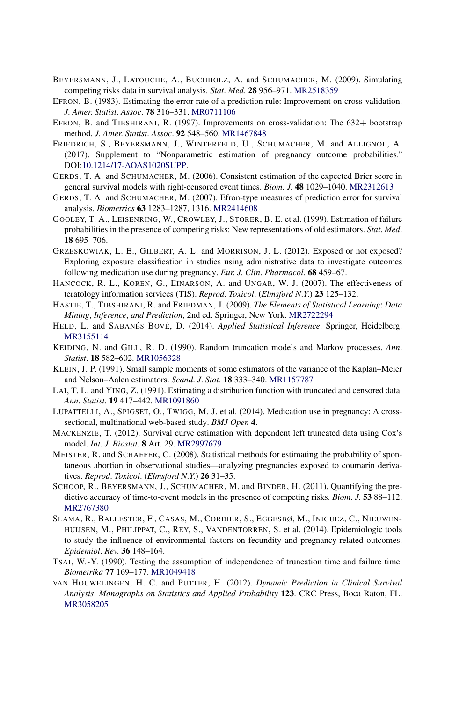- BEYERSMANN, J., LATOUCHE, A., BUCHHOLZ, A. and SCHUMACHER, M. (2009). Simulating competing risks data in survival analysis. *Stat*. *Med*. **28** 956–971. [MR2518359](http://www.ams.org/mathscinet-getitem?mr=2518359)
- EFRON, B. (1983). Estimating the error rate of a prediction rule: Improvement on cross-validation. *J*. *Amer*. *Statist*. *Assoc*. **78** 316–331. [MR0711106](http://www.ams.org/mathscinet-getitem?mr=0711106)
- EFRON, B. and TIBSHIRANI, R. (1997). Improvements on cross-validation: The 632+ bootstrap method. *J*. *Amer*. *Statist*. *Assoc*. **92** 548–560. [MR1467848](http://www.ams.org/mathscinet-getitem?mr=1467848)
- FRIEDRICH, S., BEYERSMANN, J., WINTERFELD, U., SCHUMACHER, M. and ALLIGNOL, A. (2017). Supplement to "Nonparametric estimation of pregnancy outcome probabilities." DOI[:10.1214/17-AOAS1020SUPP.](http://dx.doi.org/10.1214/17-AOAS1020SUPP)
- GERDS, T. A. and SCHUMACHER, M. (2006). Consistent estimation of the expected Brier score in general survival models with right-censored event times. *Biom*. *J*. **48** 1029–1040. [MR2312613](http://www.ams.org/mathscinet-getitem?mr=2312613)
- GERDS, T. A. and SCHUMACHER, M. (2007). Efron-type measures of prediction error for survival analysis. *Biometrics* **63** 1283–1287, 1316. [MR2414608](http://www.ams.org/mathscinet-getitem?mr=2414608)
- GOOLEY, T. A., LEISENRING, W., CROWLEY, J., STORER, B. E. et al. (1999). Estimation of failure probabilities in the presence of competing risks: New representations of old estimators. *Stat*. *Med*. **18** 695–706.
- GRZESKOWIAK, L. E., GILBERT, A. L. and MORRISON, J. L. (2012). Exposed or not exposed? Exploring exposure classification in studies using administrative data to investigate outcomes following medication use during pregnancy. *Eur*. *J*. *Clin*. *Pharmacol*. **68** 459–67.
- HANCOCK, R. L., KOREN, G., EINARSON, A. and UNGAR, W. J. (2007). The effectiveness of teratology information services (TIS). *Reprod*. *Toxicol*. (*Elmsford N*.*Y*.) **23** 125–132.
- HASTIE, T., TIBSHIRANI, R. and FRIEDMAN, J. (2009). *The Elements of Statistical Learning*: *Data Mining*, *Inference*, *and Prediction*, 2nd ed. Springer, New York. [MR2722294](http://www.ams.org/mathscinet-getitem?mr=2722294)
- HELD, L. and SABANÉS BOVÉ, D. (2014). *Applied Statistical Inference*. Springer, Heidelberg. [MR3155114](http://www.ams.org/mathscinet-getitem?mr=3155114)
- KEIDING, N. and GILL, R. D. (1990). Random truncation models and Markov processes. *Ann*. *Statist*. **18** 582–602. [MR1056328](http://www.ams.org/mathscinet-getitem?mr=1056328)
- KLEIN, J. P. (1991). Small sample moments of some estimators of the variance of the Kaplan–Meier and Nelson–Aalen estimators. *Scand*. *J*. *Stat*. **18** 333–340. [MR1157787](http://www.ams.org/mathscinet-getitem?mr=1157787)
- LAI, T. L. and YING, Z. (1991). Estimating a distribution function with truncated and censored data. *Ann*. *Statist*. **19** 417–442. [MR1091860](http://www.ams.org/mathscinet-getitem?mr=1091860)
- LUPATTELLI, A., SPIGSET, O., TWIGG, M. J. et al. (2014). Medication use in pregnancy: A crosssectional, multinational web-based study. *BMJ Open* **4**.
- MACKENZIE, T. (2012). Survival curve estimation with dependent left truncated data using Cox's model. *Int*. *J*. *Biostat*. **8** Art. 29. [MR2997679](http://www.ams.org/mathscinet-getitem?mr=2997679)
- MEISTER, R. and SCHAEFER, C. (2008). Statistical methods for estimating the probability of spontaneous abortion in observational studies—analyzing pregnancies exposed to coumarin derivatives. *Reprod*. *Toxicol*. (*Elmsford N*.*Y*.) **26** 31–35.
- SCHOOP, R., BEYERSMANN, J., SCHUMACHER, M. and BINDER, H. (2011). Quantifying the predictive accuracy of time-to-event models in the presence of competing risks. *Biom*. *J*. **53** 88–112. [MR2767380](http://www.ams.org/mathscinet-getitem?mr=2767380)
- SLAMA, R., BALLESTER, F., CASAS, M., CORDIER, S., EGGESBØ, M., INIGUEZ, C., NIEUWEN-HUIJSEN, M., PHILIPPAT, C., REY, S., VANDENTORREN, S. et al. (2014). Epidemiologic tools to study the influence of environmental factors on fecundity and pregnancy-related outcomes. *Epidemiol*. *Rev*. **36** 148–164.
- TSAI, W.-Y. (1990). Testing the assumption of independence of truncation time and failure time. *Biometrika* **77** 169–177. [MR1049418](http://www.ams.org/mathscinet-getitem?mr=1049418)
- VAN HOUWELINGEN, H. C. and PUTTER, H. (2012). *Dynamic Prediction in Clinical Survival Analysis*. *Monographs on Statistics and Applied Probability* **123**. CRC Press, Boca Raton, FL. [MR3058205](http://www.ams.org/mathscinet-getitem?mr=3058205)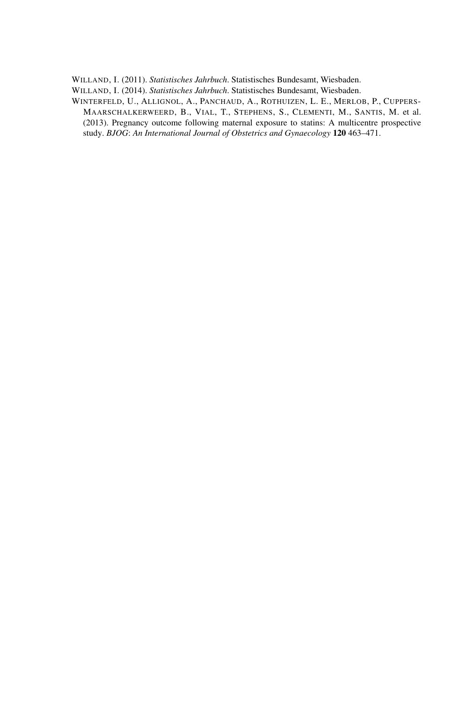WILLAND, I. (2011). *Statistisches Jahrbuch*. Statistisches Bundesamt, Wiesbaden.

WILLAND, I. (2014). *Statistisches Jahrbuch*. Statistisches Bundesamt, Wiesbaden.

WINTERFELD, U., ALLIGNOL, A., PANCHAUD, A., ROTHUIZEN, L. E., MERLOB, P., CUPPERS-MAARSCHALKERWEERD, B., VIAL, T., STEPHENS, S., CLEMENTI, M., SANTIS, M. et al. (2013). Pregnancy outcome following maternal exposure to statins: A multicentre prospective study. *BJOG*: *An International Journal of Obstetrics and Gynaecology* **120** 463–471.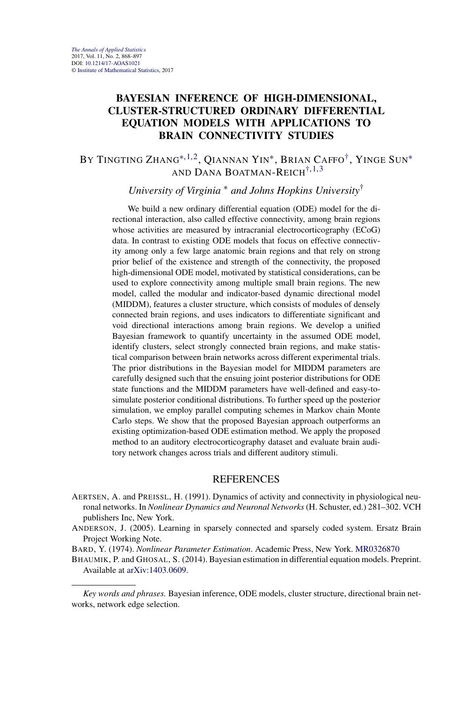## **BAYESIAN INFERENCE OF HIGH-DIMENSIONAL, CLUSTER-STRUCTURED ORDINARY DIFFERENTIAL EQUATION MODELS WITH APPLICATIONS TO BRAIN CONNECTIVITY STUDIES**

# BY TINGTING ZHANG<sup>\*, 1,2</sup>, QIANNAN YIN<sup>\*</sup>, BRIAN CAFFO<sup>†</sup>, YINGE SUN<sup>\*</sup> AND DANA BOATMAN-REICH[†,](#page-21-0)1[,3](#page-63-0)

*University of Virginia* <sup>∗</sup> *and Johns Hopkins University*†

We build a new ordinary differential equation (ODE) model for the directional interaction, also called effective connectivity, among brain regions whose activities are measured by intracranial electrocorticography (ECoG) data. In contrast to existing ODE models that focus on effective connectivity among only a few large anatomic brain regions and that rely on strong prior belief of the existence and strength of the connectivity, the proposed high-dimensional ODE model, motivated by statistical considerations, can be used to explore connectivity among multiple small brain regions. The new model, called the modular and indicator-based dynamic directional model (MIDDM), features a cluster structure, which consists of modules of densely connected brain regions, and uses indicators to differentiate significant and void directional interactions among brain regions. We develop a unified Bayesian framework to quantify uncertainty in the assumed ODE model, identify clusters, select strongly connected brain regions, and make statistical comparison between brain networks across different experimental trials. The prior distributions in the Bayesian model for MIDDM parameters are carefully designed such that the ensuing joint posterior distributions for ODE state functions and the MIDDM parameters have well-defined and easy-tosimulate posterior conditional distributions. To further speed up the posterior simulation, we employ parallel computing schemes in Markov chain Monte Carlo steps. We show that the proposed Bayesian approach outperforms an existing optimization-based ODE estimation method. We apply the proposed method to an auditory electrocorticography dataset and evaluate brain auditory network changes across trials and different auditory stimuli.

### **REFERENCES**

- AERTSEN, A. and PREISSL, H. (1991). Dynamics of activity and connectivity in physiological neuronal networks. In *Nonlinear Dynamics and Neuronal Networks* (H. Schuster, ed.) 281–302. VCH publishers Inc, New York.
- ANDERSON, J. (2005). Learning in sparsely connected and sparsely coded system. Ersatz Brain Project Working Note.

BARD, Y. (1974). *Nonlinear Parameter Estimation*. Academic Press, New York. [MR0326870](http://www.ams.org/mathscinet-getitem?mr=0326870)

BHAUMIK, P. and GHOSAL, S. (2014). Bayesian estimation in differential equation models. Preprint. Available at [arXiv:1403.0609](http://arxiv.org/abs/arXiv:1403.0609).

*Key words and phrases.* Bayesian inference, ODE models, cluster structure, directional brain networks, network edge selection.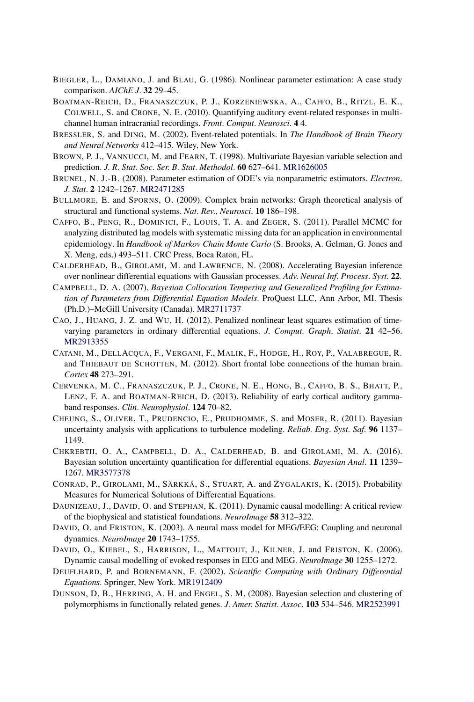- BIEGLER, L., DAMIANO, J. and BLAU, G. (1986). Nonlinear parameter estimation: A case study comparison. *AIChE J*. **32** 29–45.
- BOATMAN-REICH, D., FRANASZCZUK, P. J., KORZENIEWSKA, A., CAFFO, B., RITZL, E. K., COLWELL, S. and CRONE, N. E. (2010). Quantifying auditory event-related responses in multichannel human intracranial recordings. *Front*. *Comput*. *Neurosci*. **4** 4.
- BRESSLER, S. and DING, M. (2002). Event-related potentials. In *The Handbook of Brain Theory and Neural Networks* 412–415. Wiley, New York.
- BROWN, P. J., VANNUCCI, M. and FEARN, T. (1998). Multivariate Bayesian variable selection and prediction. *J*. *R*. *Stat*. *Soc*. *Ser*. *B*. *Stat*. *Methodol*. **60** 627–641. [MR1626005](http://www.ams.org/mathscinet-getitem?mr=1626005)
- BRUNEL, N. J.-B. (2008). Parameter estimation of ODE's via nonparametric estimators. *Electron*. *J*. *Stat*. **2** 1242–1267. [MR2471285](http://www.ams.org/mathscinet-getitem?mr=2471285)
- BULLMORE, E. and SPORNS, O. (2009). Complex brain networks: Graph theoretical analysis of structural and functional systems. *Nat*. *Rev*., *Neurosci*. **10** 186–198.
- CAFFO, B., PENG, R., DOMINICI, F., LOUIS, T. A. and ZEGER, S. (2011). Parallel MCMC for analyzing distributed lag models with systematic missing data for an application in environmental epidemiology. In *Handbook of Markov Chain Monte Carlo* (S. Brooks, A. Gelman, G. Jones and X. Meng, eds.) 493–511. CRC Press, Boca Raton, FL.
- CALDERHEAD, B., GIROLAMI, M. and LAWRENCE, N. (2008). Accelerating Bayesian inference over nonlinear differential equations with Gaussian processes. *Adv*. *Neural Inf*. *Process*. *Syst*. **22**.
- CAMPBELL, D. A. (2007). *Bayesian Collocation Tempering and Generalized Profiling for Estimation of Parameters from Differential Equation Models*. ProQuest LLC, Ann Arbor, MI. Thesis (Ph.D.)–McGill University (Canada). [MR2711737](http://www.ams.org/mathscinet-getitem?mr=2711737)
- CAO, J., HUANG, J. Z. and WU, H. (2012). Penalized nonlinear least squares estimation of timevarying parameters in ordinary differential equations. *J*. *Comput*. *Graph*. *Statist*. **21** 42–56. [MR2913355](http://www.ams.org/mathscinet-getitem?mr=2913355)
- CATANI, M., DELLACQUA, F., VERGANI, F., MALIK, F., HODGE, H., ROY, P., VALABREGUE, R. and THIEBAUT DE SCHOTTEN, M. (2012). Short frontal lobe connections of the human brain. *Cortex* **48** 273–291.
- CERVENKA, M. C., FRANASZCZUK, P. J., CRONE, N. E., HONG, B., CAFFO, B. S., BHATT, P., LENZ, F. A. and BOATMAN-REICH, D. (2013). Reliability of early cortical auditory gammaband responses. *Clin*. *Neurophysiol*. **124** 70–82.
- CHEUNG, S., OLIVER, T., PRUDENCIO, E., PRUDHOMME, S. and MOSER, R. (2011). Bayesian uncertainty analysis with applications to turbulence modeling. *Reliab*. *Eng*. *Syst*. *Saf*. **96** 1137– 1149.
- CHKREBTII, O. A., CAMPBELL, D. A., CALDERHEAD, B. and GIROLAMI, M. A. (2016). Bayesian solution uncertainty quantification for differential equations. *Bayesian Anal*. **11** 1239– 1267. [MR3577378](http://www.ams.org/mathscinet-getitem?mr=3577378)
- CONRAD, P., GIROLAMI, M., SÄRKKÄ, S., STUART, A. and ZYGALAKIS, K. (2015). Probability Measures for Numerical Solutions of Differential Equations.
- DAUNIZEAU, J., DAVID, O. and STEPHAN, K. (2011). Dynamic causal modelling: A critical review of the biophysical and statistical foundations. *NeuroImage* **58** 312–322.
- DAVID, O. and FRISTON, K. (2003). A neural mass model for MEG/EEG: Coupling and neuronal dynamics. *NeuroImage* **20** 1743–1755.
- DAVID, O., KIEBEL, S., HARRISON, L., MATTOUT, J., KILNER, J. and FRISTON, K. (2006). Dynamic causal modelling of evoked responses in EEG and MEG. *NeuroImage* **30** 1255–1272.
- DEUFLHARD, P. and BORNEMANN, F. (2002). *Scientific Computing with Ordinary Differential Equations*. Springer, New York. [MR1912409](http://www.ams.org/mathscinet-getitem?mr=1912409)
- DUNSON, D. B., HERRING, A. H. and ENGEL, S. M. (2008). Bayesian selection and clustering of polymorphisms in functionally related genes. *J*. *Amer*. *Statist*. *Assoc*. **103** 534–546. [MR2523991](http://www.ams.org/mathscinet-getitem?mr=2523991)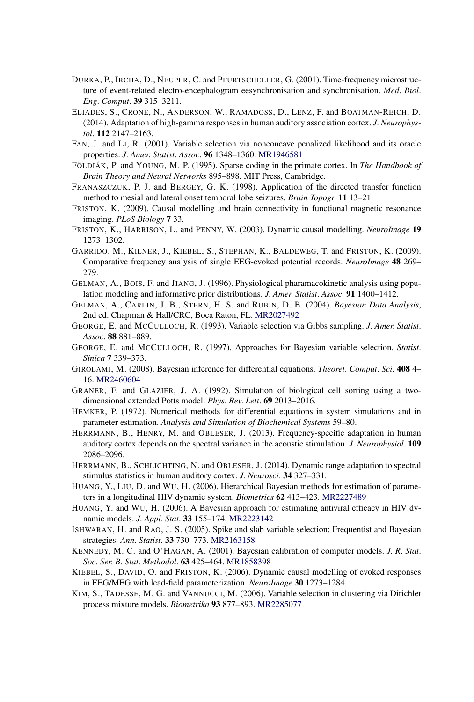- DURKA, P., IRCHA, D., NEUPER, C. and PFURTSCHELLER, G. (2001). Time-frequency microstructure of event-related electro-encephalogram eesynchronisation and synchronisation. *Med*. *Biol*. *Eng*. *Comput*. **39** 315–3211.
- ELIADES, S., CRONE, N., ANDERSON, W., RAMADOSS, D., LENZ, F. and BOATMAN-REICH, D. (2014). Adaptation of high-gamma responses in human auditory association cortex. *J*. *Neurophysiol*. **112** 2147–2163.
- FAN, J. and LI, R. (2001). Variable selection via nonconcave penalized likelihood and its oracle properties. *J*. *Amer*. *Statist*. *Assoc*. **96** 1348–1360. [MR1946581](http://www.ams.org/mathscinet-getitem?mr=1946581)
- FÖLDIÁK, P. and YOUNG, M. P. (1995). Sparse coding in the primate cortex. In *The Handbook of Brain Theory and Neural Networks* 895–898. MIT Press, Cambridge.
- FRANASZCZUK, P. J. and BERGEY, G. K. (1998). Application of the directed transfer function method to mesial and lateral onset temporal lobe seizures. *Brain Topogr*. **11** 13–21.
- FRISTON, K. (2009). Causal modelling and brain connectivity in functional magnetic resonance imaging. *PLoS Biology* **7** 33.
- FRISTON, K., HARRISON, L. and PENNY, W. (2003). Dynamic causal modelling. *NeuroImage* **19** 1273–1302.
- GARRIDO, M., KILNER, J., KIEBEL, S., STEPHAN, K., BALDEWEG, T. and FRISTON, K. (2009). Comparative frequency analysis of single EEG-evoked potential records. *NeuroImage* **48** 269– 279.
- GELMAN, A., BOIS, F. and JIANG, J. (1996). Physiological pharamacokinetic analysis using population modeling and informative prior distributions. *J*. *Amer*. *Statist*. *Assoc*. **91** 1400–1412.
- GELMAN, A., CARLIN, J. B., STERN, H. S. and RUBIN, D. B. (2004). *Bayesian Data Analysis*, 2nd ed. Chapman & Hall/CRC, Boca Raton, FL. [MR2027492](http://www.ams.org/mathscinet-getitem?mr=2027492)
- GEORGE, E. and MCCULLOCH, R. (1993). Variable selection via Gibbs sampling. *J*. *Amer*. *Statist*. *Assoc*. **88** 881–889.
- GEORGE, E. and MCCULLOCH, R. (1997). Approaches for Bayesian variable selection. *Statist*. *Sinica* **7** 339–373.
- GIROLAMI, M. (2008). Bayesian inference for differential equations. *Theoret*. *Comput*. *Sci*. **408** 4– 16. [MR2460604](http://www.ams.org/mathscinet-getitem?mr=2460604)
- GRANER, F. and GLAZIER, J. A. (1992). Simulation of biological cell sorting using a twodimensional extended Potts model. *Phys*. *Rev*. *Lett*. **69** 2013–2016.
- HEMKER, P. (1972). Numerical methods for differential equations in system simulations and in parameter estimation. *Analysis and Simulation of Biochemical Systems* 59–80.
- HERRMANN, B., HENRY, M. and OBLESER, J. (2013). Frequency-specific adaptation in human auditory cortex depends on the spectral variance in the acoustic stimulation. *J*. *Neurophysiol*. **109** 2086–2096.
- HERRMANN, B., SCHLICHTING, N. and OBLESER, J. (2014). Dynamic range adaptation to spectral stimulus statistics in human auditory cortex. *J*. *Neurosci*. **34** 327–331.
- HUANG, Y., LIU, D. and WU, H. (2006). Hierarchical Bayesian methods for estimation of parameters in a longitudinal HIV dynamic system. *Biometrics* **62** 413–423. [MR2227489](http://www.ams.org/mathscinet-getitem?mr=2227489)
- HUANG, Y. and WU, H. (2006). A Bayesian approach for estimating antiviral efficacy in HIV dynamic models. *J*. *Appl*. *Stat*. **33** 155–174. [MR2223142](http://www.ams.org/mathscinet-getitem?mr=2223142)
- ISHWARAN, H. and RAO, J. S. (2005). Spike and slab variable selection: Frequentist and Bayesian strategies. *Ann*. *Statist*. **33** 730–773. [MR2163158](http://www.ams.org/mathscinet-getitem?mr=2163158)
- KENNEDY, M. C. and O'HAGAN, A. (2001). Bayesian calibration of computer models. *J*. *R*. *Stat*. *Soc*. *Ser*. *B*. *Stat*. *Methodol*. **63** 425–464. [MR1858398](http://www.ams.org/mathscinet-getitem?mr=1858398)
- KIEBEL, S., DAVID, O. and FRISTON, K. (2006). Dynamic causal modelling of evoked responses in EEG/MEG with lead-field parameterization. *NeuroImage* **30** 1273–1284.
- KIM, S., TADESSE, M. G. and VANNUCCI, M. (2006). Variable selection in clustering via Dirichlet process mixture models. *Biometrika* **93** 877–893. [MR2285077](http://www.ams.org/mathscinet-getitem?mr=2285077)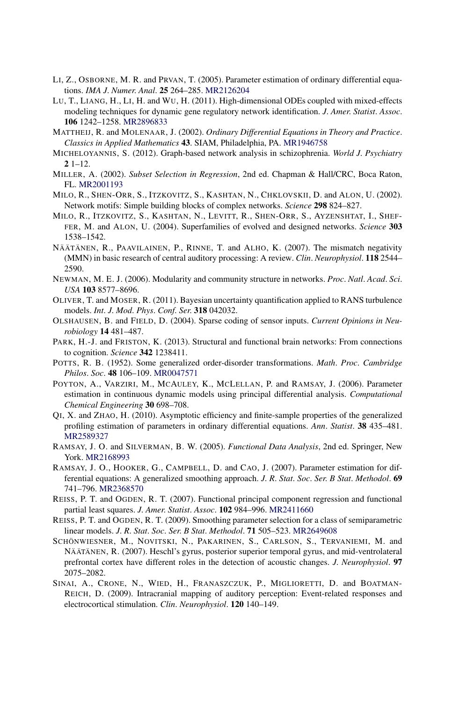- LI, Z., OSBORNE, M. R. and PRVAN, T. (2005). Parameter estimation of ordinary differential equations. *IMA J*. *Numer*. *Anal*. **25** 264–285. [MR2126204](http://www.ams.org/mathscinet-getitem?mr=2126204)
- LU, T., LIANG, H., LI, H. and WU, H. (2011). High-dimensional ODEs coupled with mixed-effects modeling techniques for dynamic gene regulatory network identification. *J*. *Amer*. *Statist*. *Assoc*. **106** 1242–1258. [MR2896833](http://www.ams.org/mathscinet-getitem?mr=2896833)
- MATTHEIJ, R. and MOLENAAR, J. (2002). *Ordinary Differential Equations in Theory and Practice*. *Classics in Applied Mathematics* **43**. SIAM, Philadelphia, PA. [MR1946758](http://www.ams.org/mathscinet-getitem?mr=1946758)
- MICHELOYANNIS, S. (2012). Graph-based network analysis in schizophrenia. *World J*. *Psychiatry* **2** 1–12.
- MILLER, A. (2002). *Subset Selection in Regression*, 2nd ed. Chapman & Hall/CRC, Boca Raton, FL. [MR2001193](http://www.ams.org/mathscinet-getitem?mr=2001193)
- MILO, R., SHEN-ORR, S., ITZKOVITZ, S., KASHTAN, N., CHKLOVSKII, D. and ALON, U. (2002). Network motifs: Simple building blocks of complex networks. *Science* **298** 824–827.
- MILO, R., ITZKOVITZ, S., KASHTAN, N., LEVITT, R., SHEN-ORR, S., AYZENSHTAT, I., SHEF-FER, M. and ALON, U. (2004). Superfamilies of evolved and designed networks. *Science* **303** 1538–1542.
- NÄÄTÄNEN, R., PAAVILAINEN, P., RINNE, T. and ALHO, K. (2007). The mismatch negativity (MMN) in basic research of central auditory processing: A review. *Clin*. *Neurophysiol*. **118** 2544– 2590.
- NEWMAN, M. E. J. (2006). Modularity and community structure in networks. *Proc*. *Natl*. *Acad*. *Sci*. *USA* **103** 8577–8696.
- OLIVER, T. and MOSER, R. (2011). Bayesian uncertainty quantification applied to RANS turbulence models. *Int*. *J*. *Mod*. *Phys*. *Conf*. *Ser*. **318** 042032.
- OLSHAUSEN, B. and FIELD, D. (2004). Sparse coding of sensor inputs. *Current Opinions in Neurobiology* **14** 481–487.
- PARK, H.-J. and FRISTON, K. (2013). Structural and functional brain networks: From connections to cognition. *Science* **342** 1238411.
- POTTS, R. B. (1952). Some generalized order-disorder transformations. *Math*. *Proc*. *Cambridge Philos*. *Soc*. **48** 106–109. [MR0047571](http://www.ams.org/mathscinet-getitem?mr=0047571)
- POYTON, A., VARZIRI, M., MCAULEY, K., MCLELLAN, P. and RAMSAY, J. (2006). Parameter estimation in continuous dynamic models using principal differential analysis. *Computational Chemical Engineering* **30** 698–708.
- QI, X. and ZHAO, H. (2010). Asymptotic efficiency and finite-sample properties of the generalized profiling estimation of parameters in ordinary differential equations. *Ann*. *Statist*. **38** 435–481. [MR2589327](http://www.ams.org/mathscinet-getitem?mr=2589327)
- RAMSAY, J. O. and SILVERMAN, B. W. (2005). *Functional Data Analysis*, 2nd ed. Springer, New York. [MR2168993](http://www.ams.org/mathscinet-getitem?mr=2168993)
- RAMSAY, J. O., HOOKER, G., CAMPBELL, D. and CAO, J. (2007). Parameter estimation for differential equations: A generalized smoothing approach. *J*. *R*. *Stat*. *Soc*. *Ser*. *B Stat*. *Methodol*. **69** 741–796. [MR2368570](http://www.ams.org/mathscinet-getitem?mr=2368570)
- REISS, P. T. and OGDEN, R. T. (2007). Functional principal component regression and functional partial least squares. *J*. *Amer*. *Statist*. *Assoc*. **102** 984–996. [MR2411660](http://www.ams.org/mathscinet-getitem?mr=2411660)
- REISS, P. T. and OGDEN, R. T. (2009). Smoothing parameter selection for a class of semiparametric linear models. *J*. *R*. *Stat*. *Soc*. *Ser*. *B Stat*. *Methodol*. **71** 505–523. [MR2649608](http://www.ams.org/mathscinet-getitem?mr=2649608)
- SCHÖNWIESNER, M., NOVITSKI, N., PAKARINEN, S., CARLSON, S., TERVANIEMI, M. and NÄÄTÄNEN, R. (2007). Heschl's gyrus, posterior superior temporal gyrus, and mid-ventrolateral prefrontal cortex have different roles in the detection of acoustic changes. *J*. *Neurophysiol*. **97** 2075–2082.
- SINAI, A., CRONE, N., WIED, H., FRANASZCZUK, P., MIGLIORETTI, D. and BOATMAN-REICH, D. (2009). Intracranial mapping of auditory perception: Event-related responses and electrocortical stimulation. *Clin*. *Neurophysiol*. **120** 140–149.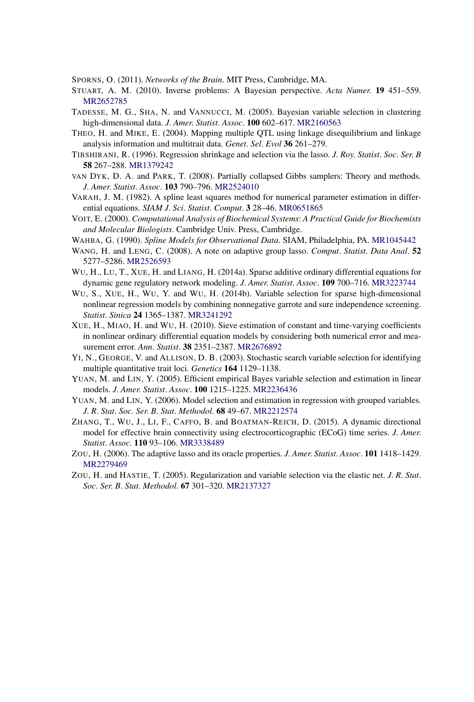SPORNS, O. (2011). *Networks of the Brain*. MIT Press, Cambridge, MA.

- STUART, A. M. (2010). Inverse problems: A Bayesian perspective. *Acta Numer*. **19** 451–559. [MR2652785](http://www.ams.org/mathscinet-getitem?mr=2652785)
- TADESSE, M. G., SHA, N. and VANNUCCI, M. (2005). Bayesian variable selection in clustering high-dimensional data. *J*. *Amer*. *Statist*. *Assoc*. **100** 602–617. [MR2160563](http://www.ams.org/mathscinet-getitem?mr=2160563)
- THEO, H. and MIKE, E. (2004). Mapping multiple QTL using linkage disequilibrium and linkage analysis information and multitrait data. *Genet*. *Sel*. *Evol* **36** 261–279.
- TIBSHIRANI, R. (1996). Regression shrinkage and selection via the lasso. *J*. *Roy*. *Statist*. *Soc*. *Ser*. *B* **58** 267–288. [MR1379242](http://www.ams.org/mathscinet-getitem?mr=1379242)
- VAN DYK, D. A. and PARK, T. (2008). Partially collapsed Gibbs samplers: Theory and methods. *J*. *Amer*. *Statist*. *Assoc*. **103** 790–796. [MR2524010](http://www.ams.org/mathscinet-getitem?mr=2524010)
- VARAH, J. M. (1982). A spline least squares method for numerical parameter estimation in differential equations. *SIAM J*. *Sci*. *Statist*. *Comput*. **3** 28–46. [MR0651865](http://www.ams.org/mathscinet-getitem?mr=0651865)
- VOIT, E. (2000). *Computational Analysis of Biochemical Systems*: *A Practical Guide for Biochemists and Molecular Biologists*. Cambridge Univ. Press, Cambridge.
- WAHBA, G. (1990). *Spline Models for Observational Data*. SIAM, Philadelphia, PA. [MR1045442](http://www.ams.org/mathscinet-getitem?mr=1045442)
- WANG, H. and LENG, C. (2008). A note on adaptive group lasso. *Comput*. *Statist*. *Data Anal*. **52** 5277–5286. [MR2526593](http://www.ams.org/mathscinet-getitem?mr=2526593)
- WU, H., LU, T., XUE, H. and LIANG, H. (2014a). Sparse additive ordinary differential equations for dynamic gene regulatory network modeling. *J*. *Amer*. *Statist*. *Assoc*. **109** 700–716. [MR3223744](http://www.ams.org/mathscinet-getitem?mr=3223744)
- WU, S., XUE, H., WU, Y. and WU, H. (2014b). Variable selection for sparse high-dimensional nonlinear regression models by combining nonnegative garrote and sure independence screening. *Statist*. *Sinica* **24** 1365–1387. [MR3241292](http://www.ams.org/mathscinet-getitem?mr=3241292)
- XUE, H., MIAO, H. and WU, H. (2010). Sieve estimation of constant and time-varying coefficients in nonlinear ordinary differential equation models by considering both numerical error and measurement error. *Ann*. *Statist*. **38** 2351–2387. [MR2676892](http://www.ams.org/mathscinet-getitem?mr=2676892)
- YI, N., GEORGE, V. and ALLISON, D. B. (2003). Stochastic search variable selection for identifying multiple quantitative trait loci. *Genetics* **164** 1129–1138.
- YUAN, M. and LIN, Y. (2005). Efficient empirical Bayes variable selection and estimation in linear models. *J*. *Amer*. *Statist*. *Assoc*. **100** 1215–1225. [MR2236436](http://www.ams.org/mathscinet-getitem?mr=2236436)
- YUAN, M. and LIN, Y. (2006). Model selection and estimation in regression with grouped variables. *J*. *R*. *Stat*. *Soc*. *Ser*. *B*. *Stat*. *Methodol*. **68** 49–67. [MR2212574](http://www.ams.org/mathscinet-getitem?mr=2212574)
- ZHANG, T., WU, J., LI, F., CAFFO, B. and BOATMAN-REICH, D. (2015). A dynamic directional model for effective brain connectivity using electrocorticographic (ECoG) time series. *J*. *Amer*. *Statist*. *Assoc*. **110** 93–106. [MR3338489](http://www.ams.org/mathscinet-getitem?mr=3338489)
- ZOU, H. (2006). The adaptive lasso and its oracle properties. *J*. *Amer*. *Statist*. *Assoc*. **101** 1418–1429. [MR2279469](http://www.ams.org/mathscinet-getitem?mr=2279469)
- ZOU, H. and HASTIE, T. (2005). Regularization and variable selection via the elastic net. *J*. *R*. *Stat*. *Soc*. *Ser*. *B*. *Stat*. *Methodol*. **67** 301–320. [MR2137327](http://www.ams.org/mathscinet-getitem?mr=2137327)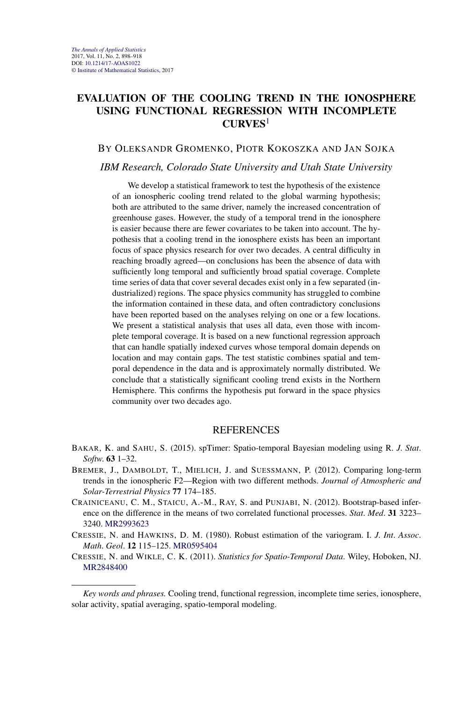## **EVALUATION OF THE COOLING TREND IN THE IONOSPHERE USING FUNCTIONAL REGRESSION WITH INCOMPLETE CURVES**[1](#page-27-0)

### BY OLEKSANDR GROMENKO, PIOTR KOKOSZKA AND JAN SOJKA

#### *IBM Research, Colorado State University and Utah State University*

We develop a statistical framework to test the hypothesis of the existence of an ionospheric cooling trend related to the global warming hypothesis; both are attributed to the same driver, namely the increased concentration of greenhouse gases. However, the study of a temporal trend in the ionosphere is easier because there are fewer covariates to be taken into account. The hypothesis that a cooling trend in the ionosphere exists has been an important focus of space physics research for over two decades. A central difficulty in reaching broadly agreed—on conclusions has been the absence of data with sufficiently long temporal and sufficiently broad spatial coverage. Complete time series of data that cover several decades exist only in a few separated (industrialized) regions. The space physics community has struggled to combine the information contained in these data, and often contradictory conclusions have been reported based on the analyses relying on one or a few locations. We present a statistical analysis that uses all data, even those with incomplete temporal coverage. It is based on a new functional regression approach that can handle spatially indexed curves whose temporal domain depends on location and may contain gaps. The test statistic combines spatial and temporal dependence in the data and is approximately normally distributed. We conclude that a statistically significant cooling trend exists in the Northern Hemisphere. This confirms the hypothesis put forward in the space physics community over two decades ago.

- BAKAR, K. and SAHU, S. (2015). spTimer: Spatio-temporal Bayesian modeling using R. *J*. *Stat*. *Softw*. **63** 1–32.
- BREMER, J., DAMBOLDT, T., MIELICH, J. and SUESSMANN, P. (2012). Comparing long-term trends in the ionospheric F2—Region with two different methods. *Journal of Atmospheric and Solar-Terrestrial Physics* **77** 174–185.
- CRAINICEANU, C. M., STAICU, A.-M., RAY, S. and PUNJABI, N. (2012). Bootstrap-based inference on the difference in the means of two correlated functional processes. *Stat*. *Med*. **31** 3223– 3240. [MR2993623](http://www.ams.org/mathscinet-getitem?mr=2993623)
- CRESSIE, N. and HAWKINS, D. M. (1980). Robust estimation of the variogram. I. *J*. *Int*. *Assoc*. *Math*. *Geol*. **12** 115–125. [MR0595404](http://www.ams.org/mathscinet-getitem?mr=0595404)
- CRESSIE, N. and WIKLE, C. K. (2011). *Statistics for Spatio-Temporal Data*. Wiley, Hoboken, NJ. [MR2848400](http://www.ams.org/mathscinet-getitem?mr=2848400)

*Key words and phrases.* Cooling trend, functional regression, incomplete time series, ionosphere, solar activity, spatial averaging, spatio-temporal modeling.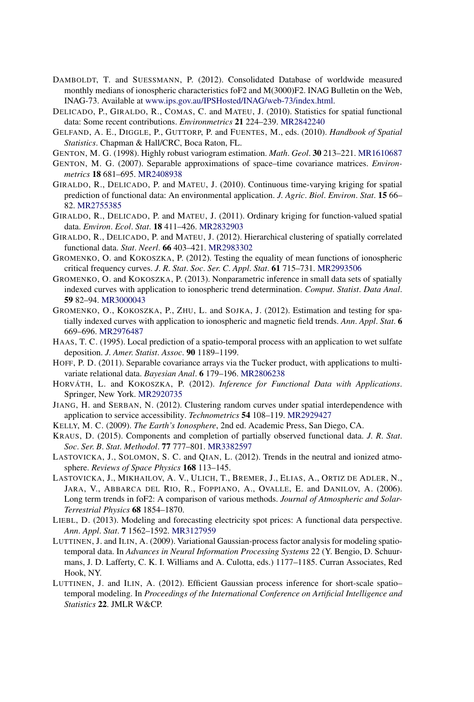- DAMBOLDT, T. and SUESSMANN, P. (2012). Consolidated Database of worldwide measured monthly medians of ionospheric characteristics foF2 and M(3000)F2. INAG Bulletin on the Web, INAG-73. Available at [www.ips.gov.au/IPSHosted/INAG/web-73/index.html.](http://www.ips.gov.au/IPSHosted/INAG/web-73/index.html)
- DELICADO, P., GIRALDO, R., COMAS, C. and MATEU, J. (2010). Statistics for spatial functional data: Some recent contributions. *Environmetrics* **21** 224–239. [MR2842240](http://www.ams.org/mathscinet-getitem?mr=2842240)
- GELFAND, A. E., DIGGLE, P., GUTTORP, P. and FUENTES, M., eds. (2010). *Handbook of Spatial Statistics*. Chapman & Hall/CRC, Boca Raton, FL.
- GENTON, M. G. (1998). Highly robust variogram estimation. *Math*. *Geol*. **30** 213–221. [MR1610687](http://www.ams.org/mathscinet-getitem?mr=1610687)
- GENTON, M. G. (2007). Separable approximations of space–time covariance matrices. *Environmetrics* **18** 681–695. [MR2408938](http://www.ams.org/mathscinet-getitem?mr=2408938)
- GIRALDO, R., DELICADO, P. and MATEU, J. (2010). Continuous time-varying kriging for spatial prediction of functional data: An environmental application. *J*. *Agric*. *Biol*. *Environ*. *Stat*. **15** 66– 82. [MR2755385](http://www.ams.org/mathscinet-getitem?mr=2755385)
- GIRALDO, R., DELICADO, P. and MATEU, J. (2011). Ordinary kriging for function-valued spatial data. *Environ*. *Ecol*. *Stat*. **18** 411–426. [MR2832903](http://www.ams.org/mathscinet-getitem?mr=2832903)
- GIRALDO, R., DELICADO, P. and MATEU, J. (2012). Hierarchical clustering of spatially correlated functional data. *Stat*. *Neerl*. **66** 403–421. [MR2983302](http://www.ams.org/mathscinet-getitem?mr=2983302)
- GROMENKO, O. and KOKOSZKA, P. (2012). Testing the equality of mean functions of ionospheric critical frequency curves. *J*. *R*. *Stat*. *Soc*. *Ser*. *C*. *Appl*. *Stat*. **61** 715–731. [MR2993506](http://www.ams.org/mathscinet-getitem?mr=2993506)
- GROMENKO, O. and KOKOSZKA, P. (2013). Nonparametric inference in small data sets of spatially indexed curves with application to ionospheric trend determination. *Comput*. *Statist*. *Data Anal*. **59** 82–94. [MR3000043](http://www.ams.org/mathscinet-getitem?mr=3000043)
- GROMENKO, O., KOKOSZKA, P., ZHU, L. and SOJKA, J. (2012). Estimation and testing for spatially indexed curves with application to ionospheric and magnetic field trends. *Ann*. *Appl*. *Stat*. **6** 669–696. [MR2976487](http://www.ams.org/mathscinet-getitem?mr=2976487)
- HAAS, T. C. (1995). Local prediction of a spatio-temporal process with an application to wet sulfate deposition. *J*. *Amer*. *Statist*. *Assoc*. **90** 1189–1199.
- HOFF, P. D. (2011). Separable covariance arrays via the Tucker product, with applications to multivariate relational data. *Bayesian Anal*. **6** 179–196. [MR2806238](http://www.ams.org/mathscinet-getitem?mr=2806238)
- HORVÁTH, L. and KOKOSZKA, P. (2012). *Inference for Functional Data with Applications*. Springer, New York. [MR2920735](http://www.ams.org/mathscinet-getitem?mr=2920735)
- JIANG, H. and SERBAN, N. (2012). Clustering random curves under spatial interdependence with application to service accessibility. *Technometrics* **54** 108–119. [MR2929427](http://www.ams.org/mathscinet-getitem?mr=2929427)
- KELLY, M. C. (2009). *The Earth's Ionosphere*, 2nd ed. Academic Press, San Diego, CA.
- KRAUS, D. (2015). Components and completion of partially observed functional data. *J*. *R*. *Stat*. *Soc*. *Ser*. *B*. *Stat*. *Methodol*. **77** 777–801. [MR3382597](http://www.ams.org/mathscinet-getitem?mr=3382597)
- LASTOVICKA, J., SOLOMON, S. C. and QIAN, L. (2012). Trends in the neutral and ionized atmosphere. *Reviews of Space Physics* **168** 113–145.
- LASTOVICKA, J., MIKHAILOV, A. V., ULICH, T., BREMER, J., ELIAS, A., ORTIZ DE ADLER, N., JARA, V., ABBARCA DEL RIO, R., FOPPIANO, A., OVALLE, E. and DANILOV, A. (2006). Long term trends in foF2: A comparison of various methods. *Journal of Atmospheric and Solar-Terrestrial Physics* **68** 1854–1870.
- LIEBL, D. (2013). Modeling and forecasting electricity spot prices: A functional data perspective. *Ann*. *Appl*. *Stat*. **7** 1562–1592. [MR3127959](http://www.ams.org/mathscinet-getitem?mr=3127959)
- LUTTINEN, J. and ILIN, A. (2009). Variational Gaussian-process factor analysis for modeling spatiotemporal data. In *Advances in Neural Information Processing Systems* 22 (Y. Bengio, D. Schuurmans, J. D. Lafferty, C. K. I. Williams and A. Culotta, eds.) 1177–1185. Curran Associates, Red Hook, NY.
- LUTTINEN, J. and ILIN, A. (2012). Efficient Gaussian process inference for short-scale spatio– temporal modeling. In *Proceedings of the International Conference on Artificial Intelligence and Statistics* **22**. JMLR W&CP.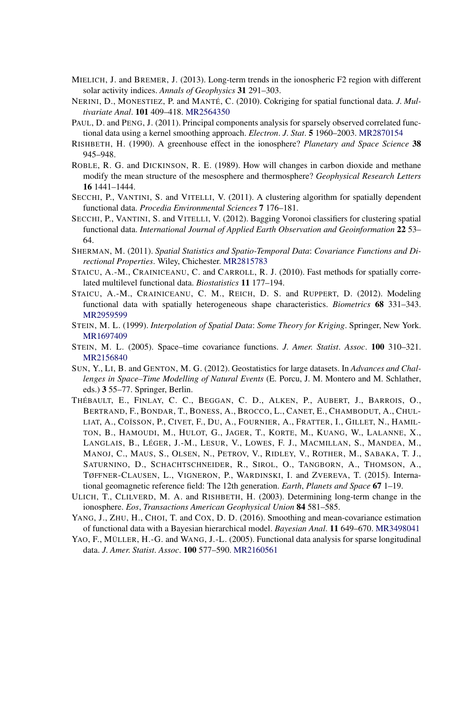- MIELICH, J. and BREMER, J. (2013). Long-term trends in the ionospheric F2 region with different solar activity indices. *Annals of Geophysics* **31** 291–303.
- NERINI, D., MONESTIEZ, P. and MANTÉ, C. (2010). Cokriging for spatial functional data. *J*. *Multivariate Anal*. **101** 409–418. [MR2564350](http://www.ams.org/mathscinet-getitem?mr=2564350)
- PAUL, D. and PENG, J. (2011). Principal components analysis for sparsely observed correlated functional data using a kernel smoothing approach. *Electron*. *J*. *Stat*. **5** 1960–2003. [MR2870154](http://www.ams.org/mathscinet-getitem?mr=2870154)
- RISHBETH, H. (1990). A greenhouse effect in the ionosphere? *Planetary and Space Science* **38** 945–948.
- ROBLE, R. G. and DICKINSON, R. E. (1989). How will changes in carbon dioxide and methane modify the mean structure of the mesosphere and thermosphere? *Geophysical Research Letters* **16** 1441–1444.
- SECCHI, P., VANTINI, S. and VITELLI, V. (2011). A clustering algorithm for spatially dependent functional data. *Procedia Environmental Sciences* **7** 176–181.
- SECCHI, P., VANTINI, S. and VITELLI, V. (2012). Bagging Voronoi classifiers for clustering spatial functional data. *International Journal of Applied Earth Observation and Geoinformation* **22** 53– 64.
- SHERMAN, M. (2011). *Spatial Statistics and Spatio-Temporal Data*: *Covariance Functions and Directional Properties*. Wiley, Chichester. [MR2815783](http://www.ams.org/mathscinet-getitem?mr=2815783)
- STAICU, A.-M., CRAINICEANU, C. and CARROLL, R. J. (2010). Fast methods for spatially correlated multilevel functional data. *Biostatistics* **11** 177–194.
- STAICU, A.-M., CRAINICEANU, C. M., REICH, D. S. and RUPPERT, D. (2012). Modeling functional data with spatially heterogeneous shape characteristics. *Biometrics* **68** 331–343. [MR2959599](http://www.ams.org/mathscinet-getitem?mr=2959599)
- STEIN, M. L. (1999). *Interpolation of Spatial Data*: *Some Theory for Kriging*. Springer, New York. [MR1697409](http://www.ams.org/mathscinet-getitem?mr=1697409)
- STEIN, M. L. (2005). Space–time covariance functions. *J*. *Amer*. *Statist*. *Assoc*. **100** 310–321. [MR2156840](http://www.ams.org/mathscinet-getitem?mr=2156840)
- SUN, Y., LI, B. and GENTON, M. G. (2012). Geostatistics for large datasets. In *Advances and Challenges in Space–Time Modelling of Natural Events* (E. Porcu, J. M. Montero and M. Schlather, eds.) **3** 55–77. Springer, Berlin.
- THÉBAULT, E., FINLAY, C. C., BEGGAN, C. D., ALKEN, P., AUBERT, J., BARROIS, O., BERTRAND, F., BONDAR, T., BONESS, A., BROCCO, L., CANET, E., CHAMBODUT, A., CHUL-LIAT, A., COÏSSON, P., CIVET, F., DU, A., FOURNIER, A., FRATTER, I., GILLET, N., HAMIL-TON, B., HAMOUDI, M., HULOT, G., JAGER, T., KORTE, M., KUANG, W., LALANNE, X., LANGLAIS, B., LÉGER, J.-M., LESUR, V., LOWES, F. J., MACMILLAN, S., MANDEA, M., MANOJ, C., MAUS, S., OLSEN, N., PETROV, V., RIDLEY, V., ROTHER, M., SABAKA, T. J., SATURNINO, D., SCHACHTSCHNEIDER, R., SIROL, O., TANGBORN, A., THOMSON, A., TØFFNER-CLAUSEN, L., VIGNERON, P., WARDINSKI, I. and ZVEREVA, T. (2015). International geomagnetic reference field: The 12th generation. *Earth*, *Planets and Space* **67** 1–19.
- ULICH, T., CLILVERD, M. A. and RISHBETH, H. (2003). Determining long-term change in the ionosphere. *Eos*, *Transactions American Geophysical Union* **84** 581–585.
- YANG, J., ZHU, H., CHOI, T. and COX, D. D. (2016). Smoothing and mean-covariance estimation of functional data with a Bayesian hierarchical model. *Bayesian Anal*. **11** 649–670. [MR3498041](http://www.ams.org/mathscinet-getitem?mr=3498041)
- YAO, F., MÜLLER, H.-G. and WANG, J.-L. (2005). Functional data analysis for sparse longitudinal data. *J*. *Amer*. *Statist*. *Assoc*. **100** 577–590. [MR2160561](http://www.ams.org/mathscinet-getitem?mr=2160561)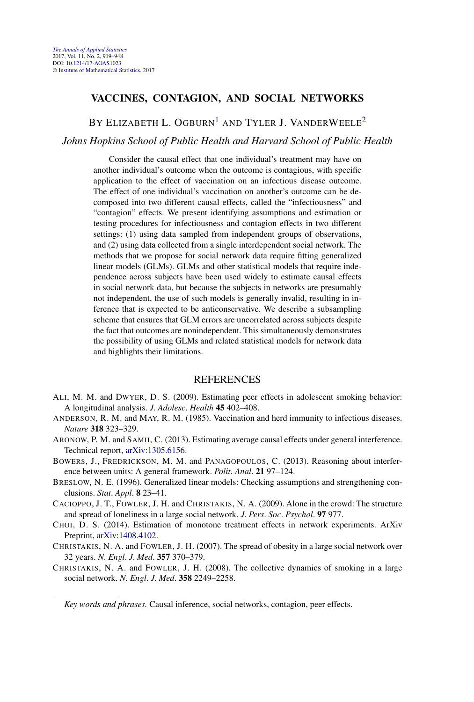### **VACCINES, CONTAGION, AND SOCIAL NETWORKS**

BY ELIZABETH L. OGBURN<sup>1</sup> AND TYLER J. VANDERWEELE<sup>2</sup>

*Johns Hopkins School of Public Health and Harvard School of Public Health*

Consider the causal effect that one individual's treatment may have on another individual's outcome when the outcome is contagious, with specific application to the effect of vaccination on an infectious disease outcome. The effect of one individual's vaccination on another's outcome can be decomposed into two different causal effects, called the "infectiousness" and "contagion" effects. We present identifying assumptions and estimation or testing procedures for infectiousness and contagion effects in two different settings: (1) using data sampled from independent groups of observations, and (2) using data collected from a single interdependent social network. The methods that we propose for social network data require fitting generalized linear models (GLMs). GLMs and other statistical models that require independence across subjects have been used widely to estimate causal effects in social network data, but because the subjects in networks are presumably not independent, the use of such models is generally invalid, resulting in inference that is expected to be anticonservative. We describe a subsampling scheme that ensures that GLM errors are uncorrelated across subjects despite the fact that outcomes are nonindependent. This simultaneously demonstrates the possibility of using GLMs and related statistical models for network data and highlights their limitations.

- ALI, M. M. and DWYER, D. S. (2009). Estimating peer effects in adolescent smoking behavior: A longitudinal analysis. *J*. *Adolesc*. *Health* **45** 402–408.
- ANDERSON, R. M. and MAY, R. M. (1985). Vaccination and herd immunity to infectious diseases. *Nature* **318** 323–329.
- ARONOW, P. M. and SAMII, C. (2013). Estimating average causal effects under general interference. Technical report, [arXiv:1305.6156.](http://arxiv.org/abs/arXiv:1305.6156)
- BOWERS, J., FREDRICKSON, M. M. and PANAGOPOULOS, C. (2013). Reasoning about interference between units: A general framework. *Polit*. *Anal*. **21** 97–124.
- BRESLOW, N. E. (1996). Generalized linear models: Checking assumptions and strengthening conclusions. *Stat*. *Appl*. **8** 23–41.
- CACIOPPO, J. T., FOWLER, J. H. and CHRISTAKIS, N. A. (2009). Alone in the crowd: The structure and spread of loneliness in a large social network. *J*. *Pers*. *Soc*. *Psychol*. **97** 977.
- CHOI, D. S. (2014). Estimation of monotone treatment effects in network experiments. ArXiv Preprint, [arXiv:1408.4102](http://arxiv.org/abs/arXiv:1408.4102).
- CHRISTAKIS, N. A. and FOWLER, J. H. (2007). The spread of obesity in a large social network over 32 years. *N*. *Engl*. *J*. *Med*. **357** 370–379.
- CHRISTAKIS, N. A. and FOWLER, J. H. (2008). The collective dynamics of smoking in a large social network. *N*. *Engl*. *J*. *Med*. **358** 2249–2258.

*Key words and phrases.* Causal inference, social networks, contagion, peer effects.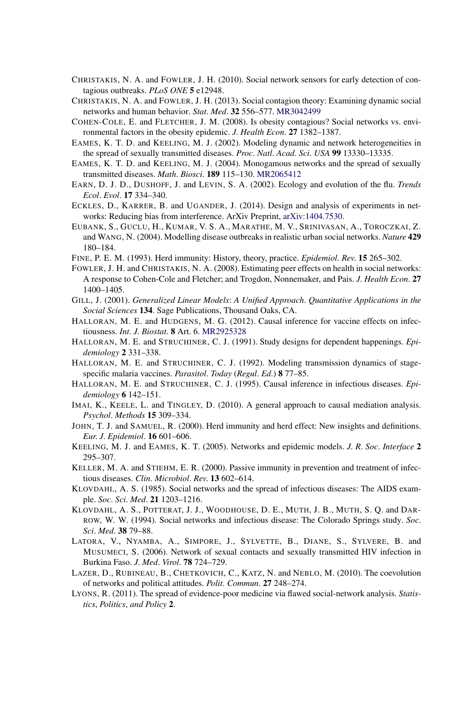- CHRISTAKIS, N. A. and FOWLER, J. H. (2010). Social network sensors for early detection of contagious outbreaks. *PLoS ONE* **5** e12948.
- CHRISTAKIS, N. A. and FOWLER, J. H. (2013). Social contagion theory: Examining dynamic social networks and human behavior. *Stat*. *Med*. **32** 556–577. [MR3042499](http://www.ams.org/mathscinet-getitem?mr=3042499)
- COHEN-COLE, E. and FLETCHER, J. M. (2008). Is obesity contagious? Social networks vs. environmental factors in the obesity epidemic. *J*. *Health Econ*. **27** 1382–1387.
- EAMES, K. T. D. and KEELING, M. J. (2002). Modeling dynamic and network heterogeneities in the spread of sexually transmitted diseases. *Proc*. *Natl*. *Acad*. *Sci*. *USA* **99** 13330–13335.
- EAMES, K. T. D. and KEELING, M. J. (2004). Monogamous networks and the spread of sexually transmitted diseases. *Math*. *Biosci*. **189** 115–130. [MR2065412](http://www.ams.org/mathscinet-getitem?mr=2065412)
- EARN, D. J. D., DUSHOFF, J. and LEVIN, S. A. (2002). Ecology and evolution of the flu. *Trends Ecol*. *Evol*. **17** 334–340.
- ECKLES, D., KARRER, B. and UGANDER, J. (2014). Design and analysis of experiments in networks: Reducing bias from interference. ArXiv Preprint, [arXiv:1404.7530](http://arxiv.org/abs/arXiv:1404.7530).
- EUBANK, S., GUCLU, H., KUMAR, V. S. A., MARATHE, M. V., SRINIVASAN, A., TOROCZKAI, Z. and WANG, N. (2004). Modelling disease outbreaks in realistic urban social networks. *Nature* **429** 180–184.
- FINE, P. E. M. (1993). Herd immunity: History, theory, practice. *Epidemiol*. *Rev*. **15** 265–302.
- FOWLER, J. H. and CHRISTAKIS, N. A. (2008). Estimating peer effects on health in social networks: A response to Cohen-Cole and Fletcher; and Trogdon, Nonnemaker, and Pais. *J*. *Health Econ*. **27** 1400–1405.
- GILL, J. (2001). *Generalized Linear Models*: *A Unified Approach*. *Quantitative Applications in the Social Sciences* **134**. Sage Publications, Thousand Oaks, CA.
- HALLORAN, M. E. and HUDGENS, M. G. (2012). Causal inference for vaccine effects on infectiousness. *Int*. *J*. *Biostat*. **8** Art. 6. [MR2925328](http://www.ams.org/mathscinet-getitem?mr=2925328)
- HALLORAN, M. E. and STRUCHINER, C. J. (1991). Study designs for dependent happenings. *Epidemiology* **2** 331–338.
- HALLORAN, M. E. and STRUCHINER, C. J. (1992). Modeling transmission dynamics of stagespecific malaria vaccines. *Parasitol*. *Today* (*Regul*. *Ed*.) **8** 77–85.
- HALLORAN, M. E. and STRUCHINER, C. J. (1995). Causal inference in infectious diseases. *Epidemiology* **6** 142–151.
- IMAI, K., KEELE, L. and TINGLEY, D. (2010). A general approach to causal mediation analysis. *Psychol*. *Methods* **15** 309–334.
- JOHN, T. J. and SAMUEL, R. (2000). Herd immunity and herd effect: New insights and definitions. *Eur*. *J*. *Epidemiol*. **16** 601–606.
- KEELING, M. J. and EAMES, K. T. (2005). Networks and epidemic models. *J*. *R*. *Soc*. *Interface* **2** 295–307.
- KELLER, M. A. and STIEHM, E. R. (2000). Passive immunity in prevention and treatment of infectious diseases. *Clin*. *Microbiol*. *Rev*. **13** 602–614.
- KLOVDAHL, A. S. (1985). Social networks and the spread of infectious diseases: The AIDS example. *Soc*. *Sci*. *Med*. **21** 1203–1216.
- KLOVDAHL, A. S., POTTERAT, J. J., WOODHOUSE, D. E., MUTH, J. B., MUTH, S. Q. and DAR-ROW, W. W. (1994). Social networks and infectious disease: The Colorado Springs study. *Soc*. *Sci*. *Med*. **38** 79–88.
- LATORA, V., NYAMBA, A., SIMPORE, J., SYLVETTE, B., DIANE, S., SYLVERE, B. and MUSUMECI, S. (2006). Network of sexual contacts and sexually transmitted HIV infection in Burkina Faso. *J*. *Med*. *Virol*. **78** 724–729.
- LAZER, D., RUBINEAU, B., CHETKOVICH, C., KATZ, N. and NEBLO, M. (2010). The coevolution of networks and political attitudes. *Polit*. *Commun*. **27** 248–274.
- LYONS, R. (2011). The spread of evidence-poor medicine via flawed social-network analysis. *Statistics*, *Politics*, *and Policy* **2**.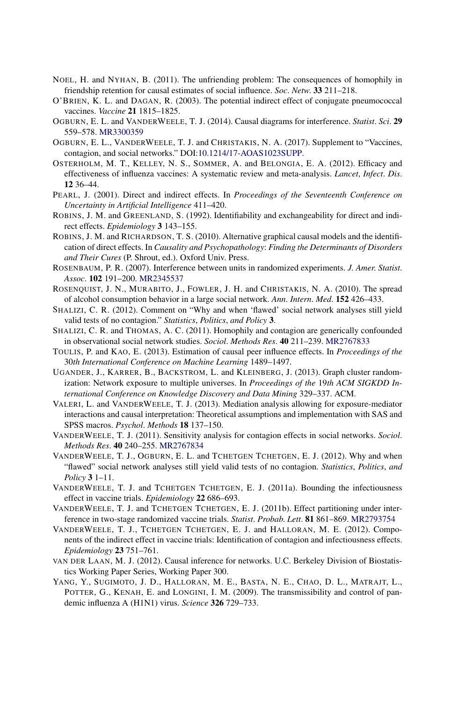- NOEL, H. and NYHAN, B. (2011). The unfriending problem: The consequences of homophily in friendship retention for causal estimates of social influence. *Soc*. *Netw*. **33** 211–218.
- O'BRIEN, K. L. and DAGAN, R. (2003). The potential indirect effect of conjugate pneumococcal vaccines. *Vaccine* **21** 1815–1825.
- OGBURN, E. L. and VANDERWEELE, T. J. (2014). Causal diagrams for interference. *Statist*. *Sci*. **29** 559–578. [MR3300359](http://www.ams.org/mathscinet-getitem?mr=3300359)
- OGBURN, E. L., VANDERWEELE, T. J. and CHRISTAKIS, N. A. (2017). Supplement to "Vaccines, contagion, and social networks." DOI[:10.1214/17-AOAS1023SUPP.](http://dx.doi.org/10.1214/17-AOAS1023SUPP)
- OSTERHOLM, M. T., KELLEY, N. S., SOMMER, A. and BELONGIA, E. A. (2012). Efficacy and effectiveness of influenza vaccines: A systematic review and meta-analysis. *Lancet*, *Infect*. *Dis*. **12** 36–44.
- PEARL, J. (2001). Direct and indirect effects. In *Proceedings of the Seventeenth Conference on Uncertainty in Artificial Intelligence* 411–420.
- ROBINS, J. M. and GREENLAND, S. (1992). Identifiability and exchangeability for direct and indirect effects. *Epidemiology* **3** 143–155.
- ROBINS, J. M. and RICHARDSON, T. S. (2010). Alternative graphical causal models and the identification of direct effects. In *Causality and Psychopathology*: *Finding the Determinants of Disorders and Their Cures* (P. Shrout, ed.). Oxford Univ. Press.
- ROSENBAUM, P. R. (2007). Interference between units in randomized experiments. *J*. *Amer*. *Statist*. *Assoc*. **102** 191–200. [MR2345537](http://www.ams.org/mathscinet-getitem?mr=2345537)
- ROSENQUIST, J. N., MURABITO, J., FOWLER, J. H. and CHRISTAKIS, N. A. (2010). The spread of alcohol consumption behavior in a large social network. *Ann*. *Intern*. *Med*. **152** 426–433.
- SHALIZI, C. R. (2012). Comment on "Why and when 'flawed' social network analyses still yield valid tests of no contagion." *Statistics*, *Politics*, *and Policy* **3**.
- SHALIZI, C. R. and THOMAS, A. C. (2011). Homophily and contagion are generically confounded in observational social network studies. *Sociol*. *Methods Res*. **40** 211–239. [MR2767833](http://www.ams.org/mathscinet-getitem?mr=2767833)
- TOULIS, P. and KAO, E. (2013). Estimation of causal peer influence effects. In *Proceedings of the* 30*th International Conference on Machine Learning* 1489–1497.
- UGANDER, J., KARRER, B., BACKSTROM, L. and KLEINBERG, J. (2013). Graph cluster randomization: Network exposure to multiple universes. In *Proceedings of the* 19*th ACM SIGKDD International Conference on Knowledge Discovery and Data Mining* 329–337. ACM.
- VALERI, L. and VANDERWEELE, T. J. (2013). Mediation analysis allowing for exposure-mediator interactions and causal interpretation: Theoretical assumptions and implementation with SAS and SPSS macros. *Psychol*. *Methods* **18** 137–150.
- VANDERWEELE, T. J. (2011). Sensitivity analysis for contagion effects in social networks. *Sociol*. *Methods Res*. **40** 240–255. [MR2767834](http://www.ams.org/mathscinet-getitem?mr=2767834)
- VANDERWEELE, T. J., OGBURN, E. L. and TCHETGEN TCHETGEN, E. J. (2012). Why and when "flawed" social network analyses still yield valid tests of no contagion. *Statistics*, *Politics*, *and Policy* **3** 1–11.
- VANDERWEELE, T. J. and TCHETGEN TCHETGEN, E. J. (2011a). Bounding the infectiousness effect in vaccine trials. *Epidemiology* **22** 686–693.
- VANDERWEELE, T. J. and TCHETGEN TCHETGEN, E. J. (2011b). Effect partitioning under interference in two-stage randomized vaccine trials. *Statist*. *Probab*. *Lett*. **81** 861–869. [MR2793754](http://www.ams.org/mathscinet-getitem?mr=2793754)
- VANDERWEELE, T. J., TCHETGEN TCHETGEN, E. J. and HALLORAN, M. E. (2012). Components of the indirect effect in vaccine trials: Identification of contagion and infectiousness effects. *Epidemiology* **23** 751–761.
- VAN DER LAAN, M. J. (2012). Causal inference for networks. U.C. Berkeley Division of Biostatistics Working Paper Series, Working Paper 300.
- YANG, Y., SUGIMOTO, J. D., HALLORAN, M. E., BASTA, N. E., CHAO, D. L., MATRAJT, L., POTTER, G., KENAH, E. and LONGINI, I. M. (2009). The transmissibility and control of pandemic influenza A (H1N1) virus. *Science* **326** 729–733.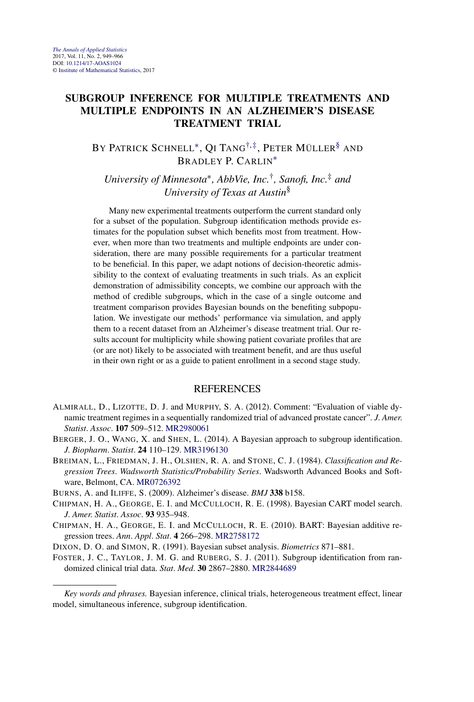## <span id="page-63-0"></span>**SUBGROUP INFERENCE FOR MULTIPLE TREATMENTS AND MULTIPLE ENDPOINTS IN AN ALZHEIMER'S DISEASE TREATMENT TRIAL**

BY PATRICK SCHNELL<sup>\*</sup>, OI TANG<sup>[†,](#page-27-0)‡</sup>, PETER MÜLLER<sup>§</sup> AND BRADLEY P. CARLIN[∗](#page-27-0)

*University of Minnesota*∗*, AbbVie, Inc.*†*, Sanofi, Inc.*‡ *and University of Texas at Austin*§

Many new experimental treatments outperform the current standard only for a subset of the population. Subgroup identification methods provide estimates for the population subset which benefits most from treatment. However, when more than two treatments and multiple endpoints are under consideration, there are many possible requirements for a particular treatment to be beneficial. In this paper, we adapt notions of decision-theoretic admissibility to the context of evaluating treatments in such trials. As an explicit demonstration of admissibility concepts, we combine our approach with the method of credible subgroups, which in the case of a single outcome and treatment comparison provides Bayesian bounds on the benefiting subpopulation. We investigate our methods' performance via simulation, and apply them to a recent dataset from an Alzheimer's disease treatment trial. Our results account for multiplicity while showing patient covariate profiles that are (or are not) likely to be associated with treatment benefit, and are thus useful in their own right or as a guide to patient enrollment in a second stage study.

### **REFERENCES**

- ALMIRALL, D., LIZOTTE, D. J. and MURPHY, S. A. (2012). Comment: "Evaluation of viable dynamic treatment regimes in a sequentially randomized trial of advanced prostate cancer". *J*. *Amer*. *Statist*. *Assoc*. **107** 509–512. [MR2980061](http://www.ams.org/mathscinet-getitem?mr=2980061)
- BERGER, J. O., WANG, X. and SHEN, L. (2014). A Bayesian approach to subgroup identification. *J*. *Biopharm*. *Statist*. **24** 110–129. [MR3196130](http://www.ams.org/mathscinet-getitem?mr=3196130)
- BREIMAN, L., FRIEDMAN, J. H., OLSHEN, R. A. and STONE, C. J. (1984). *Classification and Regression Trees*. *Wadsworth Statistics/Probability Series*. Wadsworth Advanced Books and Software, Belmont, CA. [MR0726392](http://www.ams.org/mathscinet-getitem?mr=0726392)

BURNS, A. and ILIFFE, S. (2009). Alzheimer's disease. *BMJ* **338** b158.

- CHIPMAN, H. A., GEORGE, E. I. and MCCULLOCH, R. E. (1998). Bayesian CART model search. *J*. *Amer*. *Statist*. *Assoc*. **93** 935–948.
- CHIPMAN, H. A., GEORGE, E. I. and MCCULLOCH, R. E. (2010). BART: Bayesian additive regression trees. *Ann*. *Appl*. *Stat*. **4** 266–298. [MR2758172](http://www.ams.org/mathscinet-getitem?mr=2758172)
- DIXON, D. O. and SIMON, R. (1991). Bayesian subset analysis. *Biometrics* 871–881.
- FOSTER, J. C., TAYLOR, J. M. G. and RUBERG, S. J. (2011). Subgroup identification from randomized clinical trial data. *Stat*. *Med*. **30** 2867–2880. [MR2844689](http://www.ams.org/mathscinet-getitem?mr=2844689)

*Key words and phrases.* Bayesian inference, clinical trials, heterogeneous treatment effect, linear model, simultaneous inference, subgroup identification.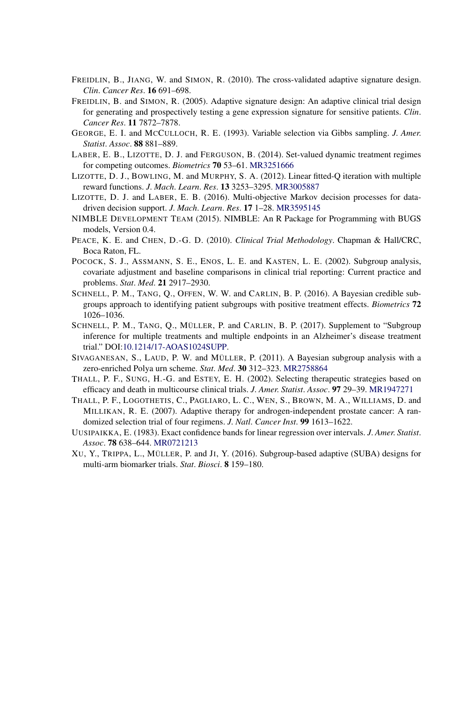- FREIDLIN, B., JIANG, W. and SIMON, R. (2010). The cross-validated adaptive signature design. *Clin*. *Cancer Res*. **16** 691–698.
- FREIDLIN, B. and SIMON, R. (2005). Adaptive signature design: An adaptive clinical trial design for generating and prospectively testing a gene expression signature for sensitive patients. *Clin*. *Cancer Res*. **11** 7872–7878.
- GEORGE, E. I. and MCCULLOCH, R. E. (1993). Variable selection via Gibbs sampling. *J*. *Amer*. *Statist*. *Assoc*. **88** 881–889.
- LABER, E. B., LIZOTTE, D. J. and FERGUSON, B. (2014). Set-valued dynamic treatment regimes for competing outcomes. *Biometrics* **70** 53–61. [MR3251666](http://www.ams.org/mathscinet-getitem?mr=3251666)
- LIZOTTE, D. J., BOWLING, M. and MURPHY, S. A. (2012). Linear fitted-Q iteration with multiple reward functions. *J*. *Mach*. *Learn*. *Res*. **13** 3253–3295. [MR3005887](http://www.ams.org/mathscinet-getitem?mr=3005887)
- LIZOTTE, D. J. and LABER, E. B. (2016). Multi-objective Markov decision processes for datadriven decision support. *J*. *Mach*. *Learn*. *Res*. **17** 1–28. [MR3595145](http://www.ams.org/mathscinet-getitem?mr=3595145)
- NIMBLE DEVELOPMENT TEAM (2015). NIMBLE: An R Package for Programming with BUGS models, Version 0.4.
- PEACE, K. E. and CHEN, D.-G. D. (2010). *Clinical Trial Methodology*. Chapman & Hall/CRC, Boca Raton, FL.
- POCOCK, S. J., ASSMANN, S. E., ENOS, L. E. and KASTEN, L. E. (2002). Subgroup analysis, covariate adjustment and baseline comparisons in clinical trial reporting: Current practice and problems. *Stat*. *Med*. **21** 2917–2930.
- SCHNELL, P. M., TANG, Q., OFFEN, W. W. and CARLIN, B. P. (2016). A Bayesian credible subgroups approach to identifying patient subgroups with positive treatment effects. *Biometrics* **72** 1026–1036.
- SCHNELL, P. M., TANG, Q., MÜLLER, P. and CARLIN, B. P. (2017). Supplement to "Subgroup inference for multiple treatments and multiple endpoints in an Alzheimer's disease treatment trial." DOI[:10.1214/17-AOAS1024SUPP.](http://dx.doi.org/10.1214/17-AOAS1024SUPP)
- SIVAGANESAN, S., LAUD, P. W. and MÜLLER, P. (2011). A Bayesian subgroup analysis with a zero-enriched Polya urn scheme. *Stat*. *Med*. **30** 312–323. [MR2758864](http://www.ams.org/mathscinet-getitem?mr=2758864)
- THALL, P. F., SUNG, H.-G. and ESTEY, E. H. (2002). Selecting therapeutic strategies based on efficacy and death in multicourse clinical trials. *J*. *Amer*. *Statist*. *Assoc*. **97** 29–39. [MR1947271](http://www.ams.org/mathscinet-getitem?mr=1947271)
- THALL, P. F., LOGOTHETIS, C., PAGLIARO, L. C., WEN, S., BROWN, M. A., WILLIAMS, D. and MILLIKAN, R. E. (2007). Adaptive therapy for androgen-independent prostate cancer: A randomized selection trial of four regimens. *J*. *Natl*. *Cancer Inst*. **99** 1613–1622.
- UUSIPAIKKA, E. (1983). Exact confidence bands for linear regression over intervals. *J*. *Amer*. *Statist*. *Assoc*. **78** 638–644. [MR0721213](http://www.ams.org/mathscinet-getitem?mr=0721213)
- XU, Y., TRIPPA, L., MÜLLER, P. and JI, Y. (2016). Subgroup-based adaptive (SUBA) designs for multi-arm biomarker trials. *Stat*. *Biosci*. **8** 159–180.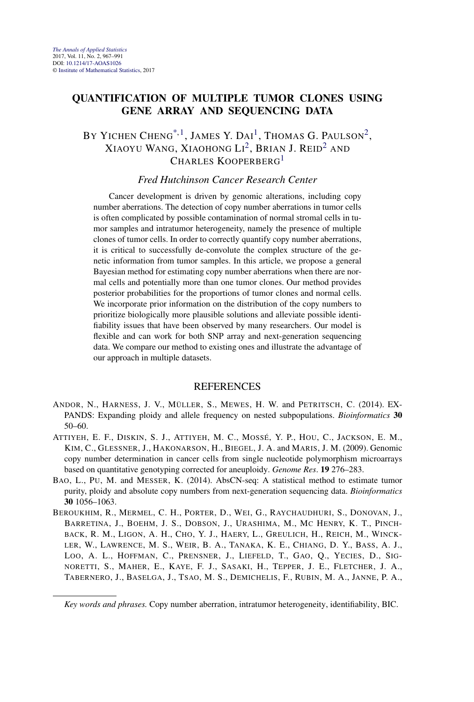# **QUANTIFICATION OF MULTIPLE TUMOR CLONES USING GENE ARRAY AND SEQUENCING DATA**

BY YICHEN CHENG<sup>\*, 1</sup>, JAMES Y. DAI<sup>1</sup>, THOMAS G. PAULSON<sup>2</sup>, XIAOYU WANG, XIAOHONG  $\mathrm{Li}^2$ , Brian J. Reid $^2$  and CHARLES KOOPERBERG<sup>1</sup>

### *Fred Hutchinson Cancer Research Center*

Cancer development is driven by genomic alterations, including copy number aberrations. The detection of copy number aberrations in tumor cells is often complicated by possible contamination of normal stromal cells in tumor samples and intratumor heterogeneity, namely the presence of multiple clones of tumor cells. In order to correctly quantify copy number aberrations, it is critical to successfully de-convolute the complex structure of the genetic information from tumor samples. In this article, we propose a general Bayesian method for estimating copy number aberrations when there are normal cells and potentially more than one tumor clones. Our method provides posterior probabilities for the proportions of tumor clones and normal cells. We incorporate prior information on the distribution of the copy numbers to prioritize biologically more plausible solutions and alleviate possible identifiability issues that have been observed by many researchers. Our model is flexible and can work for both SNP array and next-generation sequencing data. We compare our method to existing ones and illustrate the advantage of our approach in multiple datasets.

- ANDOR, N., HARNESS, J. V., MÜLLER, S., MEWES, H. W. and PETRITSCH, C. (2014). EX-PANDS: Expanding ploidy and allele frequency on nested subpopulations. *Bioinformatics* **30** 50–60.
- ATTIYEH, E. F., DISKIN, S. J., ATTIYEH, M. C., MOSSÉ, Y. P., HOU, C., JACKSON, E. M., KIM, C., GLESSNER, J., HAKONARSON, H., BIEGEL, J. A. and MARIS, J. M. (2009). Genomic copy number determination in cancer cells from single nucleotide polymorphism microarrays based on quantitative genotyping corrected for aneuploidy. *Genome Res*. **19** 276–283.
- BAO, L., PU, M. and MESSER, K. (2014). AbsCN-seq: A statistical method to estimate tumor purity, ploidy and absolute copy numbers from next-generation sequencing data. *Bioinformatics* **30** 1056–1063.
- BEROUKHIM, R., MERMEL, C. H., PORTER, D., WEI, G., RAYCHAUDHURI, S., DONOVAN, J., BARRETINA, J., BOEHM, J. S., DOBSON, J., URASHIMA, M., MC HENRY, K. T., PINCH-BACK, R. M., LIGON, A. H., CHO, Y. J., HAERY, L., GREULICH, H., REICH, M., WINCK-LER, W., LAWRENCE, M. S., WEIR, B. A., TANAKA, K. E., CHIANG, D. Y., BASS, A. J., LOO, A. L., HOFFMAN, C., PRENSNER, J., LIEFELD, T., GAO, Q., YECIES, D., SIG-NORETTI, S., MAHER, E., KAYE, F. J., SASAKI, H., TEPPER, J. E., FLETCHER, J. A., TABERNERO, J., BASELGA, J., TSAO, M. S., DEMICHELIS, F., RUBIN, M. A., JANNE, P. A.,

*Key words and phrases.* Copy number aberration, intratumor heterogeneity, identifiability, BIC.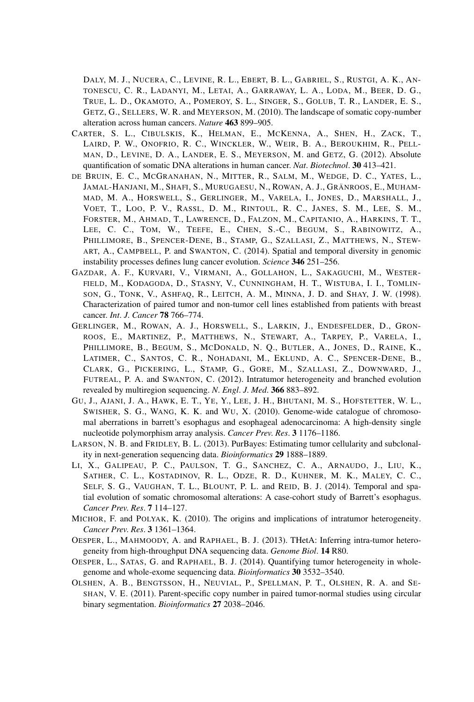DALY, M. J., NUCERA, C., LEVINE, R. L., EBERT, B. L., GABRIEL, S., RUSTGI, A. K., AN-TONESCU, C. R., LADANYI, M., LETAI, A., GARRAWAY, L. A., LODA, M., BEER, D. G., TRUE, L. D., OKAMOTO, A., POMEROY, S. L., SINGER, S., GOLUB, T. R., LANDER, E. S., GETZ, G., SELLERS, W. R. and MEYERSON, M. (2010). The landscape of somatic copy-number alteration across human cancers. *Nature* **463** 899–905.

- CARTER, S. L., CIBULSKIS, K., HELMAN, E., MCKENNA, A., SHEN, H., ZACK, T., LAIRD, P. W., ONOFRIO, R. C., WINCKLER, W., WEIR, B. A., BEROUKHIM, R., PELL-MAN, D., LEVINE, D. A., LANDER, E. S., MEYERSON, M. and GETZ, G. (2012). Absolute quantification of somatic DNA alterations in human cancer. *Nat*. *Biotechnol*. **30** 413–421.
- DE BRUIN, E. C., MCGRANAHAN, N., MITTER, R., SALM, M., WEDGE, D. C., YATES, L., JAMAL-HANJANI, M., SHAFI, S., MURUGAESU, N., ROWAN, A. J., GRÄNROOS, E., MUHAM-MAD, M. A., HORSWELL, S., GERLINGER, M., VARELA, I., JONES, D., MARSHALL, J., VOET, T., LOO, P. V., RASSL, D. M., RINTOUL, R. C., JANES, S. M., LEE, S. M., FORSTER, M., AHMAD, T., LAWRENCE, D., FALZON, M., CAPITANIO, A., HARKINS, T. T., LEE, C. C., TOM, W., TEEFE, E., CHEN, S.-C., BEGUM, S., RABINOWITZ, A., PHILLIMORE, B., SPENCER-DENE, B., STAMP, G., SZALLASI, Z., MATTHEWS, N., STEW-ART, A., CAMPBELL, P. and SWANTON, C. (2014). Spatial and temporal diversity in genomic instability processes defines lung cancer evolution. *Science* **346** 251–256.
- GAZDAR, A. F., KURVARI, V., VIRMANI, A., GOLLAHON, L., SAKAGUCHI, M., WESTER-FIELD, M., KODAGODA, D., STASNY, V., CUNNINGHAM, H. T., WISTUBA, I. I., TOMLIN-SON, G., TONK, V., ASHFAQ, R., LEITCH, A. M., MINNA, J. D. and SHAY, J. W. (1998). Characterization of paired tumor and non-tumor cell lines established from patients with breast cancer. *Int*. *J*. *Cancer* **78** 766–774.
- GERLINGER, M., ROWAN, A. J., HORSWELL, S., LARKIN, J., ENDESFELDER, D., GRON-ROOS, E., MARTINEZ, P., MATTHEWS, N., STEWART, A., TARPEY, P., VARELA, I., PHILLIMORE, B., BEGUM, S., MCDONALD, N. Q., BUTLER, A., JONES, D., RAINE, K., LATIMER, C., SANTOS, C. R., NOHADANI, M., EKLUND, A. C., SPENCER-DENE, B., CLARK, G., PICKERING, L., STAMP, G., GORE, M., SZALLASI, Z., DOWNWARD, J., FUTREAL, P. A. and SWANTON, C. (2012). Intratumor heterogeneity and branched evolution revealed by multiregion sequencing. *N*. *Engl*. *J*. *Med*. **366** 883–892.
- GU, J., AJANI, J. A., HAWK, E. T., YE, Y., LEE, J. H., BHUTANI, M. S., HOFSTETTER, W. L., SWISHER, S. G., WANG, K. K. and WU, X. (2010). Genome-wide catalogue of chromosomal aberrations in barrett's esophagus and esophageal adenocarcinoma: A high-density single nucleotide polymorphism array analysis. *Cancer Prev*. *Res*. **3** 1176–1186.
- LARSON, N. B. and FRIDLEY, B. L. (2013). PurBayes: Estimating tumor cellularity and subclonality in next-generation sequencing data. *Bioinformatics* **29** 1888–1889.
- LI, X., GALIPEAU, P. C., PAULSON, T. G., SANCHEZ, C. A., ARNAUDO, J., LIU, K., SATHER, C. L., KOSTADINOV, R. L., ODZE, R. D., KUHNER, M. K., MALEY, C. C., SELF, S. G., VAUGHAN, T. L., BLOUNT, P. L. and REID, B. J. (2014). Temporal and spatial evolution of somatic chromosomal alterations: A case-cohort study of Barrett's esophagus. *Cancer Prev*. *Res*. **7** 114–127.
- MICHOR, F. and POLYAK, K. (2010). The origins and implications of intratumor heterogeneity. *Cancer Prev*. *Res*. **3** 1361–1364.
- OESPER, L., MAHMOODY, A. and RAPHAEL, B. J. (2013). THetA: Inferring intra-tumor heterogeneity from high-throughput DNA sequencing data. *Genome Biol*. **14** R80.
- OESPER, L., SATAS, G. and RAPHAEL, B. J. (2014). Quantifying tumor heterogeneity in wholegenome and whole-exome sequencing data. *Bioinformatics* **30** 3532–3540.
- OLSHEN, A. B., BENGTSSON, H., NEUVIAL, P., SPELLMAN, P. T., OLSHEN, R. A. and SE-SHAN, V. E. (2011). Parent-specific copy number in paired tumor-normal studies using circular binary segmentation. *Bioinformatics* **27** 2038–2046.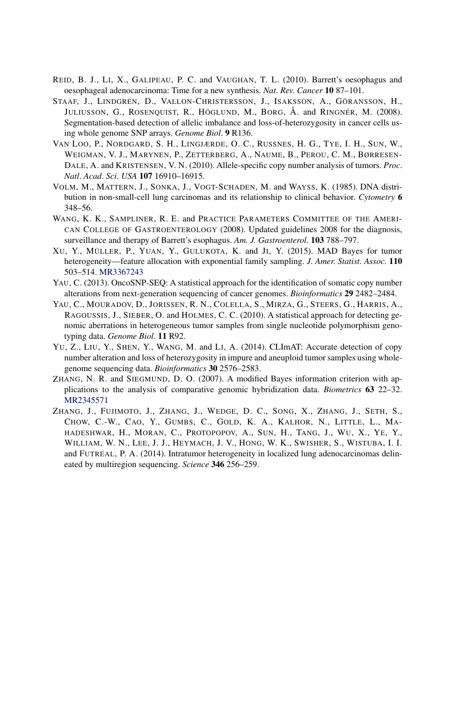- REID, B. J., LI, X., GALIPEAU, P. C. and VAUGHAN, T. L. (2010). Barrett's oesophagus and oesophageal adenocarcinoma: Time for a new synthesis. *Nat*. *Rev*. *Cancer* **10** 87–101.
- STAAF, J., LINDGREN, D., VALLON-CHRISTERSSON, J., ISAKSSON, A., GÖRANSSON, H., JULIUSSON, G., ROSENQUIST, R., HÖGLUND, M., BORG, Å. and RINGNÉR, M. (2008). Segmentation-based detection of allelic imbalance and loss-of-heterozygosity in cancer cells using whole genome SNP arrays. *Genome Biol*. **9** R136.
- VAN LOO, P., NORDGARD, S. H., LINGJÆRDE, O. C., RUSSNES, H. G., TYE, I. H., SUN, W., WEIGMAN, V. J., MARYNEN, P., ZETTERBERG, A., NAUME, B., PEROU, C. M., BØRRESEN-DALE, A. and KRISTENSEN, V. N. (2010). Allele-specific copy number analysis of tumors. *Proc*. *Natl*. *Acad*. *Sci*. *USA* **107** 16910–16915.
- VOLM, M., MATTERN, J., SONKA, J., VOGT-SCHADEN, M. and WAYSS, K. (1985). DNA distribution in non-small-cell lung carcinomas and its relationship to clinical behavior. *Cytometry* **6** 348–56.
- WANG, K. K., SAMPLINER, R. E. and PRACTICE PARAMETERS COMMITTEE OF THE AMERI-CAN COLLEGE OF GASTROENTEROLOGY (2008). Updated guidelines 2008 for the diagnosis, surveillance and therapy of Barrett's esophagus. *Am. J. Gastroenterol.* **103** 788–797.
- XU, Y., MÜLLER, P., YUAN, Y., GULUKOTA, K. and JI, Y. (2015). MAD Bayes for tumor heterogeneity—feature allocation with exponential family sampling. *J*. *Amer*. *Statist*. *Assoc*. **110** 503–514. [MR3367243](http://www.ams.org/mathscinet-getitem?mr=3367243)
- YAU, C. (2013). OncoSNP-SEQ: A statistical approach for the identification of somatic copy number alterations from next-generation sequencing of cancer genomes. *Bioinformatics* **29** 2482–2484.
- YAU, C., MOURADOV, D., JORISSEN, R. N., COLELLA, S., MIRZA, G., STEERS, G., HARRIS, A., RAGOUSSIS, J., SIEBER, O. and HOLMES, C. C. (2010). A statistical approach for detecting genomic aberrations in heterogeneous tumor samples from single nucleotide polymorphism genotyping data. *Genome Biol*. **11** R92.
- YU, Z., LIU, Y., SHEN, Y., WANG, M. and LI, A. (2014). CLImAT: Accurate detection of copy number alteration and loss of heterozygosity in impure and aneuploid tumor samples using wholegenome sequencing data. *Bioinformatics* **30** 2576–2583.
- ZHANG, N. R. and SIEGMUND, D. O. (2007). A modified Bayes information criterion with applications to the analysis of comparative genomic hybridization data. *Biometrics* **63** 22–32. [MR2345571](http://www.ams.org/mathscinet-getitem?mr=2345571)
- ZHANG, J., FUJIMOTO, J., ZHANG, J., WEDGE, D. C., SONG, X., ZHANG, J., SETH, S., CHOW, C.-W., CAO, Y., GUMBS, C., GOLD, K. A., KALHOR, N., LITTLE, L., MA-HADESHWAR, H., MORAN, C., PROTOPOPOV, A., SUN, H., TANG, J., WU, X., YE, Y., WILLIAM, W. N., LEE, J. J., HEYMACH, J. V., HONG, W. K., SWISHER, S., WISTUBA, I. I. and FUTREAL, P. A. (2014). Intratumor heterogeneity in localized lung adenocarcinomas delineated by multiregion sequencing. *Science* **346** 256–259.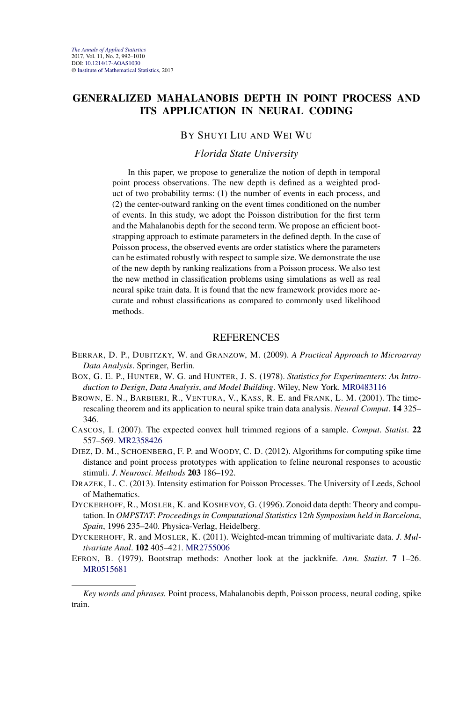## **GENERALIZED MAHALANOBIS DEPTH IN POINT PROCESS AND ITS APPLICATION IN NEURAL CODING**

### BY SHUYI LIU AND WEI WU

### *Florida State University*

In this paper, we propose to generalize the notion of depth in temporal point process observations. The new depth is defined as a weighted product of two probability terms: (1) the number of events in each process, and (2) the center-outward ranking on the event times conditioned on the number of events. In this study, we adopt the Poisson distribution for the first term and the Mahalanobis depth for the second term. We propose an efficient bootstrapping approach to estimate parameters in the defined depth. In the case of Poisson process, the observed events are order statistics where the parameters can be estimated robustly with respect to sample size. We demonstrate the use of the new depth by ranking realizations from a Poisson process. We also test the new method in classification problems using simulations as well as real neural spike train data. It is found that the new framework provides more accurate and robust classifications as compared to commonly used likelihood methods.

- BERRAR, D. P., DUBITZKY, W. and GRANZOW, M. (2009). *A Practical Approach to Microarray Data Analysis*. Springer, Berlin.
- BOX, G. E. P., HUNTER, W. G. and HUNTER, J. S. (1978). *Statistics for Experimenters*: *An Introduction to Design*, *Data Analysis*, *and Model Building*. Wiley, New York. [MR0483116](http://www.ams.org/mathscinet-getitem?mr=0483116)
- BROWN, E. N., BARBIERI, R., VENTURA, V., KASS, R. E. and FRANK, L. M. (2001). The timerescaling theorem and its application to neural spike train data analysis. *Neural Comput*. **14** 325– 346.
- CASCOS, I. (2007). The expected convex hull trimmed regions of a sample. *Comput*. *Statist*. **22** 557–569. [MR2358426](http://www.ams.org/mathscinet-getitem?mr=2358426)
- DIEZ, D. M., SCHOENBERG, F. P. and WOODY, C. D. (2012). Algorithms for computing spike time distance and point process prototypes with application to feline neuronal responses to acoustic stimuli. *J*. *Neurosci*. *Methods* **203** 186–192.
- DRAZEK, L. C. (2013). Intensity estimation for Poisson Processes. The University of Leeds, School of Mathematics.
- DYCKERHOFF, R., MOSLER, K. and KOSHEVOY, G. (1996). Zonoid data depth: Theory and computation. In *OMPSTAT*: *Proceedings in Computational Statistics* 12*th Symposium held in Barcelona*, *Spain*, 1996 235–240. Physica-Verlag, Heidelberg.
- DYCKERHOFF, R. and MOSLER, K. (2011). Weighted-mean trimming of multivariate data. *J*. *Multivariate Anal*. **102** 405–421. [MR2755006](http://www.ams.org/mathscinet-getitem?mr=2755006)
- EFRON, B. (1979). Bootstrap methods: Another look at the jackknife. *Ann*. *Statist*. **7** 1–26. [MR0515681](http://www.ams.org/mathscinet-getitem?mr=0515681)

*Key words and phrases.* Point process, Mahalanobis depth, Poisson process, neural coding, spike train.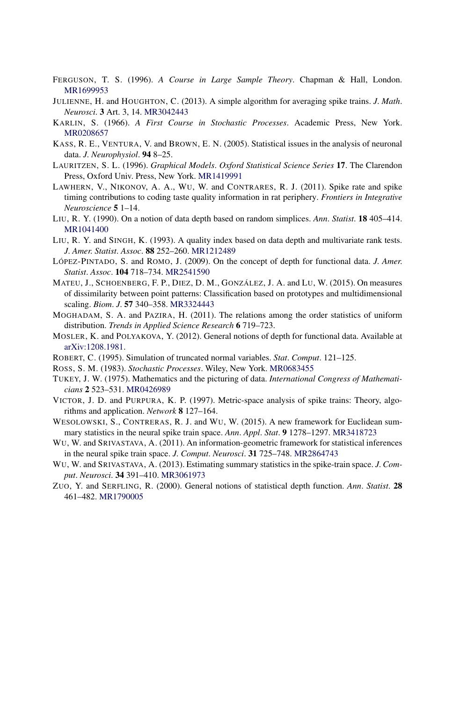- FERGUSON, T. S. (1996). *A Course in Large Sample Theory*. Chapman & Hall, London. [MR1699953](http://www.ams.org/mathscinet-getitem?mr=1699953)
- JULIENNE, H. and HOUGHTON, C. (2013). A simple algorithm for averaging spike trains. *J*. *Math*. *Neurosci*. **3** Art. 3, 14. [MR3042443](http://www.ams.org/mathscinet-getitem?mr=3042443)
- KARLIN, S. (1966). *A First Course in Stochastic Processes*. Academic Press, New York. [MR0208657](http://www.ams.org/mathscinet-getitem?mr=0208657)
- KASS, R. E., VENTURA, V. and BROWN, E. N. (2005). Statistical issues in the analysis of neuronal data. *J*. *Neurophysiol*. **94** 8–25.
- LAURITZEN, S. L. (1996). *Graphical Models*. *Oxford Statistical Science Series* **17**. The Clarendon Press, Oxford Univ. Press, New York. [MR1419991](http://www.ams.org/mathscinet-getitem?mr=1419991)
- LAWHERN, V., NIKONOV, A. A., WU, W. and CONTRARES, R. J. (2011). Spike rate and spike timing contributions to coding taste quality information in rat periphery. *Frontiers in Integrative Neuroscience* **5** 1–14.
- LIU, R. Y. (1990). On a notion of data depth based on random simplices. *Ann*. *Statist*. **18** 405–414. [MR1041400](http://www.ams.org/mathscinet-getitem?mr=1041400)
- LIU, R. Y. and SINGH, K. (1993). A quality index based on data depth and multivariate rank tests. *J*. *Amer*. *Statist*. *Assoc*. **88** 252–260. [MR1212489](http://www.ams.org/mathscinet-getitem?mr=1212489)
- LÓPEZ-PINTADO, S. and ROMO, J. (2009). On the concept of depth for functional data. *J*. *Amer*. *Statist*. *Assoc*. **104** 718–734. [MR2541590](http://www.ams.org/mathscinet-getitem?mr=2541590)
- MATEU, J., SCHOENBERG, F. P., DIEZ, D. M., GONZÁLEZ, J. A. and LU, W. (2015). On measures of dissimilarity between point patterns: Classification based on prototypes and multidimensional scaling. *Biom*. *J*. **57** 340–358. [MR3324443](http://www.ams.org/mathscinet-getitem?mr=3324443)
- MOGHADAM, S. A. and PAZIRA, H. (2011). The relations among the order statistics of uniform distribution. *Trends in Applied Science Research* **6** 719–723.
- MOSLER, K. and POLYAKOVA, Y. (2012). General notions of depth for functional data. Available at [arXiv:1208.1981.](http://arxiv.org/abs/arXiv:1208.1981)
- ROBERT, C. (1995). Simulation of truncated normal variables. *Stat*. *Comput*. 121–125.
- ROSS, S. M. (1983). *Stochastic Processes*. Wiley, New York. [MR0683455](http://www.ams.org/mathscinet-getitem?mr=0683455)
- TUKEY, J. W. (1975). Mathematics and the picturing of data. *International Congress of Mathematicians* **2** 523–531. [MR0426989](http://www.ams.org/mathscinet-getitem?mr=0426989)
- VICTOR, J. D. and PURPURA, K. P. (1997). Metric-space analysis of spike trains: Theory, algorithms and application. *Network* **8** 127–164.
- WESOLOWSKI, S., CONTRERAS, R. J. and WU, W. (2015). A new framework for Euclidean summary statistics in the neural spike train space. *Ann*. *Appl*. *Stat*. **9** 1278–1297. [MR3418723](http://www.ams.org/mathscinet-getitem?mr=3418723)
- WU, W. and SRIVASTAVA, A. (2011). An information-geometric framework for statistical inferences in the neural spike train space. *J*. *Comput*. *Neurosci*. **31** 725–748. [MR2864743](http://www.ams.org/mathscinet-getitem?mr=2864743)
- WU, W. and SRIVASTAVA, A. (2013). Estimating summary statistics in the spike-train space. *J*. *Comput*. *Neurosci*. **34** 391–410. [MR3061973](http://www.ams.org/mathscinet-getitem?mr=3061973)
- ZUO, Y. and SERFLING, R. (2000). General notions of statistical depth function. *Ann*. *Statist*. **28** 461–482. [MR1790005](http://www.ams.org/mathscinet-getitem?mr=1790005)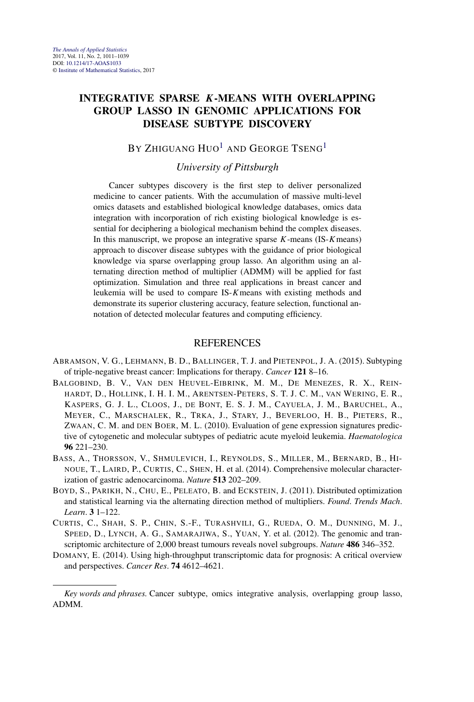## **INTEGRATIVE SPARSE** *K***-MEANS WITH OVERLAPPING GROUP LASSO IN GENOMIC APPLICATIONS FOR DISEASE SUBTYPE DISCOVERY**

# BY ZHIGUANG HUO<sup>1</sup> AND GEORGE TSENG<sup>1</sup>

### *University of Pittsburgh*

Cancer subtypes discovery is the first step to deliver personalized medicine to cancer patients. With the accumulation of massive multi-level omics datasets and established biological knowledge databases, omics data integration with incorporation of rich existing biological knowledge is essential for deciphering a biological mechanism behind the complex diseases. In this manuscript, we propose an integrative sparse *K*-means (IS-*K*means) approach to discover disease subtypes with the guidance of prior biological knowledge via sparse overlapping group lasso. An algorithm using an alternating direction method of multiplier (ADMM) will be applied for fast optimization. Simulation and three real applications in breast cancer and leukemia will be used to compare IS-*K*means with existing methods and demonstrate its superior clustering accuracy, feature selection, functional annotation of detected molecular features and computing efficiency.

- ABRAMSON, V. G., LEHMANN, B. D., BALLINGER, T. J. and PIETENPOL, J. A. (2015). Subtyping of triple-negative breast cancer: Implications for therapy. *Cancer* **121** 8–16.
- BALGOBIND, B. V., VAN DEN HEUVEL-EIBRINK, M. M., DE MENEZES, R. X., REIN-HARDT, D., HOLLINK, I. H. I. M., ARENTSEN-PETERS, S. T. J. C. M., VAN WERING, E. R., KASPERS, G. J. L., CLOOS, J., DE BONT, E. S. J. M., CAYUELA, J. M., BARUCHEL, A., MEYER, C., MARSCHALEK, R., TRKA, J., STARY, J., BEVERLOO, H. B., PIETERS, R., ZWAAN, C. M. and DEN BOER, M. L. (2010). Evaluation of gene expression signatures predictive of cytogenetic and molecular subtypes of pediatric acute myeloid leukemia. *Haematologica* **96** 221–230.
- BASS, A., THORSSON, V., SHMULEVICH, I., REYNOLDS, S., MILLER, M., BERNARD, B., HI-NOUE, T., LAIRD, P., CURTIS, C., SHEN, H. et al. (2014). Comprehensive molecular characterization of gastric adenocarcinoma. *Nature* **513** 202–209.
- BOYD, S., PARIKH, N., CHU, E., PELEATO, B. and ECKSTEIN, J. (2011). Distributed optimization and statistical learning via the alternating direction method of multipliers. *Found*. *Trends Mach*. *Learn*. **3** 1–122.
- CURTIS, C., SHAH, S. P., CHIN, S.-F., TURASHVILI, G., RUEDA, O. M., DUNNING, M. J., SPEED, D., LYNCH, A. G., SAMARAJIWA, S., YUAN, Y. et al. (2012). The genomic and transcriptomic architecture of 2,000 breast tumours reveals novel subgroups. *Nature* **486** 346–352.
- DOMANY, E. (2014). Using high-throughput transcriptomic data for prognosis: A critical overview and perspectives. *Cancer Res*. **74** 4612–4621.

*Key words and phrases.* Cancer subtype, omics integrative analysis, overlapping group lasso, ADMM.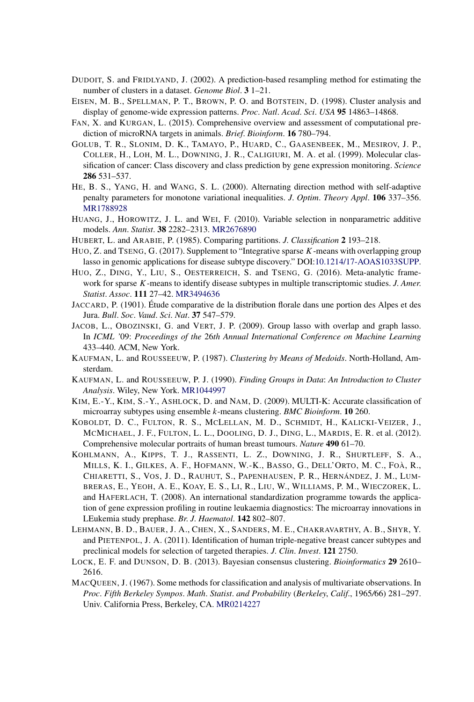- DUDOIT, S. and FRIDLYAND, J. (2002). A prediction-based resampling method for estimating the number of clusters in a dataset. *Genome Biol*. **3** 1–21.
- EISEN, M. B., SPELLMAN, P. T., BROWN, P. O. and BOTSTEIN, D. (1998). Cluster analysis and display of genome-wide expression patterns. *Proc*. *Natl*. *Acad*. *Sci*. *USA* **95** 14863–14868.
- FAN, X. and KURGAN, L. (2015). Comprehensive overview and assessment of computational prediction of microRNA targets in animals. *Brief*. *Bioinform*. **16** 780–794.
- GOLUB, T. R., SLONIM, D. K., TAMAYO, P., HUARD, C., GAASENBEEK, M., MESIROV, J. P., COLLER, H., LOH, M. L., DOWNING, J. R., CALIGIURI, M. A. et al. (1999). Molecular classification of cancer: Class discovery and class prediction by gene expression monitoring. *Science* **286** 531–537.
- HE, B. S., YANG, H. and WANG, S. L. (2000). Alternating direction method with self-adaptive penalty parameters for monotone variational inequalities. *J*. *Optim*. *Theory Appl*. **106** 337–356. [MR1788928](http://www.ams.org/mathscinet-getitem?mr=1788928)
- HUANG, J., HOROWITZ, J. L. and WEI, F. (2010). Variable selection in nonparametric additive models. *Ann*. *Statist*. **38** 2282–2313. [MR2676890](http://www.ams.org/mathscinet-getitem?mr=2676890)
- HUBERT, L. and ARABIE, P. (1985). Comparing partitions. *J*. *Classification* **2** 193–218.
- HUO, Z. and TSENG, G. (2017). Supplement to "Integrative sparse *K*-means with overlapping group lasso in genomic applications for disease subtype discovery." DOI[:10.1214/17-AOAS1033SUPP.](http://dx.doi.org/10.1214/17-AOAS1033SUPP)
- HUO, Z., DING, Y., LIU, S., OESTERREICH, S. and TSENG, G. (2016). Meta-analytic framework for sparse *K*-means to identify disease subtypes in multiple transcriptomic studies. *J*. *Amer*. *Statist*. *Assoc*. **111** 27–42. [MR3494636](http://www.ams.org/mathscinet-getitem?mr=3494636)
- JACCARD, P. (1901). Étude comparative de la distribution florale dans une portion des Alpes et des Jura. *Bull*. *Soc*. *Vaud*. *Sci*. *Nat*. **37** 547–579.
- JACOB, L., OBOZINSKI, G. and VERT, J. P. (2009). Group lasso with overlap and graph lasso. In *ICML '*09: *Proceedings of the* 26*th Annual International Conference on Machine Learning* 433–440. ACM, New York.
- KAUFMAN, L. and ROUSSEEUW, P. (1987). *Clustering by Means of Medoids*. North-Holland, Amsterdam.
- KAUFMAN, L. and ROUSSEEUW, P. J. (1990). *Finding Groups in Data*: *An Introduction to Cluster Analysis*. Wiley, New York. [MR1044997](http://www.ams.org/mathscinet-getitem?mr=1044997)
- KIM, E.-Y., KIM, S.-Y., ASHLOCK, D. and NAM, D. (2009). MULTI-K: Accurate classification of microarray subtypes using ensemble *k*-means clustering. *BMC Bioinform*. **10** 260.
- KOBOLDT, D. C., FULTON, R. S., MCLELLAN, M. D., SCHMIDT, H., KALICKI-VEIZER, J., MCMICHAEL, J. F., FULTON, L. L., DOOLING, D. J., DING, L., MARDIS, E. R. et al. (2012). Comprehensive molecular portraits of human breast tumours. *Nature* **490** 61–70.
- KOHLMANN, A., KIPPS, T. J., RASSENTI, L. Z., DOWNING, J. R., SHURTLEFF, S. A., MILLS, K. I., GILKES, A. F., HOFMANN, W.-K., BASSO, G., DELL'ORTO, M. C., FOÀ, R., CHIARETTI, S., VOS, J. D., RAUHUT, S., PAPENHAUSEN, P. R., HERNÁNDEZ, J. M., LUM-BRERAS, E., YEOH, A. E., KOAY, E. S., LI, R., LIU, W., WILLIAMS, P. M., WIECZOREK, L. and HAFERLACH, T. (2008). An international standardization programme towards the application of gene expression profiling in routine leukaemia diagnostics: The microarray innovations in LEukemia study prephase. *Br*. *J*. *Haematol*. **142** 802–807.
- LEHMANN, B. D., BAUER, J. A., CHEN, X., SANDERS, M. E., CHAKRAVARTHY, A. B., SHYR, Y. and PIETENPOL, J. A. (2011). Identification of human triple-negative breast cancer subtypes and preclinical models for selection of targeted therapies. *J*. *Clin*. *Invest*. **121** 2750.
- LOCK, E. F. and DUNSON, D. B. (2013). Bayesian consensus clustering. *Bioinformatics* **29** 2610– 2616.
- MACQUEEN, J. (1967). Some methods for classification and analysis of multivariate observations. In *Proc*. *Fifth Berkeley Sympos*. *Math*. *Statist*. *and Probability* (*Berkeley*, *Calif*., 1965*/*66) 281–297. Univ. California Press, Berkeley, CA. [MR0214227](http://www.ams.org/mathscinet-getitem?mr=0214227)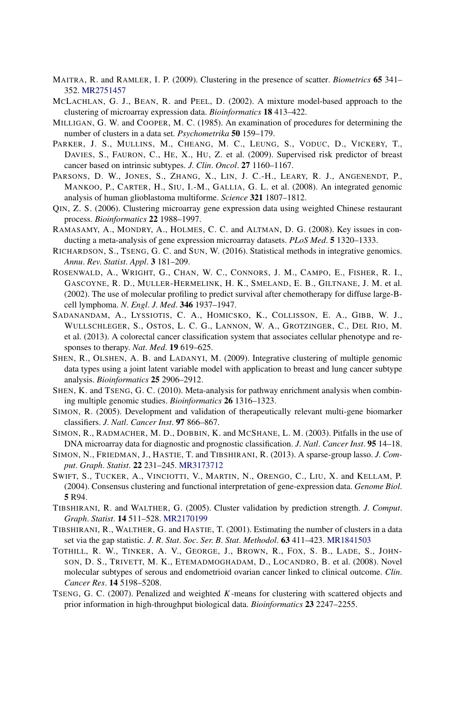- MAITRA, R. and RAMLER, I. P. (2009). Clustering in the presence of scatter. *Biometrics* **65** 341– 352. [MR2751457](http://www.ams.org/mathscinet-getitem?mr=2751457)
- MCLACHLAN, G. J., BEAN, R. and PEEL, D. (2002). A mixture model-based approach to the clustering of microarray expression data. *Bioinformatics* **18** 413–422.
- MILLIGAN, G. W. and COOPER, M. C. (1985). An examination of procedures for determining the number of clusters in a data set. *Psychometrika* **50** 159–179.
- PARKER, J. S., MULLINS, M., CHEANG, M. C., LEUNG, S., VODUC, D., VICKERY, T., DAVIES, S., FAURON, C., HE, X., HU, Z. et al. (2009). Supervised risk predictor of breast cancer based on intrinsic subtypes. *J*. *Clin*. *Oncol*. **27** 1160–1167.
- PARSONS, D. W., JONES, S., ZHANG, X., LIN, J. C.-H., LEARY, R. J., ANGENENDT, P., MANKOO, P., CARTER, H., SIU, I.-M., GALLIA, G. L. et al. (2008). An integrated genomic analysis of human glioblastoma multiforme. *Science* **321** 1807–1812.
- QIN, Z. S. (2006). Clustering microarray gene expression data using weighted Chinese restaurant process. *Bioinformatics* **22** 1988–1997.
- RAMASAMY, A., MONDRY, A., HOLMES, C. C. and ALTMAN, D. G. (2008). Key issues in conducting a meta-analysis of gene expression microarray datasets. *PLoS Med*. **5** 1320–1333.
- RICHARDSON, S., TSENG, G. C. and SUN, W. (2016). Statistical methods in integrative genomics. *Annu*. *Rev*. *Statist*. *Appl*. **3** 181–209.
- ROSENWALD, A., WRIGHT, G., CHAN, W. C., CONNORS, J. M., CAMPO, E., FISHER, R. I., GASCOYNE, R. D., MULLER-HERMELINK, H. K., SMELAND, E. B., GILTNANE, J. M. et al. (2002). The use of molecular profiling to predict survival after chemotherapy for diffuse large-Bcell lymphoma. *N*. *Engl*. *J*. *Med*. **346** 1937–1947.
- SADANANDAM, A., LYSSIOTIS, C. A., HOMICSKO, K., COLLISSON, E. A., GIBB, W. J., WULLSCHLEGER, S., OSTOS, L. C. G., LANNON, W. A., GROTZINGER, C., DEL RIO, M. et al. (2013). A colorectal cancer classification system that associates cellular phenotype and responses to therapy. *Nat*. *Med*. **19** 619–625.
- SHEN, R., OLSHEN, A. B. and LADANYI, M. (2009). Integrative clustering of multiple genomic data types using a joint latent variable model with application to breast and lung cancer subtype analysis. *Bioinformatics* **25** 2906–2912.
- SHEN, K. and TSENG, G. C. (2010). Meta-analysis for pathway enrichment analysis when combining multiple genomic studies. *Bioinformatics* **26** 1316–1323.
- SIMON, R. (2005). Development and validation of therapeutically relevant multi-gene biomarker classifiers. *J*. *Natl*. *Cancer Inst*. **97** 866–867.
- SIMON, R., RADMACHER, M. D., DOBBIN, K. and MCSHANE, L. M. (2003). Pitfalls in the use of DNA microarray data for diagnostic and prognostic classification. *J*. *Natl*. *Cancer Inst*. **95** 14–18.
- SIMON, N., FRIEDMAN, J., HASTIE, T. and TIBSHIRANI, R. (2013). A sparse-group lasso. *J*. *Comput*. *Graph*. *Statist*. **22** 231–245. [MR3173712](http://www.ams.org/mathscinet-getitem?mr=3173712)
- SWIFT, S., TUCKER, A., VINCIOTTI, V., MARTIN, N., ORENGO, C., LIU, X. and KELLAM, P. (2004). Consensus clustering and functional interpretation of gene-expression data. *Genome Biol*. **5** R94.
- TIBSHIRANI, R. and WALTHER, G. (2005). Cluster validation by prediction strength. *J*. *Comput*. *Graph*. *Statist*. **14** 511–528. [MR2170199](http://www.ams.org/mathscinet-getitem?mr=2170199)
- TIBSHIRANI, R., WALTHER, G. and HASTIE, T. (2001). Estimating the number of clusters in a data set via the gap statistic. *J*. *R*. *Stat*. *Soc*. *Ser*. *B*. *Stat*. *Methodol*. **63** 411–423. [MR1841503](http://www.ams.org/mathscinet-getitem?mr=1841503)
- TOTHILL, R. W., TINKER, A. V., GEORGE, J., BROWN, R., FOX, S. B., LADE, S., JOHN-SON, D. S., TRIVETT, M. K., ETEMADMOGHADAM, D., LOCANDRO, B. et al. (2008). Novel molecular subtypes of serous and endometrioid ovarian cancer linked to clinical outcome. *Clin*. *Cancer Res*. **14** 5198–5208.
- TSENG, G. C. (2007). Penalized and weighted *K*-means for clustering with scattered objects and prior information in high-throughput biological data. *Bioinformatics* **23** 2247–2255.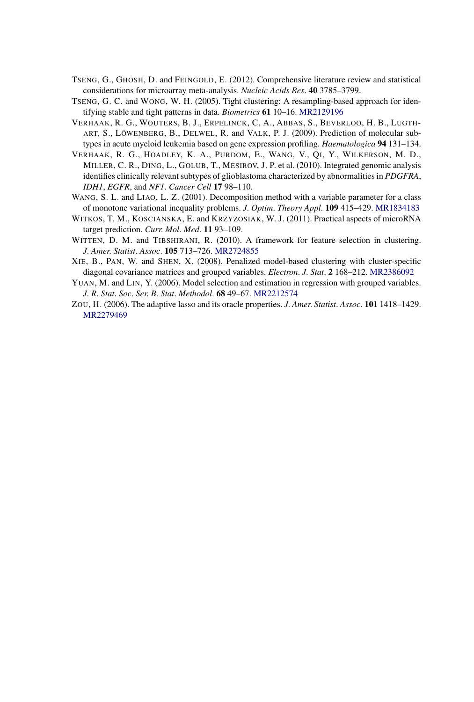- TSENG, G., GHOSH, D. and FEINGOLD, E. (2012). Comprehensive literature review and statistical considerations for microarray meta-analysis. *Nucleic Acids Res*. **40** 3785–3799.
- TSENG, G. C. and WONG, W. H. (2005). Tight clustering: A resampling-based approach for identifying stable and tight patterns in data. *Biometrics* **61** 10–16. [MR2129196](http://www.ams.org/mathscinet-getitem?mr=2129196)
- VERHAAK, R. G., WOUTERS, B. J., ERPELINCK, C. A., ABBAS, S., BEVERLOO, H. B., LUGTH-ART, S., LÖWENBERG, B., DELWEL, R. and VALK, P. J. (2009). Prediction of molecular subtypes in acute myeloid leukemia based on gene expression profiling. *Haematologica* **94** 131–134.
- VERHAAK, R. G., HOADLEY, K. A., PURDOM, E., WANG, V., QI, Y., WILKERSON, M. D., MILLER, C. R., DING, L., GOLUB, T., MESIROV, J. P. et al. (2010). Integrated genomic analysis identifies clinically relevant subtypes of glioblastoma characterized by abnormalities in *PDGFRA*, *IDH1*, *EGFR*, and *NF1*. *Cancer Cell* **17** 98–110.
- WANG, S. L. and LIAO, L. Z. (2001). Decomposition method with a variable parameter for a class of monotone variational inequality problems. *J*. *Optim*. *Theory Appl*. **109** 415–429. [MR1834183](http://www.ams.org/mathscinet-getitem?mr=1834183)
- WITKOS, T. M., KOSCIANSKA, E. and KRZYZOSIAK, W. J. (2011). Practical aspects of microRNA target prediction. *Curr*. *Mol*. *Med*. **11** 93–109.
- WITTEN, D. M. and TIBSHIRANI, R. (2010). A framework for feature selection in clustering. *J*. *Amer*. *Statist*. *Assoc*. **105** 713–726. [MR2724855](http://www.ams.org/mathscinet-getitem?mr=2724855)
- XIE, B., PAN, W. and SHEN, X. (2008). Penalized model-based clustering with cluster-specific diagonal covariance matrices and grouped variables. *Electron*. *J*. *Stat*. **2** 168–212. [MR2386092](http://www.ams.org/mathscinet-getitem?mr=2386092)
- YUAN, M. and LIN, Y. (2006). Model selection and estimation in regression with grouped variables. *J*. *R*. *Stat*. *Soc*. *Ser*. *B*. *Stat*. *Methodol*. **68** 49–67. [MR2212574](http://www.ams.org/mathscinet-getitem?mr=2212574)
- ZOU, H. (2006). The adaptive lasso and its oracle properties. *J*. *Amer*. *Statist*. *Assoc*. **101** 1418–1429. [MR2279469](http://www.ams.org/mathscinet-getitem?mr=2279469)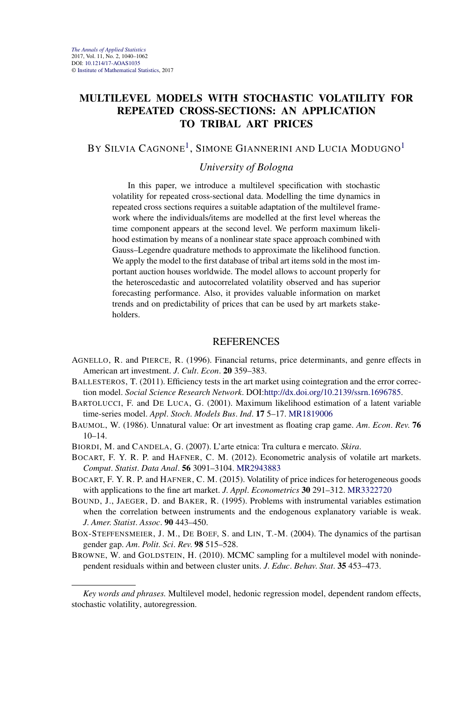# **MULTILEVEL MODELS WITH STOCHASTIC VOLATILITY FOR REPEATED CROSS-SECTIONS: AN APPLICATION TO TRIBAL ART PRICES**

### BY SILVIA CAGNONE<sup>[1](#page-27-0)</sup>, SIMONE GIANNERINI AND LUCIA MODUGNO<sup>1</sup>

#### *University of Bologna*

In this paper, we introduce a multilevel specification with stochastic volatility for repeated cross-sectional data. Modelling the time dynamics in repeated cross sections requires a suitable adaptation of the multilevel framework where the individuals/items are modelled at the first level whereas the time component appears at the second level. We perform maximum likelihood estimation by means of a nonlinear state space approach combined with Gauss–Legendre quadrature methods to approximate the likelihood function. We apply the model to the first database of tribal art items sold in the most important auction houses worldwide. The model allows to account properly for the heteroscedastic and autocorrelated volatility observed and has superior forecasting performance. Also, it provides valuable information on market trends and on predictability of prices that can be used by art markets stakeholders.

- AGNELLO, R. and PIERCE, R. (1996). Financial returns, price determinants, and genre effects in American art investment. *J*. *Cult*. *Econ*. **20** 359–383.
- BALLESTEROS, T. (2011). Efficiency tests in the art market using cointegration and the error correction model. *Social Science Research Network*. DOI[:http://dx.doi.org/10.2139/ssrn.1696785](http://dx.doi.org/10.2139/ssrn.1696785).
- BARTOLUCCI, F. and DE LUCA, G. (2001). Maximum likelihood estimation of a latent variable time-series model. *Appl*. *Stoch*. *Models Bus*. *Ind*. **17** 5–17. [MR1819006](http://www.ams.org/mathscinet-getitem?mr=1819006)
- BAUMOL, W. (1986). Unnatural value: Or art investment as floating crap game. *Am*. *Econ*. *Rev*. **76** 10–14.
- BIORDI, M. and CANDELA, G. (2007). L'arte etnica: Tra cultura e mercato. *Skira*.
- BOCART, F. Y. R. P. and HAFNER, C. M. (2012). Econometric analysis of volatile art markets. *Comput*. *Statist*. *Data Anal*. **56** 3091–3104. [MR2943883](http://www.ams.org/mathscinet-getitem?mr=2943883)
- BOCART, F. Y. R. P. and HAFNER, C. M. (2015). Volatility of price indices for heterogeneous goods with applications to the fine art market. *J*. *Appl*. *Econometrics* **30** 291–312. [MR3322720](http://www.ams.org/mathscinet-getitem?mr=3322720)
- BOUND, J., JAEGER, D. and BAKER, R. (1995). Problems with instrumental variables estimation when the correlation between instruments and the endogenous explanatory variable is weak. *J*. *Amer*. *Statist*. *Assoc*. **90** 443–450.
- BOX-STEFFENSMEIER, J. M., DE BOEF, S. and LIN, T.-M. (2004). The dynamics of the partisan gender gap. *Am*. *Polit*. *Sci*. *Rev*. **98** 515–528.
- BROWNE, W. and GOLDSTEIN, H. (2010). MCMC sampling for a multilevel model with nonindependent residuals within and between cluster units. *J*. *Educ*. *Behav*. *Stat*. **35** 453–473.

*Key words and phrases.* Multilevel model, hedonic regression model, dependent random effects, stochastic volatility, autoregression.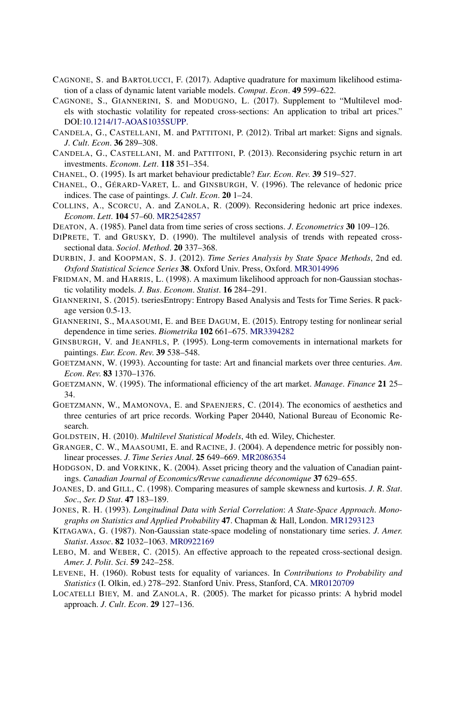- CAGNONE, S. and BARTOLUCCI, F. (2017). Adaptive quadrature for maximum likelihood estimation of a class of dynamic latent variable models. *Comput*. *Econ*. **49** 599–622.
- CAGNONE, S., GIANNERINI, S. and MODUGNO, L. (2017). Supplement to "Multilevel models with stochastic volatility for repeated cross-sections: An application to tribal art prices." DOI[:10.1214/17-AOAS1035SUPP.](http://dx.doi.org/10.1214/17-AOAS1035SUPP)
- CANDELA, G., CASTELLANI, M. and PATTITONI, P. (2012). Tribal art market: Signs and signals. *J*. *Cult*. *Econ*. **36** 289–308.
- CANDELA, G., CASTELLANI, M. and PATTITONI, P. (2013). Reconsidering psychic return in art investments. *Econom*. *Lett*. **118** 351–354.
- CHANEL, O. (1995). Is art market behaviour predictable? *Eur*. *Econ*. *Rev*. **39** 519–527.
- CHANEL, O., GÉRARD-VARET, L. and GINSBURGH, V. (1996). The relevance of hedonic price indices. The case of paintings. *J*. *Cult*. *Econ*. **20** 1–24.
- COLLINS, A., SCORCU, A. and ZANOLA, R. (2009). Reconsidering hedonic art price indexes. *Econom*. *Lett*. **104** 57–60. [MR2542857](http://www.ams.org/mathscinet-getitem?mr=2542857)
- DEATON, A. (1985). Panel data from time series of cross sections. *J*. *Econometrics* **30** 109–126.
- DIPRETE, T. and GRUSKY, D. (1990). The multilevel analysis of trends with repeated crosssectional data. *Sociol*. *Method*. **20** 337–368.
- DURBIN, J. and KOOPMAN, S. J. (2012). *Time Series Analysis by State Space Methods*, 2nd ed. *Oxford Statistical Science Series* **38**. Oxford Univ. Press, Oxford. [MR3014996](http://www.ams.org/mathscinet-getitem?mr=3014996)
- FRIDMAN, M. and HARRIS, L. (1998). A maximum likelihood approach for non-Gaussian stochastic volatility models. *J*. *Bus*. *Econom*. *Statist*. **16** 284–291.
- GIANNERINI, S. (2015). tseriesEntropy: Entropy Based Analysis and Tests for Time Series. R package version 0.5-13.
- GIANNERINI, S., MAASOUMI, E. and BEE DAGUM, E. (2015). Entropy testing for nonlinear serial dependence in time series. *Biometrika* **102** 661–675. [MR3394282](http://www.ams.org/mathscinet-getitem?mr=3394282)
- GINSBURGH, V. and JEANFILS, P. (1995). Long-term comovements in international markets for paintings. *Eur*. *Econ*. *Rev*. **39** 538–548.
- GOETZMANN, W. (1993). Accounting for taste: Art and financial markets over three centuries. *Am*. *Econ*. *Rev*. **83** 1370–1376.
- GOETZMANN, W. (1995). The informational efficiency of the art market. *Manage*. *Finance* **21** 25– 34.
- GOETZMANN, W., MAMONOVA, E. and SPAENJERS, C. (2014). The economics of aesthetics and three centuries of art price records. Working Paper 20440, National Bureau of Economic Research.
- GOLDSTEIN, H. (2010). *Multilevel Statistical Models*, 4th ed. Wiley, Chichester.
- GRANGER, C. W., MAASOUMI, E. and RACINE, J. (2004). A dependence metric for possibly nonlinear processes. *J*. *Time Series Anal*. **25** 649–669. [MR2086354](http://www.ams.org/mathscinet-getitem?mr=2086354)
- HODGSON, D. and VORKINK, K. (2004). Asset pricing theory and the valuation of Canadian paintings. *Canadian Journal of Economics/Revue canadienne déconomique* **37** 629–655.
- JOANES, D. and GILL, C. (1998). Comparing measures of sample skewness and kurtosis. *J*. *R*. *Stat*. *Soc*., *Ser*. *D Stat*. **47** 183–189.
- JONES, R. H. (1993). *Longitudinal Data with Serial Correlation*: *A State-Space Approach*. *Monographs on Statistics and Applied Probability* **47**. Chapman & Hall, London. [MR1293123](http://www.ams.org/mathscinet-getitem?mr=1293123)
- KITAGAWA, G. (1987). Non-Gaussian state-space modeling of nonstationary time series. *J*. *Amer*. *Statist*. *Assoc*. **82** 1032–1063. [MR0922169](http://www.ams.org/mathscinet-getitem?mr=0922169)
- LEBO, M. and WEBER, C. (2015). An effective approach to the repeated cross-sectional design. *Amer*. *J*. *Polit*. *Sci*. **59** 242–258.
- LEVENE, H. (1960). Robust tests for equality of variances. In *Contributions to Probability and Statistics* (I. Olkin, ed.) 278–292. Stanford Univ. Press, Stanford, CA. [MR0120709](http://www.ams.org/mathscinet-getitem?mr=0120709)
- LOCATELLI BIEY, M. and ZANOLA, R. (2005). The market for picasso prints: A hybrid model approach. *J*. *Cult*. *Econ*. **29** 127–136.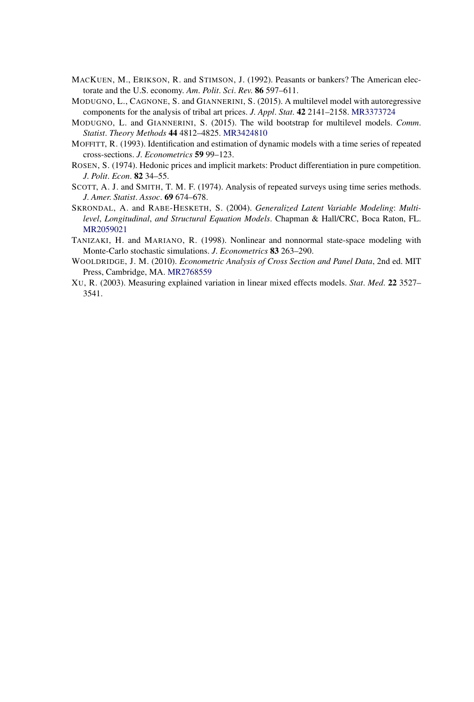- MACKUEN, M., ERIKSON, R. and STIMSON, J. (1992). Peasants or bankers? The American electorate and the U.S. economy. *Am*. *Polit*. *Sci*. *Rev*. **86** 597–611.
- MODUGNO, L., CAGNONE, S. and GIANNERINI, S. (2015). A multilevel model with autoregressive components for the analysis of tribal art prices. *J*. *Appl*. *Stat*. **42** 2141–2158. [MR3373724](http://www.ams.org/mathscinet-getitem?mr=3373724)
- MODUGNO, L. and GIANNERINI, S. (2015). The wild bootstrap for multilevel models. *Comm*. *Statist*. *Theory Methods* **44** 4812–4825. [MR3424810](http://www.ams.org/mathscinet-getitem?mr=3424810)
- MOFFITT, R. (1993). Identification and estimation of dynamic models with a time series of repeated cross-sections. *J*. *Econometrics* **59** 99–123.
- ROSEN, S. (1974). Hedonic prices and implicit markets: Product differentiation in pure competition. *J*. *Polit*. *Econ*. **82** 34–55.
- SCOTT, A. J. and SMITH, T. M. F. (1974). Analysis of repeated surveys using time series methods. *J*. *Amer*. *Statist*. *Assoc*. **69** 674–678.
- SKRONDAL, A. and RABE-HESKETH, S. (2004). *Generalized Latent Variable Modeling*: *Multilevel*, *Longitudinal*, *and Structural Equation Models*. Chapman & Hall/CRC, Boca Raton, FL. [MR2059021](http://www.ams.org/mathscinet-getitem?mr=2059021)
- TANIZAKI, H. and MARIANO, R. (1998). Nonlinear and nonnormal state-space modeling with Monte-Carlo stochastic simulations. *J*. *Econometrics* **83** 263–290.
- WOOLDRIDGE, J. M. (2010). *Econometric Analysis of Cross Section and Panel Data*, 2nd ed. MIT Press, Cambridge, MA. [MR2768559](http://www.ams.org/mathscinet-getitem?mr=2768559)
- XU, R. (2003). Measuring explained variation in linear mixed effects models. *Stat*. *Med*. **22** 3527– 3541.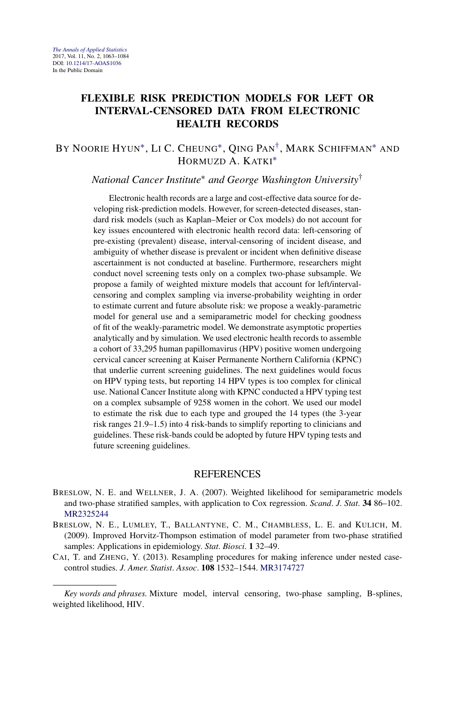# **FLEXIBLE RISK PREDICTION MODELS FOR LEFT OR INTERVAL-CENSORED DATA FROM ELECTRONIC HEALTH RECORDS**

## BY NOORIE HYUN<sup>\*</sup>, LI C. CHEUNG<sup>\*</sup>, QING PAN<sup>[†](#page-9-0)</sup>, MARK SCHIFFMAN<sup>\*</sup> AND HORMUZD A. KATKI[∗](#page-5-0)

*National Cancer Institute*<sup>∗</sup> *and George Washington University*†

Electronic health records are a large and cost-effective data source for developing risk-prediction models. However, for screen-detected diseases, standard risk models (such as Kaplan–Meier or Cox models) do not account for key issues encountered with electronic health record data: left-censoring of pre-existing (prevalent) disease, interval-censoring of incident disease, and ambiguity of whether disease is prevalent or incident when definitive disease ascertainment is not conducted at baseline. Furthermore, researchers might conduct novel screening tests only on a complex two-phase subsample. We propose a family of weighted mixture models that account for left/intervalcensoring and complex sampling via inverse-probability weighting in order to estimate current and future absolute risk: we propose a weakly-parametric model for general use and a semiparametric model for checking goodness of fit of the weakly-parametric model. We demonstrate asymptotic properties analytically and by simulation. We used electronic health records to assemble a cohort of 33,295 human papillomavirus (HPV) positive women undergoing cervical cancer screening at Kaiser Permanente Northern California (KPNC) that underlie current screening guidelines. The next guidelines would focus on HPV typing tests, but reporting 14 HPV types is too complex for clinical use. National Cancer Institute along with KPNC conducted a HPV typing test on a complex subsample of 9258 women in the cohort. We used our model to estimate the risk due to each type and grouped the 14 types (the 3-year risk ranges 21.9–1.5) into 4 risk-bands to simplify reporting to clinicians and guidelines. These risk-bands could be adopted by future HPV typing tests and future screening guidelines.

#### **REFERENCES**

- BRESLOW, N. E. and WELLNER, J. A. (2007). Weighted likelihood for semiparametric models and two-phase stratified samples, with application to Cox regression. *Scand*. *J*. *Stat*. **34** 86–102. [MR2325244](http://www.ams.org/mathscinet-getitem?mr=2325244)
- BRESLOW, N. E., LUMLEY, T., BALLANTYNE, C. M., CHAMBLESS, L. E. and KULICH, M. (2009). Improved Horvitz-Thompson estimation of model parameter from two-phase stratified samples: Applications in epidemiology. *Stat*. *Biosci*. **1** 32–49.
- CAI, T. and ZHENG, Y. (2013). Resampling procedures for making inference under nested casecontrol studies. *J*. *Amer*. *Statist*. *Assoc*. **108** 1532–1544. [MR3174727](http://www.ams.org/mathscinet-getitem?mr=3174727)

*Key words and phrases.* Mixture model, interval censoring, two-phase sampling, B-splines, weighted likelihood, HIV.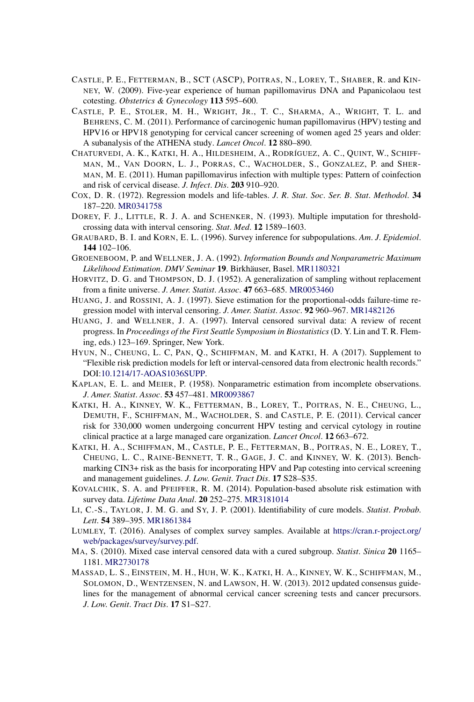- CASTLE, P. E., FETTERMAN, B., SCT (ASCP), POITRAS, N., LOREY, T., SHABER, R. and KIN-NEY, W. (2009). Five-year experience of human papillomavirus DNA and Papanicolaou test cotesting. *Obstetrics & Gynecology* **113** 595–600.
- CASTLE, P. E., STOLER, M. H., WRIGHT, JR., T. C., SHARMA, A., WRIGHT, T. L. and BEHRENS, C. M. (2011). Performance of carcinogenic human papillomavirus (HPV) testing and HPV16 or HPV18 genotyping for cervical cancer screening of women aged 25 years and older: A subanalysis of the ATHENA study. *Lancet Oncol*. **12** 880–890.
- CHATURVEDI, A. K., KATKI, H. A., HILDESHEIM, A., RODRÍGUEZ, A. C., QUINT, W., SCHIFF-MAN, M., VAN DOORN, L. J., PORRAS, C., WACHOLDER, S., GONZALEZ, P. and SHER-MAN, M. E. (2011). Human papillomavirus infection with multiple types: Pattern of coinfection and risk of cervical disease. *J*. *Infect*. *Dis*. **203** 910–920.
- COX, D. R. (1972). Regression models and life-tables. *J*. *R*. *Stat*. *Soc*. *Ser*. *B*. *Stat*. *Methodol*. **34** 187–220. [MR0341758](http://www.ams.org/mathscinet-getitem?mr=0341758)
- DOREY, F. J., LITTLE, R. J. A. and SCHENKER, N. (1993). Multiple imputation for thresholdcrossing data with interval censoring. *Stat*. *Med*. **12** 1589–1603.
- GRAUBARD, B. I. and KORN, E. L. (1996). Survey inference for subpopulations. *Am*. *J*. *Epidemiol*. **144** 102–106.
- GROENEBOOM, P. and WELLNER, J. A. (1992). *Information Bounds and Nonparametric Maximum Likelihood Estimation*. *DMV Seminar* **19**. Birkhäuser, Basel. [MR1180321](http://www.ams.org/mathscinet-getitem?mr=1180321)
- HORVITZ, D. G. and THOMPSON, D. J. (1952). A generalization of sampling without replacement from a finite universe. *J*. *Amer*. *Statist*. *Assoc*. **47** 663–685. [MR0053460](http://www.ams.org/mathscinet-getitem?mr=0053460)
- HUANG, J. and ROSSINI, A. J. (1997). Sieve estimation for the proportional-odds failure-time regression model with interval censoring. *J*. *Amer*. *Statist*. *Assoc*. **92** 960–967. [MR1482126](http://www.ams.org/mathscinet-getitem?mr=1482126)
- HUANG, J. and WELLNER, J. A. (1997). Interval censored survival data: A review of recent progress. In *Proceedings of the First Seattle Symposium in Biostatistics* (D. Y. Lin and T. R. Fleming, eds.) 123–169. Springer, New York.
- HYUN, N., CHEUNG, L. C, PAN, Q., SCHIFFMAN, M. and KATKI, H. A (2017). Supplement to "Flexible risk prediction models for left or interval-censored data from electronic health records." DOI[:10.1214/17-AOAS1036SUPP](http://dx.doi.org/10.1214/17-AOAS1036SUPP).
- KAPLAN, E. L. and MEIER, P. (1958). Nonparametric estimation from incomplete observations. *J*. *Amer*. *Statist*. *Assoc*. **53** 457–481. [MR0093867](http://www.ams.org/mathscinet-getitem?mr=0093867)
- KATKI, H. A., KINNEY, W. K., FETTERMAN, B., LOREY, T., POITRAS, N. E., CHEUNG, L., DEMUTH, F., SCHIFFMAN, M., WACHOLDER, S. and CASTLE, P. E. (2011). Cervical cancer risk for 330,000 women undergoing concurrent HPV testing and cervical cytology in routine clinical practice at a large managed care organization. *Lancet Oncol*. **12** 663–672.
- KATKI, H. A., SCHIFFMAN, M., CASTLE, P. E., FETTERMAN, B., POITRAS, N. E., LOREY, T., CHEUNG, L. C., RAINE-BENNETT, T. R., GAGE, J. C. and KINNEY, W. K. (2013). Benchmarking CIN3+ risk as the basis for incorporating HPV and Pap cotesting into cervical screening and management guidelines. *J*. *Low*. *Genit*. *Tract Dis*. **17** S28–S35.
- KOVALCHIK, S. A. and PFEIFFER, R. M. (2014). Population-based absolute risk estimation with survey data. *Lifetime Data Anal*. **20** 252–275. [MR3181014](http://www.ams.org/mathscinet-getitem?mr=3181014)
- LI, C.-S., TAYLOR, J. M. G. and SY, J. P. (2001). Identifiability of cure models. *Statist*. *Probab*. *Lett*. **54** 389–395. [MR1861384](http://www.ams.org/mathscinet-getitem?mr=1861384)
- LUMLEY, T. (2016). Analyses of complex survey samples. Available at [https://cran.r-project.org/](https://cran.r-project.org/web/packages/survey/survey.pdf) [web/packages/survey/survey.pdf](https://cran.r-project.org/web/packages/survey/survey.pdf).
- MA, S. (2010). Mixed case interval censored data with a cured subgroup. *Statist*. *Sinica* **20** 1165– 1181. [MR2730178](http://www.ams.org/mathscinet-getitem?mr=2730178)
- MASSAD, L. S., EINSTEIN, M. H., HUH, W. K., KATKI, H. A., KINNEY, W. K., SCHIFFMAN, M., SOLOMON, D., WENTZENSEN, N. and LAWSON, H. W. (2013). 2012 updated consensus guidelines for the management of abnormal cervical cancer screening tests and cancer precursors. *J*. *Low*. *Genit*. *Tract Dis*. **17** S1–S27.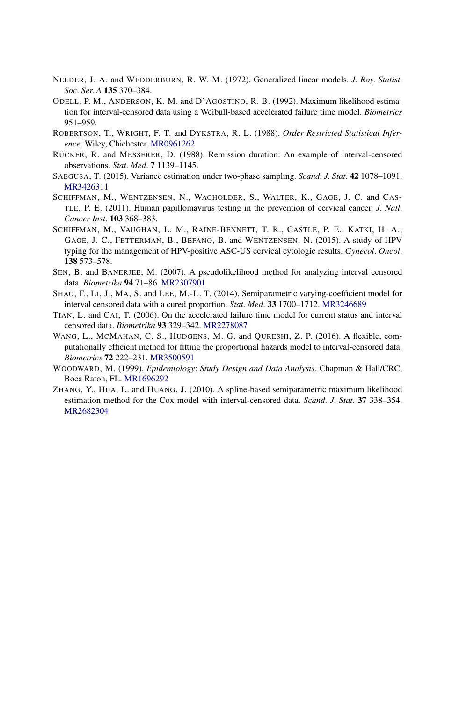- NELDER, J. A. and WEDDERBURN, R. W. M. (1972). Generalized linear models. *J*. *Roy*. *Statist*. *Soc*. *Ser*. *A* **135** 370–384.
- ODELL, P. M., ANDERSON, K. M. and D'AGOSTINO, R. B. (1992). Maximum likelihood estimation for interval-censored data using a Weibull-based accelerated failure time model. *Biometrics* 951–959.
- ROBERTSON, T., WRIGHT, F. T. and DYKSTRA, R. L. (1988). *Order Restricted Statistical Inference*. Wiley, Chichester. [MR0961262](http://www.ams.org/mathscinet-getitem?mr=0961262)
- RÜCKER, R. and MESSERER, D. (1988). Remission duration: An example of interval-censored observations. *Stat*. *Med*. **7** 1139–1145.
- SAEGUSA, T. (2015). Variance estimation under two-phase sampling. *Scand*. *J*. *Stat*. **42** 1078–1091. [MR3426311](http://www.ams.org/mathscinet-getitem?mr=3426311)
- SCHIFFMAN, M., WENTZENSEN, N., WACHOLDER, S., WALTER, K., GAGE, J. C. and CAS-TLE, P. E. (2011). Human papillomavirus testing in the prevention of cervical cancer. *J*. *Natl*. *Cancer Inst*. **103** 368–383.
- SCHIFFMAN, M., VAUGHAN, L. M., RAINE-BENNETT, T. R., CASTLE, P. E., KATKI, H. A., GAGE, J. C., FETTERMAN, B., BEFANO, B. and WENTZENSEN, N. (2015). A study of HPV typing for the management of HPV-positive ASC-US cervical cytologic results. *Gynecol*. *Oncol*. **138** 573–578.
- SEN, B. and BANERJEE, M. (2007). A pseudolikelihood method for analyzing interval censored data. *Biometrika* **94** 71–86. [MR2307901](http://www.ams.org/mathscinet-getitem?mr=2307901)
- SHAO, F., LI, J., MA, S. and LEE, M.-L. T. (2014). Semiparametric varying-coefficient model for interval censored data with a cured proportion. *Stat*. *Med*. **33** 1700–1712. [MR3246689](http://www.ams.org/mathscinet-getitem?mr=3246689)
- TIAN, L. and CAI, T. (2006). On the accelerated failure time model for current status and interval censored data. *Biometrika* **93** 329–342. [MR2278087](http://www.ams.org/mathscinet-getitem?mr=2278087)
- WANG, L., MCMAHAN, C. S., HUDGENS, M. G. and QURESHI, Z. P. (2016). A flexible, computationally efficient method for fitting the proportional hazards model to interval-censored data. *Biometrics* **72** 222–231. [MR3500591](http://www.ams.org/mathscinet-getitem?mr=3500591)
- WOODWARD, M. (1999). *Epidemiology*: *Study Design and Data Analysis*. Chapman & Hall/CRC, Boca Raton, FL. [MR1696292](http://www.ams.org/mathscinet-getitem?mr=1696292)
- ZHANG, Y., HUA, L. and HUANG, J. (2010). A spline-based semiparametric maximum likelihood estimation method for the Cox model with interval-censored data. *Scand*. *J*. *Stat*. **37** 338–354. [MR2682304](http://www.ams.org/mathscinet-getitem?mr=2682304)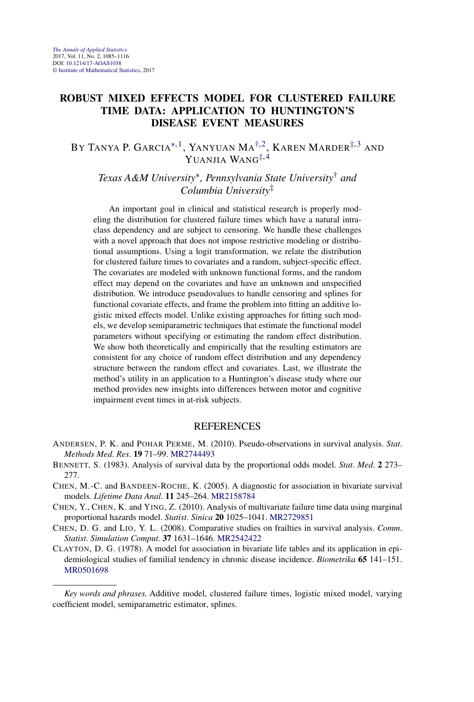### **ROBUST MIXED EFFECTS MODEL FOR CLUSTERED FAILURE TIME DATA: APPLICATION TO HUNTINGTON'S DISEASE EVENT MEASURES**

### BY TANYA P. GARCIA<sup>\*, 1</sup>, YANYUAN MA<sup>[†,](#page-9-0) 2</sup>, KAREN MARDER<sup>[‡,](#page-5-0) 3</sup> AND YUANJIA WANG[‡,](#page-5-0)4

*Texas A&M University*∗*, Pennsylvania State University*† *and Columbia University*‡

An important goal in clinical and statistical research is properly modeling the distribution for clustered failure times which have a natural intraclass dependency and are subject to censoring. We handle these challenges with a novel approach that does not impose restrictive modeling or distributional assumptions. Using a logit transformation, we relate the distribution for clustered failure times to covariates and a random, subject-specific effect. The covariates are modeled with unknown functional forms, and the random effect may depend on the covariates and have an unknown and unspecified distribution. We introduce pseudovalues to handle censoring and splines for functional covariate effects, and frame the problem into fitting an additive logistic mixed effects model. Unlike existing approaches for fitting such models, we develop semiparametric techniques that estimate the functional model parameters without specifying or estimating the random effect distribution. We show both theoretically and empirically that the resulting estimators are consistent for any choice of random effect distribution and any dependency structure between the random effect and covariates. Last, we illustrate the method's utility in an application to a Huntington's disease study where our method provides new insights into differences between motor and cognitive impairment event times in at-risk subjects.

- ANDERSEN, P. K. and POHAR PERME, M. (2010). Pseudo-observations in survival analysis. *Stat*. *Methods Med*. *Res*. **19** 71–99. [MR2744493](http://www.ams.org/mathscinet-getitem?mr=2744493)
- BENNETT, S. (1983). Analysis of survival data by the proportional odds model. *Stat*. *Med*. **2** 273– 277.
- CHEN, M.-C. and BANDEEN-ROCHE, K. (2005). A diagnostic for association in bivariate survival models. *Lifetime Data Anal*. **11** 245–264. [MR2158784](http://www.ams.org/mathscinet-getitem?mr=2158784)
- CHEN, Y., CHEN, K. and YING, Z. (2010). Analysis of multivariate failure time data using marginal proportional hazards model. *Statist*. *Sinica* **20** 1025–1041. [MR2729851](http://www.ams.org/mathscinet-getitem?mr=2729851)
- CHEN, D. G. and LIO, Y. L. (2008). Comparative studies on frailties in survival analysis. *Comm*. *Statist*. *Simulation Comput*. **37** 1631–1646. [MR2542422](http://www.ams.org/mathscinet-getitem?mr=2542422)
- CLAYTON, D. G. (1978). A model for association in bivariate life tables and its application in epidemiological studies of familial tendency in chronic disease incidence. *Biometrika* **65** 141–151. [MR0501698](http://www.ams.org/mathscinet-getitem?mr=0501698)

*Key words and phrases.* Additive model, clustered failure times, logistic mixed model, varying coefficient model, semiparametric estimator, splines.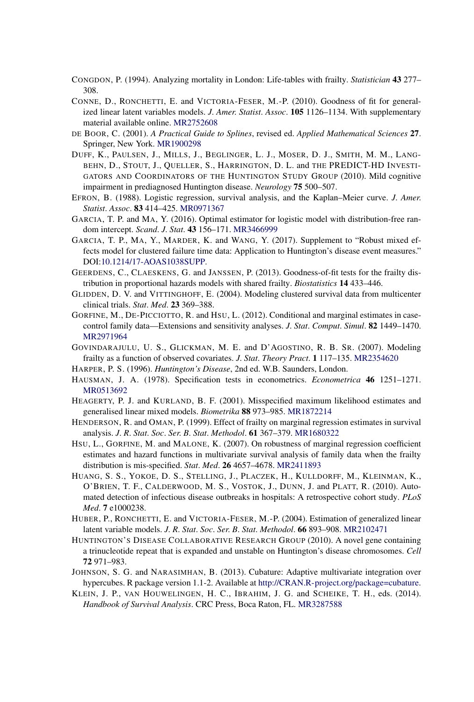- CONGDON, P. (1994). Analyzing mortality in London: Life-tables with frailty. *Statistician* **43** 277– 308.
- CONNE, D., RONCHETTI, E. and VICTORIA-FESER, M.-P. (2010). Goodness of fit for generalized linear latent variables models. *J*. *Amer*. *Statist*. *Assoc*. **105** 1126–1134. With supplementary material available online. [MR2752608](http://www.ams.org/mathscinet-getitem?mr=2752608)
- DE BOOR, C. (2001). *A Practical Guide to Splines*, revised ed. *Applied Mathematical Sciences* **27**. Springer, New York. [MR1900298](http://www.ams.org/mathscinet-getitem?mr=1900298)
- DUFF, K., PAULSEN, J., MILLS, J., BEGLINGER, L. J., MOSER, D. J., SMITH, M. M., LANG-BEHN, D., STOUT, J., QUELLER, S., HARRINGTON, D. L. and THE PREDICT-HD INVESTI-GATORS AND COORDINATORS OF THE HUNTINGTON STUDY GROUP (2010). Mild cognitive impairment in prediagnosed Huntington disease. *Neurology* **75** 500–507.
- EFRON, B. (1988). Logistic regression, survival analysis, and the Kaplan–Meier curve. *J*. *Amer*. *Statist*. *Assoc*. **83** 414–425. [MR0971367](http://www.ams.org/mathscinet-getitem?mr=0971367)
- GARCIA, T. P. and MA, Y. (2016). Optimal estimator for logistic model with distribution-free random intercept. *Scand*. *J*. *Stat*. **43** 156–171. [MR3466999](http://www.ams.org/mathscinet-getitem?mr=3466999)
- GARCIA, T. P., MA, Y., MARDER, K. and WANG, Y. (2017). Supplement to "Robust mixed effects model for clustered failure time data: Application to Huntington's disease event measures." DOI[:10.1214/17-AOAS1038SUPP](http://dx.doi.org/10.1214/17-AOAS1038SUPP).
- GEERDENS, C., CLAESKENS, G. and JANSSEN, P. (2013). Goodness-of-fit tests for the frailty distribution in proportional hazards models with shared frailty. *Biostatistics* **14** 433–446.
- GLIDDEN, D. V. and VITTINGHOFF, E. (2004). Modeling clustered survival data from multicenter clinical trials. *Stat*. *Med*. **23** 369–388.
- GORFINE, M., DE-PICCIOTTO, R. and HSU, L. (2012). Conditional and marginal estimates in casecontrol family data—Extensions and sensitivity analyses. *J*. *Stat*. *Comput*. *Simul*. **82** 1449–1470. [MR2971964](http://www.ams.org/mathscinet-getitem?mr=2971964)
- GOVINDARAJULU, U. S., GLICKMAN, M. E. and D'AGOSTINO, R. B. SR. (2007). Modeling frailty as a function of observed covariates. *J*. *Stat*. *Theory Pract*. **1** 117–135. [MR2354620](http://www.ams.org/mathscinet-getitem?mr=2354620)
- HARPER, P. S. (1996). *Huntington's Disease*, 2nd ed. W.B. Saunders, London.
- HAUSMAN, J. A. (1978). Specification tests in econometrics. *Econometrica* **46** 1251–1271. [MR0513692](http://www.ams.org/mathscinet-getitem?mr=0513692)
- HEAGERTY, P. J. and KURLAND, B. F. (2001). Misspecified maximum likelihood estimates and generalised linear mixed models. *Biometrika* **88** 973–985. [MR1872214](http://www.ams.org/mathscinet-getitem?mr=1872214)
- HENDERSON, R. and OMAN, P. (1999). Effect of frailty on marginal regression estimates in survival analysis. *J*. *R*. *Stat*. *Soc*. *Ser*. *B*. *Stat*. *Methodol*. **61** 367–379. [MR1680322](http://www.ams.org/mathscinet-getitem?mr=1680322)
- HSU, L., GORFINE, M. and MALONE, K. (2007). On robustness of marginal regression coefficient estimates and hazard functions in multivariate survival analysis of family data when the frailty distribution is mis-specified. *Stat*. *Med*. **26** 4657–4678. [MR2411893](http://www.ams.org/mathscinet-getitem?mr=2411893)
- HUANG, S. S., YOKOE, D. S., STELLING, J., PLACZEK, H., KULLDORFF, M., KLEINMAN, K., O'BRIEN, T. F., CALDERWOOD, M. S., VOSTOK, J., DUNN, J. and PLATT, R. (2010). Automated detection of infectious disease outbreaks in hospitals: A retrospective cohort study. *PLoS Med*. **7** e1000238.
- HUBER, P., RONCHETTI, E. and VICTORIA-FESER, M.-P. (2004). Estimation of generalized linear latent variable models. *J*. *R*. *Stat*. *Soc*. *Ser*. *B*. *Stat*. *Methodol*. **66** 893–908. [MR2102471](http://www.ams.org/mathscinet-getitem?mr=2102471)
- HUNTINGTON'S DISEASE COLLABORATIVE RESEARCH GROUP (2010). A novel gene containing a trinucleotide repeat that is expanded and unstable on Huntington's disease chromosomes. *Cell* **72** 971–983.
- JOHNSON, S. G. and NARASIMHAN, B. (2013). Cubature: Adaptive multivariate integration over hypercubes. R package version 1.1-2. Available at [http://CRAN.R-project.org/package=cubature.](http://CRAN.R-project.org/package=cubature)
- KLEIN, J. P., VAN HOUWELINGEN, H. C., IBRAHIM, J. G. and SCHEIKE, T. H., eds. (2014). *Handbook of Survival Analysis*. CRC Press, Boca Raton, FL. [MR3287588](http://www.ams.org/mathscinet-getitem?mr=3287588)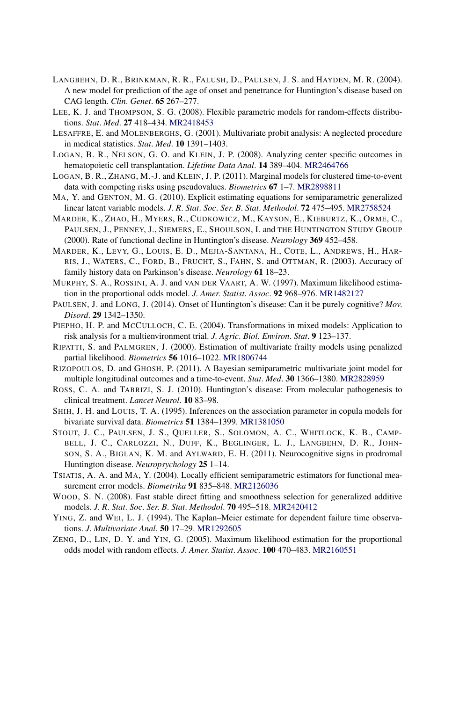- LANGBEHN, D. R., BRINKMAN, R. R., FALUSH, D., PAULSEN, J. S. and HAYDEN, M. R. (2004). A new model for prediction of the age of onset and penetrance for Huntington's disease based on CAG length. *Clin*. *Genet*. **65** 267–277.
- LEE, K. J. and THOMPSON, S. G. (2008). Flexible parametric models for random-effects distributions. *Stat*. *Med*. **27** 418–434. [MR2418453](http://www.ams.org/mathscinet-getitem?mr=2418453)
- LESAFFRE, E. and MOLENBERGHS, G. (2001). Multivariate probit analysis: A neglected procedure in medical statistics. *Stat*. *Med*. **10** 1391–1403.
- LOGAN, B. R., NELSON, G. O. and KLEIN, J. P. (2008). Analyzing center specific outcomes in hematopoietic cell transplantation. *Lifetime Data Anal*. **14** 389–404. [MR2464766](http://www.ams.org/mathscinet-getitem?mr=2464766)
- LOGAN, B. R., ZHANG, M.-J. and KLEIN, J. P. (2011). Marginal models for clustered time-to-event data with competing risks using pseudovalues. *Biometrics* **67** 1–7. [MR2898811](http://www.ams.org/mathscinet-getitem?mr=2898811)
- MA, Y. and GENTON, M. G. (2010). Explicit estimating equations for semiparametric generalized linear latent variable models. *J*. *R*. *Stat*. *Soc*. *Ser*. *B*. *Stat*. *Methodol*. **72** 475–495. [MR2758524](http://www.ams.org/mathscinet-getitem?mr=2758524)
- MARDER, K., ZHAO, H., MYERS, R., CUDKOWICZ, M., KAYSON, E., KIEBURTZ, K., ORME, C., PAULSEN, J., PENNEY, J., SIEMERS, E., SHOULSON, I. and THE HUNTINGTON STUDY GROUP (2000). Rate of functional decline in Huntington's disease. *Neurology* **369** 452–458.
- MARDER, K., LEVY, G., LOUIS, E. D., MEJIA-SANTANA, H., COTE, L., ANDREWS, H., HAR-RIS, J., WATERS, C., FORD, B., FRUCHT, S., FAHN, S. and OTTMAN, R. (2003). Accuracy of family history data on Parkinson's disease. *Neurology* **61** 18–23.
- MURPHY, S. A., ROSSINI, A. J. and VAN DER VAART, A. W. (1997). Maximum likelihood estimation in the proportional odds model. *J*. *Amer*. *Statist*. *Assoc*. **92** 968–976. [MR1482127](http://www.ams.org/mathscinet-getitem?mr=1482127)
- PAULSEN, J. and LONG, J. (2014). Onset of Huntington's disease: Can it be purely cognitive? *Mov*. *Disord*. **29** 1342–1350.
- PIEPHO, H. P. and MCCULLOCH, C. E. (2004). Transformations in mixed models: Application to risk analysis for a multienvironment trial. *J*. *Agric*. *Biol*. *Environ*. *Stat*. **9** 123–137.
- RIPATTI, S. and PALMGREN, J. (2000). Estimation of multivariate frailty models using penalized partial likelihood. *Biometrics* **56** 1016–1022. [MR1806744](http://www.ams.org/mathscinet-getitem?mr=1806744)
- RIZOPOULOS, D. and GHOSH, P. (2011). A Bayesian semiparametric multivariate joint model for multiple longitudinal outcomes and a time-to-event. *Stat*. *Med*. **30** 1366–1380. [MR2828959](http://www.ams.org/mathscinet-getitem?mr=2828959)
- ROSS, C. A. and TABRIZI, S. J. (2010). Huntington's disease: From molecular pathogenesis to clinical treatment. *Lancet Neurol*. **10** 83–98.
- SHIH, J. H. and LOUIS, T. A. (1995). Inferences on the association parameter in copula models for bivariate survival data. *Biometrics* **51** 1384–1399. [MR1381050](http://www.ams.org/mathscinet-getitem?mr=1381050)
- STOUT, J. C., PAULSEN, J. S., QUELLER, S., SOLOMON, A. C., WHITLOCK, K. B., CAMP-BELL, J. C., CARLOZZI, N., DUFF, K., BEGLINGER, L. J., LANGBEHN, D. R., JOHN-SON, S. A., BIGLAN, K. M. and AYLWARD, E. H. (2011). Neurocognitive signs in prodromal Huntington disease. *Neuropsychology* **25** 1–14.
- TSIATIS, A. A. and MA, Y. (2004). Locally efficient semiparametric estimators for functional measurement error models. *Biometrika* **91** 835–848. [MR2126036](http://www.ams.org/mathscinet-getitem?mr=2126036)
- WOOD, S. N. (2008). Fast stable direct fitting and smoothness selection for generalized additive models. *J*. *R*. *Stat*. *Soc*. *Ser*. *B*. *Stat*. *Methodol*. **70** 495–518. [MR2420412](http://www.ams.org/mathscinet-getitem?mr=2420412)
- YING, Z. and WEI, L. J. (1994). The Kaplan–Meier estimate for dependent failure time observations. *J*. *Multivariate Anal*. **50** 17–29. [MR1292605](http://www.ams.org/mathscinet-getitem?mr=1292605)
- ZENG, D., LIN, D. Y. and YIN, G. (2005). Maximum likelihood estimation for the proportional odds model with random effects. *J*. *Amer*. *Statist*. *Assoc*. **100** 470–483. [MR2160551](http://www.ams.org/mathscinet-getitem?mr=2160551)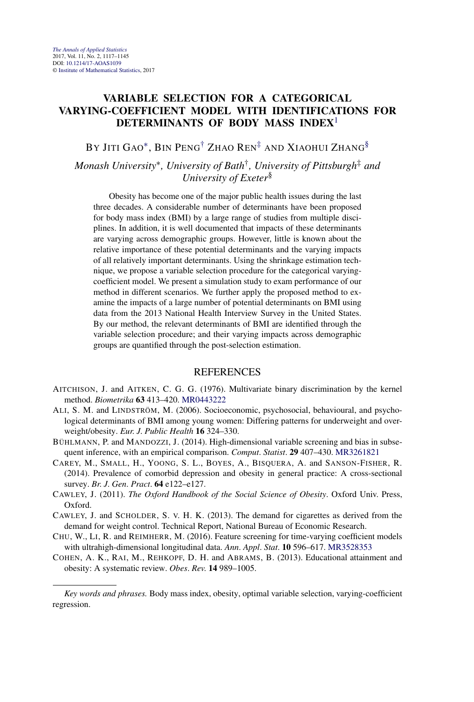### **VARIABLE SELECTION FOR A CATEGORICAL VARYING-COEFFICIENT MODEL WITH IDENTIFICATIONS FOR DETERMINANTS OF BODY MASS INDEX**<sup>1</sup>

# BY JITI GAO[∗](#page-27-0), BIN PENG[†](#page-27-0) ZHAO REN[‡](#page-63-0) AND XIAOHUI ZHANG[§](#page-63-0)

### *Monash University*∗*, University of Bath*†*, University of Pittsburgh*‡ *and University of Exeter*§

Obesity has become one of the major public health issues during the last three decades. A considerable number of determinants have been proposed for body mass index (BMI) by a large range of studies from multiple disciplines. In addition, it is well documented that impacts of these determinants are varying across demographic groups. However, little is known about the relative importance of these potential determinants and the varying impacts of all relatively important determinants. Using the shrinkage estimation technique, we propose a variable selection procedure for the categorical varyingcoefficient model. We present a simulation study to exam performance of our method in different scenarios. We further apply the proposed method to examine the impacts of a large number of potential determinants on BMI using data from the 2013 National Health Interview Survey in the United States. By our method, the relevant determinants of BMI are identified through the variable selection procedure; and their varying impacts across demographic groups are quantified through the post-selection estimation.

- AITCHISON, J. and AITKEN, C. G. G. (1976). Multivariate binary discrimination by the kernel method. *Biometrika* **63** 413–420. [MR0443222](http://www.ams.org/mathscinet-getitem?mr=0443222)
- ALI, S. M. and LINDSTRÖM, M. (2006). Socioeconomic, psychosocial, behavioural, and psychological determinants of BMI among young women: Differing patterns for underweight and overweight/obesity. *Eur*. *J*. *Public Health* **16** 324–330.
- BÜHLMANN, P. and MANDOZZI, J. (2014). High-dimensional variable screening and bias in subsequent inference, with an empirical comparison. *Comput*. *Statist*. **29** 407–430. [MR3261821](http://www.ams.org/mathscinet-getitem?mr=3261821)
- CAREY, M., SMALL, H., YOONG, S. L., BOYES, A., BISQUERA, A. and SANSON-FISHER, R. (2014). Prevalence of comorbid depression and obesity in general practice: A cross-sectional survey. *Br*. *J*. *Gen*. *Pract*. **64** e122–e127.
- CAWLEY, J. (2011). *The Oxford Handbook of the Social Science of Obesity*. Oxford Univ. Press, Oxford.
- CAWLEY, J. and SCHOLDER, S. V. H. K. (2013). The demand for cigarettes as derived from the demand for weight control. Technical Report, National Bureau of Economic Research.
- CHU, W., LI, R. and REIMHERR, M. (2016). Feature screening for time-varying coefficient models with ultrahigh-dimensional longitudinal data. *Ann*. *Appl*. *Stat*. **10** 596–617. [MR3528353](http://www.ams.org/mathscinet-getitem?mr=3528353)
- COHEN, A. K., RAI, M., REHKOPF, D. H. and ABRAMS, B. (2013). Educational attainment and obesity: A systematic review. *Obes*. *Rev*. **14** 989–1005.

*Key words and phrases.* Body mass index, obesity, optimal variable selection, varying-coefficient regression.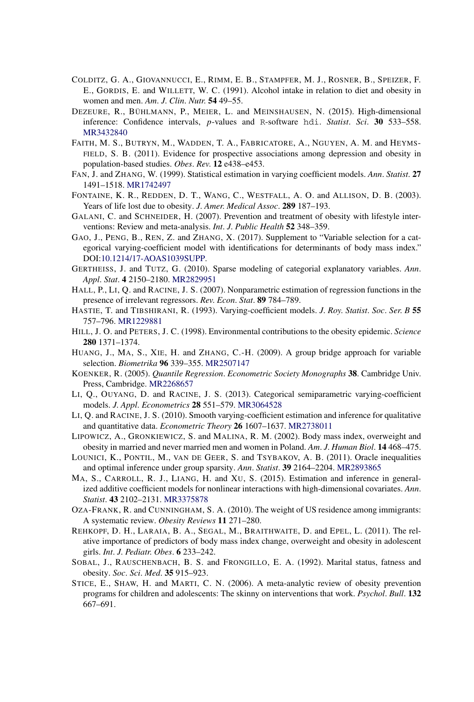- COLDITZ, G. A., GIOVANNUCCI, E., RIMM, E. B., STAMPFER, M. J., ROSNER, B., SPEIZER, F. E., GORDIS, E. and WILLETT, W. C. (1991). Alcohol intake in relation to diet and obesity in women and men. *Am*. *J*. *Clin*. *Nutr*. **54** 49–55.
- DEZEURE, R., BÜHLMANN, P., MEIER, L. and MEINSHAUSEN, N. (2015). High-dimensional inference: Confidence intervals, *p*-values and R-software hdi. *Statist*. *Sci*. **30** 533–558. [MR3432840](http://www.ams.org/mathscinet-getitem?mr=3432840)
- FAITH, M. S., BUTRYN, M., WADDEN, T. A., FABRICATORE, A., NGUYEN, A. M. and HEYMS-FIELD, S. B. (2011). Evidence for prospective associations among depression and obesity in population-based studies. *Obes*. *Rev*. **12** e438–e453.
- FAN, J. and ZHANG, W. (1999). Statistical estimation in varying coefficient models. *Ann*. *Statist*. **27** 1491–1518. [MR1742497](http://www.ams.org/mathscinet-getitem?mr=1742497)
- FONTAINE, K. R., REDDEN, D. T., WANG, C., WESTFALL, A. O. and ALLISON, D. B. (2003). Years of life lost due to obesity. *J*. *Amer*. *Medical Assoc*. **289** 187–193.
- GALANI, C. and SCHNEIDER, H. (2007). Prevention and treatment of obesity with lifestyle interventions: Review and meta-analysis. *Int*. *J*. *Public Health* **52** 348–359.
- GAO, J., PENG, B., REN, Z. and ZHANG, X. (2017). Supplement to "Variable selection for a categorical varying-coefficient model with identifications for determinants of body mass index." DOI[:10.1214/17-AOAS1039SUPP](http://dx.doi.org/10.1214/17-AOAS1039SUPP).
- GERTHEISS, J. and TUTZ, G. (2010). Sparse modeling of categorial explanatory variables. *Ann*. *Appl*. *Stat*. **4** 2150–2180. [MR2829951](http://www.ams.org/mathscinet-getitem?mr=2829951)
- HALL, P., LI, Q. and RACINE, J. S. (2007). Nonparametric estimation of regression functions in the presence of irrelevant regressors. *Rev*. *Econ*. *Stat*. **89** 784–789.
- HASTIE, T. and TIBSHIRANI, R. (1993). Varying-coefficient models. *J*. *Roy*. *Statist*. *Soc*. *Ser*. *B* **55** 757–796. [MR1229881](http://www.ams.org/mathscinet-getitem?mr=1229881)
- HILL, J. O. and PETERS, J. C. (1998). Environmental contributions to the obesity epidemic. *Science* **280** 1371–1374.
- HUANG, J., MA, S., XIE, H. and ZHANG, C.-H. (2009). A group bridge approach for variable selection. *Biometrika* **96** 339–355. [MR2507147](http://www.ams.org/mathscinet-getitem?mr=2507147)
- KOENKER, R. (2005). *Quantile Regression*. *Econometric Society Monographs* **38**. Cambridge Univ. Press, Cambridge. [MR2268657](http://www.ams.org/mathscinet-getitem?mr=2268657)
- LI, Q., OUYANG, D. and RACINE, J. S. (2013). Categorical semiparametric varying-coefficient models. *J*. *Appl*. *Econometrics* **28** 551–579. [MR3064528](http://www.ams.org/mathscinet-getitem?mr=3064528)
- LI, Q. and RACINE, J. S. (2010). Smooth varying-coefficient estimation and inference for qualitative and quantitative data. *Econometric Theory* **26** 1607–1637. [MR2738011](http://www.ams.org/mathscinet-getitem?mr=2738011)
- LIPOWICZ, A., GRONKIEWICZ, S. and MALINA, R. M. (2002). Body mass index, overweight and obesity in married and never married men and women in Poland. *Am*. *J*. *Human Biol*. **14** 468–475.
- LOUNICI, K., PONTIL, M., VAN DE GEER, S. and TSYBAKOV, A. B. (2011). Oracle inequalities and optimal inference under group sparsity. *Ann*. *Statist*. **39** 2164–2204. [MR2893865](http://www.ams.org/mathscinet-getitem?mr=2893865)
- MA, S., CARROLL, R. J., LIANG, H. and XU, S. (2015). Estimation and inference in generalized additive coefficient models for nonlinear interactions with high-dimensional covariates. *Ann*. *Statist*. **43** 2102–2131. [MR3375878](http://www.ams.org/mathscinet-getitem?mr=3375878)
- OZA-FRANK, R. and CUNNINGHAM, S. A. (2010). The weight of US residence among immigrants: A systematic review. *Obesity Reviews* **11** 271–280.
- REHKOPF, D. H., LARAIA, B. A., SEGAL, M., BRAITHWAITE, D. and EPEL, L. (2011). The relative importance of predictors of body mass index change, overweight and obesity in adolescent girls. *Int*. *J*. *Pediatr*. *Obes*. **6** 233–242.
- SOBAL, J., RAUSCHENBACH, B. S. and FRONGILLO, E. A. (1992). Marital status, fatness and obesity. *Soc*. *Sci*. *Med*. **35** 915–923.
- STICE, E., SHAW, H. and MARTI, C. N. (2006). A meta-analytic review of obesity prevention programs for children and adolescents: The skinny on interventions that work. *Psychol*. *Bull*. **132** 667–691.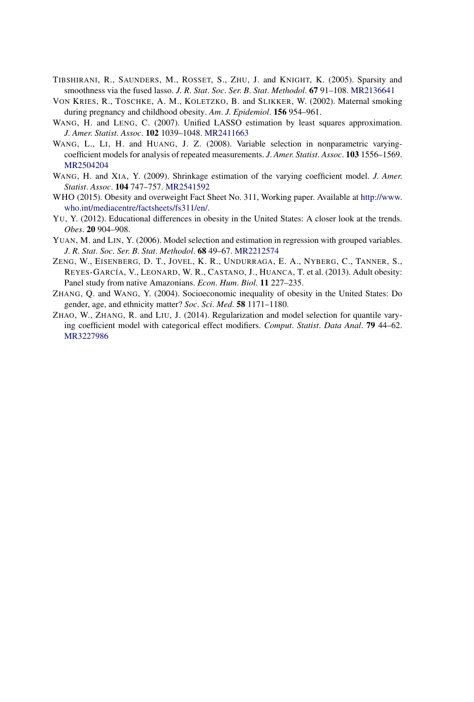- TIBSHIRANI, R., SAUNDERS, M., ROSSET, S., ZHU, J. and KNIGHT, K. (2005). Sparsity and smoothness via the fused lasso. *J*. *R*. *Stat*. *Soc*. *Ser*. *B*. *Stat*. *Methodol*. **67** 91–108. [MR2136641](http://www.ams.org/mathscinet-getitem?mr=2136641)
- VON KRIES, R., TOSCHKE, A. M., KOLETZKO, B. and SLIKKER, W. (2002). Maternal smoking during pregnancy and childhood obesity. *Am*. *J*. *Epidemiol*. **156** 954–961.
- WANG, H. and LENG, C. (2007). Unified LASSO estimation by least squares approximation. *J*. *Amer*. *Statist*. *Assoc*. **102** 1039–1048. [MR2411663](http://www.ams.org/mathscinet-getitem?mr=2411663)
- WANG, L., LI, H. and HUANG, J. Z. (2008). Variable selection in nonparametric varyingcoefficient models for analysis of repeated measurements. *J*. *Amer*. *Statist*. *Assoc*. **103** 1556–1569. [MR2504204](http://www.ams.org/mathscinet-getitem?mr=2504204)
- WANG, H. and XIA, Y. (2009). Shrinkage estimation of the varying coefficient model. *J*. *Amer*. *Statist*. *Assoc*. **104** 747–757. [MR2541592](http://www.ams.org/mathscinet-getitem?mr=2541592)
- WHO (2015). Obesity and overweight Fact Sheet No. 311, Working paper. Available at [http://www.](http://www.who.int/mediacentre/factsheets/fs311/en/) [who.int/mediacentre/factsheets/fs311/en/.](http://www.who.int/mediacentre/factsheets/fs311/en/)
- YU, Y. (2012). Educational differences in obesity in the United States: A closer look at the trends. *Obes*. **20** 904–908.
- YUAN, M. and LIN, Y. (2006). Model selection and estimation in regression with grouped variables. *J*. *R*. *Stat*. *Soc*. *Ser*. *B*. *Stat*. *Methodol*. **68** 49–67. [MR2212574](http://www.ams.org/mathscinet-getitem?mr=2212574)
- ZENG, W., EISENBERG, D. T., JOVEL, K. R., UNDURRAGA, E. A., NYBERG, C., TANNER, S., REYES-GARCÍA, V., LEONARD, W. R., CASTANO, J., HUANCA, T. et al. (2013). Adult obesity: Panel study from native Amazonians. *Econ*. *Hum*. *Biol*. **11** 227–235.
- ZHANG, Q. and WANG, Y. (2004). Socioeconomic inequality of obesity in the United States: Do gender, age, and ethnicity matter? *Soc*. *Sci*. *Med*. **58** 1171–1180.
- ZHAO, W., ZHANG, R. and LIU, J. (2014). Regularization and model selection for quantile varying coefficient model with categorical effect modifiers. *Comput*. *Statist*. *Data Anal*. **79** 44–62. [MR3227986](http://www.ams.org/mathscinet-getitem?mr=3227986)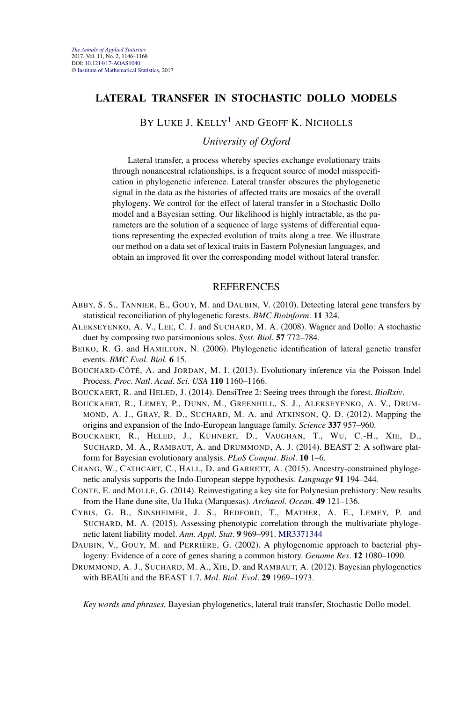### **LATERAL TRANSFER IN STOCHASTIC DOLLO MODELS**

BY LUKE J.  $KELLY<sup>1</sup>$  and Geoff K. Nicholls

#### *University of Oxford*

Lateral transfer, a process whereby species exchange evolutionary traits through nonancestral relationships, is a frequent source of model misspecification in phylogenetic inference. Lateral transfer obscures the phylogenetic signal in the data as the histories of affected traits are mosaics of the overall phylogeny. We control for the effect of lateral transfer in a Stochastic Dollo model and a Bayesian setting. Our likelihood is highly intractable, as the parameters are the solution of a sequence of large systems of differential equations representing the expected evolution of traits along a tree. We illustrate our method on a data set of lexical traits in Eastern Polynesian languages, and obtain an improved fit over the corresponding model without lateral transfer.

- ABBY, S. S., TANNIER, E., GOUY, M. and DAUBIN, V. (2010). Detecting lateral gene transfers by statistical reconciliation of phylogenetic forests. *BMC Bioinform*. **11** 324.
- ALEKSEYENKO, A. V., LEE, C. J. and SUCHARD, M. A. (2008). Wagner and Dollo: A stochastic duet by composing two parsimonious solos. *Syst*. *Biol*. **57** 772–784.
- BEIKO, R. G. and HAMILTON, N. (2006). Phylogenetic identification of lateral genetic transfer events. *BMC Evol*. *Biol*. **6** 15.
- BOUCHARD-CÔTÉ, A. and JORDAN, M. I. (2013). Evolutionary inference via the Poisson Indel Process. *Proc*. *Natl*. *Acad*. *Sci*. *USA* **110** 1160–1166.
- BOUCKAERT, R. and HELED, J. (2014). DensiTree 2: Seeing trees through the forest. *BioRxiv*.
- BOUCKAERT, R., LEMEY, P., DUNN, M., GREENHILL, S. J., ALEKSEYENKO, A. V., DRUM-MOND, A. J., GRAY, R. D., SUCHARD, M. A. and ATKINSON, Q. D. (2012). Mapping the origins and expansion of the Indo-European language family. *Science* **337** 957–960.
- BOUCKAERT, R., HELED, J., KÜHNERT, D., VAUGHAN, T., WU, C.-H., XIE, D., SUCHARD, M. A., RAMBAUT, A. and DRUMMOND, A. J. (2014). BEAST 2: A software platform for Bayesian evolutionary analysis. *PLoS Comput*. *Biol*. **10** 1–6.
- CHANG, W., CATHCART, C., HALL, D. and GARRETT, A. (2015). Ancestry-constrained phylogenetic analysis supports the Indo-European steppe hypothesis. *Language* **91** 194–244.
- CONTE, E. and MOLLE, G. (2014). Reinvestigating a key site for Polynesian prehistory: New results from the Hane dune site, Ua Huka (Marquesas). *Archaeol*. *Ocean*. **49** 121–136.
- CYBIS, G. B., SINSHEIMER, J. S., BEDFORD, T., MATHER, A. E., LEMEY, P. and SUCHARD, M. A. (2015). Assessing phenotypic correlation through the multivariate phylogenetic latent liability model. *Ann*. *Appl*. *Stat*. **9** 969–991. [MR3371344](http://www.ams.org/mathscinet-getitem?mr=3371344)
- DAUBIN, V., GOUY, M. and PERRIÈRE, G. (2002). A phylogenomic approach to bacterial phylogeny: Evidence of a core of genes sharing a common history. *Genome Res*. **12** 1080–1090.
- DRUMMOND, A. J., SUCHARD, M. A., XIE, D. and RAMBAUT, A. (2012). Bayesian phylogenetics with BEAUti and the BEAST 1.7. *Mol*. *Biol*. *Evol*. **29** 1969–1973.

*Key words and phrases.* Bayesian phylogenetics, lateral trait transfer, Stochastic Dollo model.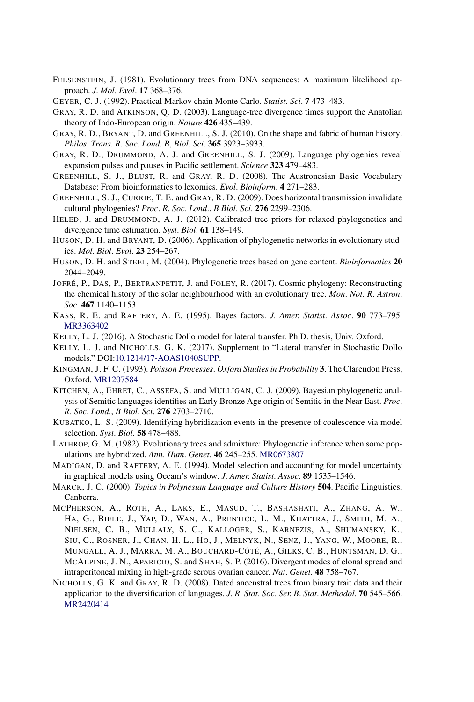- FELSENSTEIN, J. (1981). Evolutionary trees from DNA sequences: A maximum likelihood approach. *J*. *Mol*. *Evol*. **17** 368–376.
- GEYER, C. J. (1992). Practical Markov chain Monte Carlo. *Statist*. *Sci*. **7** 473–483.
- GRAY, R. D. and ATKINSON, Q. D. (2003). Language-tree divergence times support the Anatolian theory of Indo-European origin. *Nature* **426** 435–439.
- GRAY, R. D., BRYANT, D. and GREENHILL, S. J. (2010). On the shape and fabric of human history. *Philos*. *Trans*. *R*. *Soc*. *Lond*. *B*, *Biol*. *Sci*. **365** 3923–3933.
- GRAY, R. D., DRUMMOND, A. J. and GREENHILL, S. J. (2009). Language phylogenies reveal expansion pulses and pauses in Pacific settlement. *Science* **323** 479–483.
- GREENHILL, S. J., BLUST, R. and GRAY, R. D. (2008). The Austronesian Basic Vocabulary Database: From bioinformatics to lexomics. *Evol*. *Bioinform*. **4** 271–283.
- GREENHILL, S. J., CURRIE, T. E. and GRAY, R. D. (2009). Does horizontal transmission invalidate cultural phylogenies? *Proc*. *R*. *Soc*. *Lond*., *B Biol*. *Sci*. **276** 2299–2306.
- HELED, J. and DRUMMOND, A. J. (2012). Calibrated tree priors for relaxed phylogenetics and divergence time estimation. *Syst*. *Biol*. **61** 138–149.
- HUSON, D. H. and BRYANT, D. (2006). Application of phylogenetic networks in evolutionary studies. *Mol*. *Biol*. *Evol*. **23** 254–267.
- HUSON, D. H. and STEEL, M. (2004). Phylogenetic trees based on gene content. *Bioinformatics* **20** 2044–2049.
- JOFRÉ, P., DAS, P., BERTRANPETIT, J. and FOLEY, R. (2017). Cosmic phylogeny: Reconstructing the chemical history of the solar neighbourhood with an evolutionary tree. *Mon*. *Not*. *R*. *Astron*. *Soc*. **467** 1140–1153.
- KASS, R. E. and RAFTERY, A. E. (1995). Bayes factors. *J*. *Amer*. *Statist*. *Assoc*. **90** 773–795. [MR3363402](http://www.ams.org/mathscinet-getitem?mr=3363402)
- KELLY, L. J. (2016). A Stochastic Dollo model for lateral transfer. Ph.D. thesis, Univ. Oxford.
- KELLY, L. J. and NICHOLLS, G. K. (2017). Supplement to "Lateral transfer in Stochastic Dollo models." DOI[:10.1214/17-AOAS1040SUPP.](http://dx.doi.org/10.1214/17-AOAS1040SUPP)
- KINGMAN, J. F. C. (1993). *Poisson Processes*. *Oxford Studies in Probability* **3**. The Clarendon Press, Oxford. [MR1207584](http://www.ams.org/mathscinet-getitem?mr=1207584)
- KITCHEN, A., EHRET, C., ASSEFA, S. and MULLIGAN, C. J. (2009). Bayesian phylogenetic analysis of Semitic languages identifies an Early Bronze Age origin of Semitic in the Near East. *Proc*. *R*. *Soc*. *Lond*., *B Biol*. *Sci*. **276** 2703–2710.
- KUBATKO, L. S. (2009). Identifying hybridization events in the presence of coalescence via model selection. *Syst*. *Biol*. **58** 478–488.
- LATHROP, G. M. (1982). Evolutionary trees and admixture: Phylogenetic inference when some populations are hybridized. *Ann*. *Hum*. *Genet*. **46** 245–255. [MR0673807](http://www.ams.org/mathscinet-getitem?mr=0673807)
- MADIGAN, D. and RAFTERY, A. E. (1994). Model selection and accounting for model uncertainty in graphical models using Occam's window. *J*. *Amer*. *Statist*. *Assoc*. **89** 1535–1546.
- MARCK, J. C. (2000). *Topics in Polynesian Language and Culture History* **504**. Pacific Linguistics, Canberra.
- MCPHERSON, A., ROTH, A., LAKS, E., MASUD, T., BASHASHATI, A., ZHANG, A. W., HA, G., BIELE, J., YAP, D., WAN, A., PRENTICE, L. M., KHATTRA, J., SMITH, M. A., NIELSEN, C. B., MULLALY, S. C., KALLOGER, S., KARNEZIS, A., SHUMANSKY, K., SIU, C., ROSNER, J., CHAN, H. L., HO, J., MELNYK, N., SENZ, J., YANG, W., MOORE, R., MUNGALL, A. J., MARRA, M. A., BOUCHARD-CÔTÉ, A., GILKS, C. B., HUNTSMAN, D. G., MCALPINE, J. N., APARICIO, S. and SHAH, S. P. (2016). Divergent modes of clonal spread and intraperitoneal mixing in high-grade serous ovarian cancer. *Nat*. *Genet*. **48** 758–767.
- NICHOLLS, G. K. and GRAY, R. D. (2008). Dated ancenstral trees from binary trait data and their application to the diversification of languages. *J*. *R*. *Stat*. *Soc*. *Ser*. *B*. *Stat*. *Methodol*. **70** 545–566. [MR2420414](http://www.ams.org/mathscinet-getitem?mr=2420414)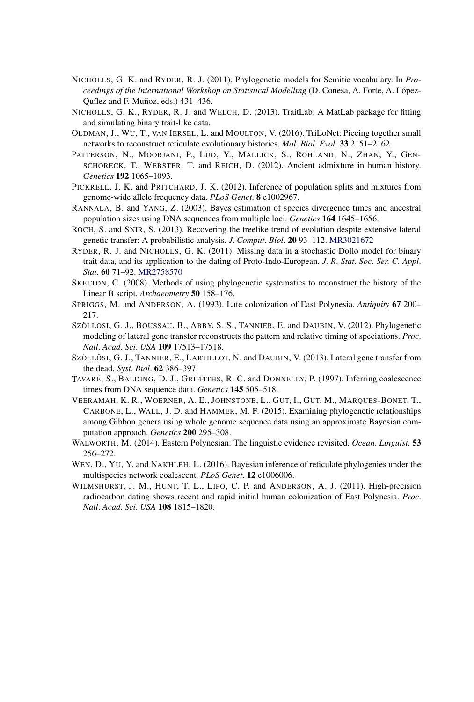- NICHOLLS, G. K. and RYDER, R. J. (2011). Phylogenetic models for Semitic vocabulary. In *Proceedings of the International Workshop on Statistical Modelling* (D. Conesa, A. Forte, A. López-Quílez and F. Muñoz, eds.) 431–436.
- NICHOLLS, G. K., RYDER, R. J. and WELCH, D. (2013). TraitLab: A MatLab package for fitting and simulating binary trait-like data.
- OLDMAN, J., WU, T., VAN IERSEL, L. and MOULTON, V. (2016). TriLoNet: Piecing together small networks to reconstruct reticulate evolutionary histories. *Mol*. *Biol*. *Evol*. **33** 2151–2162.
- PATTERSON, N., MOORJANI, P., LUO, Y., MALLICK, S., ROHLAND, N., ZHAN, Y., GEN-SCHORECK, T., WEBSTER, T. and REICH, D. (2012). Ancient admixture in human history. *Genetics* **192** 1065–1093.
- PICKRELL, J. K. and PRITCHARD, J. K. (2012). Inference of population splits and mixtures from genome-wide allele frequency data. *PLoS Genet*. **8** e1002967.
- RANNALA, B. and YANG, Z. (2003). Bayes estimation of species divergence times and ancestral population sizes using DNA sequences from multiple loci. *Genetics* **164** 1645–1656.
- ROCH, S. and SNIR, S. (2013). Recovering the treelike trend of evolution despite extensive lateral genetic transfer: A probabilistic analysis. *J*. *Comput*. *Biol*. **20** 93–112. [MR3021672](http://www.ams.org/mathscinet-getitem?mr=3021672)
- RYDER, R. J. and NICHOLLS, G. K. (2011). Missing data in a stochastic Dollo model for binary trait data, and its application to the dating of Proto-Indo-European. *J*. *R*. *Stat*. *Soc*. *Ser*. *C*. *Appl*. *Stat*. **60** 71–92. [MR2758570](http://www.ams.org/mathscinet-getitem?mr=2758570)
- SKELTON, C. (2008). Methods of using phylogenetic systematics to reconstruct the history of the Linear B script. *Archaeometry* **50** 158–176.
- SPRIGGS, M. and ANDERSON, A. (1993). Late colonization of East Polynesia. *Antiquity* **67** 200– 217.
- SZÖLLOSI, G. J., BOUSSAU, B., ABBY, S. S., TANNIER, E. and DAUBIN, V. (2012). Phylogenetic modeling of lateral gene transfer reconstructs the pattern and relative timing of speciations. *Proc*. *Natl*. *Acad*. *Sci*. *USA* **109** 17513–17518.
- SZÖLLŐSI, G. J., TANNIER, E., LARTILLOT, N. and DAUBIN, V. (2013). Lateral gene transfer from the dead. *Syst*. *Biol*. **62** 386–397.
- TAVARÉ, S., BALDING, D. J., GRIFFITHS, R. C. and DONNELLY, P. (1997). Inferring coalescence times from DNA sequence data. *Genetics* **145** 505–518.
- VEERAMAH, K. R., WOERNER, A. E., JOHNSTONE, L., GUT, I., GUT, M., MARQUES-BONET, T., CARBONE, L., WALL, J. D. and HAMMER, M. F. (2015). Examining phylogenetic relationships among Gibbon genera using whole genome sequence data using an approximate Bayesian computation approach. *Genetics* **200** 295–308.
- WALWORTH, M. (2014). Eastern Polynesian: The linguistic evidence revisited. *Ocean*. *Linguist*. **53** 256–272.
- WEN, D., YU, Y. and NAKHLEH, L. (2016). Bayesian inference of reticulate phylogenies under the multispecies network coalescent. *PLoS Genet*. **12** e1006006.
- WILMSHURST, J. M., HUNT, T. L., LIPO, C. P. and ANDERSON, A. J. (2011). High-precision radiocarbon dating shows recent and rapid initial human colonization of East Polynesia. *Proc*. *Natl*. *Acad*. *Sci*. *USA* **108** 1815–1820.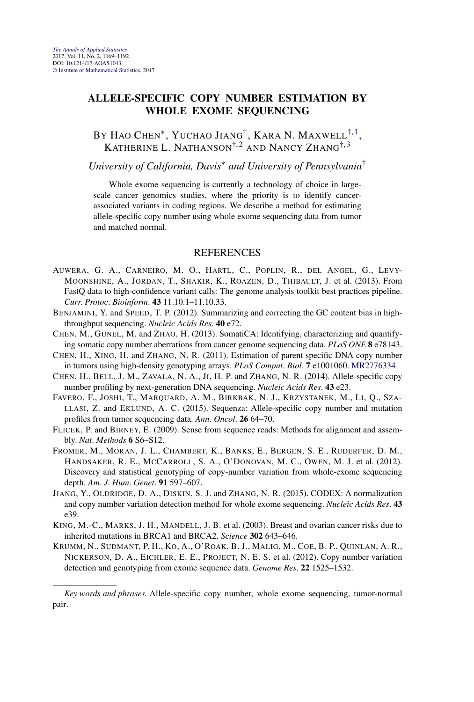# **ALLELE-SPECIFIC COPY NUMBER ESTIMATION BY WHOLE EXOME SEQUENCING**

BY HAO CHEN<sup>\*</sup>, YUCHAO JIANG<sup>[†](#page-9-0)</sup>, KARA N. MAXWELL<sup>[†,](#page-9-0)1</sup>, KATHERINE L. NATHANSON<sup>[†,](#page-9-0) 2</sup> AND NANCY ZHANG<sup>†, 3</sup>

*University of California, Davis*<sup>∗</sup> *and University of Pennsylvania*†

Whole exome sequencing is currently a technology of choice in largescale cancer genomics studies, where the priority is to identify cancerassociated variants in coding regions. We describe a method for estimating allele-specific copy number using whole exome sequencing data from tumor and matched normal.

- AUWERA, G. A., CARNEIRO, M. O., HARTL, C., POPLIN, R., DEL ANGEL, G., LEVY-MOONSHINE, A., JORDAN, T., SHAKIR, K., ROAZEN, D., THIBAULT, J. et al. (2013). From FastQ data to high-confidence variant calls: The genome analysis toolkit best practices pipeline. *Curr*. *Protoc*. *Bioinform*. **43** 11.10.1–11.10.33.
- BENJAMINI, Y. and SPEED, T. P. (2012). Summarizing and correcting the GC content bias in highthroughput sequencing. *Nucleic Acids Res*. **40** e72.
- CHEN, M., GUNEL, M. and ZHAO, H. (2013). SomatiCA: Identifying, characterizing and quantifying somatic copy number aberrations from cancer genome sequencing data. *PLoS ONE* **8** e78143.
- CHEN, H., XING, H. and ZHANG, N. R. (2011). Estimation of parent specific DNA copy number in tumors using high-density genotyping arrays. *PLoS Comput*. *Biol*. **7** e1001060. [MR2776334](http://www.ams.org/mathscinet-getitem?mr=2776334)
- CHEN, H., BELL, J. M., ZAVALA, N. A., JI, H. P. and ZHANG, N. R. (2014). Allele-specific copy number profiling by next-generation DNA sequencing. *Nucleic Acids Res*. **43** e23.
- FAVERO, F., JOSHI, T., MARQUARD, A. M., BIRKBAK, N. J., KRZYSTANEK, M., LI, Q., SZA-LLASI, Z. and EKLUND, A. C. (2015). Sequenza: Allele-specific copy number and mutation profiles from tumor sequencing data. *Ann*. *Oncol*. **26** 64–70.
- FLICEK, P. and BIRNEY, E. (2009). Sense from sequence reads: Methods for alignment and assembly. *Nat*. *Methods* **6** S6–S12.
- FROMER, M., MORAN, J. L., CHAMBERT, K., BANKS, E., BERGEN, S. E., RUDERFER, D. M., HANDSAKER, R. E., MCCARROLL, S. A., O'DONOVAN, M. C., OWEN, M. J. et al. (2012). Discovery and statistical genotyping of copy-number variation from whole-exome sequencing depth. *Am*. *J*. *Hum*. *Genet*. **91** 597–607.
- JIANG, Y., OLDRIDGE, D. A., DISKIN, S. J. and ZHANG, N. R. (2015). CODEX: A normalization and copy number variation detection method for whole exome sequencing. *Nucleic Acids Res*. **43** e39.
- KING, M.-C., MARKS, J. H., MANDELL, J. B. et al. (2003). Breast and ovarian cancer risks due to inherited mutations in BRCA1 and BRCA2. *Science* **302** 643–646.
- KRUMM, N., SUDMANT, P. H., KO, A., O'ROAK, B. J., MALIG, M., COE, B. P., QUINLAN, A. R., NICKERSON, D. A., EICHLER, E. E., PROJECT, N. E. S. et al. (2012). Copy number variation detection and genotyping from exome sequence data. *Genome Res*. **22** 1525–1532.

*Key words and phrases.* Allele-specific copy number, whole exome sequencing, tumor-normal pair.